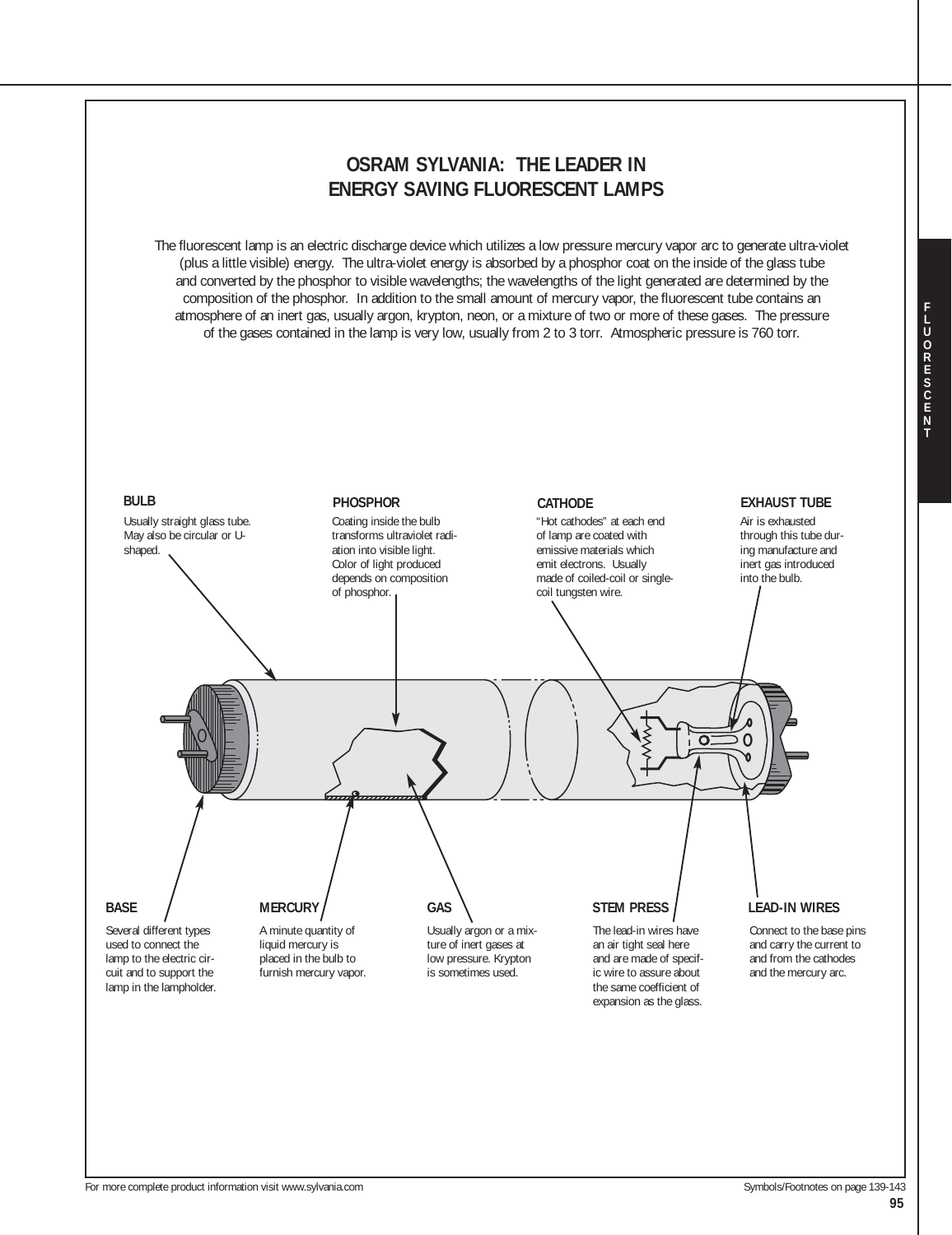

For more complete product information visit www.sylvania.com Symbols/Footnotes on page 139-143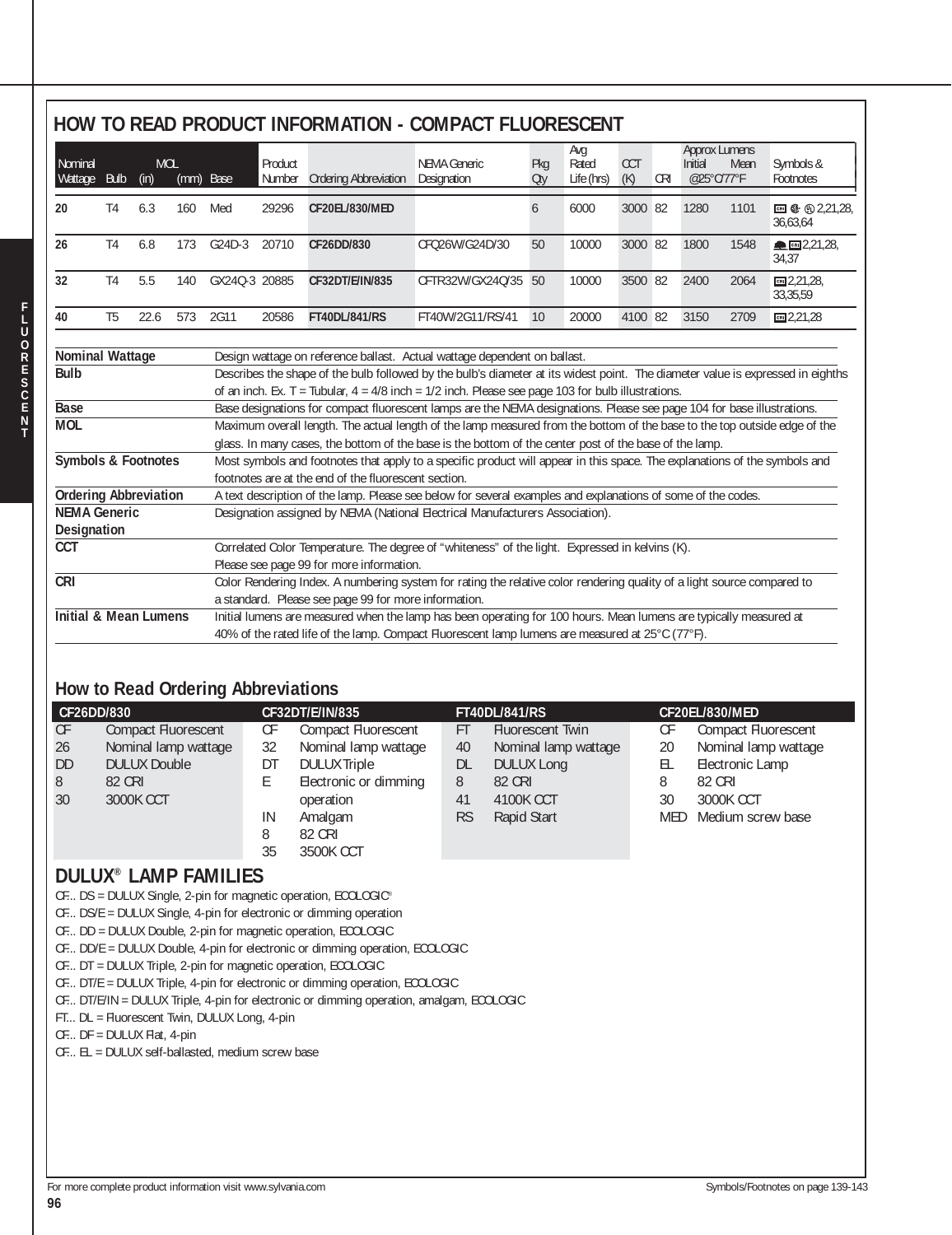## **HOW TO READ PRODUCT INFORMATION - COMPACT FLUORESCENT**

| Nominal<br>Wattage                                                                            | <b>Bulb</b>    | <b>MOL</b><br>(in) | (mm) Base |               | Product<br>Number                                                                                                                                                                                                                         | <b>Ordering Abbreviation</b>                         | NEMA Generic<br>Designation                                                                                                                                                                                                                                                                                                                                                                                                                                                                                                                                                                                                                                                                                                                                                                                          | Pkg<br><b>Oty</b> | Avg<br>Rated<br>Life (hrs) | <b>CCT</b><br>(K) | <b>CRI</b> | <b>Approx Lumens</b><br>Initial<br>@25°C/77°F | Mean | Symbols &<br>Footnotes    |
|-----------------------------------------------------------------------------------------------|----------------|--------------------|-----------|---------------|-------------------------------------------------------------------------------------------------------------------------------------------------------------------------------------------------------------------------------------------|------------------------------------------------------|----------------------------------------------------------------------------------------------------------------------------------------------------------------------------------------------------------------------------------------------------------------------------------------------------------------------------------------------------------------------------------------------------------------------------------------------------------------------------------------------------------------------------------------------------------------------------------------------------------------------------------------------------------------------------------------------------------------------------------------------------------------------------------------------------------------------|-------------------|----------------------------|-------------------|------------|-----------------------------------------------|------|---------------------------|
| 20                                                                                            | T <sub>4</sub> | 6.3                | 160       | Med           | 29296                                                                                                                                                                                                                                     | CF20EL/830/MED                                       |                                                                                                                                                                                                                                                                                                                                                                                                                                                                                                                                                                                                                                                                                                                                                                                                                      | 6                 | 6000                       | 3000 82           |            | 1280                                          | 1101 | □ ← ① 2.21.28<br>36,63,64 |
| 26                                                                                            | T <sub>4</sub> | 6.8                | 173       | G24D-3        | 20710                                                                                                                                                                                                                                     | CF26DD/830                                           | CFQ26W/G24D/30                                                                                                                                                                                                                                                                                                                                                                                                                                                                                                                                                                                                                                                                                                                                                                                                       | 50                | 10000                      | 3000 82           |            | 1800                                          | 1548 | ▲ 图 2,21,28<br>34,37      |
| 32                                                                                            | T <sub>4</sub> | 5.5                | 140       | GX24Q-3 20885 |                                                                                                                                                                                                                                           | CF32DT/E/IN/835                                      | CFTR32W/GX24Q/35                                                                                                                                                                                                                                                                                                                                                                                                                                                                                                                                                                                                                                                                                                                                                                                                     | 50                | 10000                      | 3500 82           |            | 2400                                          | 2064 | cm 2,21,28<br>33,35,59    |
| 40                                                                                            | T <sub>5</sub> | 22.6               | 573       | 2G11          | 20586                                                                                                                                                                                                                                     | <b>FT40DL/841/RS</b>                                 | FT40W/2G11/RS/41                                                                                                                                                                                                                                                                                                                                                                                                                                                                                                                                                                                                                                                                                                                                                                                                     | 10                | 20000                      | 4100 82           |            | 3150                                          | 2709 | cm 2,21,28                |
| <b>Nominal Wattage</b><br><b>Bulb</b><br>Base<br><b>MOL</b><br><b>Symbols &amp; Footnotes</b> |                |                    |           |               |                                                                                                                                                                                                                                           | footnotes are at the end of the fluorescent section. | Design wattage on reference ballast. Actual wattage dependent on ballast.<br>Describes the shape of the bulb followed by the bulb's diameter at its widest point. The diameter value is expressed in eighths<br>of an inch. Ex. T = Tubular, $4 = 4/8$ inch = $1/2$ inch. Please see page 103 for bulb illustrations.<br>Base designations for compact fluorescent lamps are the NEMA designations. Please see page 104 for base illustrations.<br>Maximum overall length. The actual length of the lamp measured from the bottom of the base to the top outside edge of the<br>glass. In many cases, the bottom of the base is the bottom of the center post of the base of the lamp.<br>Most symbols and footnotes that apply to a specific product will appear in this space. The explanations of the symbols and |                   |                            |                   |            |                                               |      |                           |
| <b>Ordering Abbreviation</b><br><b>NEMA Generic</b>                                           |                |                    |           |               |                                                                                                                                                                                                                                           |                                                      | A text description of the lamp. Please see below for several examples and explanations of some of the codes.                                                                                                                                                                                                                                                                                                                                                                                                                                                                                                                                                                                                                                                                                                         |                   |                            |                   |            |                                               |      |                           |
| Designation                                                                                   |                |                    |           |               |                                                                                                                                                                                                                                           |                                                      | Designation assigned by NEMA (National Electrical Manufacturers Association).                                                                                                                                                                                                                                                                                                                                                                                                                                                                                                                                                                                                                                                                                                                                        |                   |                            |                   |            |                                               |      |                           |
| <b>CCT</b>                                                                                    |                |                    |           |               |                                                                                                                                                                                                                                           | Please see page 99 for more information.             | Correlated Color Temperature. The degree of "whiteness" of the light. Expressed in kelvins (K).                                                                                                                                                                                                                                                                                                                                                                                                                                                                                                                                                                                                                                                                                                                      |                   |                            |                   |            |                                               |      |                           |
| <b>CRI</b>                                                                                    |                |                    |           |               |                                                                                                                                                                                                                                           | a standard. Please see page 99 for more information. | Color Rendering Index. A numbering system for rating the relative color rendering quality of a light source compared to                                                                                                                                                                                                                                                                                                                                                                                                                                                                                                                                                                                                                                                                                              |                   |                            |                   |            |                                               |      |                           |
| <b>Initial &amp; Mean Lumens</b>                                                              |                |                    |           |               | Initial lumens are measured when the lamp has been operating for 100 hours. Mean lumens are typically measured at<br>40% of the rated life of the lamp. Compact Fluorescent lamp lumens are measured at $25^{\circ}$ C (77 $^{\circ}$ F). |                                                      |                                                                                                                                                                                                                                                                                                                                                                                                                                                                                                                                                                                                                                                                                                                                                                                                                      |                   |                            |                   |            |                                               |      |                           |

## **How to Read Ordering Abbreviations**

| CF26DD/830                                                                                                                                                                                                                                                                                                                                                                                                                                    | CF32DT/E/IN/835                                                                                                                                                                                                                                                    | <b>FT40DL/841/RS</b>                                                                                                                                                      | CF20EL/830/MED                                                                                                                                                      |
|-----------------------------------------------------------------------------------------------------------------------------------------------------------------------------------------------------------------------------------------------------------------------------------------------------------------------------------------------------------------------------------------------------------------------------------------------|--------------------------------------------------------------------------------------------------------------------------------------------------------------------------------------------------------------------------------------------------------------------|---------------------------------------------------------------------------------------------------------------------------------------------------------------------------|---------------------------------------------------------------------------------------------------------------------------------------------------------------------|
| <b>CF</b><br><b>Compact Fluorescent</b><br>Nominal lamp wattage<br>26<br>DD<br><b>DULUX Double</b><br>82 CRI<br>8<br>30<br>3000K CCT                                                                                                                                                                                                                                                                                                          | СF<br><b>Compact Fluorescent</b><br>Nominal lamp wattage<br>32<br>DT<br><b>DULUX Triple</b><br>E<br>Electronic or dimming<br>operation<br>Amalgam<br>IN<br><b>82 CRI</b><br>8<br>35                                                                                | <b>Fluorescent Twin</b><br><b>FT</b><br>Nominal lamp wattage<br>40<br><b>DL</b><br><b>DULUX Long</b><br>8<br><b>82 CRI</b><br>41<br>4100K CCT<br><b>RS</b><br>Rapid Start | <b>CF</b><br><b>Compact Fluorescent</b><br>Nominal lamp wattage<br>20<br>Electronic Lamp<br>EL<br>8<br>82 CRI<br>3000K CCT<br>30<br><b>MED</b><br>Medium screw base |
| <b>DULUX<sup>®</sup> LAMP FAMILIES</b><br>CF DS = DULUX Single, 2-pin for magnetic operation, ECOLOGIC®<br>CF DS/E = DULUX Single, 4-pin for electronic or dimming operation<br>CF DD = DULUX Double, 2-pin for magnetic operation, ECOLOGIC<br>CF DT = DULUX Triple, 2-pin for magnetic operation, ECOLOGIC<br>FT DL = Fluorescent Twin, DULUX Long, 4-pin<br>$CF$ DF = DULUX Flat, 4-pin<br>CF EL = DULUX self-ballasted, medium screw base | 3500K CCT<br>CF DD/E = DULUX Double, 4-pin for electronic or dimming operation, ECOLOGIC<br>CF DT/E = DULUX Triple, 4-pin for electronic or dimming operation, ECOLOGIC<br>CF DT/E/IN = DULUX Triple, 4-pin for electronic or dimming operation, amalgam, ECOLOGIC |                                                                                                                                                                           |                                                                                                                                                                     |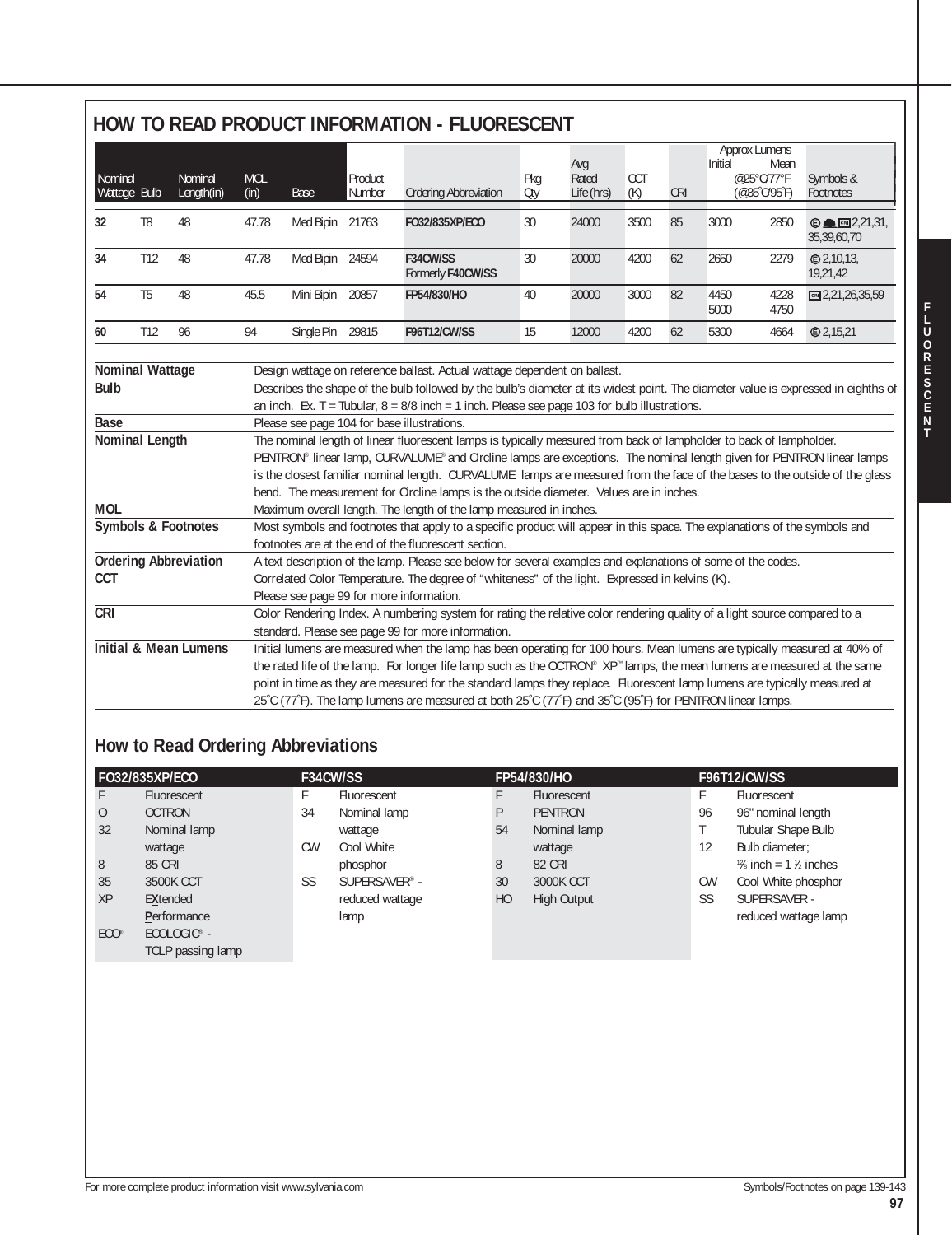|                                      |                |                                  |                                                                                                                                                                                                                                                                                                                                                                                                                                                                                                                                                                                                                         |                                          |                   | HOW TO READ PRODUCT INFORMATION - FLUORESCENT                                                                                                                                   |            |                            |                   |            |              |                                                                            |                                                                 |
|--------------------------------------|----------------|----------------------------------|-------------------------------------------------------------------------------------------------------------------------------------------------------------------------------------------------------------------------------------------------------------------------------------------------------------------------------------------------------------------------------------------------------------------------------------------------------------------------------------------------------------------------------------------------------------------------------------------------------------------------|------------------------------------------|-------------------|---------------------------------------------------------------------------------------------------------------------------------------------------------------------------------|------------|----------------------------|-------------------|------------|--------------|----------------------------------------------------------------------------|-----------------------------------------------------------------|
| Nominal<br>Wattage Bulb              |                | Nominal<br>Length(in)            | <b>MOL</b><br>(in)                                                                                                                                                                                                                                                                                                                                                                                                                                                                                                                                                                                                      | Base                                     | Product<br>Number | <b>Ordering Abbreviation</b>                                                                                                                                                    | Pkg<br>Oty | Avg<br>Rated<br>Life (hrs) | <b>CCT</b><br>(K) | <b>CRI</b> | Initial      | <b>Approx Lumens</b><br>Mean<br>@25°C/77°F<br>$(@35^{\circ}C/95^{\circ}F)$ | Symbols &<br>Footnotes                                          |
| 32                                   | T <sub>8</sub> | 48                               | 47.78                                                                                                                                                                                                                                                                                                                                                                                                                                                                                                                                                                                                                   | Med Bipin 21763                          |                   | FO32/835XP/ECO                                                                                                                                                                  | 30         | 24000                      | 3500              | 85         | 3000         | 2850                                                                       | $\odot$ $\blacksquare$ $\blacksquare$ $2,21,31,$<br>35,39,60,70 |
| 34                                   | T12            | 48                               | 47.78                                                                                                                                                                                                                                                                                                                                                                                                                                                                                                                                                                                                                   | Med Bipin 24594                          |                   | F34CW/SS<br>Formerly F40CW/SS                                                                                                                                                   | 30         | 20000                      | 4200              | 62         | 2650         | 2279                                                                       | @2,10,13,<br>19,21,42                                           |
| 54                                   | T <sub>5</sub> | 48                               | 45.5                                                                                                                                                                                                                                                                                                                                                                                                                                                                                                                                                                                                                    | Mini Bipin                               | 20857             | FP54/830/HO                                                                                                                                                                     | 40         | 20000                      | 3000              | 82         | 4450<br>5000 | 4228<br>4750                                                               | $CR = 2,21,26,35,59$                                            |
| 60                                   | T12            | 96                               | 94                                                                                                                                                                                                                                                                                                                                                                                                                                                                                                                                                                                                                      | Single Pin                               | 29815             | <b>F96T12/CW/SS</b>                                                                                                                                                             | 15         | 12000                      | 4200              | 62         | 5300         | 4664                                                                       | <b>©2,15,21</b>                                                 |
| <b>Base</b><br><b>Nominal Length</b> |                |                                  | an inch. Ex. T = Tubular, $8 = 8/8$ inch = 1 inch. Please see page 103 for bulb illustrations.<br>Please see page 104 for base illustrations.<br>The nominal length of linear fluorescent lamps is typically measured from back of lampholder to back of lampholder.<br>PENTRON® linear lamp, CURVALUME® and Circline lamps are exceptions. The nominal length given for PENTRON linear lamps<br>is the closest familiar nominal length. CURVALUME lamps are measured from the face of the bases to the outside of the glass<br>bend. The measurement for Circline lamps is the outside diameter. Values are in inches. |                                          |                   |                                                                                                                                                                                 |            |                            |                   |            |              |                                                                            |                                                                 |
| <b>MOL</b>                           |                |                                  | Maximum overall length. The length of the lamp measured in inches.                                                                                                                                                                                                                                                                                                                                                                                                                                                                                                                                                      |                                          |                   |                                                                                                                                                                                 |            |                            |                   |            |              |                                                                            |                                                                 |
|                                      |                | Symbols & Footnotes              | Most symbols and footnotes that apply to a specific product will appear in this space. The explanations of the symbols and<br>footnotes are at the end of the fluorescent section.                                                                                                                                                                                                                                                                                                                                                                                                                                      |                                          |                   |                                                                                                                                                                                 |            |                            |                   |            |              |                                                                            |                                                                 |
|                                      |                | <b>Ordering Abbreviation</b>     |                                                                                                                                                                                                                                                                                                                                                                                                                                                                                                                                                                                                                         |                                          |                   | A text description of the lamp. Please see below for several examples and explanations of some of the codes.                                                                    |            |                            |                   |            |              |                                                                            |                                                                 |
| <b>CCT</b>                           |                |                                  |                                                                                                                                                                                                                                                                                                                                                                                                                                                                                                                                                                                                                         | Please see page 99 for more information. |                   | Correlated Color Temperature. The degree of "whiteness" of the light. Expressed in kelvins (K).                                                                                 |            |                            |                   |            |              |                                                                            |                                                                 |
| CRI                                  |                |                                  |                                                                                                                                                                                                                                                                                                                                                                                                                                                                                                                                                                                                                         |                                          |                   | Color Rendering Index. A numbering system for rating the relative color rendering quality of a light source compared to a<br>standard. Please see page 99 for more information. |            |                            |                   |            |              |                                                                            |                                                                 |
|                                      |                | <b>Initial &amp; Mean Lumens</b> | Initial lumens are measured when the lamp has been operating for 100 hours. Mean lumens are typically measured at 40% of<br>the rated life of the lamp. For longer life lamp such as the OCTRON® XP® lamps, the mean lumens are measured at the same<br>point in time as they are measured for the standard lamps they replace. Fluorescent lamp lumens are typically measured at<br>25°C (77°F). The lamp lumens are measured at both 25°C (77°F) and 35°C (95°F) for PENTRON linear lamps.                                                                                                                            |                                          |                   |                                                                                                                                                                                 |            |                            |                   |            |              |                                                                            |                                                                 |

# **How to Read Ordering Abbreviations**

|                | FO32/835XP/ECO          | F34CW/SS  |                           |                | FP54/830/HO        | <b>F96T12/CW/SS</b> |                                   |  |  |
|----------------|-------------------------|-----------|---------------------------|----------------|--------------------|---------------------|-----------------------------------|--|--|
| F.             | Fluorescent             | F         | Fluorescent               |                | Fluorescent        | Н.                  | Fluorescent                       |  |  |
| $\overline{0}$ | <b>OCTRON</b>           | 34        | Nominal lamp              | P              | <b>PENTRON</b>     | 96                  | 96" nominal length                |  |  |
| 32             | Nominal lamp            |           | wattage                   | 54             | Nominal lamp       |                     | Tubular Shape Bulb                |  |  |
|                | wattage                 | <b>CW</b> | Cool White                |                | wattage            | 12                  | Bulb diameter:                    |  |  |
| 8              | 85 CRI                  |           | phosphor                  | 8              | <b>82 CRI</b>      |                     | $\frac{12}{6}$ inch = 1 \% inches |  |  |
| 35             | 3500K CCT               | SS        | SUPERSAVER <sup>®</sup> - | 30             | <b>3000K CCT</b>   | <b>CW</b>           | Cool White phosphor               |  |  |
| XP             | <b>EXtended</b>         |           | reduced wattage           | H <sub>O</sub> | <b>High Output</b> | SS                  | SUPERSAVER -                      |  |  |
|                | Performance             |           | lamp                      |                |                    |                     | reduced wattage lamp              |  |  |
| $ECO^{\circ}$  | ECOLOGIC <sup>®</sup> - |           |                           |                |                    |                     |                                   |  |  |
|                | TCLP passing lamp       |           |                           |                |                    |                     |                                   |  |  |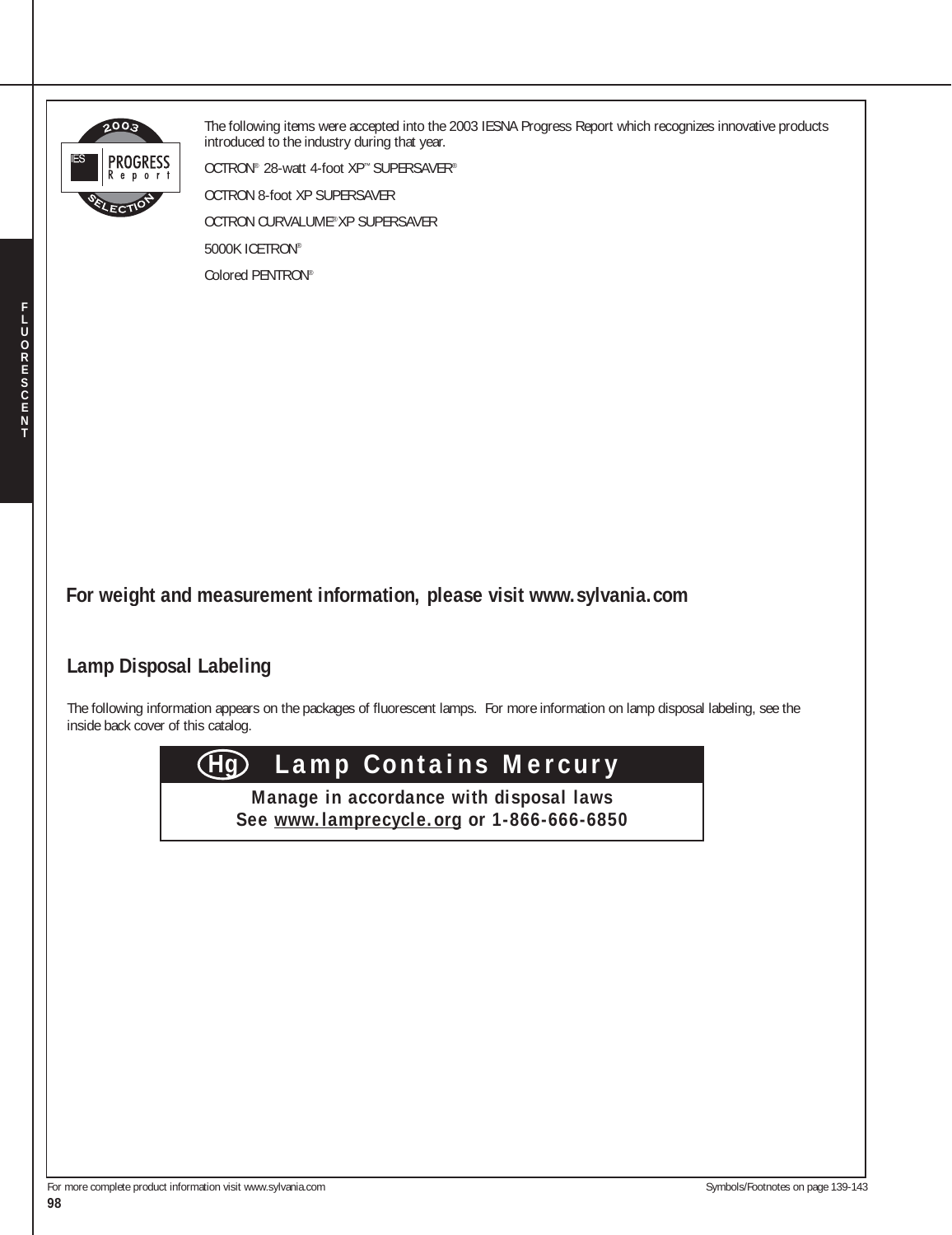

The following items were accepted into the 2003 IESNA Progress Report which recognizes innovative products introduced to the industry during that year.

OCTRON® 28-watt 4-foot XP™ SUPERSAVER®

OCTRON 8-foot XP SUPERSAVER

OCTRON CURVALUME®XP SUPERSAVER

5000K ICETRON®

Colored PENTRON®

**F L**

**For weight and measurement information, please visit www.sylvania.com**

## **Lamp Disposal Labeling**

The following information appears on the packages of fluorescent lamps. For more information on lamp disposal labeling, see the inside back cover of this catalog.



**Manage in accordance with disposal laws See www.lamprecycle.org or 1-866-666-6850**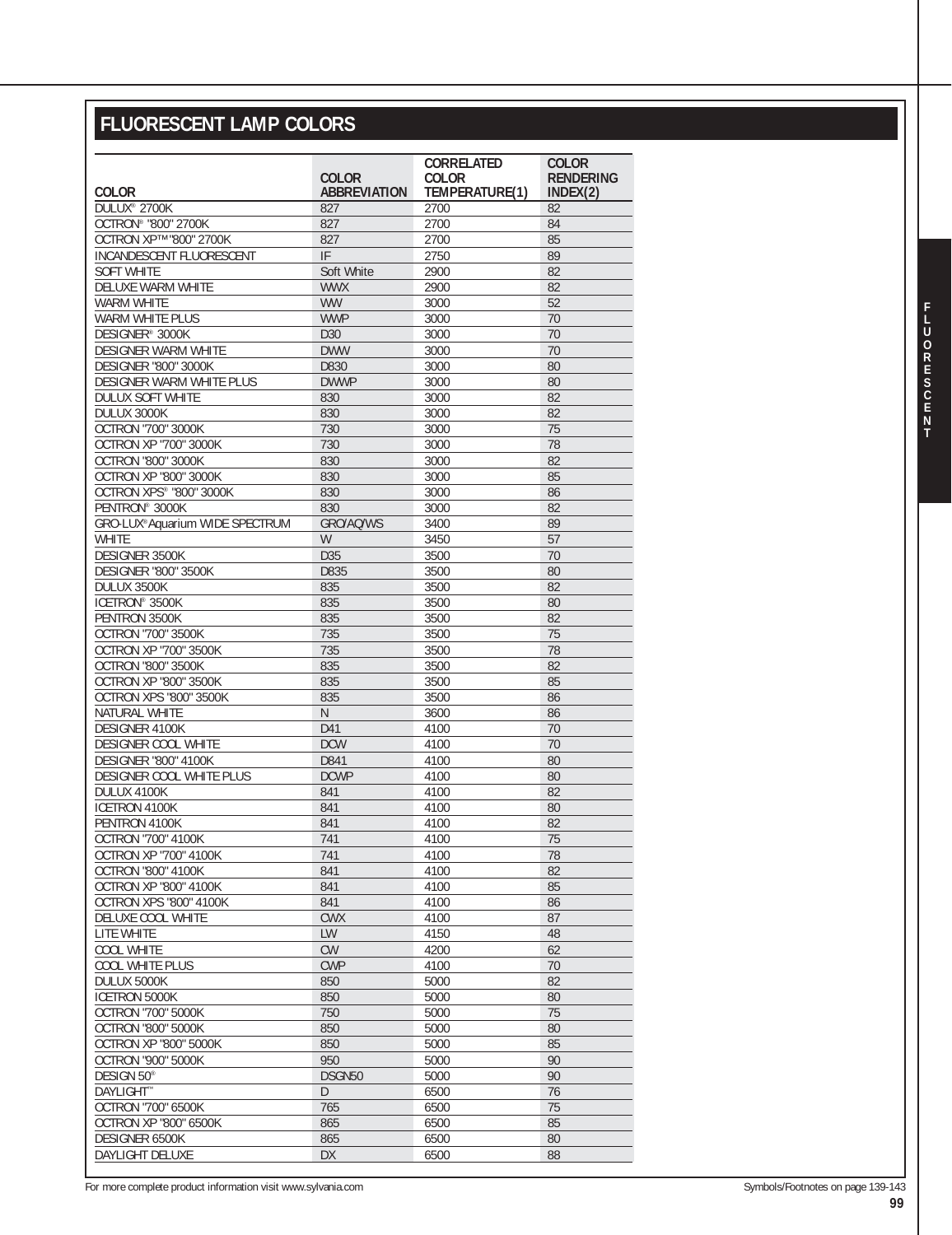# **FLUORESCENT LAMP COLORS**

|                                               |                     | <b>CORRELATED</b> | <b>COLOR</b>     |  |  |
|-----------------------------------------------|---------------------|-------------------|------------------|--|--|
|                                               | <b>COLOR</b>        | <b>COLOR</b>      | <b>RENDERING</b> |  |  |
| <b>COLOR</b>                                  | <b>ABBREVIATION</b> | TEMPERATURE(1)    | INDEX(2)         |  |  |
| DULUX <sup>®</sup> 2700K                      | 827                 | 2700              | 82               |  |  |
| OCTRON® "800" 2700K<br>OCTRON XP™ "800" 2700K | 827                 | 2700              | 84<br>85         |  |  |
|                                               | 827<br>IF           | 2700              |                  |  |  |
| INCANDESCENT FLUORESCENT<br><b>SOFT WHITE</b> | Soft White          | 2750              | 89<br>82         |  |  |
| DELUXE WARM WHITE                             | <b>WWX</b>          | 2900<br>2900      | 82               |  |  |
| <b>WARM WHITE</b>                             | <b>WW</b>           | 3000              | 52               |  |  |
| <b>WARM WHITE PLUS</b>                        | <b>WWP</b>          | 3000              | 70               |  |  |
| DESIGNER <sup>®</sup> 3000K                   | D <sub>30</sub>     | 3000              | 70               |  |  |
| <b>DESIGNER WARM WHITE</b>                    | <b>DWW</b>          | 3000              | 70               |  |  |
| <b>DESIGNER "800" 3000K</b>                   | D830                | 3000              | 80               |  |  |
| DESIGNER WARM WHITE PLUS                      | <b>DWWP</b>         | 3000              | 80               |  |  |
| DULUX SOFT WHITE                              | 830                 | 3000              | 82               |  |  |
| DULUX 3000K                                   | 830                 | 3000              | 82               |  |  |
| OCTRON "700" 3000K                            | 730                 | 3000              | 75               |  |  |
| OCTRON XP "700" 3000K                         | 730                 | 3000              | 78               |  |  |
| <b>OCTRON "800" 3000K</b>                     | 830                 | 3000              | 82               |  |  |
| OCTRON XP "800" 3000K                         | 830                 | 3000              | 85               |  |  |
| OCTRON XPS® "800" 3000K                       | 830                 | 3000              | 86               |  |  |
| PENTRON® 3000K                                | 830                 | 3000              | 82               |  |  |
| GRO-LUX®Aquarium WIDE SPECTRUM                | GRO/AQ/WS           | 3400              | 89               |  |  |
| <b>WHITE</b>                                  | W                   | 3450              | 57               |  |  |
| DESIGNER 3500K                                | D35                 | 3500              | 70               |  |  |
| <b>DESIGNER "800" 3500K</b>                   | D835                | 3500              | 80               |  |  |
| DULUX 3500K                                   | 835                 | 3500              | 82               |  |  |
| ICETRON <sup>®</sup> 3500K                    | 835                 | 3500              | 80               |  |  |
| PENTRON 3500K                                 | 835                 | 3500              | 82               |  |  |
| <b>OCTRON "700" 3500K</b>                     | 735                 | 3500              | 75               |  |  |
| <b>OCTRON XP "700" 3500K</b>                  | 735                 | 3500              | 78               |  |  |
| <b>OCTRON "800" 3500K</b>                     | 835                 | 3500              | 82               |  |  |
| OCTRON XP "800" 3500K                         | 835                 | 3500              | 85               |  |  |
| OCTRON XPS "800" 3500K                        | 835                 | 3500              | 86               |  |  |
| NATURAL WHITE                                 | N                   | 3600              | 86               |  |  |
| DESIGNER 4100K                                | D41                 | 4100              | 70               |  |  |
| DESIGNER COOL WHITE                           | <b>DCW</b>          | 4100              | 70               |  |  |
| <b>DESIGNER "800" 4100K</b>                   | D841                | 4100              | 80               |  |  |
| <b>DESIGNER COOL WHITE PLUS</b>               | <b>DCWP</b>         | 4100              | 80               |  |  |
| DULUX 4100K                                   | 841                 | 4100              | 82               |  |  |
| ICETRON 4100K                                 | 841                 | 4100              | 80               |  |  |
| PENTRON 4100K                                 | 841                 | 4100              | 82               |  |  |
| <b>OCTRON "700" 4100K</b>                     | 741                 | 4100              | 75               |  |  |
| <b>OCTRON XP "700" 4100K</b>                  | 741                 | 4100              | 78               |  |  |
| <b>OCTRON "800" 4100K</b>                     | 841                 | 4100              | 82               |  |  |
| <b>OCTRON XP "800" 4100K</b>                  | 841                 | 4100              | 85               |  |  |
| OCTRON XPS "800" 4100K                        | 841                 | 4100              | 86               |  |  |
| DELUXE COOL WHITE                             | <b>CWX</b>          | 4100              | 87               |  |  |
| LITE WHITE                                    | LW                  | 4150              | 48               |  |  |
| COOL WHITE                                    | <b>CW</b>           | 4200              | 62               |  |  |
| <b>COOL WHITE PLUS</b>                        | <b>CWP</b>          | 4100              | 70               |  |  |
| DULUX 5000K                                   | 850                 | 5000              | 82               |  |  |
| ICETRON 5000K                                 | 850                 | 5000              | 80               |  |  |
| <b>OCTRON "700" 5000K</b>                     | 750                 | 5000              | 75               |  |  |
| <b>OCTRON "800" 5000K</b>                     | 850                 | 5000              | 80               |  |  |
| OCTRON XP "800" 5000K                         | 850                 | 5000              | 85               |  |  |
| <b>OCTRON "900" 5000K</b>                     | 950                 | 5000              | 90               |  |  |
| DESIGN 50 <sup>®</sup>                        | DSGN50              | 5000              | 90               |  |  |
| DAYLIGHT™                                     | D                   | 6500              | 76               |  |  |
| OCTRON "700" 6500K                            | 765                 | 6500              | 75               |  |  |
| OCTRON XP "800" 6500K                         | 865                 | 6500              | 85               |  |  |
| DESIGNER 6500K                                | 865                 | 6500              | 80               |  |  |
| DAYLIGHT DELUXE                               | DX                  | 6500              | 88               |  |  |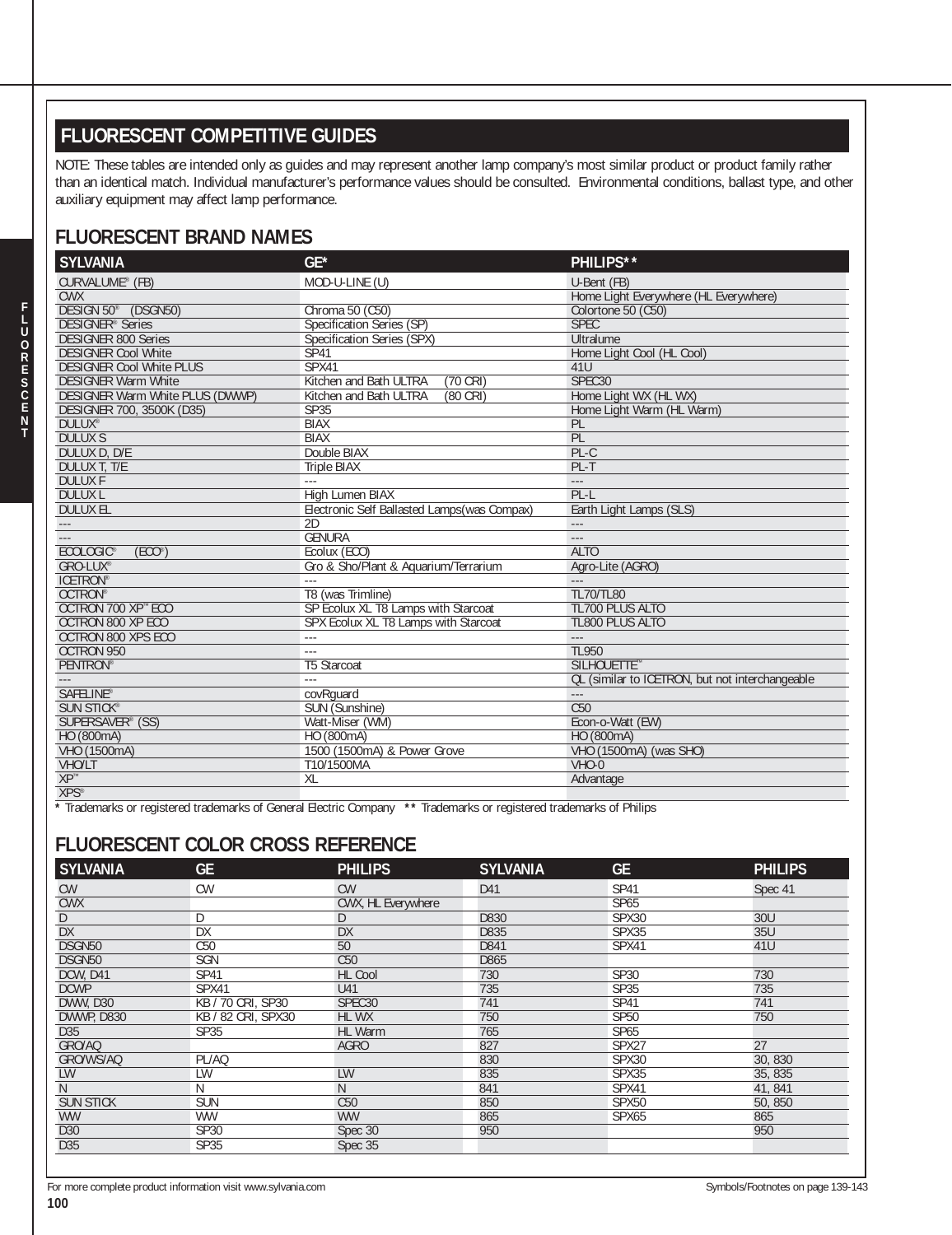## **FLUORESCENT COMPETITIVE GUIDES**

NOTE: These tables are intended only as guides and may represent another lamp company's most similar product or product family rather than an identical match. Individual manufacturer's performance values should be consulted. Environmental conditions, ballast type, and other auxiliary equipment may affect lamp performance.

#### **FLUORESCENT BRAND NAMES**

| <b>SYLVANIA</b>                         | $GE*$                                        | PHILIPS**                                       |
|-----------------------------------------|----------------------------------------------|-------------------------------------------------|
| CURVALUME® (FB)                         | MOD-U-LINE (U)                               | U-Bent (FB)                                     |
| <b>CWX</b>                              |                                              | Home Light Everywhere (HL Everywhere)           |
| DESIGN 50° (DSGN50)                     | Chroma 50 (C50)                              | Colortone 50 (C50)                              |
| DESIGNER <sup>®</sup> Series            | Specification Series (SP)                    | <b>SPEC</b>                                     |
| <b>DESIGNER 800 Series</b>              | Specification Series (SPX)                   | Ultralume                                       |
| <b>DESIGNER Cool White</b>              | SP41                                         | Home Light Cool (HL Cool)                       |
| <b>DESIGNER Cool White PLUS</b>         | SPX41                                        | 41U                                             |
| <b>DESIGNER Warm White</b>              | $(70 \text{ CRI})$<br>Kitchen and Bath ULTRA | SPEC <sub>30</sub>                              |
| <b>DESIGNER Warm White PLUS (DWWP)</b>  | $(80 \text{ CRI})$<br>Kitchen and Bath ULTRA | Home Light WX (HL WX)                           |
| <b>DESIGNER 700, 3500K (D35)</b>        | SP35                                         | Home Light Warm (HL Warm)                       |
| <b>DULUX®</b>                           | <b>BIAX</b>                                  | PL                                              |
| <b>DULUX S</b>                          | <b>BIAX</b>                                  | PL                                              |
| DULUX D. D/E                            | Double BIAX                                  | $PL-C$                                          |
| <b>DULUX T. T/E</b>                     | <b>Triple BIAX</b>                           | $PL-T$                                          |
| <b>DULUXF</b>                           | $\sim$                                       | $---$                                           |
| <b>DULUX L</b>                          | High Lumen BIAX                              | $PL-L$                                          |
| <b>DULUX EL</b>                         | Electronic Self Ballasted Lamps (was Compax) | Earth Light Lamps (SLS)                         |
| $-\, -\, -$                             | 2D                                           | $\overline{\phantom{a}}$                        |
|                                         | <b>GENURA</b>                                | $-\, -\, -$                                     |
| <b>ECOLOGIC®</b><br>(ECO <sup>°</sup> ) | Ecolux (ECO)                                 | <b>ALTO</b>                                     |
| GRO-LUX®                                | Gro & Sho/Plant & Aquarium/Terrarium         | Agro-Lite (AGRO)                                |
| <b>ICETRON®</b>                         | $- - -$                                      | $---$                                           |
| OCTRON®                                 | T8 (was Trimline)                            | <b>TL70/TL80</b>                                |
| OCTRON 700 XP™ ECO                      | SP Ecolux XL T8 Lamps with Starcoat          | <b>TL700 PLUS ALTO</b>                          |
| OCTRON 800 XP ECO                       | SPX Ecolux XL T8 Lamps with Starcoat         | <b>TL800 PLUS ALTO</b>                          |
| OCTRON 800 XPS ECO                      | $- - -$                                      | $\sim$                                          |
| <b>OCTRON 950</b>                       |                                              | <b>TL950</b>                                    |
| <b>PENTRON®</b>                         | <b>T5 Starcoat</b>                           | SILHOUETTE <sup>™</sup>                         |
|                                         | $\sim$                                       | QL (similar to ICETRON, but not interchangeable |
| <b>SAFELINE®</b>                        | covRquard                                    | $\sim$                                          |
| <b>SUN STICK®</b>                       | SUN (Sunshine)                               | C <sub>50</sub>                                 |
| SUPERSAVER® (SS)                        | Watt-Miser (WM)                              | Econ-o-Watt (EW)                                |
| HO (800mA)                              | HO (800mA)                                   | HO (800mA)                                      |
| VHO (1500mA)                            | 1500 (1500mA) & Power Grove                  | VHO (1500mA) (was SHO)                          |
| VHO/LT                                  | T10/1500MA                                   | $VHO-0$                                         |
| $XP^{\mathbb{N}}$                       | XL                                           | Advantage                                       |
| $XPS^*$                                 |                                              |                                                 |

**\*** Trademarks or registered trademarks of General Electric Company **\*\*** Trademarks or registered trademarks of Philips

#### **FLUORESCENT COLOR CROSS REFERENCE**

| <b>SYLVANIA</b>   | <b>GE</b>          | <b>PHILIPS</b>     | <b>SYLVANIA</b> | <b>GE</b>         | <b>PHILIPS</b> |
|-------------------|--------------------|--------------------|-----------------|-------------------|----------------|
| <b>CW</b>         | <b>CW</b>          | <b>CW</b>          | D41             | <b>SP41</b>       | Spec 41        |
| <b>CWX</b>        |                    | CWX, HL Everywhere |                 | SP65              |                |
| D                 | D                  | D                  | D830            | SPX30             | 30U            |
| <b>DX</b>         | <b>DX</b>          | <b>DX</b>          | D835            | SPX35             | 35U            |
| DSGN50            | C50                | 50                 | D841            | SPX41             | 41U            |
| DSGN50            | <b>SGN</b>         | C50                | D865            |                   |                |
| DCW, D41          | <b>SP41</b>        | <b>HL Cool</b>     | 730             | <b>SP30</b>       | 730            |
| <b>DCWP</b>       | SPX41              | U41                | 735             | <b>SP35</b>       | 735            |
| <b>DWW, D30</b>   | KB / 70 CRI, SP30  | SPEC <sub>30</sub> | 741             | <b>SP41</b>       | 741            |
| <b>DWWP, D830</b> | KB / 82 CRI, SPX30 | HL WX              | 750             | <b>SP50</b>       | 750            |
| D35               | <b>SP35</b>        | HL Warm            | 765             | SP65              |                |
| GRO/AQ            |                    | <b>AGRO</b>        | 827             | SPX27             | 27             |
| GRO/WS/AQ         | PL/AQ              |                    | 830             | SPX30             | 30,830         |
| LW                | LW                 | <b>LW</b>          | 835             | SPX35             | 35, 835        |
| N                 | N                  | N                  | 841             | SPX41             | 41, 841        |
| <b>SUN STICK</b>  | <b>SUN</b>         | C50                | 850             | SPX <sub>50</sub> | 50, 850        |
| WW                | <b>WW</b>          | <b>WW</b>          | 865             | SPX65             | 865            |
| D30               | <b>SP30</b>        | Spec 30            | 950             |                   | 950            |
| D35               | <b>SP35</b>        | Spec 35            |                 |                   |                |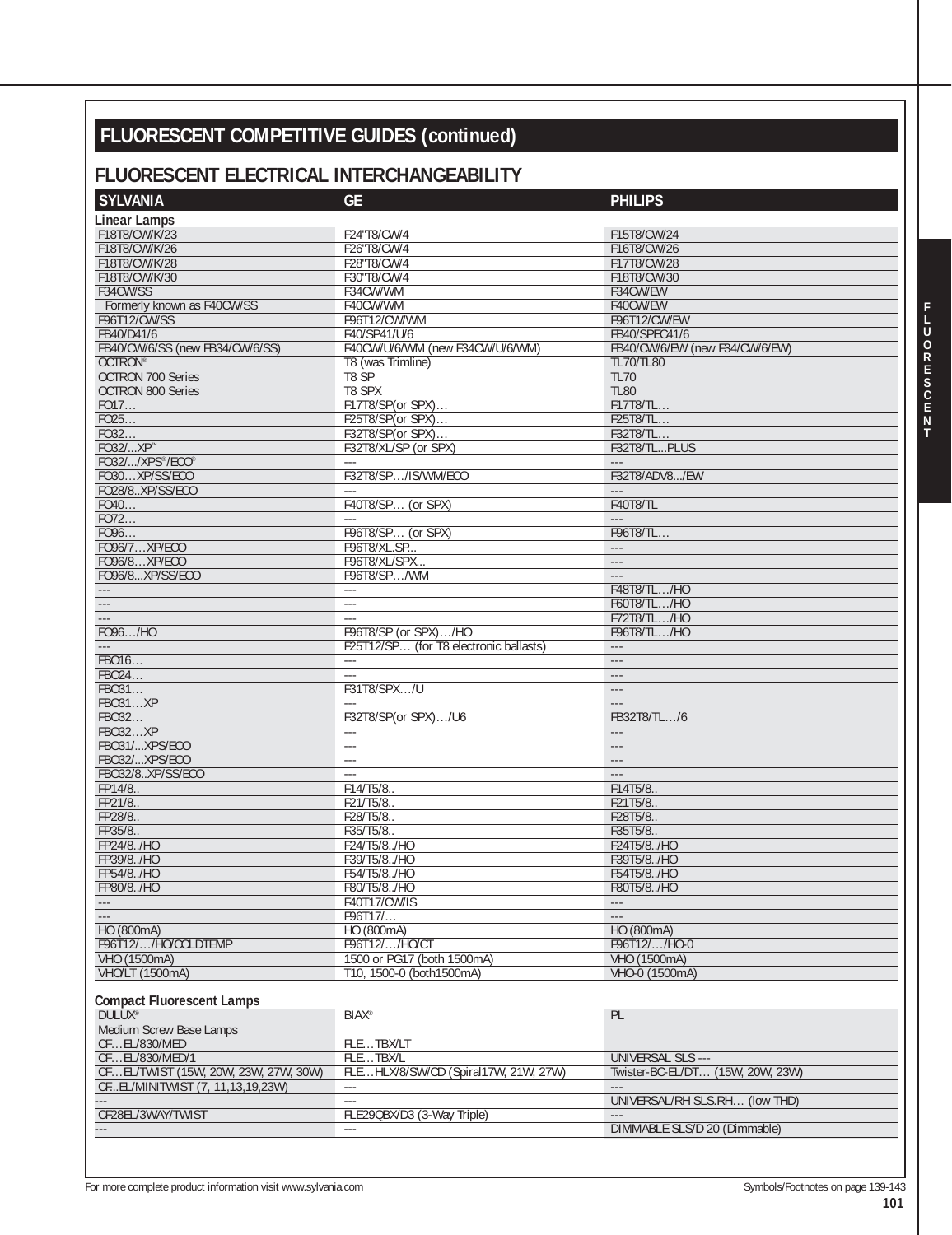# **FLUORESCENT COMPETITIVE GUIDES (continued)**

## **FLUORESCENT ELECTRICAL INTERCHANGEABILITY**

| <b>SYLVANIA</b>                      | <b>GE</b>                              | <b>PHILIPS</b>                   |
|--------------------------------------|----------------------------------------|----------------------------------|
| <b>Linear Lamps</b>                  |                                        |                                  |
| F18T8/CW/K/23                        | F24"T8/CW/4                            | F15T8/CW/24                      |
| F18T8/CW/K/26                        | F26"T8/CW/4                            | F16T8/CW/26                      |
| F18T8/CW/K/28                        | F28"T8/CW/4                            | F17T8/CW/28                      |
| F18T8/CW/K/30                        | F30"T8/CW/4                            | F18T8/CW/30                      |
| F34CW/SS                             | F34CW/WM                               | F34CW/EW                         |
| Formerly known as F40CW/SS           | F40CW/WM                               | F40CW/EW                         |
| F96T12/CW/SS                         | F96T12/CW/WM                           | F96T12/CW/EW                     |
| FB40/D41/6                           | F40/SP41/U/6                           | FB40/SPEC41/6                    |
| FB40/CW/6/SS (new FB34/CW/6/SS)      | F40CW/U/6/WM (new F34CW/U/6/WM)        | FB40/CW/6/EW (new F34/CW/6/EW)   |
| OCTRON®                              | T8 (was Trimline)                      | <b>TL70/TL80</b>                 |
| <b>OCTRON 700 Series</b>             | T8 SP                                  | <b>TL70</b>                      |
| <b>OCTRON 800 Series</b>             | T8 SPX                                 | <b>TL80</b>                      |
| FO17                                 | F17T8/SP(or SPX)                       | F17T8/TL                         |
|                                      | F25T8/SP(or SPX)                       | F25T8/TL                         |
| FO25<br>FO32                         |                                        |                                  |
|                                      | F32T8/SP(or SPX)                       | F32T8/TL                         |
| F032/XP™                             | F32T8/XL/SP (or SPX)                   | F32T8/TLPLUS                     |
| FO32//XPS®/ECO®                      |                                        | $\overline{a}$                   |
| FO30XP/SS/ECO                        | F32T8/SP/IS/WM/ECO                     | F32T8/ADV8/EW                    |
| FO28/8XP/SS/ECO                      | $\sim$ $\sim$ $\sim$                   | $\sim$ $\sim$ $\sim$             |
| FO40                                 | F40T8/SP (or SPX)                      | <b>F40T8/TL</b>                  |
| FO72                                 |                                        | $\sim$ $\sim$ $\sim$             |
| FO96                                 | F96T8/SP (or SPX)                      | F96T8/TL                         |
| F096/7XP/ECO                         | F96T8/XL.SP                            | $\sim$ $\sim$ $\sim$             |
| F096/8XP/ECO                         | F96T8/XL/SPX                           | $---$                            |
| F096/8XP/SS/ECO                      | F96T8/SP/WM                            | $\sim$ $\sim$ $\sim$             |
|                                      | $\overline{a}$                         | F48T8/TL/HO                      |
|                                      | $\overline{a}$                         | F60T8/TL/HO                      |
|                                      | ---                                    | F72T8/TL/HO                      |
| F096/HO                              | F96T8/SP (or SPX)/HO                   | F96T8/TL/HO                      |
|                                      | F25T12/SP (for T8 electronic ballasts) | $\sim$ $\sim$ $\sim$             |
| FB016                                | $\sim$ $\sim$ $\sim$                   | $---$                            |
| FB024                                | $\sim$ $\sim$ $\sim$                   | $\overline{a}$                   |
| FB031                                | F31T8/SPX/U                            | $\sim$ $\sim$ $\sim$             |
| <b>FB031XP</b>                       |                                        | $\sim$ $\sim$ $\sim$             |
| FB032                                | F32T8/SP(or SPX)/U6                    | FB32T8/TL/6                      |
| <b>FB032XP</b>                       | $- - -$                                |                                  |
| FB031/XPS/ECO                        | $\overline{a}$                         | $\sim$ $\sim$ $\sim$             |
| FB032/XPS/ECO                        | $\overline{a}$                         | $\sim$ $\sim$ $\sim$             |
| FB032/8XP/SS/ECO                     | $\sim$ $\sim$ $\sim$                   | $\sim$ $\sim$ $\sim$             |
| FP14/8                               | F14/T5/8.                              |                                  |
| FP21/8                               |                                        | F14T5/8.                         |
|                                      | F21/T5/8.                              | F21T5/8                          |
| FP28/8<br>FP35/8.                    | F28/T5/8.                              | F28T5/8.                         |
|                                      | F35/T5/8.                              | F35T5/8                          |
| FP24/8/HO                            | F24/T5/8/HO                            | F24T5/8/HO                       |
| FP39/8/HO                            | F39/T5/8/HO                            | F39T5/8/HO                       |
| FP54/8/HO                            | F54/T5/8/HO                            | F54T5/8/HO                       |
| FP80/8/HO                            | F80/T5/8/HO                            | F80T5/8/HO                       |
| $\cdots$                             | F40T17/CW/IS                           |                                  |
|                                      | F96T17/                                | $\sim$ $\sim$ $\sim$             |
| HO (800mA)                           | HO (800mA)                             | HO (800mA)                       |
| F96T12//HO/COLDTEMP                  | F96T12//HO/CT                          | F96T12//HO-0                     |
| VHO (1500mA)                         | 1500 or PG17 (both 1500mA)             | VHO (1500mA)                     |
| VHO/LT (1500mA)                      | T10, 1500-0 (both1500mA)               | VHO-0 (1500mA)                   |
|                                      |                                        |                                  |
| <b>Compact Fluorescent Lamps</b>     |                                        |                                  |
| <b>DULUX®</b>                        | <b>BIAX®</b>                           | PL                               |
| Medium Screw Base Lamps              |                                        |                                  |
|                                      | FLETBX/LT                              |                                  |
|                                      |                                        |                                  |
| CFEL/830/MED                         |                                        |                                  |
| CFEL/830/MED/1                       | FLETBX/L                               | <b>UNIVERSAL SLS ---</b>         |
| CFEL/TWIST (15W, 20W, 23W, 27W, 30W) | FLEHLX/8/SW/CD (Spiral17W, 21W, 27W)   | Twister-BC-EL/DT (15W, 20W, 23W) |
|                                      | $\sim$ $\sim$ $\sim$                   |                                  |
| CFEL/MINITWIST (7, 11,13,19,23W)     | ---                                    | UNIVERSAL/RH SLS.RH (low THD)    |
| CF28EL/3WAY/TWIST                    | FLE29QBX/D3 (3-Way Triple)             | DIMMABLE SLS/D 20 (Dimmable)     |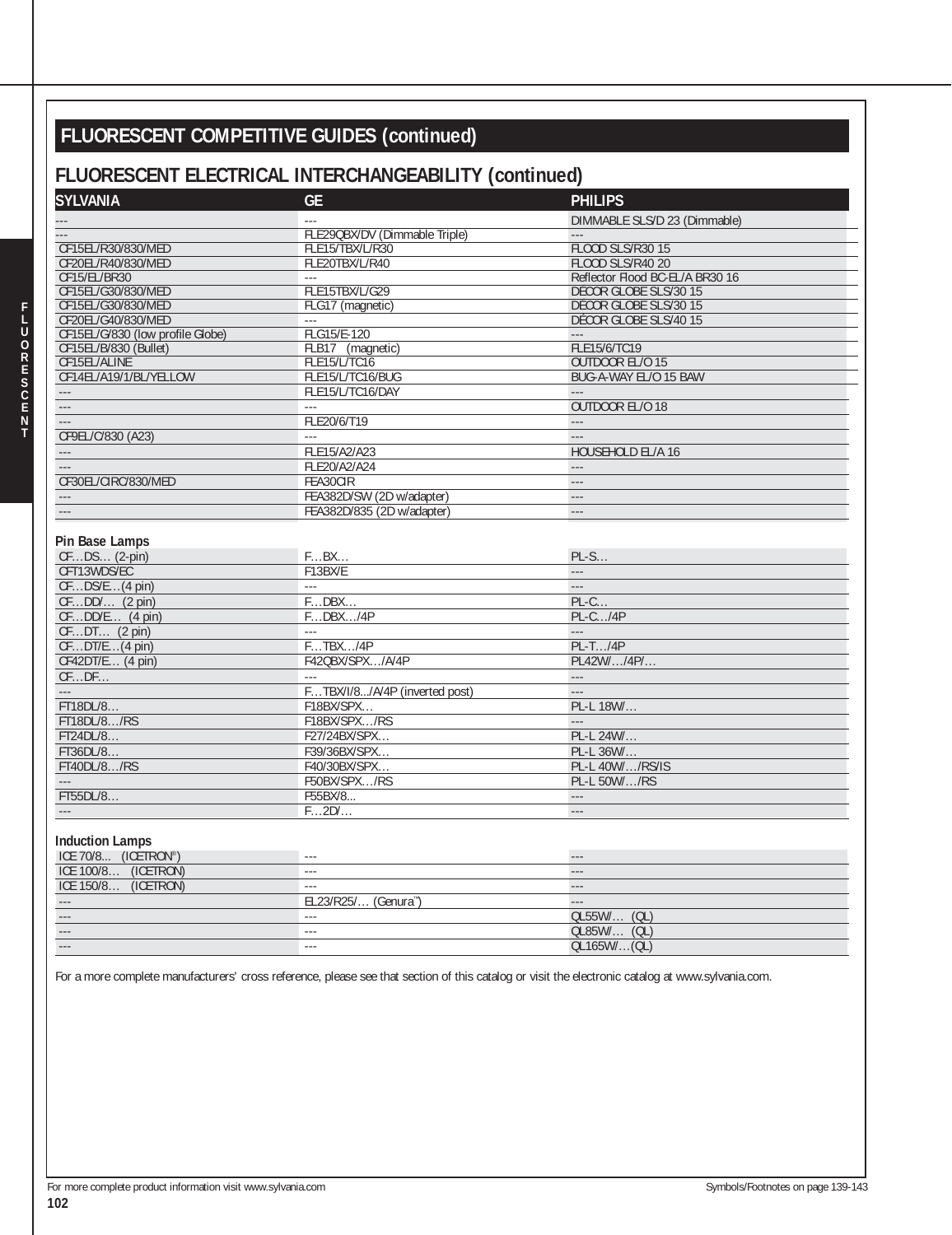# **FLUORESCENT COMPETITIVE GUIDES (continued)**

#### **FLUORESCENT ELECTRICAL INTERCHANGEABILITY (continued)**

| <b>SYLVANIA</b>                  | <b>GE</b>                         | <b>PHILIPS</b>                  |
|----------------------------------|-----------------------------------|---------------------------------|
|                                  | aaa                               | DIMMABLE SLS/D 23 (Dimmable)    |
|                                  | FLE29QBX/DV (Dimmable Triple)     | $\sim$ $\sim$                   |
| CF15EL/R30/830/MED               | FLE15/TBX/L/R30                   | <b>FLOOD SLS/R30 15</b>         |
| CF20EL/R40/830/MED               | FLE20TBX/L/R40                    | <b>FLOOD SLS/R40 20</b>         |
| CF15/EL/BR30                     | $\sim$ $\sim$                     | Reflector Flood BC-EL/A BR30 16 |
| CF15EL/G30/830/MED               | FLE15TBX/L/G29                    | DÉCOR GLOBE SLS/30 15           |
| CF15EL/G30/830/MED               | FLG17 (magnetic)                  | DÉCOR GLOBE SLS/30 15           |
| CF20EL/G40/830/MED               | $\sim$ $\sim$ $\sim$              | DÉCOR GLOBE SLS/40 15           |
| CF15EL/G/830 (low profile Globe) | FLG15/E-120                       | $\sim$ $\sim$ $\sim$            |
| CF15EL/B/830 (Bullet)            | FLB17 (magnetic)                  | FLE15/6/TC19                    |
| CF15EL/ALINE                     | FLE15/L/TC16                      | OUTDOOR EL/O 15                 |
| CF14EL/A19/1/BL/YELLOW           | FLE15/L/TC16/BUG                  | BUG-A-WAY EL/O 15 BAW           |
| $\sim$ $\sim$                    | FLE15/L/TC16/DAY                  | $\sim$ $\sim$                   |
| $\ldots$ .                       | LL.                               | OUTDOOR EL/O 18                 |
| $\overline{a}$                   | FLE20/6/T19                       | $\overline{a}$                  |
| CF9EL/C/830 (A23)                | $\omega_{\rm max}$                | $\sim$ $\sim$ $\sim$            |
| $\sim$ $\sim$ $\sim$             | FLE15/A2/A23                      | HOUSEHOLD EL/A 16               |
|                                  |                                   | $\sim$                          |
|                                  | FLE20/A2/A24                      |                                 |
| CF30EL/CIRC/830/MED              | FEA30CIR                          | $\sim$ $\sim$                   |
|                                  | FEA382D/SW (2D w/adapter)         | $\sim$ $\sim$ $\sim$            |
|                                  | FEA382D/835 (2D w/adapter)        | $\sim$ $\sim$ $\sim$            |
| Pin Base Lamps                   |                                   |                                 |
|                                  |                                   |                                 |
| CFDS (2-pin)                     | FBX                               | $PL-S$                          |
| CFT13WDS/EC                      | F13BX/E                           | $\sim$                          |
| $CFDS/E$ (4 pin)                 | 1.11                              | $\sim$ $\sim$ $\sim$            |
| $CFDD/$ (2 pin)                  | FDBX                              | $PL-C$                          |
| $CFDD/E$ (4 pin)                 | FDBX/4P                           | $PL-C$ /4 $P$                   |
| $CFDT$ (2 pin)                   | 1.11                              | $\sim$                          |
| $CFDT/E$ (4 pin)                 | FTBX/4P                           | $PL-T$ /4 $P$                   |
| $CF42DT/E$ (4 pin)               | F42QBX/SPX/A/4P                   | PL42W//4P/                      |
| CFDF                             | aaan.                             | $\sim$ $\sim$ $\sim$            |
|                                  | FTBX/I/8/A/4P (inverted post)     | $\overline{\phantom{a}}$        |
| FT18DL/8                         | F18BX/SPX                         | PL-L 18W/                       |
| FT18DL/8/RS                      | F18BX/SPX/RS                      | $\overline{a}$                  |
| FT24DL/8                         | F27/24BX/SPX                      | PL-L 24W/                       |
| FT36DL/8                         | F39/36BX/SPX                      | PL-L 36W/                       |
| FT40DL/8/RS                      | F40/30BX/SPX                      | PL-L 40W//RS/IS                 |
|                                  | F50BX/SPX/RS                      | PL-L 50W//RS                    |
| FT55DL/8                         | F55BX/8                           | $\sim$ $\sim$                   |
|                                  | F2D/                              | $\sim$ $\sim$ $\sim$            |
|                                  |                                   |                                 |
| <b>Induction Lamps</b>           |                                   |                                 |
| ICE 70/8 (ICETRON®)              | $\sim$                            | $\overline{a}$                  |
| ICE 100/8 (ICETRON)              | $\omega$ and                      | $\sim$                          |
| ICE 150/8 (ICETRON)              |                                   | $ -$                            |
|                                  | EL23/R25/ (Genura <sup>nt</sup> ) | $\overline{a}$                  |
|                                  | $\sim$                            | $OL55W/$ (QL)                   |
| T.                               | $\sim$ $\sim$                     | QL85W/ (QL)                     |
|                                  |                                   |                                 |
| $\sim$ $\sim$                    | $\sim$ $\sim$ $\sim$              | QL165W/(QL)                     |

For a more complete manufacturers' cross reference, please see that section of this catalog or visit the electronic catalog at www.sylvania.com.

**F**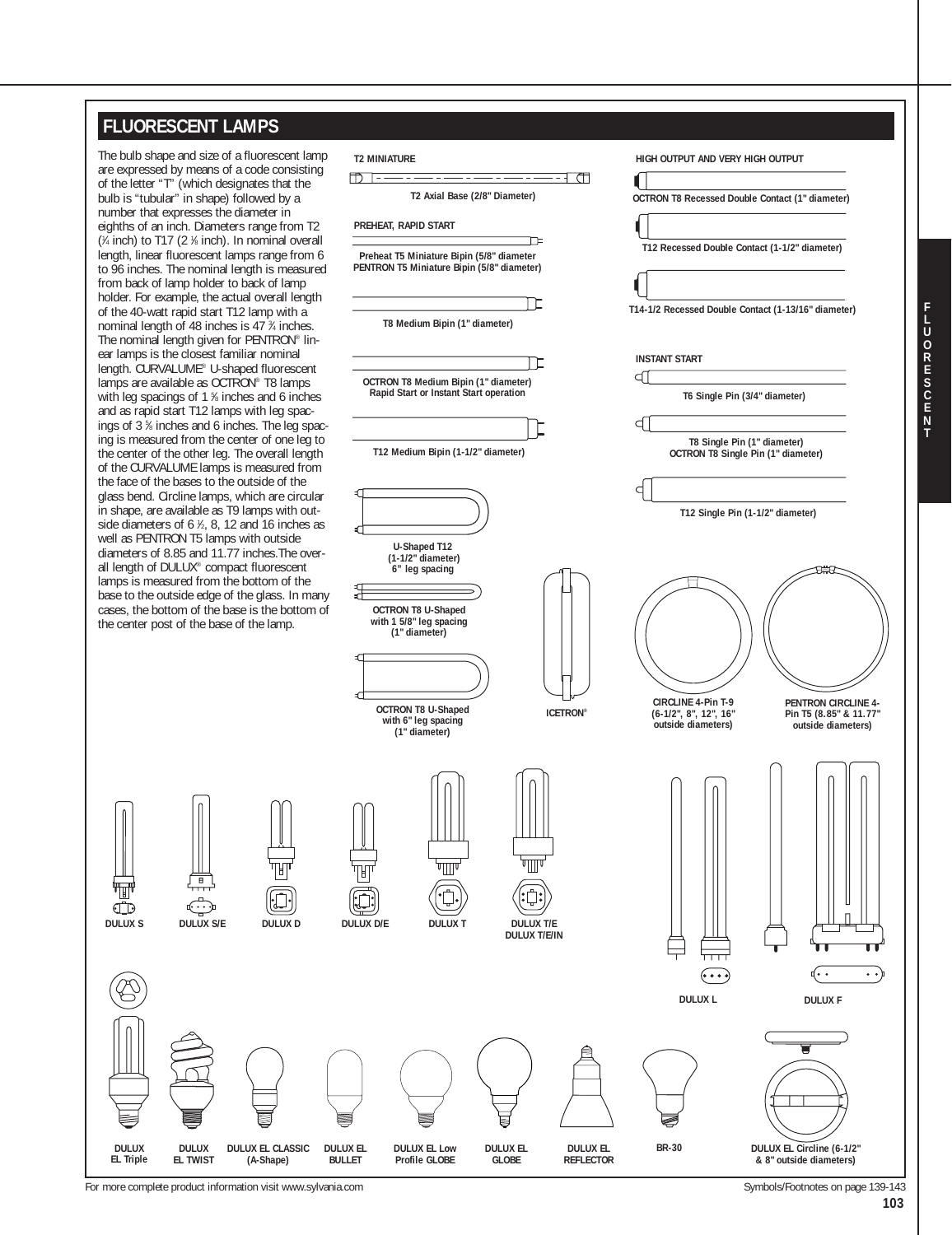#### **FLUORESCENT LAMPS**

The bulb shape and size of a fluorescent lamp are expressed by means of a code consisting of the letter "T" (which designates that the bulb is "tubular" in shape) followed by a number that expresses the diameter in eighths of an inch. Diameters range from T2 ( 1 ⁄4 inch) to T17 (2 1 ⁄8 inch). In nominal overall length, linear fluorescent lamps range from 6 to 96 inches. The nominal length is measured from back of lamp holder to back of lamp holder. For example, the actual overall length of the 40-watt rapid start T12 lamp with a nominal length of 48 inches is 47 <sup>3</sup>/4 inches. The nominal length given for PENTRON® linear lamps is the closest familiar nominal length. CURVALUME® U-shaped fluorescent lamps are available as OCTRON<sup>®</sup> T8 lamps with leg spacings of 1 % inches and 6 inches and as rapid start T12 lamps with leg spacings of 3 % inches and 6 inches. The leg spacing is measured from the center of one leg to the center of the other leg. The overall length of the CURVALUME lamps is measured from the face of the bases to the outside of the glass bend. Circline lamps, which are circular in shape, are available as T9 lamps with outside diameters of  $6$   $\frac{1}{6}$ , 8, 12 and 16 inches as well as PENTRON T5 lamps with outside diameters of 8.85 and 11.77 inches.The overall length of DULUX® compact fluorescent lamps is measured from the bottom of the base to the outside edge of the glass. In many cases, the bottom of the base is the bottom of the center post of the base of the lamp.



For more complete product information visit www.sylvania.com Symbols/Footnotes on page 139-143

**DULUX EL Triple** 

 $\mathbb{CD}$ 

**103**

**F**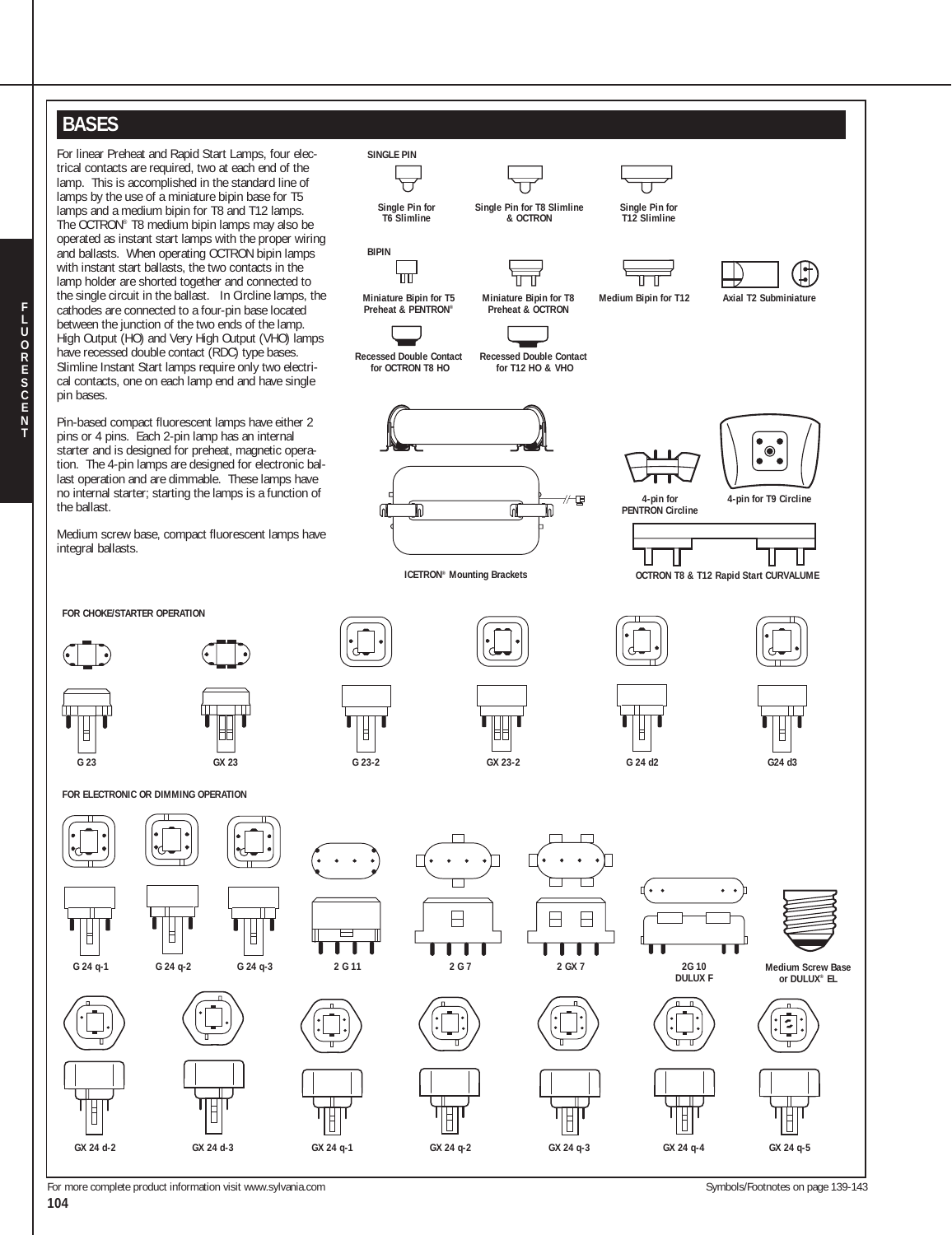## **BASES**

**T**

For linear Preheat and Rapid Start Lamps, four electrical contacts are required, two at each end of the lamp. This is accomplished in the standard line of lamps by the use of a miniature bipin base for T5 lamps and a medium bipin for T8 and T12 lamps. The OCTRON® T8 medium bipin lamps may also be operated as instant start lamps with the proper wiring and ballasts. When operating OCTRON bipin lamps with instant start ballasts, the two contacts in the lamp holder are shorted together and connected to the single circuit in the ballast. In Circline lamps, the cathodes are connected to a four-pin base located between the junction of the two ends of the lamp. High Output (HO) and Very High Output (VHO) lamps have recessed double contact (RDC) type bases. Slimline Instant Start lamps require only two electrical contacts, one on each lamp end and have single pin bases.

Pin-based compact fluorescent lamps have either 2 pins or 4 pins. Each 2-pin lamp has an internal starter and is designed for preheat, magnetic operation. The 4-pin lamps are designed for electronic ballast operation and are dimmable. These lamps have no internal starter; starting the lamps is a function of the ballast.

Medium screw base, compact fluorescent lamps have integral ballasts.

**FOR CHOKE/STARTER OPERATION**

**G 23 GX 23**

**FOR ELECTRONIC OR DIMMING OPERATION**



**G 24 q-1 G 24 q-2 G 24 q-3**

Ħ

Ħ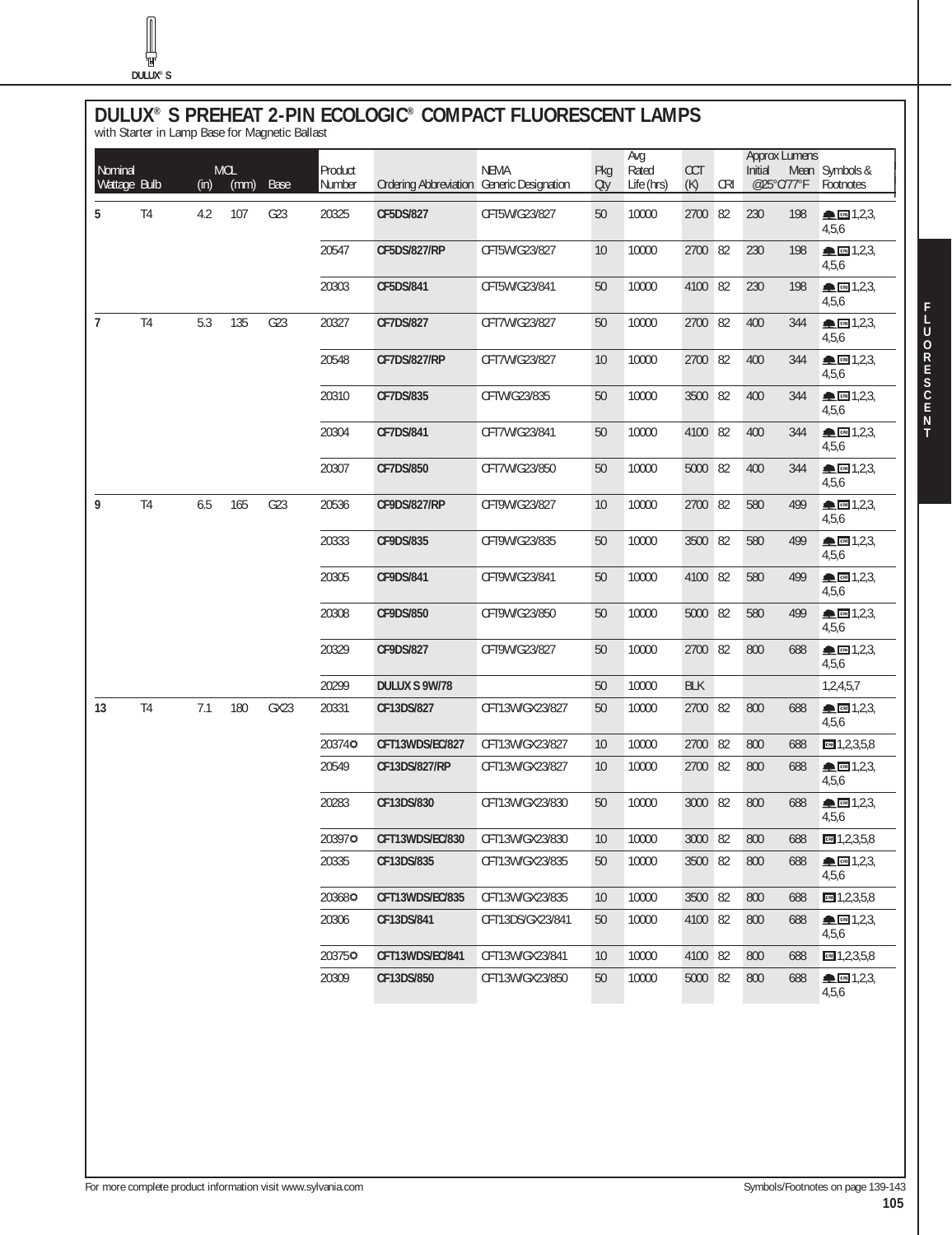$\sqrt{2}$ 

# **DULUX® S PREHEAT 2-PIN ECOLOGIC® COMPACT FLUORESCENT LAMPS** with Starter in Lamp Base for Magnetic Ballast

| Nominal<br>Wattage Bulb |                | (in) | <b>MOL</b><br>(mm) | <b>Base</b> | Product<br>Number | Ordering Abbreviation Generic Designation | <b>NEMA</b>      | Pkg<br>Otv | Avg<br>Rated<br>Life (hrs) | CCT<br>(K) | <b>CRI</b> | <b>Approx Lumens</b><br>Initial<br>@25°C/77°F |     | Mean Symbols &<br>Footnotes                                                                                                                                                                                                                                                                                                                                                                                                          |
|-------------------------|----------------|------|--------------------|-------------|-------------------|-------------------------------------------|------------------|------------|----------------------------|------------|------------|-----------------------------------------------|-----|--------------------------------------------------------------------------------------------------------------------------------------------------------------------------------------------------------------------------------------------------------------------------------------------------------------------------------------------------------------------------------------------------------------------------------------|
| 5                       | T <sub>4</sub> | 4.2  | 107                | G23         | 20325             | <b>CF5DS/827</b>                          | CFT5W/G23/827    | 50         | 10000                      | 2700       | 82         | 230                                           | 198 | $\triangle$ m 1,2,3,<br>4,5,6                                                                                                                                                                                                                                                                                                                                                                                                        |
|                         |                |      |                    |             | 20547             | <b>CF5DS/827/RP</b>                       | CFT5W/G23/827    | 10         | 10000                      | 2700 82    |            | 230                                           | 198 | ▲ 图 1,2,3,<br>4,5,6                                                                                                                                                                                                                                                                                                                                                                                                                  |
|                         |                |      |                    |             | 20303             | CF5DS/841                                 | CFT5W/G23/841    | 50         | 10000                      | 4100 82    |            | 230                                           | 198 | ▲ 图 1,2,3,<br>4,5,6                                                                                                                                                                                                                                                                                                                                                                                                                  |
| $\overline{7}$          | T <sub>4</sub> | 5.3  | 135                | G23         | 20327             | <b>CF7DS/827</b>                          | CFT7W/G23/827    | 50         | 10000                      | 2700       | 82         | 400                                           | 344 | $\triangle$ $\Box$ 1,2,3,<br>4,5,6                                                                                                                                                                                                                                                                                                                                                                                                   |
|                         |                |      |                    |             | 20548             | <b>CF7DS/827/RP</b>                       | CFT7W/G23/827    | 10         | 10000                      | 2700 82    |            | 400                                           | 344 | $\triangle$ 3, 2, 3,<br>4,5,6                                                                                                                                                                                                                                                                                                                                                                                                        |
|                         |                |      |                    |             | 20310             | <b>CF7DS/835</b>                          | CFTW/G23/835     | 50         | 10000                      | 3500 82    |            | 400                                           | 344 | $\triangle$ cm 1,2,3,<br>4,5,6                                                                                                                                                                                                                                                                                                                                                                                                       |
|                         |                |      |                    |             | 20304             | CF7DS/841                                 | CFT7W/G23/841    | 50         | 10000                      | 4100 82    |            | 400                                           | 344 | $\triangle$ $m$ 1,2,3,<br>4,5,6                                                                                                                                                                                                                                                                                                                                                                                                      |
|                         |                |      |                    |             | 20307             | <b>CF7DS/850</b>                          | CFT7W/G23/850    | 50         | 10000                      | 5000       | 82         | 400                                           | 344 | $\blacksquare$ $\blacksquare$ 1,2,3,<br>4,5,6                                                                                                                                                                                                                                                                                                                                                                                        |
| 9                       | T <sub>4</sub> | 6.5  | 165                | G23         | 20536             | <b>CF9DS/827/RP</b>                       | CFT9W/G23/827    | 10         | 10000                      | 2700       | 82         | 580                                           | 499 | ▲ 图 1,2,3,<br>4,5,6                                                                                                                                                                                                                                                                                                                                                                                                                  |
|                         |                |      |                    |             | 20333             | CF9DS/835                                 | CFT9W/G23/835    | 50         | 10000                      | 3500       | 82         | 580                                           | 499 | ▲ ∞ 1,2,3,<br>4,5,6                                                                                                                                                                                                                                                                                                                                                                                                                  |
|                         |                |      |                    |             | 20305             | CF9DS/841                                 | CFT9W/G23/841    | 50         | 10000                      | 4100 82    |            | 580                                           | 499 | $\blacksquare$ $\blacksquare$ 1,2,3,<br>4,5,6                                                                                                                                                                                                                                                                                                                                                                                        |
|                         |                |      |                    |             | 20308             | <b>CF9DS/850</b>                          | CFT9W/G23/850    | 50         | 10000                      | 5000 82    |            | 580                                           | 499 | $\blacksquare$ $\blacksquare$ $\blacksquare$ $\uparrow$ $\uparrow$ $\uparrow$ $\uparrow$ $\uparrow$ $\uparrow$ $\uparrow$ $\uparrow$ $\uparrow$ $\uparrow$ $\uparrow$ $\uparrow$ $\uparrow$ $\uparrow$ $\uparrow$ $\uparrow$ $\uparrow$ $\uparrow$ $\uparrow$ $\uparrow$ $\uparrow$ $\uparrow$ $\uparrow$ $\uparrow$ $\uparrow$ $\uparrow$ $\uparrow$ $\uparrow$ $\uparrow$ $\uparrow$ $\uparrow$ $\uparrow$ $\uparrow$ $\$<br>4,5,6 |
|                         |                |      |                    |             | 20329             | <b>CF9DS/827</b>                          | CFT9W/G23/827    | 50         | 10000                      | 2700 82    |            | 800                                           | 688 | ▲ ∞ 1,2,3,<br>4,5,6                                                                                                                                                                                                                                                                                                                                                                                                                  |
|                         |                |      |                    |             | 20299             | DULUX S 9W/78                             |                  | 50         | 10000                      | <b>BLK</b> |            |                                               |     | 1,2,4,5,7                                                                                                                                                                                                                                                                                                                                                                                                                            |
| 13                      | T <sub>4</sub> | 7.1  | 180                | GX23        | 20331             | CF13DS/827                                | CFT13W/GX23/827  | 50         | 10000                      | 2700 82    |            | 800                                           | 688 | ▲ 图 1,2,3,<br>4,5,6                                                                                                                                                                                                                                                                                                                                                                                                                  |
|                         |                |      |                    |             | 203740            | CFT13WDS/EC/827                           | CFT13W/GX23/827  | 10         | 10000                      | 2700 82    |            | 800                                           | 688 | cm 1, 2, 3, 5, 8                                                                                                                                                                                                                                                                                                                                                                                                                     |
|                         |                |      |                    |             | 20549             | CF13DS/827/RP                             | CFT13W/GX23/827  | 10         | 10000                      | 2700 82    |            | 800                                           | 688 | ▲ 图 1,2,3,<br>4,5,6                                                                                                                                                                                                                                                                                                                                                                                                                  |
|                         |                |      |                    |             | 20283             | CF13DS/830                                | CFT13W/GX23/830  | 50         | 10000                      | 3000 82    |            | 800                                           | 688 | ▲ 图 1,2,3,<br>4,5,6                                                                                                                                                                                                                                                                                                                                                                                                                  |
|                         |                |      |                    |             | 203970            | CFT13WDS/EC/830                           | CFT13W/GX23/830  | 10         | 10000                      | 3000 82    |            | 800                                           | 688 | CR 1,2,3,5,8                                                                                                                                                                                                                                                                                                                                                                                                                         |
|                         |                |      |                    |             | 20335             | CF13DS/835                                | CFT13W/GX23/835  | 50         | 10000                      | 3500 82    |            | 800                                           | 688 | $\blacksquare$ on $1,2,3$ ,<br>4,5,6                                                                                                                                                                                                                                                                                                                                                                                                 |
|                         |                |      |                    |             | 203680            | CFT13WDS/EC/835                           | CFT13W/GX23/835  | 10         | 10000                      | 3500 82    |            | 800                                           | 688 | cm 1, 2, 3, 5, 8                                                                                                                                                                                                                                                                                                                                                                                                                     |
|                         |                |      |                    |             | 20306             | CF13DS/841                                | CFT13DS/GX23/841 | 50         | 10000                      | 4100       | 82         | 800                                           | 688 | $\triangle$ $m$ 1,2,3,<br>4,5,6                                                                                                                                                                                                                                                                                                                                                                                                      |
|                         |                |      |                    |             | 20375¢            | CFT13WDS/EC/841                           | CFT13W/GX23/841  | 10         | 10000                      | 4100 82    |            | 800                                           | 688 | $m = 1, 2, 3, 5, 8$                                                                                                                                                                                                                                                                                                                                                                                                                  |
|                         |                |      |                    |             | 20309             | CF13DS/850                                | CFT13W/GX23/850  | 50         | 10000                      | 5000 82    |            | 800                                           | 688 | $\triangle$ cm 1,2,3,<br>4,5,6                                                                                                                                                                                                                                                                                                                                                                                                       |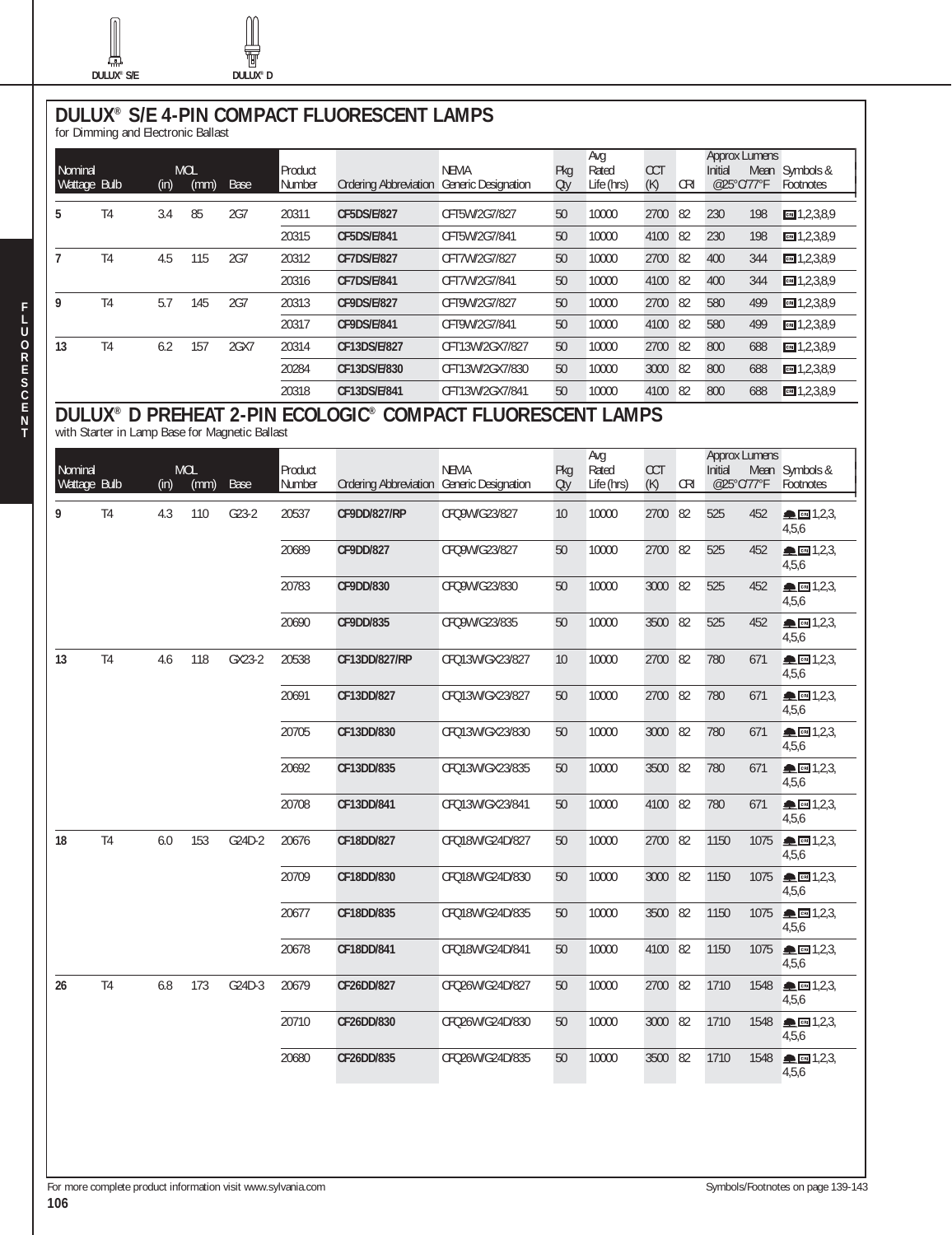∰



# **DULUX® S/E 4-PIN COMPACT FLUORESCENT LAMPS** for Dimming and Electronic Ballast

| Nominal<br>Wattage Bulb |                | (in) | <b>MOL</b><br>(mm) | Base | Product<br>Number | <b>Ordering Abbreviation</b> | <b>NEMA</b><br><b>Generic Designation</b> | Pkg<br>Oty | Avg<br>Rated<br>Life (hrs) | <b>CCT</b><br>(K) | <b>CRI</b> | <b>Approx Lumens</b><br>Initial<br>@25°C/77°F |     | Mean Symbols &<br>Footnotes |
|-------------------------|----------------|------|--------------------|------|-------------------|------------------------------|-------------------------------------------|------------|----------------------------|-------------------|------------|-----------------------------------------------|-----|-----------------------------|
| 5                       | T <sub>4</sub> | 3.4  | 85                 | 2G7  | 20311             | <b>CF5DS/E/827</b>           | CFT5W/2G7/827                             | 50         | 10000                      | 2700              | 82         | 230                                           | 198 | $m = 1, 2, 3, 8, 9$         |
|                         |                |      |                    |      | 20315             | CF5DS/E/841                  | CFT5W/2G7/841                             | 50         | 10000                      | 4100              | 82         | 230                                           | 198 | $-1,2,3,8,9$                |
|                         | T <sub>4</sub> | 4.5  | 115                | 2G7  | 20312             | <b>CF7DS/E/827</b>           | CFT7W/2G7/827                             | 50         | 10000                      | 2700              | 82         | 400                                           | 344 | $m = 1, 2, 3, 8, 9$         |
|                         |                |      |                    |      | 20316             | CF7DS/E/841                  | CFT7W/2G7/841                             | 50         | 10000                      | 4100              | 82         | 400                                           | 344 | $m = 1, 2, 3, 8, 9$         |
| 9                       | T <sub>4</sub> | 5.7  | 145                | 2G7  | 20313             | CF9DS/E/827                  | CFT9W/2G7/827                             | 50         | 10000                      | 2700              | 82         | 580                                           | 499 | $m = 1, 2, 3, 8, 9$         |
|                         |                |      |                    |      | 20317             | CF9DS/E/841                  | CFT9W/2G7/841                             | 50         | 10000                      | 4100              | 82         | 580                                           | 499 | $m = 1, 2, 3, 8, 9$         |
| 13                      | T <sub>4</sub> | 6.2  | 157                | 2GX7 | 20314             | CF13DS/E/827                 | CFT13W/2GX7/827                           | 50         | 10000                      | 2700              | 82         | 800                                           | 688 | $m = 1, 2, 3, 8, 9$         |
|                         |                |      |                    |      | 20284             | CF13DS/E/830                 | CFT13W/2GX7/830                           | 50         | 10000                      | 3000              | 82         | 800                                           | 688 | $-1,2,3,8,9$                |
|                         |                |      |                    |      | 20318             | CF13DS/E/841                 | CFT13W/2GX7/841                           | 50         | 10000                      | 4100              | 82         | 800                                           | 688 | $m = 1, 2, 3, 8, 9$         |

# **DULUX® D PREHEAT 2-PIN ECOLOGIC® COMPACT FLUORESCENT LAMPS** with Starter in Lamp Base for Magnetic Ballast

|              |                |      |            |         |         |                                           |                 |     | Avg        |            |            | <b>Approx Lumens</b> |      |                                         |
|--------------|----------------|------|------------|---------|---------|-------------------------------------------|-----------------|-----|------------|------------|------------|----------------------|------|-----------------------------------------|
| Nominal      |                |      | <b>MOL</b> |         | Product |                                           | <b>NEMA</b>     | Pkg | Rated      | <b>CCT</b> |            | Initial              |      | Mean Symbols &                          |
| Wattage Bulb |                | (in) | (mm)       | Base    | Number  | Ordering Abbreviation Generic Designation |                 | Otv | Life (hrs) | (K)        | <b>CRI</b> | @25°C/77°F           |      | Footnotes                               |
| 9            | T <sub>4</sub> | 4.3  | 110        | $G23-2$ | 20537   | <b>CF9DD/827/RP</b>                       | CFQ9W/G23/827   | 10  | 10000      | 2700       | 82         | 525                  | 452  | ▲ 图 1,2,3<br>4,5,6                      |
|              |                |      |            |         | 20689   | <b>CF9DD/827</b>                          | CFQ9W/G23/827   | 50  | 10000      | 2700 82    |            | 525                  | 452  | ▲ ∞ 1,2,3<br>4,5,6                      |
|              |                |      |            |         | 20783   | <b>CF9DD/830</b>                          | CFQ9W/G23/830   | 50  | 10000      | 3000       | 82         | 525                  | 452  | ▲ 图 1,2,3,<br>4,5,6                     |
|              |                |      |            |         | 20690   | <b>CF9DD/835</b>                          | CFQ9W/G23/835   | 50  | 10000      | 3500       | 82         | 525                  | 452  | $\triangle$ $\text{cm}$ 1,2,3,<br>4,5,6 |
| 13           | T <sub>4</sub> | 4.6  | 118        | GX23-2  | 20538   | CF13DD/827/RP                             | CFQ13W/GX23/827 | 10  | 10000      | 2700 82    |            | 780                  | 671  | $\triangle$ CRI 1,2,3,<br>4,5,6         |
|              |                |      |            |         | 20691   | CF13DD/827                                | CFQ13W/GX23/827 | 50  | 10000      | 2700 82    |            | 780                  | 671  | ▲ 图 1,2,3,<br>4,5,6                     |
|              |                |      |            |         | 20705   | CF13DD/830                                | CFQ13W/GX23/830 | 50  | 10000      | 3000 82    |            | 780                  | 671  | ● 图 1,2,3,<br>4,5,6                     |
|              |                |      |            |         | 20692   | CF13DD/835                                | CFQ13W/GX23/835 | 50  | 10000      | 3500       | 82         | 780                  | 671  | ▲ ∞ 1,2,3,<br>4,5,6                     |
|              |                |      |            |         | 20708   | CF13DD/841                                | CFQ13W/GX23/841 | 50  | 10000      | 4100       | 82         | 780                  | 671  | ▲ 图 1,2,3,<br>4,5,6                     |
| 18           | T <sub>4</sub> | 6.0  | 153        | G24D-2  | 20676   | CF18DD/827                                | CFQ18W/G24D/827 | 50  | 10000      | 2700 82    |            | 1150                 | 1075 | ▲ 图 1,2,3<br>4,5,6                      |
|              |                |      |            |         | 20709   | CF18DD/830                                | CFQ18W/G24D/830 | 50  | 10000      | 3000 82    |            | 1150                 | 1075 | ▲ ∞ 1,2,3,<br>4,5,6                     |
|              |                |      |            |         | 20677   | CF18DD/835                                | CFQ18W/G24D/835 | 50  | 10000      | 3500 82    |            | 1150                 | 1075 | ▲ 图 1,2,3,<br>4,5,6                     |
|              |                |      |            |         | 20678   | CF18DD/841                                | CFQ18W/G24D/841 | 50  | 10000      | 4100 82    |            | 1150                 | 1075 | ▲ 图 1,2,3,<br>4,5,6                     |
| 26           | T <sub>4</sub> | 6.8  | 173        | G24D-3  | 20679   | CF26DD/827                                | CFQ26W/G24D/827 | 50  | 10000      | 2700 82    |            | 1710                 | 1548 | ▲ ∞ 1,2,3,<br>4,5,6                     |
|              |                |      |            |         | 20710   | CF26DD/830                                | CFQ26W/G24D/830 | 50  | 10000      | 3000 82    |            | 1710                 | 1548 | ▲ 图 1,2,3,<br>4,5,6                     |
|              |                |      |            |         | 20680   | CF26DD/835                                | CFQ26W/G24D/835 | 50  | 10000      | 3500 82    |            | 1710                 | 1548 | ▲ 岡 1,2,3,<br>4,5,6                     |

**F L**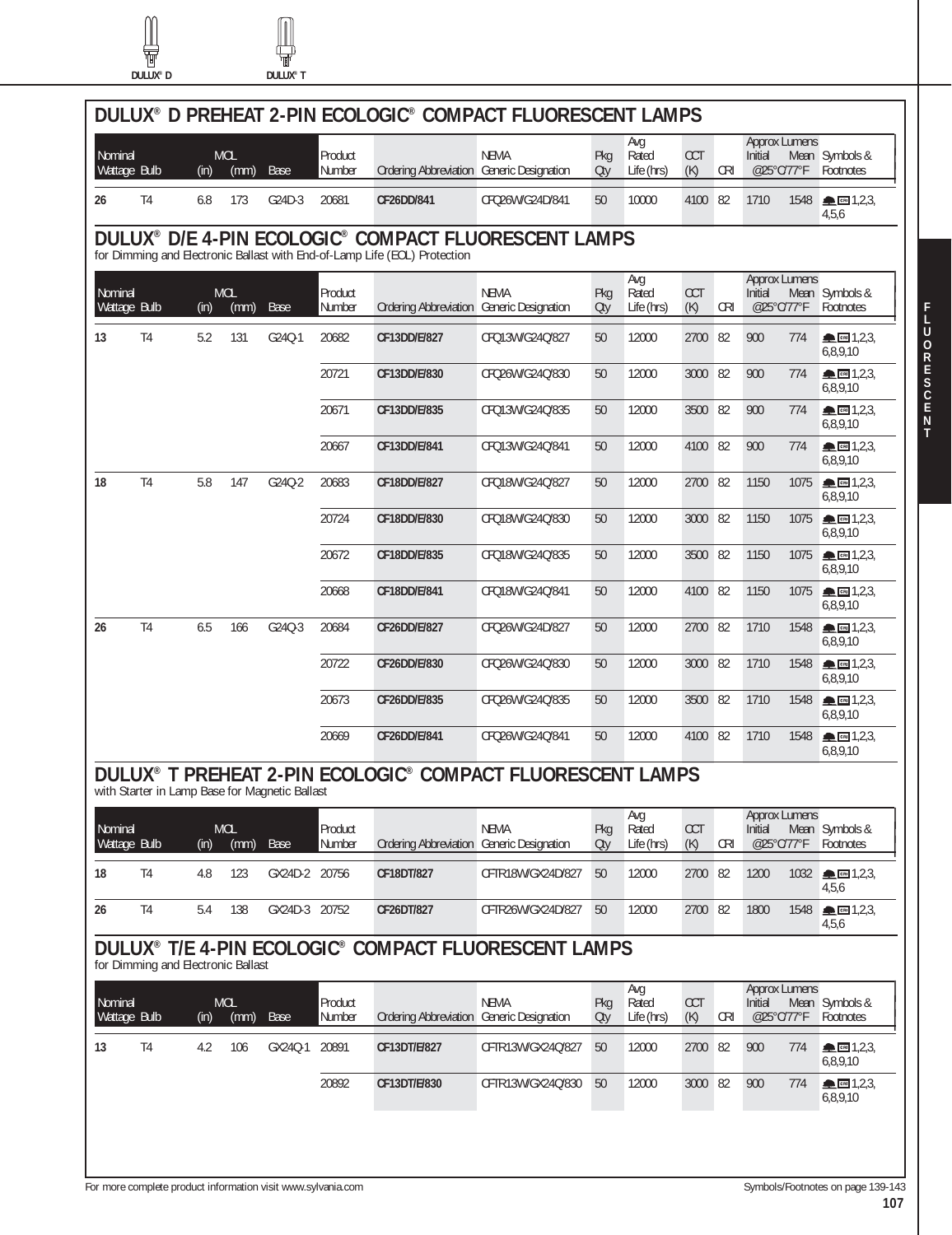t



|                         |                |      |                    |        |                   | DULUX® D PREHEAT 2-PIN ECOLOGIC® COMPACT FLUORESCENT LAMPS                                                                        |                 |            |                            |            |            |                                               |                                                                                                                                                                                                                                                                                                                                                                                                                                         |
|-------------------------|----------------|------|--------------------|--------|-------------------|-----------------------------------------------------------------------------------------------------------------------------------|-----------------|------------|----------------------------|------------|------------|-----------------------------------------------|-----------------------------------------------------------------------------------------------------------------------------------------------------------------------------------------------------------------------------------------------------------------------------------------------------------------------------------------------------------------------------------------------------------------------------------------|
| Nominal<br>Wattage Bulb |                | (in) | <b>MOL</b><br>(mm) | Base   | Product<br>Number | Ordering Abbreviation Generic Designation                                                                                         | <b>NEMA</b>     | Pkg<br>Oty | Avg<br>Rated<br>Life (hrs) | CCT<br>(K) | <b>CRI</b> | <b>Approx Lumens</b><br>Initial<br>@25°C/77°F | Mean Symbols &<br>Footnotes                                                                                                                                                                                                                                                                                                                                                                                                             |
| 26                      | T <sub>4</sub> | 6.8  | 173                | G24D-3 | 20681             | CF26DD/841                                                                                                                        | CFQ26W/G24D/841 | 50         | 10000                      | 4100 82    |            | 1710<br>1548                                  | $\triangle$ $\text{cm}$ 1,2,3,<br>4,5,6                                                                                                                                                                                                                                                                                                                                                                                                 |
|                         |                |      |                    |        |                   | DULUX® D/E 4-PIN ECOLOGIC® COMPACT FLUORESCENT LAMPS<br>for Dimming and Electronic Ballast with End-of-Lamp Life (EOL) Protection |                 |            |                            |            |            |                                               |                                                                                                                                                                                                                                                                                                                                                                                                                                         |
| Nominal<br>Wattage Bulb |                | (in) | <b>MOL</b><br>(mm) | Base   | Product<br>Number | Ordering Abbreviation Generic Designation                                                                                         | <b>NEMA</b>     | Pkg<br>Oty | Avg<br>Rated<br>Life (hrs) | CCT<br>(K) | <b>CRI</b> | <b>Approx Lumens</b><br>Initial<br>@25°C/77°F | Mean Symbols &<br>Footnotes                                                                                                                                                                                                                                                                                                                                                                                                             |
| 13                      | T <sub>4</sub> | 5.2  | 131                | G24Q-1 | 20682             | CF13DD/E/827                                                                                                                      | CFQ13W/G24Q/827 | 50         | 12000                      | 2700       | 82         | 900<br>774                                    | $\triangle$ $\Box$ 1,2,3,<br>6,8,9,10                                                                                                                                                                                                                                                                                                                                                                                                   |
|                         |                |      |                    |        | 20721             | CF13DD/E/830                                                                                                                      | CFQ26W/G24Q/830 | 50         | 12000                      | 3000 82    |            | 900<br>774                                    | $\blacksquare$ $\blacksquare$ 1,2,3,<br>6,8,9,10                                                                                                                                                                                                                                                                                                                                                                                        |
|                         |                |      |                    |        | 20671             | CF13DD/E/835                                                                                                                      | CFQ13W/G24Q/835 | 50         | 12000                      | 3500 82    |            | 900<br>774                                    | $\blacksquare$ $\blacksquare$ $\blacksquare$ $\uparrow$ $\uparrow$ $\uparrow$ $\uparrow$ $\uparrow$ $\uparrow$ $\uparrow$ $\uparrow$ $\uparrow$ $\uparrow$ $\uparrow$ $\uparrow$ $\uparrow$ $\uparrow$ $\uparrow$ $\uparrow$ $\uparrow$ $\uparrow$ $\uparrow$ $\uparrow$ $\uparrow$ $\uparrow$ $\uparrow$ $\uparrow$ $\uparrow$ $\uparrow$ $\uparrow$ $\uparrow$ $\uparrow$ $\uparrow$ $\uparrow$ $\uparrow$ $\uparrow$ $\$<br>6,8,9,10 |
|                         |                |      |                    |        | 20667             | CF13DD/E/841                                                                                                                      | CFQ13W/G24Q/841 | 50         | 12000                      | 4100 82    |            | 900<br>774                                    | $\triangle$ CHI 1,2,3,<br>6,8,9,10                                                                                                                                                                                                                                                                                                                                                                                                      |
| 18                      | T <sub>4</sub> | 5.8  | 147                | G24Q-2 | 20683             | CF18DD/E/827                                                                                                                      | CFQ18W/G24Q/827 | 50         | 12000                      | 2700 82    |            | 1150<br>1075                                  | ▲ 图 1,2,3,<br>6,8,9,10                                                                                                                                                                                                                                                                                                                                                                                                                  |
|                         |                |      |                    |        | 20724             | CF18DD/E/830                                                                                                                      | CFQ18W/G24Q/830 | 50         | 12000                      | 3000 82    |            | 1150<br>1075                                  | $\triangle$ cm 1,2,3,<br>6,8,9,10                                                                                                                                                                                                                                                                                                                                                                                                       |
|                         |                |      |                    |        | 20672             | CF18DD/E/835                                                                                                                      | CFQ18W/G24Q/835 | 50         | 12000                      | 3500 82    |            | 1150<br>1075                                  | $\triangle$ CRI 1,2,3,<br>6,8,9,10                                                                                                                                                                                                                                                                                                                                                                                                      |
|                         |                |      |                    |        | 20668             | CF18DD/E/841                                                                                                                      | CFQ18W/G24Q/841 | 50         | 12000                      | 4100 82    |            | 1150<br>1075                                  | $\blacksquare$ $\blacksquare$ 1,2,3,<br>6,8,9,10                                                                                                                                                                                                                                                                                                                                                                                        |
| 26                      | T <sub>4</sub> | 6.5  | 166                | G24Q-3 | 20684             | CF26DD/E/827                                                                                                                      | CFQ26W/G24D/827 | 50         | 12000                      | 2700 82    |            | 1710<br>1548                                  | ▲ 图 1,2,3,<br>6,8,9,10                                                                                                                                                                                                                                                                                                                                                                                                                  |
|                         |                |      |                    |        | 20722             | CF26DD/E/830                                                                                                                      | CFQ26W/G24Q/830 | 50         | 12000                      | 3000 82    |            | 1710<br>1548                                  | $\triangle$ cm 1,2,3,<br>6,8,9,10                                                                                                                                                                                                                                                                                                                                                                                                       |
|                         |                |      |                    |        | 20673             | CF26DD/E/835                                                                                                                      | CFQ26W/G24Q/835 | 50         | 12000                      | 3500 82    |            | 1710<br>1548                                  | $\blacksquare$ $\blacksquare$ 1,2,3,<br>6,8,9,10                                                                                                                                                                                                                                                                                                                                                                                        |
|                         |                |      |                    |        | 20669             | CF26DD/E/841                                                                                                                      | CFQ26W/G24Q/841 | 50         | 12000                      | 4100 82    |            | 1710                                          | 1548<br>$\triangle$ cm 1,2,3,<br>6,8,9,10                                                                                                                                                                                                                                                                                                                                                                                               |

# **DULUX® T PREHEAT 2-PIN ECOLOGIC® COMPACT FLUORESCENT LAMPS** with Starter in Lamp Base for Magnetic Ballast

| Nominal<br>Wattage Bulb |    | (in) | <b>MOL</b><br>(mm) | Base      | Product<br>Number | Ordering Abbreviation Generic Designation | <b>NEMA</b>       | Pkg<br>Oty | Ava<br>Rated<br>Life (hrs) | <b>CCT</b><br>(K) | CRI  | <b>Approx Lumens</b><br>Initial<br>@25°C/77°F |      | Mean Symbols &<br>Footnotes                   |
|-------------------------|----|------|--------------------|-----------|-------------------|-------------------------------------------|-------------------|------------|----------------------------|-------------------|------|-----------------------------------------------|------|-----------------------------------------------|
| 18                      | T4 | 4.8  | 123                | GX24D-2   | 20756             | CF18DT/827                                | CFTR18W/GX24D/827 | 50         | 12000                      | 2700              | - 82 | 1200                                          | 1032 | $\blacksquare$ $\blacksquare$ 1,2,3,<br>4,5,6 |
| 26                      | T4 | 5.4  | 138                | $GX24D-3$ | 20752             | CF26DT/827                                | CFTR26W/GX24D/827 | 50         | 12000                      | 2700              | - 82 | 1800                                          | 1548 | $\blacksquare$ $\blacksquare$ 1,2,3,<br>4,5,6 |

# **DULUX® T/E 4-PIN ECOLOGIC® COMPACT FLUORESCENT LAMPS** for Dimming and Electronic Ballast

|                                                                      |  |     |     |         | Number |              | Ordering Abbreviation Generic Designation | Oty | Life (hrs) | (K)  | <b>CRI</b> | Initial<br>@25°C/77°F | Mean Symbols &<br>Footnotes       |
|----------------------------------------------------------------------|--|-----|-----|---------|--------|--------------|-------------------------------------------|-----|------------|------|------------|-----------------------|-----------------------------------|
|                                                                      |  |     |     |         |        |              |                                           |     |            |      |            |                       |                                   |
| T4<br>13                                                             |  | 4.2 | 106 | GX240-1 | 20891  | CF13DT/E/827 | CFTR13W/GX240/827                         | 50  | 12000      | 2700 | - 82       | 900<br>774            | $\triangle$ cm 1,2,3,<br>6,8,9,10 |
| 3000 82<br>20892<br>CF13DT/E/830<br>CFTR13W/GX24O/830<br>12000<br>50 |  |     |     |         |        |              |                                           |     |            |      |            | 900<br>774            | $\triangle$ cm 1,2,3,<br>6,8,9,10 |

**F L U O R E S C E N T**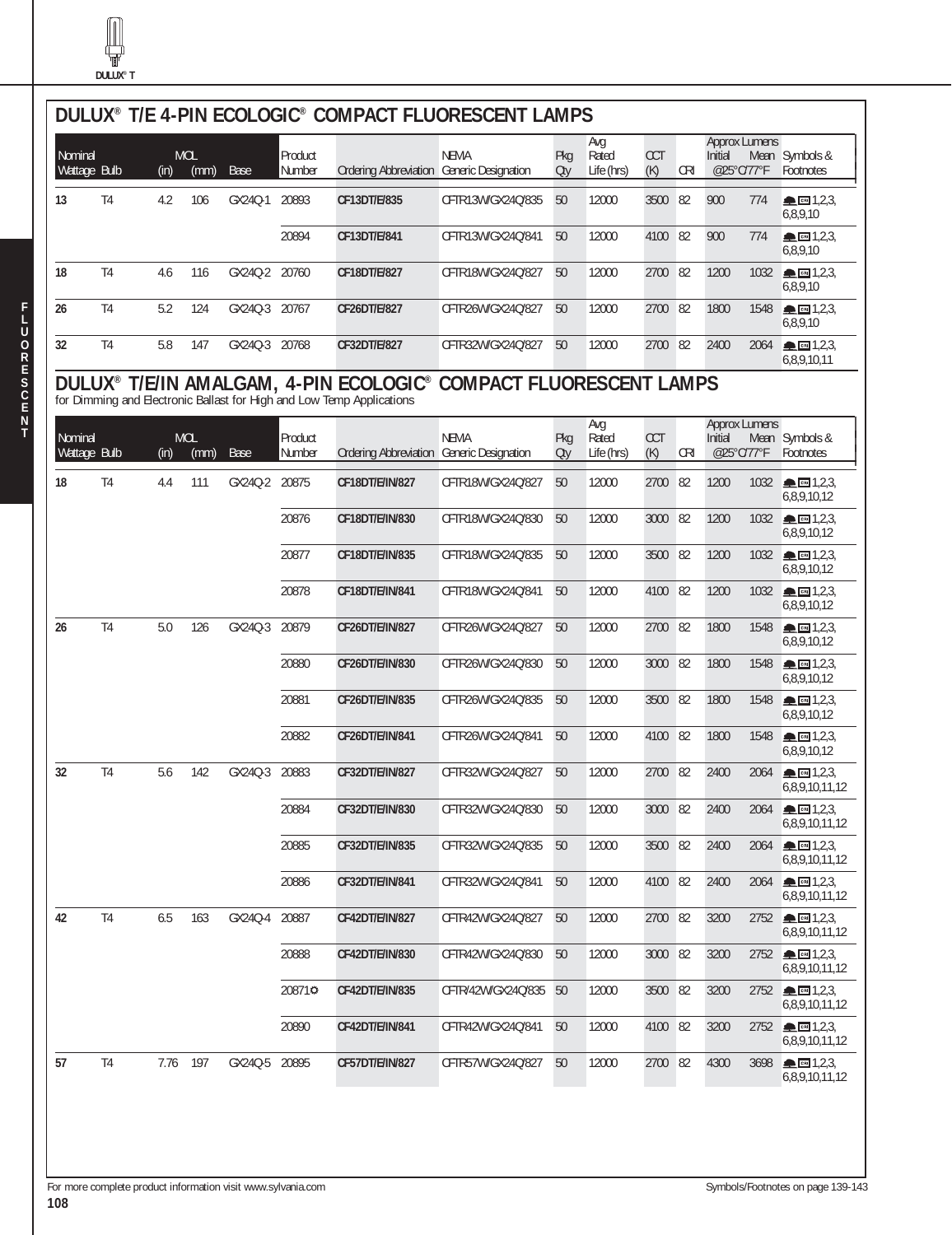

| Nominal | Wattage Bulb   | (in) | <b>MOL</b><br>(mm) | Base          | Product<br>Number | Ordering Abbreviation Generic Designation                                                                       | <b>NEMA</b>                      | Pkg<br>Oty | Avg<br>Rated<br>Life (hrs) | <b>CCT</b><br>(K) | <b>CRI</b> | <b>Approx Lumens</b><br>Initial<br>@25°C/77°F |      | Mean Symbols &<br>Footnotes                             |
|---------|----------------|------|--------------------|---------------|-------------------|-----------------------------------------------------------------------------------------------------------------|----------------------------------|------------|----------------------------|-------------------|------------|-----------------------------------------------|------|---------------------------------------------------------|
| 13      | T <sub>4</sub> | 4.2  | 106                | GX240-1       | 20893             | CF13DT/E/835                                                                                                    | CFTR13W/GX24Q/835                | 50         | 12000                      | 3500              | 82         | 900                                           | 774  | <b>ALCRIT</b> 1,2,3,<br>6,8,9,10                        |
|         |                |      |                    |               | 20894             | CF13DT/E/841                                                                                                    | CFTR13W/GX24Q/841                | 50         | 12000                      | 4100 82           |            | 900                                           | 774  | ▲ 图 1,2,3,<br>6,8,9,10                                  |
| 18      | T <sub>4</sub> | 4.6  | 116                | GX240-2       | 20760             | CF18DT/E/827                                                                                                    | CFTR18W/GX24Q/827                | 50         | 12000                      | 2700 82           |            | 1200                                          | 1032 | $\triangle$ cm 1,2,3,<br>6,8,9,10                       |
| 26      | T <sub>4</sub> | 5.2  | 124                | GX240-3       | 20767             | CF26DT/E/827                                                                                                    | CFTR26W/GX24Q/827                | 50         | 12000                      | 2700 82           |            | 1800                                          | 1548 | $\triangle$ CH 1,2,3,<br>6,8,9,10                       |
| 32      | T <sub>4</sub> | 5.8  | 147                | GX24Q-3 20768 |                   | CF32DT/E/827                                                                                                    | CFTR32W/GX24Q/827                | 50         | 12000                      | 2700 82           |            | 2400                                          | 2064 | $\triangle$ $\Box$ 1,2,3,<br>6,8,9,10,11                |
|         |                |      |                    |               |                   | DULUX® T/E/IN AMALGAM, 4-PIN ECOLOGIC®<br>for Dimming and Electronic Ballast for High and Low Temp Applications | <b>COMPACT FLUORESCENT LAMPS</b> |            |                            |                   |            | <b>Approx Lumens</b>                          |      |                                                         |
| Nominal | Wattage Bulb   | (in) | <b>MOL</b><br>(mm) | Base          | Product<br>Number | Ordering Abbreviation Generic Designation                                                                       | <b>NEMA</b>                      | Pkg<br>Oty | Avg<br>Rated<br>Life (hrs) | <b>CCT</b><br>(K) | <b>CRI</b> | Initial<br>@25°C/77°F                         |      | Mean Symbols &<br>Footnotes                             |
| 18      | T <sub>4</sub> | 4.4  | 111                | GX240-2       | 20875             | CF18DT/E/IN/827                                                                                                 | CFTR18W/GX24Q/827                | 50         | 12000                      | 2700              | 82         | 1200                                          |      | 1032 - 1,2,3<br>6,8,9,10,12                             |
|         |                |      |                    |               | 20876             | CF18DT/E/IN/830                                                                                                 | CFTR18W/GX24Q/830                | 50         | 12000                      | 3000              | 82         | 1200                                          | 1032 | $\triangle$ cm 1,2,3,<br>6,8,9,10,12                    |
|         |                |      |                    |               | 20877             | CF18DT/E/IN/835                                                                                                 | CFTR18W/GX24Q/835                | 50         | 12000                      | 3500              | 82         | 1200                                          | 1032 | $\triangle$ CH $1,2,3$<br>6,8,9,10,12                   |
|         |                |      |                    |               | 20878             | CF18DT/E/IN/841                                                                                                 | CFTR18W/GX24Q/841                | 50         | 12000                      | 4100 82           |            | 1200                                          | 1032 | $\blacksquare$ $\blacksquare$ 1,2,3,<br>6,8,9,10,12     |
| 26      | T <sub>4</sub> | 5.0  | 126                | GX240-3       | 20879             | CF26DT/E/IN/827                                                                                                 | CFTR26W/GX24Q/827                | 50         | 12000                      | 2700 82           |            | 1800                                          | 1548 | $\triangle$ CRI 1,2,3,<br>6,8,9,10,12                   |
|         |                |      |                    |               | 20880             | CF26DT/E/IN/830                                                                                                 | CFTR26W/GX24Q/830                | 50         | 12000                      | 3000 82           |            | 1800                                          | 1548 | $\triangle$ CHI 1,2,3,<br>6,8,9,10,12                   |
|         |                |      |                    |               | 20881             | CF26DT/E/IN/835                                                                                                 | CFTR26W/GX24Q/835                | 50         | 12000                      | 3500              | 82         | 1800                                          | 1548 | $\blacksquare$ $\blacksquare$ 1,2,3,<br>6,8,9,10,12     |
|         |                |      |                    |               | 20882             | CF26DT/E/IN/841                                                                                                 | CFTR26W/GX24Q/841                | 50         | 12000                      | 4100 82           |            | 1800                                          | 1548 | $\triangle$ cm 1,2,3,<br>6,8,9,10,12                    |
| 32      | T <sub>4</sub> | 5.6  | 142                | GX240-3       | 20883             | CF32DT/E/IN/827                                                                                                 | CFTR32W/GX24Q/827                | 50         | 12000                      | 2700 82           |            | 2400                                          | 2064 | ▲ ∞ 1,2,3<br>6,8,9,10,11,12                             |
|         |                |      |                    |               | 20884             | CF32DT/E/IN/830                                                                                                 | CFTR32W/GX24Q/830                | 50         | 12000                      | 3000 82           |            | 2400                                          | 2064 | $\triangle$ call 1,2,3,<br>6,8,9,10,11,12               |
|         |                |      |                    |               | 20885             | CF32DT/E/IN/835                                                                                                 | CFTR32W/GX24Q/835                | 50         | 12000                      | 3500 82           |            | 2400                                          | 2064 | $\triangle$ cm 1,2,3,<br>6,8,9,10,11,12                 |
|         |                |      |                    |               | 20886             | CF32DT/E/IN/841                                                                                                 | CFTR32W/GX24Q/841                | 50         | 12000                      | 4100 82           |            | 2400                                          | 2064 | $\triangle$ cm 1,2,3,<br>6,8,9,10,11,12                 |
| 42      | T <sub>4</sub> | 6.5  | 163                | GX24Q-4       | 20887             | CF42DT/E/IN/827                                                                                                 | CFTR42W/GX24O/827                | 50         | 12000                      | 2700 82           |            | 3200                                          |      | $2752$ <b>M</b> $\blacksquare$ 1,2,3,<br>6,8,9,10,11,12 |
|         |                |      |                    |               | 20888             | CF42DT/E/IN/830                                                                                                 | CFTR42W/GX24O/830                | 50         | 12000                      | 3000 82           |            | 3200                                          | 2752 | $\triangle$ cm 1,2,3,<br>6,8,9,10,11,12                 |
|         |                |      |                    |               | 208710            | CF42DT/E/IN/835                                                                                                 | CFTR/42W/GX24Q/835               | 50         | 12000                      | 3500 82           |            | 3200                                          | 2752 | $\triangle$ $\text{cm}$ 1,2,3,<br>6,8,9,10,11,12        |
|         |                |      |                    |               | 20890             | CF42DT/E/IN/841                                                                                                 | CFTR42W/GX24Q/841                | 50         | 12000                      | 4100 82           |            | 3200                                          |      | 2752 - 3,2,3<br>6,8,9,10,11,12                          |
| 57      | T <sub>4</sub> | 7.76 | 197                | GX24Q-5 20895 |                   | CF57DT/E/IN/827                                                                                                 | CFTR57W/GX24Q/827                | 50         | 12000                      | 2700 82           |            | 4300                                          | 3698 | $\triangle$ cm 1,2,3,<br>6,8,9,10,11,12                 |

For more complete product information visit www.sylvania.com Symbols/Footnotes on page 139-143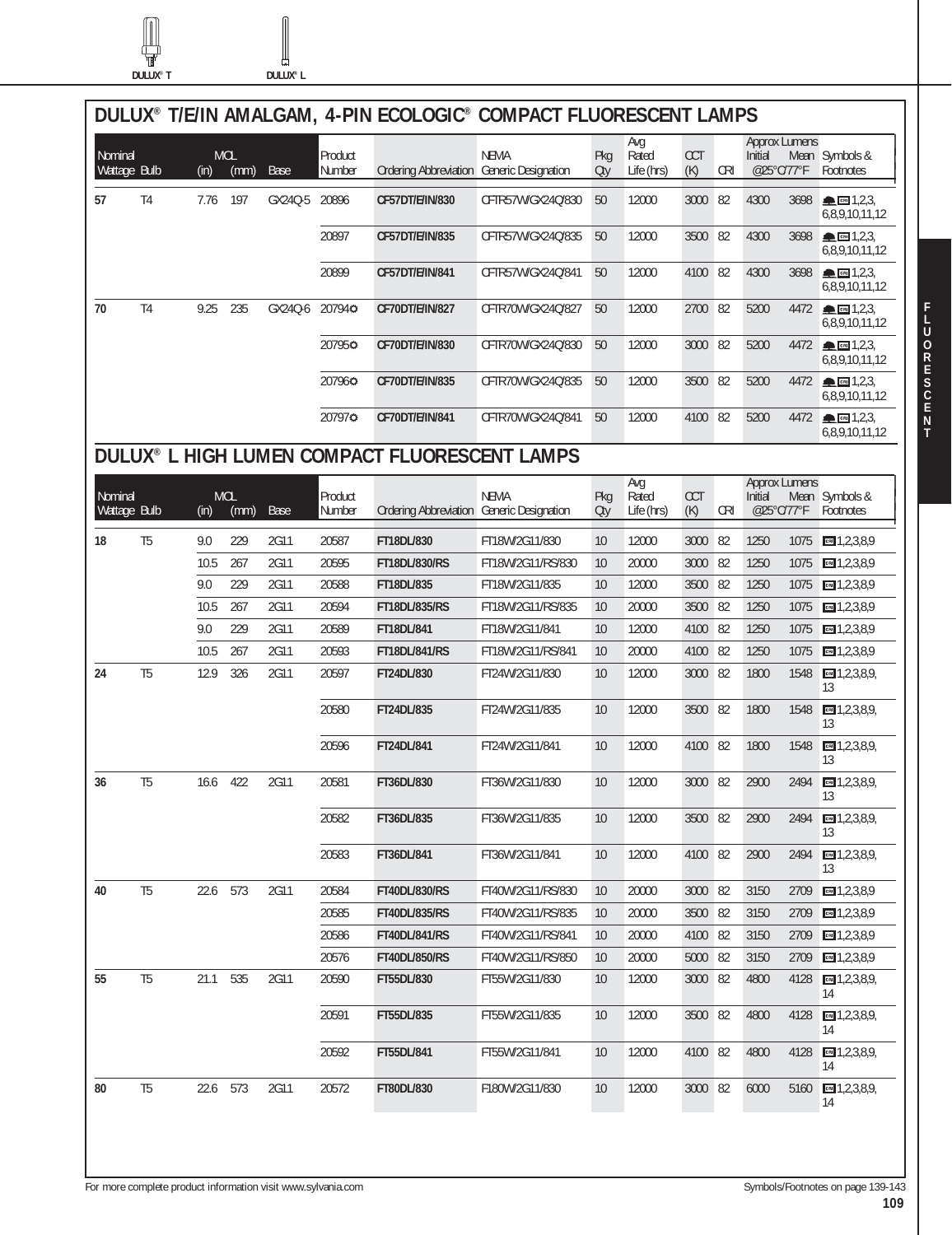**DULUX® T DULUX® L**

Щ

ſ

|         |                |          |                    |         |                   |                                               | DULUX® T/E/IN AMALGAM, 4-PIN ECOLOGIC® COMPACT FLUORESCENT LAMPS |                 |                            |                   |            |                                               |      |                                                        |
|---------|----------------|----------|--------------------|---------|-------------------|-----------------------------------------------|------------------------------------------------------------------|-----------------|----------------------------|-------------------|------------|-----------------------------------------------|------|--------------------------------------------------------|
| Nominal | Wattage Bulb   | (in)     | <b>MOL</b><br>(mm) | Base    | Product<br>Number | Ordering Abbreviation Generic Designation     | <b>NEMA</b>                                                      | Pkg<br>Qty      | Avg<br>Rated<br>Life (hrs) | <b>CCT</b><br>(K) | <b>CRI</b> | <b>Approx Lumens</b><br>Initial<br>@25°C/77°F |      | Mean Symbols &<br>Footnotes                            |
| 57      | T <sub>4</sub> | 7.76     | 197                | GX240-5 | 20896             | CF57DT/E/IN/830                               | CFTR57W/GX24Q/830                                                | 50              | 12000                      | 3000              | 82         | 4300                                          | 3698 | $\triangle$ cm 1,2,3,<br>6,8,9,10,11,12                |
|         |                |          |                    |         | 20897             | CF57DT/E/IN/835                               | CFTR57W/GX24Q/835                                                | 50              | 12000                      | 3500              | 82         | 4300                                          | 3698 | $\blacksquare$ $\blacksquare$ 1,2,3,<br>6,8,9,10,11,12 |
|         |                |          |                    |         | 20899             | CF57DT/E/IN/841                               | CFTR57W/GX24Q/841                                                | 50              | 12000                      | 4100 82           |            | 4300                                          | 3698 | $\triangle$ cm 1,2,3<br>6,8,9,10,11,12                 |
| 70      | T <sub>4</sub> | 9.25     | 235                | GX24Q-6 | 207940            | CF70DT/E/IN/827                               | CFTR70W/GX24Q/827                                                | 50              | 12000                      | 2700 82           |            | 5200                                          | 4472 | $\triangle$ call $1,2,3$<br>6,8,9,10,11,12             |
|         |                |          |                    |         | 207950            | CF70DT/E/IN/830                               | CFTR70W/GX24Q/830                                                | 50              | 12000                      | 3000              | 82         | 5200                                          |      | 4472 - 1,2,3<br>6,8,9,10,11,12                         |
|         |                |          |                    |         | 207960            | CF70DT/E/IN/835                               | CFTR70W/GX24Q/835                                                | 50              | 12000                      | 3500              | 82         | 5200                                          | 4472 | $\triangle$ cm 1,2,3,<br>6,8,9,10,11,12                |
|         |                |          |                    |         | 207970            | CF70DT/E/IN/841                               | CFTR70W/GX24Q/841                                                | 50              | 12000                      | 4100              | 82         | 5200                                          | 4472 | $\triangle$ call 1,2,3,<br>6.8.9.10.11.12              |
|         |                |          |                    |         |                   | DULUX® L HIGH LUMEN COMPACT FLUORESCENT LAMPS |                                                                  |                 |                            |                   |            |                                               |      |                                                        |
| Nominal | Wattage Bulb   | (in)     | <b>MOL</b><br>(mm) | Base    | Product<br>Number | Ordering Abbreviation Generic Designation     | <b>NEMA</b>                                                      | Pkg<br>Otv      | Avg<br>Rated<br>Life (hrs) | <b>CCT</b><br>(K) | <b>CRI</b> | <b>Approx Lumens</b><br>Initial<br>@25°C/77°F |      | Mean Symbols &<br>Footnotes                            |
| 18      | T <sub>5</sub> | 9.0      | 229                | 2G11    | 20587             | FT18DL/830                                    | FT18W/2G11/830                                                   | 10              | 12000                      | 3000              | 82         | 1250                                          | 1075 | cm 1, 2, 3, 8, 9                                       |
|         |                | 10.5     | 267                | 2G11    | 20595             | <b>FT18DL/830/RS</b>                          | FT18W/2G11/RS/830                                                | 10              | 20000                      | 3000              | 82         | 1250                                          | 1075 | $m = 1, 2, 3, 8, 9$                                    |
|         |                | 9.0      | 229                | 2G11    | 20588             | FT18DL/835                                    | FT18W/2G11/835                                                   | 10              | 12000                      | 3500              | 82         | 1250                                          | 1075 | CR 1,2,3,8,9                                           |
|         |                | 10.5     | 267                | 2G11    | 20594             | <b>FT18DL/835/RS</b>                          | FT18W/2G11/RS/835                                                | 10              | 20000                      | 3500              | 82         | 1250                                          | 1075 | cm 1, 2, 3, 8, 9                                       |
|         |                | 9.0      | 229                | 2G11    | 20589             | FT18DL/841                                    | FT18W/2G11/841                                                   | 10              | 12000                      | 4100              | 82         | 1250                                          | 1075 | $m = 1, 2, 3, 8, 9$                                    |
|         |                | 10.5     | 267                | 2G11    | 20593             | <b>FT18DL/841/RS</b>                          | FT18W/2G11/RS/841                                                | 10              | 20000                      | 4100              | 82         | 1250                                          | 1075 | CR 1,2,3,8,9                                           |
| 24      | T <sub>5</sub> | 12.9     | 326                | 2G11    | 20597             | FT24DL/830                                    | FT24W/2G11/830                                                   | 10              | 12000                      | 3000              | 82         | 1800                                          | 1548 | $CR = 1, 2, 3, 8, 9,$<br>13                            |
|         |                |          |                    |         | 20580             | FT24DL/835                                    | FT24W/2G11/835                                                   | 10              | 12000                      | 3500              | 82         | 1800                                          | 1548 | cm 1,2,3,8,9,<br>13                                    |
|         |                |          |                    |         | 20596             | FT24DL/841                                    | FT24W/2G11/841                                                   | 10              | 12000                      | 4100 82           |            | 1800                                          | 1548 | CR 1, 2, 3, 8, 9,<br>13                                |
| 36      | T <sub>5</sub> | 16.6     | 422                | 2G11    | 20581             | FT36DL/830                                    | FT36W/2G11/830                                                   | 10              | 12000                      | 3000 82           |            | 2900                                          | 2494 | $CR = 1, 2, 3, 8, 9,$<br>13                            |
|         |                |          |                    |         | 20582             | FT36DL/835                                    | FT36W/2G11/835                                                   | 10              | 12000                      | 3500 82           |            | 2900                                          |      | 2494 69 1, 2, 3, 8, 9,<br>13                           |
|         |                |          |                    |         | 20583             | FT36DL/841                                    | FT36W/2G11/841                                                   | 10              | 12000                      | 4100 82           |            | 2900                                          |      | 2494 6 1, 2, 3, 8, 9,<br>13                            |
| 40      | T <sub>5</sub> | 22.6 573 |                    | 2G11    | 20584             | FT40DL/830/RS                                 | FT40W/2G11/RS/830                                                | 10              | 20000                      | 3000 82           |            | 3150                                          |      | 2709 64 1, 2, 3, 8, 9                                  |
|         |                |          |                    |         | 20585             | <b>FT40DL/835/RS</b>                          | FT40W/2G11/RS/835                                                | 10              | 20000                      | 3500 82           |            | 3150                                          |      | 2709 3, 2, 3, 8, 9                                     |
|         |                |          |                    |         | 20586             | <b>FT40DL/841/RS</b>                          | FT40W/2G11/RS/841                                                | 10              | 20000                      | 4100 82           |            | 3150                                          |      | 2709 3.8,9                                             |
|         |                |          |                    |         | 20576             | <b>FT40DL/850/RS</b>                          | FT40W/2G11/RS/850                                                | 10              | 20000                      | 5000 82           |            | 3150                                          |      | 2709 64 1, 2, 3, 8, 9                                  |
| 55      | T <sub>5</sub> | 21.1     | 535                | 2G11    | 20590             | FT55DL/830                                    | FT55W/2G11/830                                                   | 10              | 12000                      | 3000 82           |            | 4800                                          |      | 4128 6 1, 2, 3, 8, 9,<br>14                            |
|         |                |          |                    |         | 20591             | FT55DL/835                                    | FT55W/2G11/835                                                   | 10              | 12000                      | 3500 82           |            | 4800                                          |      | 4128 8 1, 2, 3, 8, 9,<br>14                            |
|         |                |          |                    |         | 20592             | FT55DL/841                                    | FT55W/2G11/841                                                   | 10 <sup>°</sup> | 12000                      | 4100 82           |            | 4800                                          |      | 4128 6 1, 2, 3, 8, 9,<br>14                            |
| 80      | T <sub>5</sub> | 22.6 573 |                    | 2G11    | 20572             | FT80DL/830                                    | F180W/2G11/830                                                   | 10 <sup>°</sup> | 12000                      | 3000 82           |            | 6000                                          |      | 5160 6 1, 2, 3, 8, 9,<br>14                            |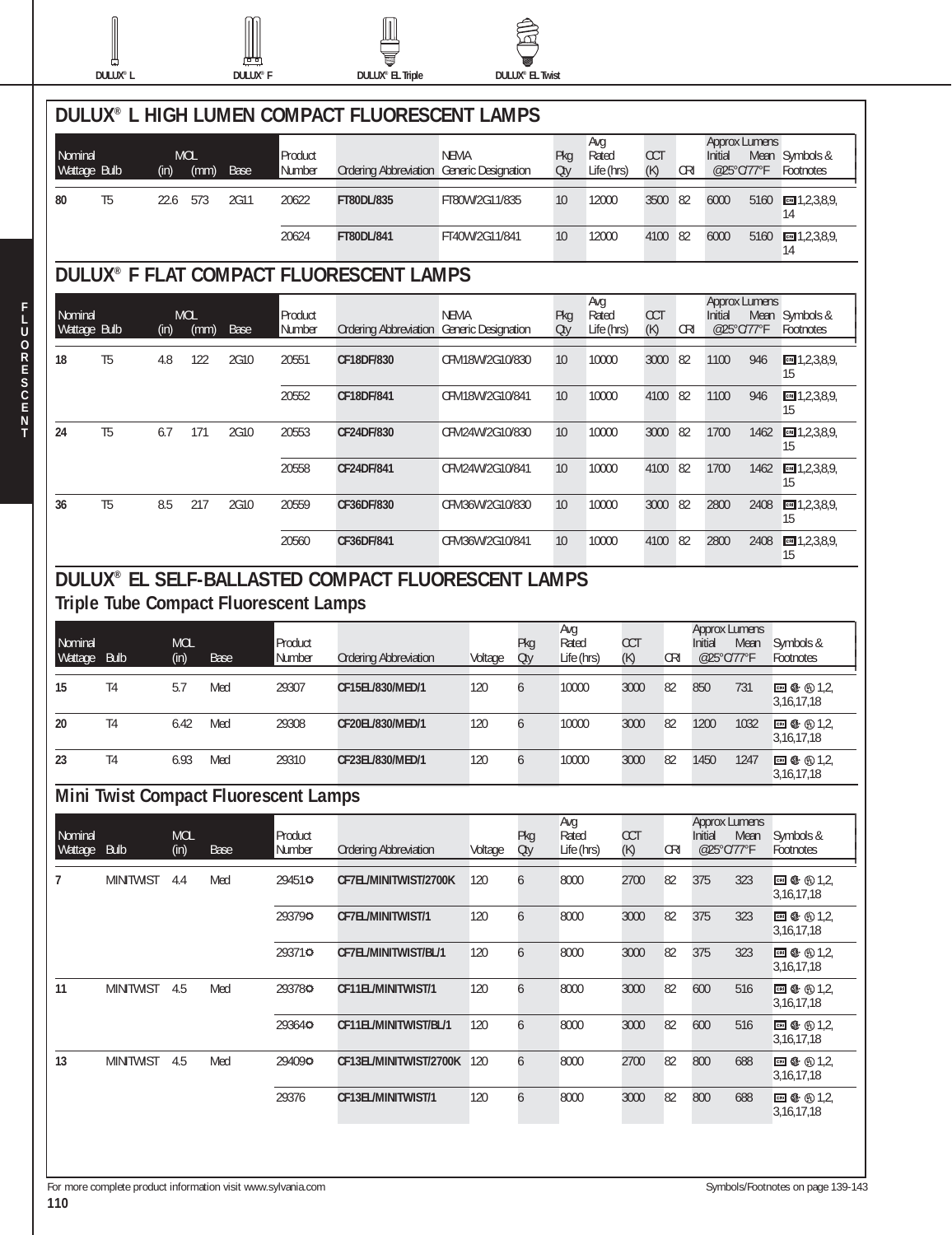

I

**F L U O R E S C E N T**



 $\begin{matrix} \end{matrix}$ 

M



|                         | DULUX <sup>®</sup> L |                    | <b>DULUX<sup>®</sup></b> F                   |                   | <b>DULUX®</b> EL Triple                                   |                 | <b>DULUX<sup>®</sup> EL Twist</b> |                            |                     |                   |            |                                               |            |                                   |
|-------------------------|----------------------|--------------------|----------------------------------------------|-------------------|-----------------------------------------------------------|-----------------|-----------------------------------|----------------------------|---------------------|-------------------|------------|-----------------------------------------------|------------|-----------------------------------|
|                         |                      |                    |                                              |                   | DULUX® L HIGH LUMEN COMPACT FLUORESCENT LAMPS             |                 |                                   |                            |                     |                   |            |                                               |            |                                   |
| Nominal<br>Wattage Bulb |                      | <b>MOL</b><br>(in) | (mm)<br>Base                                 | Product<br>Number | Ordering Abbreviation Generic Designation                 | <b>NEMA</b>     |                                   | Avg<br>Pkg<br>Oty          | Rated<br>Life (hrs) | <b>CCT</b><br>(K) | <b>CRI</b> | Approx Lumens<br>Initial                      | @25°C/77°F | Mean Symbols &<br>Footnotes       |
| 80                      | T <sub>5</sub>       | 22.6               | 573<br>2G11                                  | 20622             | FT80DL/835                                                | FT80W/2G11/835  |                                   | 10                         | 12000               | 3500              | 82         | 6000                                          | 5160       | cm 1, 2, 3, 8, 9<br>14            |
|                         |                      |                    |                                              | 20624             | FT80DL/841                                                | FT40W/2G11/841  |                                   | 10                         | 12000               | 4100              | 82         | 6000                                          | 5160       | $-1, 2, 3, 8, 9$<br>14            |
|                         |                      |                    |                                              |                   | <b>DULUX<sup>®</sup> F FLAT COMPACT FLUORESCENT LAMPS</b> |                 |                                   |                            |                     |                   |            |                                               |            |                                   |
| Nominal<br>Wattage Bulb |                      | <b>MOL</b><br>(in) | (mm)<br>Base                                 | Product<br>Number | Ordering Abbreviation Generic Designation                 | <b>NEMA</b>     |                                   | Avg<br>Pkg<br>Rated<br>Oty | Life (hrs)          | <b>CCT</b><br>(K) | <b>CRI</b> | <b>Approx Lumens</b><br>Initial<br>@25°C/77°F |            | Mean Symbols &<br>Footnotes       |
| 18                      | T <sub>5</sub>       | 4.8                | 122<br>2G10                                  | 20551             | CF18DF/830                                                | CFM18W/2G10/830 |                                   | 10                         | 10000               | 3000              | 82         | 1100                                          | 946        | $m = 1, 2, 3, 8, 9,$<br>15        |
|                         |                      |                    |                                              | 20552             | CF18DF/841                                                | CFM18W/2G10/841 |                                   | 10                         | 10000               | 4100              | 82         | 1100                                          | 946        | $m = 1, 2, 3, 8, 9$<br>15         |
| 24                      | T <sub>5</sub>       | 6.7                | 171<br>2G10                                  | 20553             | CF24DF/830                                                | CFM24W/2G10/830 |                                   | 10                         | 10000               | 3000              | 82         | 1700                                          | 1462       | $m = 1, 2, 3, 8, 9$<br>15         |
|                         |                      |                    |                                              | 20558             | CF24DF/841                                                | CFM24W/2G10/841 |                                   | 10                         | 10000               | 4100              | 82         | 1700                                          | 1462       | $m = 1, 2, 3, 8, 9$<br>15         |
| 36                      | T <sub>5</sub>       | 8.5                | 217<br>2G10                                  | 20559             | CF36DF/830                                                | CFM36W/2G10/830 |                                   | 10                         | 10000               | 3000              | 82         | 2800                                          | 2408       | $m = 1, 2, 3, 8, 9,$<br>15        |
|                         |                      |                    |                                              | 20560             | CF36DF/841                                                | CFM36W/2G10/841 |                                   | 10                         | 10000               | 4100              | 82         | 2800                                          | 2408       | $m = 1, 2, 3, 8, 9,$<br>15        |
|                         |                      |                    | <b>Triple Tube Compact Fluorescent Lamps</b> |                   | DULUX® EL SELF-BALLASTED COMPACT FLUORESCENT LAMPS        |                 |                                   | Avg                        |                     |                   |            | <b>Approx Lumens</b>                          |            |                                   |
| Nominal<br>Wattage      | <b>Bulb</b>          | <b>MOL</b><br>(in) | Base                                         | Product<br>Number | <b>Ordering Abbreviation</b>                              | Voltage         | Pkg<br>Qty                        | Rated<br>Life (hrs)        | <b>CCT</b><br>(K)   | CRI               |            | Initial<br>@25°C/77°F                         | Mean       | Symbols &<br>Footnotes            |
| 15                      | T <sub>4</sub>       | 5.7                | Med                                          | 29307             | CF15EL/830/MED/1                                          | 120             | 6                                 | 10000                      | 3000                | 82                |            | 850                                           | 731        | <b>⊡ </b> ① 1,2,<br>3, 16, 17, 18 |
| 20                      | T <sub>4</sub>       | 6.42               | Med                                          | 29308             | CF20EL/830/MED/1                                          | 120             | 6                                 | 10000                      | 3000                | 82                |            | 1200                                          | 1032       | ⊡ \$ ⊕1,2,<br>3,16,17,18          |
| 23                      | T <sub>4</sub>       | 6.93               | Med                                          | 29310             | CF23EL/830/MED/1                                          | 120             | 6                                 | 10000                      | 3000                | 82                |            | 1450                                          | 1247       | □ ① ① 1,2,<br>3, 16, 17, 18       |
|                         |                      |                    | <b>Mini Twist Compact Fluorescent Lamps</b>  |                   |                                                           |                 |                                   |                            |                     |                   |            |                                               |            |                                   |
| Nominal<br>Wattage Bulb |                      | <b>MOL</b><br>(in) | Base                                         | Product<br>Number | <b>Ordering Abbreviation</b>                              | Voltage         | Pkg<br>Oty                        | Avg<br>Rated<br>Life (hrs) | <b>CCT</b><br>(K)   | <b>CRI</b>        |            | <b>Approx Lumens</b><br>Initial<br>@25°C/77°F | Mean       | Symbols &<br>Footnotes            |
| 7                       | <b>MINITWIST</b>     | 4.4                | Med                                          | 29451¢            | CF7EL/MINITWIST/2700K                                     | 120             | 6                                 | 8000                       | 2700                | 82                |            | 375                                           | 323        | □ ① ① 1,2,<br>3, 16, 17, 18       |
|                         |                      |                    |                                              | 293790            | CF7EL/MINITWIST/1                                         | 120             | 6                                 | 8000                       | 3000                | 82                |            | 375                                           | 323        | □ ① ① 1,2,<br>3, 16, 17, 18       |
|                         |                      |                    |                                              | 293710            | CF7EL/MINITWIST/BL/1                                      | 120             | 6                                 | 8000                       | 3000                | 82                |            | 375                                           | 323        | ⊡ + ① 1,2,<br>3, 16, 17, 18       |
| 11                      | <b>MINITWIST</b>     | 4.5                | Med                                          | 293780            | CF11EL/MINITWIST/1                                        | 120             | 6                                 | 8000                       | 3000                | 82                |            | 600                                           | 516        | □ ① ① 1,2,<br>3, 16, 17, 18       |
|                         |                      |                    |                                              | 293640            | CF11EL/MINITWIST/BL/1                                     | 120             | 6                                 | 8000                       | 3000                | 82                |            | 600                                           | 516        | □ ① ① 1,2,<br>3, 16, 17, 18       |
| 13                      | <b>MINITWIST</b>     | 4.5                | Med                                          | 294090            | CF13EL/MINITWIST/2700K 120                                |                 | 6                                 | 8000                       | 2700                | 82                |            | 800                                           | 688        | ⊡ + ① 1,2,<br>3, 16, 17, 18       |
|                         |                      |                    |                                              | 29376             | CF13EL/MINITWIST/1                                        | 120             | 6                                 | 8000                       | 3000                | 82                |            | 800                                           | 688        | ⊡ + ① 1,2,<br>3,16,17,18          |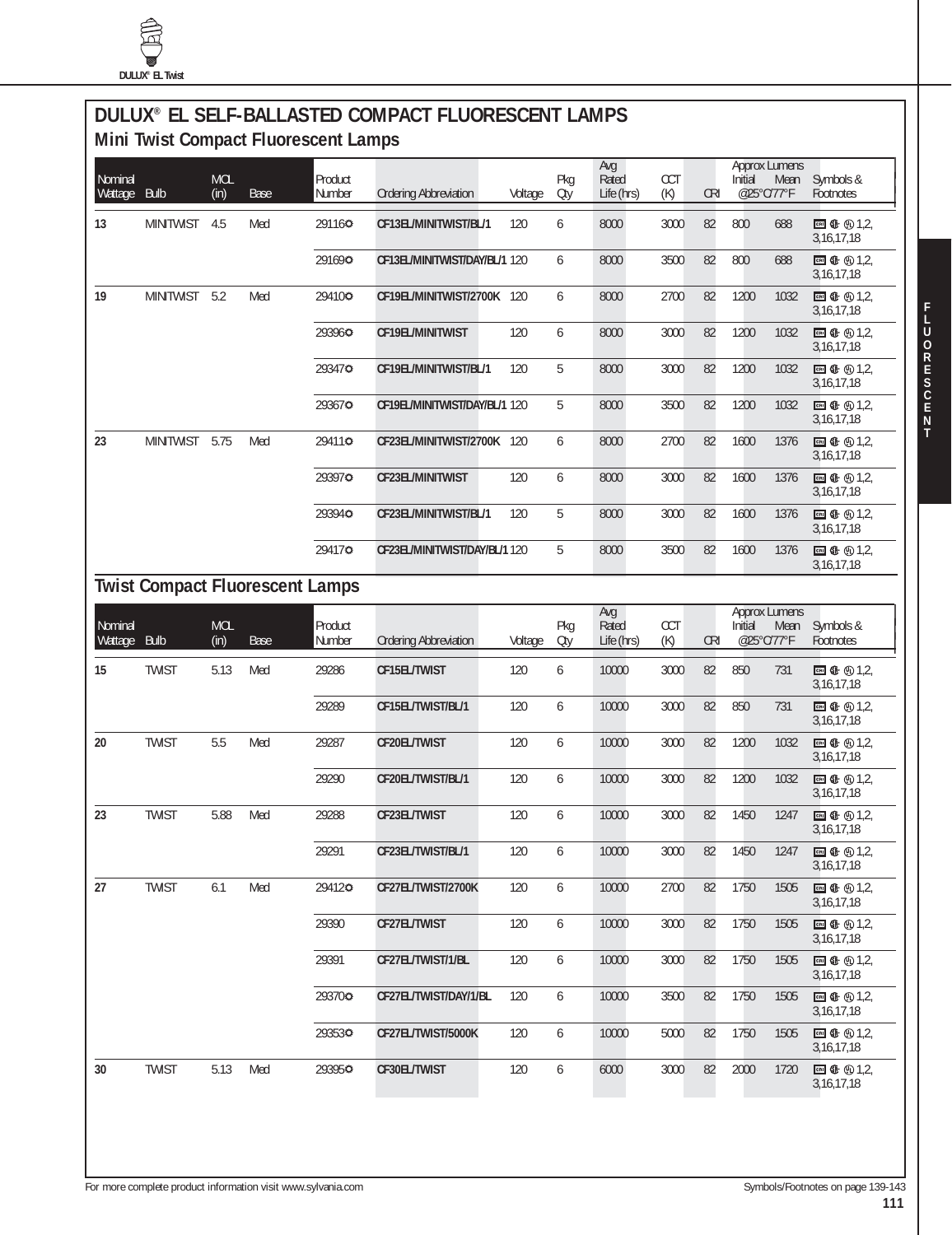## **DULUX® EL SELF-BALLASTED COMPACT FLUORESCENT LAMPS Mini Twist Compact Fluorescent Lamps**

| Nominal<br>Wattage | <b>Bulb</b>      | <b>MOL</b><br>(in) | <b>Base</b>                            | Product<br>Number | <b>Ordering Abbreviation</b>  | Voltage | Pkg<br>Oty | Avg<br>Rated<br>Life (hrs) | CCT<br>(K) | <b>CRI</b> | <b>Approx Lumens</b><br>Initial<br>Mean<br>@25°C/77°F | Symbols &<br>Footnotes                                 |
|--------------------|------------------|--------------------|----------------------------------------|-------------------|-------------------------------|---------|------------|----------------------------|------------|------------|-------------------------------------------------------|--------------------------------------------------------|
| 13                 | <b>MINITWIST</b> | 4.5                | Med                                    | 291160            | CF13EL/MINITWIST/BL/1         | 120     | 6          | 8000                       | 3000       | 82         | 800<br>688                                            | ■ ← ① 1,2,<br>3, 16, 17, 18                            |
|                    |                  |                    |                                        | 291690            | CF13EL/MINITWIST/DAY/BL/1 120 |         | 6          | 8000                       | 3500       | 82         | 800<br>688                                            | 3,16,17,18                                             |
| 19                 | <b>MINITWIST</b> | 5.2                | Med                                    | 294100            | CF19EL/MINITWIST/2700K 120    |         | 6          | 8000                       | 2700       | 82         | 1200<br>1032                                          | CRI ① ① 1,2,<br>3, 16, 17, 18                          |
|                    |                  |                    |                                        | 293960            | CF19EL/MINITWIST              | 120     | 6          | 8000                       | 3000       | 82         | 1200<br>1032                                          | 3, 16, 17, 18                                          |
|                    |                  |                    |                                        | 293470            | CF19EL/MINITWIST/BL/1         | 120     | 5          | 8000                       | 3000       | 82         | 1200<br>1032                                          | ■ ① ① 1,2,<br>3,16,17,18                               |
|                    |                  |                    |                                        | 293670            | CF19EL/MINITWIST/DAY/BL/1 120 |         | 5          | 8000                       | 3500       | 82         | 1200<br>1032                                          | CRI ① ① 1,2,<br>3, 16, 17, 18                          |
| 23                 | <b>MINITWIST</b> | 5.75               | Med                                    | 294110            | CF23EL/MINITWIST/2700K 120    |         | 6          | 8000                       | 2700       | 82         | 1600<br>1376                                          | <b>EN ①</b> ① 1,2,<br>3, 16, 17, 18                    |
|                    |                  |                    |                                        | 293970            | CF23EL/MINITWIST              | 120     | 6          | 8000                       | 3000       | 82         | 1600<br>1376                                          | ■ ① ① 1,2,<br>3,16,17,18                               |
|                    |                  |                    |                                        | 293940            | CF23EL/MINITWIST/BL/1         | 120     | 5          | 8000                       | 3000       | 82         | 1600<br>1376                                          | CRI ① ① 1,2,<br>3,16,17,18                             |
|                    |                  |                    |                                        | 294170            | CF23EL/MINITWIST/DAY/BL/1120  |         | 5          | 8000                       | 3500       | 82         | 1600<br>1376                                          | ■ ← ① 1.2<br>3, 16, 17, 18                             |
|                    |                  |                    | <b>Twist Compact Fluorescent Lamps</b> |                   |                               |         |            |                            |            |            |                                                       |                                                        |
| Nominal<br>Wattage | <b>Bulb</b>      | <b>MOL</b><br>(in) | <b>Base</b>                            | Product<br>Number | <b>Ordering Abbreviation</b>  | Voltage | Pkg<br>Oty | Avg<br>Rated<br>Life (hrs) | CCT<br>(K) | <b>CRI</b> | <b>Approx Lumens</b><br>Initial<br>Mean<br>@25°C/77°F | Symbols &<br>Footnotes                                 |
| 15                 | <b>TWIST</b>     | 5.13               | Med                                    | 29286             | CF15EL/TWIST                  | 120     | 6          | 10000                      | 3000       | 82         | 850<br>731                                            | ■ ① ① 1,2,<br>3, 16, 17, 18                            |
|                    |                  |                    |                                        | 29289             | CF15EL/TWIST/BL/1             | 120     | 6          | 10000                      | 3000       | 82         | 850<br>731                                            | ■ ← ① 1,2,<br>3, 16, 17, 18                            |
| 20                 | <b>TWIST</b>     | 5.5                | Med                                    | 29287             | CF20EL/TWIST                  | 120     | 6          | 10000                      | 3000       | 82         | 1200<br>1032                                          | ■ ① ① 1,2,<br>3,16,17,18                               |
|                    |                  |                    |                                        | 29290             | CF20EL/TWIST/BL/1             | 120     | 6          | 10000                      | 3000       | 82         | 1200<br>1032                                          | CRI ① ① 1,2,<br>3,16,17,18                             |
| 23                 | <b>TWIST</b>     | 5.88               | Med                                    | 29288             | CF23EL/TWIST                  | 120     | 6          | 10000                      | 3000       | 82         | 1450<br>1247                                          | <b>EN ①</b> ① 1,2,<br>3, 16, 17, 18                    |
|                    |                  |                    |                                        | 29291             | CF23EL/TWIST/BL/1             | 120     | 6          | 10000                      | 3000       | 82         | 1450<br>1247                                          | $\blacksquare$ $\oplus$ $\oplus$ 1,2,<br>3, 16, 17, 18 |
| 27                 | <b>TWIST</b>     | 6.1                | Med                                    | 294120            | CF27EL/TWIST/2700K            | 120     | 6          | 10000                      | 2700       | 82         | 1750<br>1505                                          | $\blacksquare$ $\Phi$ $\odot$ 1,2,<br>3, 16, 17, 18    |
|                    |                  |                    |                                        | 29390             | CF27EL/TWIST                  | 120     | 6          | 10000                      | 3000       | 82         | 1750<br>1505                                          | <b>EN ① ① 1,2</b><br>3, 16, 17, 18                     |
|                    |                  |                    |                                        | 29391             | CF27EL/TWIST/1/BL             | 120     | 6          | 10000                      | 3000       | 82         | 1750<br>1505                                          | ■ ① ① 1,2,<br>3,16,17,18                               |
|                    |                  |                    |                                        | 293700            | CF27EL/TWIST/DAY/1/BL         | 120     | 6          | 10000                      | 3500       | 82         | 1750<br>1505                                          | <b>ERI</b> ① ① 1,2,<br>3,16,17,18                      |
|                    |                  |                    |                                        | 293530            | CF27EL/TWIST/5000K            | 120     | 6          | 10000                      | 5000       | 82         | 1750<br>1505                                          | $\blacksquare$ $\oplus$ $\oplus$ 1,2,<br>3, 16, 17, 18 |
| 30                 | <b>TWIST</b>     | 5.13               | Med                                    | 293950            | CF30EL/TWIST                  | 120     | 6          | 6000                       | 3000       | 82         | 2000<br>1720                                          | $\blacksquare$ $\oplus$ $\oplus$ 1,2,<br>3,16,17,18    |
|                    |                  |                    |                                        |                   |                               |         |            |                            |            |            |                                                       |                                                        |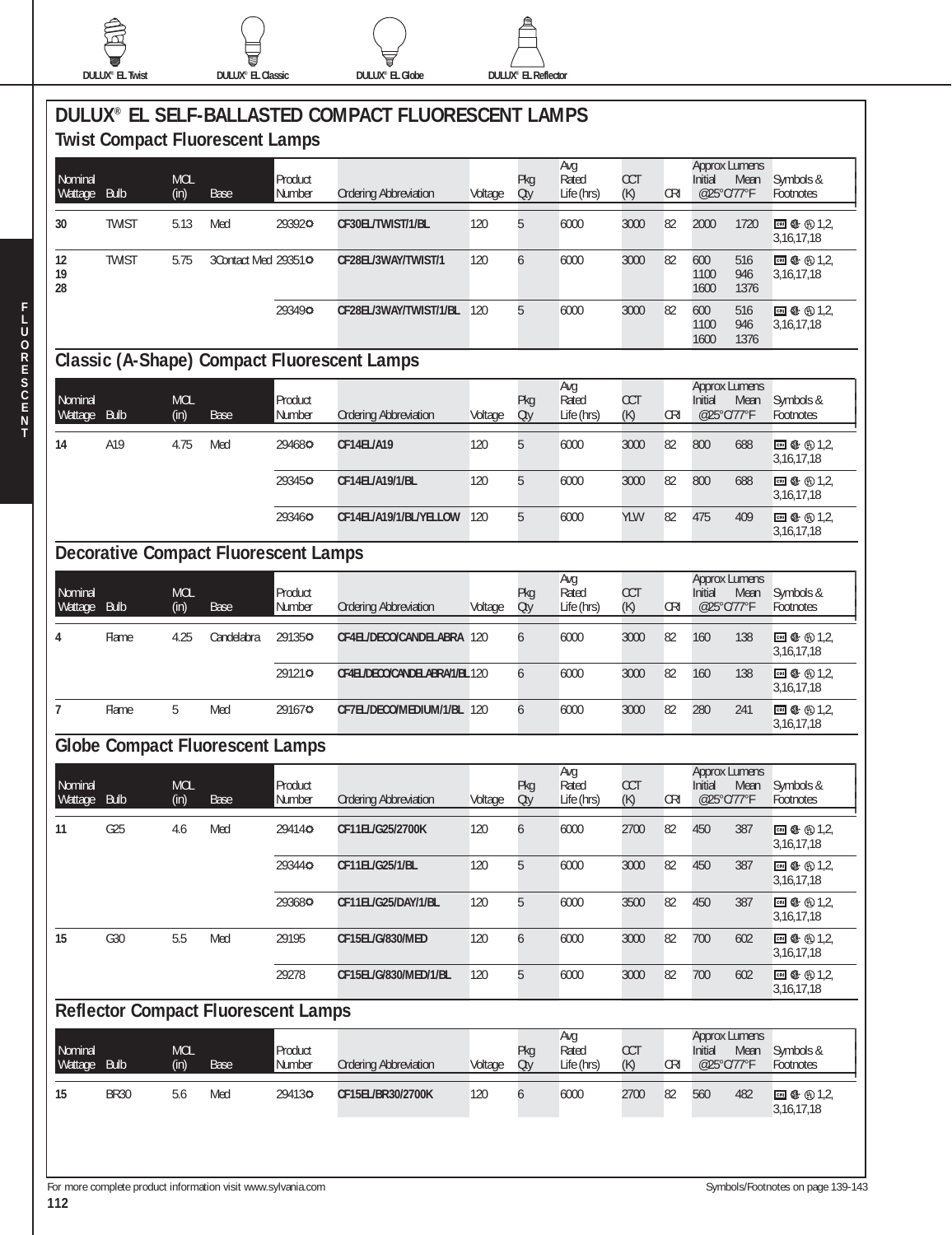

**DULUX® EL Twist DULUX® EL Classic DULUX® EL Globe DULUX® EL Reflector**

|                           |              |                    | <b>Twist Compact Fluorescent Lamps</b>      |                   | DULUX® EL SELF-BALLASTED COMPACT FLUORESCENT LAMPS |         |            |                            |                   |            |                                                       |                             |
|---------------------------|--------------|--------------------|---------------------------------------------|-------------------|----------------------------------------------------|---------|------------|----------------------------|-------------------|------------|-------------------------------------------------------|-----------------------------|
| Nominal<br>Wattage        | <b>Bulb</b>  | <b>MOL</b><br>(in) | Base                                        | Product<br>Number | <b>Ordering Abbreviation</b>                       | Voltage | Pkg<br>Oty | Avg<br>Rated<br>Life (hrs) | <b>CCT</b><br>(K) | <b>CRI</b> | <b>Approx Lumens</b><br>Initial<br>Mean<br>@25°C/77°F | Symbols &<br>Footnotes      |
| 30                        | <b>TWIST</b> | 5.13               | Med                                         | 293920            | CF30EL/TWIST/1/BL                                  | 120     | 5          | 6000                       | 3000              | 82         | 2000<br>1720                                          | ⊡ ← ① 1,2,<br>3,16,17,18    |
| 12<br>19<br>28            | <b>TWIST</b> | 5.75               | 3Contact Med 29351¢                         |                   | CF28EL/3WAY/TWIST/1                                | 120     | 6          | 6000                       | 3000              | 82         | 600<br>516<br>1100<br>946<br>1376<br>1600             | □ ① ① 1,2,<br>3,16,17,18    |
|                           |              |                    |                                             | 293490            | CF28EL/3WAY/TWIST/1/BL                             | 120     | 5          | 6000                       | 3000              | 82         | 600<br>516<br>1100<br>946<br>1600<br>1376             | ⊡ \$ ⊕ 1,2,<br>3,16,17,18   |
|                           |              |                    |                                             |                   | <b>Classic (A-Shape) Compact Fluorescent Lamps</b> |         |            |                            |                   |            |                                                       |                             |
| Nominal<br>Wattage        | <b>Bulb</b>  | <b>MOL</b><br>(in) | Base                                        | Product<br>Number | <b>Ordering Abbreviation</b>                       | Voltage | Pkg<br>Oty | Avg<br>Rated<br>Life (hrs) | CCT<br>(K)        | CRI        | <b>Approx Lumens</b><br>Initial<br>Mean<br>@25°C/77°F | Symbols &<br>Footnotes      |
| 14                        | A19          | 4.75               | Med                                         | 294680            | CF14EL/A19                                         | 120     | 5          | 6000                       | 3000              | 82         | 800<br>688                                            | ■ ← ① 1.2<br>3, 16, 17, 18  |
|                           |              |                    |                                             | 293450            | CF14EL/A19/1/BL                                    | 120     | 5          | 6000                       | 3000              | 82         | 800<br>688                                            | □ ① ① 1,2,<br>3, 16, 17, 18 |
|                           |              |                    |                                             | 293460            | CF14EL/A19/1/BL/YELLOW                             | 120     | 5          | 6000                       | YLW               | 82         | 475<br>409                                            | □ ① ① 1.2<br>3, 16, 17, 18  |
|                           |              |                    | <b>Decorative Compact Fluorescent Lamps</b> |                   |                                                    |         |            |                            |                   |            |                                                       |                             |
| Nominal<br>Wattage        | <b>Bulb</b>  | <b>MOL</b><br>(in) | Base                                        | Product<br>Number | <b>Ordering Abbreviation</b>                       | Voltage | Pkg<br>Qty | Avg<br>Rated<br>Life (hrs) | <b>CCT</b><br>(K) | <b>CRI</b> | <b>Approx Lumens</b><br>Initial<br>Mean<br>@25°C/77°F | Symbols &<br>Footnotes      |
| 4                         | Flame        | 4.25               | Candelabra                                  | 291350            | CF4EL/DECO/CANDELABRA 120                          |         | 6          | 6000                       | 3000              | 82         | 160<br>138                                            | □ ① ① 1,2,<br>3,16,17,18    |
|                           |              |                    |                                             | 291210            | CF4EL/DECO/CANDELABRA/1/BL120                      |         | 6          | 6000                       | 3000              | 82         | 160<br>138                                            | 3, 16, 17, 18               |
| $\overline{7}$            | Flame        | 5                  | Med                                         | 291670            | CF7EL/DECO/MEDIUM/1/BL 120                         |         | 6          | 6000                       | 3000              | 82         | 280<br>241                                            | ⊡ \$ ⊕1,2,<br>3,16,17,18    |
|                           |              |                    | <b>Globe Compact Fluorescent Lamps</b>      |                   |                                                    |         |            |                            |                   |            |                                                       |                             |
| Nominal<br><b>Wattage</b> | <b>Bulb</b>  | <b>MOL</b><br>(in) | Base                                        | Product<br>Number | <b>Ordering Abbreviation</b>                       | Voltage | Pkg<br>Oty | Avg<br>Rated<br>Life (hrs) | CCT<br>(K)        | <b>CRI</b> | <b>Approx Lumens</b><br>Initial<br>Mean<br>@25°C/77°F | Symbols &<br>Footnotes      |
| 11                        | G25          | 4.6                | Med                                         | 294140            | CF11EL/G25/2700K                                   | 120     | 6          | 6000                       | 2700              | 82         | 450<br>387                                            | □ ← ① 1.2<br>3, 16, 17, 18  |
|                           |              |                    |                                             | 293440            | CF11EL/G25/1/BL                                    | 120     | 5          | 6000                       | 3000              | 82         | 450<br>387                                            | □ ① ① 1,2,<br>3,16,17,18    |
|                           |              |                    |                                             | 293680            | CF11EL/G25/DAY/1/BL                                | 120     | 5          | 6000                       | 3500              | 82         | 450<br>387                                            | □ ① ① 1,2,<br>3, 16, 17, 18 |
| 15                        | G30          | 5.5                | Med                                         | 29195             | CF15EL/G/830/MED                                   | 120     | 6          | 6000                       | 3000              | 82         | 700<br>602                                            | □ ← ① 1,2,<br>3, 16, 17, 18 |
|                           |              |                    |                                             | 29278             | CF15EL/G/830/MED/1/BL                              | 120     | 5          | 6000                       | 3000              | 82         | 700<br>602                                            | ■ ← ① 1,2,<br>3, 16, 17, 18 |
|                           |              |                    | <b>Reflector Compact Fluorescent Lamps</b>  |                   |                                                    |         |            |                            |                   |            |                                                       |                             |
| Nominal<br>Wattage        | Bulb         | <b>MOL</b><br>(in) | <b>Base</b>                                 | Product<br>Number | <b>Ordering Abbreviation</b>                       | Voltage | Pkg<br>Oty | Avg<br>Rated<br>Life (hrs) | <b>CCT</b><br>(K) | <b>CRI</b> | <b>Approx Lumens</b><br>Initial<br>Mean<br>@25°C/77°F | Symbols &<br>Footnotes      |
| 15                        | <b>BR30</b>  | 5.6                | Med                                         | 294130            | CF15EL/BR30/2700K                                  | 120     | 6          | 6000                       | 2700              | 82         | 560<br>482                                            | ⊡ + ① 1,2,<br>3, 16, 17, 18 |
|                           |              |                    |                                             |                   |                                                    |         |            |                            |                   |            |                                                       |                             |

**F**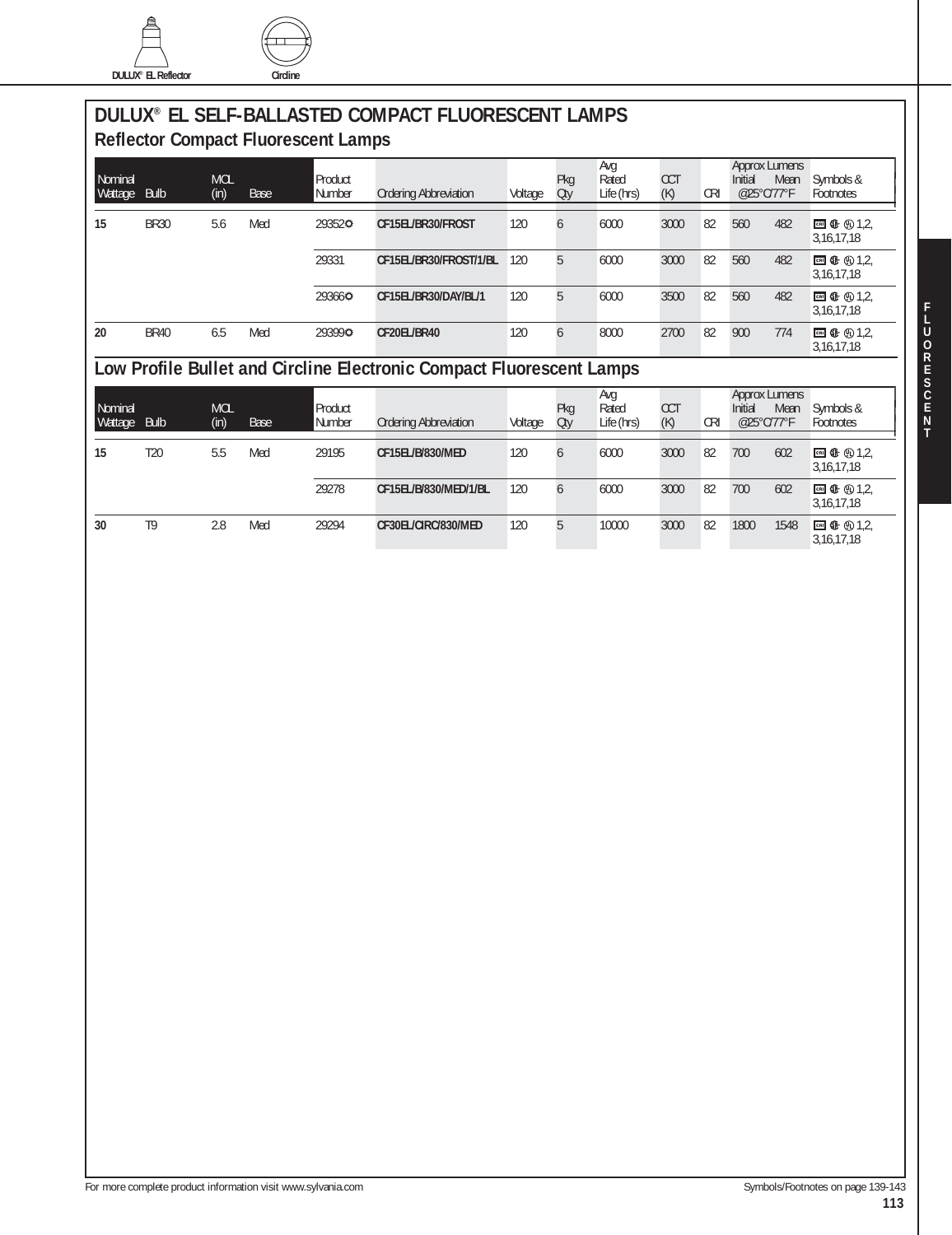



## **DULUX® EL SELF-BALLASTED COMPACT FLUORESCENT LAMPS Reflector Compact Fluorescent Lamps**

| Nominal<br>Wattage | <b>Bulb</b> | <b>MOL</b><br>(in) | Base | Product<br>Number | <b>Ordering Abbreviation</b> | Voltage | Pkg<br>Oty    | Avg<br>Rated<br>Life (hrs) | <b>CCT</b><br>(K) | <b>CRI</b> | <b>Approx Lumens</b><br>Initial<br>Mean<br>@25°C/77°F | Symbols &<br>Footnotes |
|--------------------|-------------|--------------------|------|-------------------|------------------------------|---------|---------------|----------------------------|-------------------|------------|-------------------------------------------------------|------------------------|
| 15                 | <b>BR30</b> | 5.6                | Med  | 293520            | CF15EL/BR30/FROST            | 120     | $\mathfrak b$ | 6000                       | 3000              | 82         | 560<br>482                                            | 3, 16, 17, 18          |
|                    |             |                    |      | 29331             | CF15EL/BR30/FROST/1/BL       | 120     | 5             | 6000                       | 3000              | 82         | 560<br>482                                            | 3, 16, 17, 18          |
|                    |             |                    |      | 293660            | CF15EL/BR30/DAY/BL/1         | 120     | 5             | 6000                       | 3500              | 82         | 560<br>482                                            | 3, 16, 17, 18          |
| 20                 | <b>BR40</b> | 6.5                | Med  | 293990            | CF20EL/BR40                  | 120     | 6             | 8000                       | 2700              | 82         | 900<br>774                                            | 3, 16, 17, 18          |

# **Low Profile Bullet and Circline Electronic Compact Fluorescent Lamps**

| Nominal<br>Wattage | <b>Bulb</b>    | <b>MOL</b><br>(in) | Base | Product<br>Number | <b>Ordering Abbreviation</b> | Voltage | Pkg<br>Oty    | Avg<br>Rated<br>Life (hrs) | <b>CCT</b><br>(K) | <b>CRI</b> | <b>Approx Lumens</b><br>Initial<br>@25°C/77°F | Mean | Symbols &<br>Footnotes     |
|--------------------|----------------|--------------------|------|-------------------|------------------------------|---------|---------------|----------------------------|-------------------|------------|-----------------------------------------------|------|----------------------------|
| 15                 | T20            | 5.5                | Med  | 29195             | CF15EL/B/830/MED             | 120     | b             | 6000                       | 3000              | 82         | 700                                           | 602  | □ ① ① 1.2<br>3, 16, 17, 18 |
|                    |                |                    |      | 29278             | CF15EL/B/830/MED/1/BL        | 120     | $\mathfrak b$ | 6000                       | 3000              | 82         | 700                                           | 602  | □ ① ① 1.2<br>3, 16, 17, 18 |
| 30                 | T <sub>9</sub> | 2.8                | Med  | 29294             | CF30EL/CIRC/830/MED          | 120     | $\mathfrak h$ | 10000                      | 3000              | 82         | 1800                                          | 1548 | □ ← ① 1.2<br>3, 16, 17, 18 |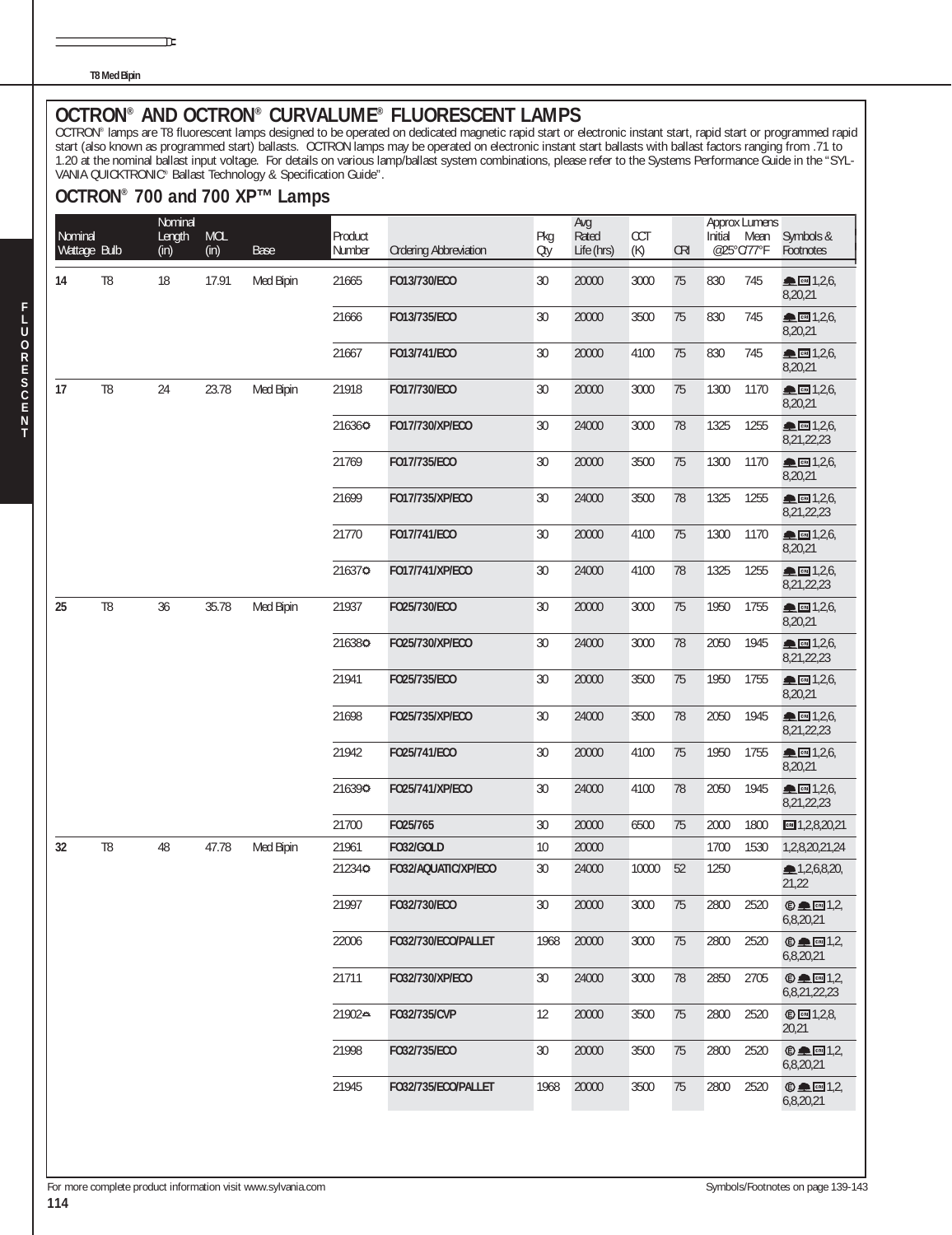**T8 Med Bipin**

OCTRON® AND OCTRON® CURVALUME® FLUORESCENT LAMPS<br>OCTRON® lamps are T8 fluorescent lamps designed to be operated on dedicated magnetic rapid start or electronic instant start, rapid start or programmed rapid start (also known as programmed start) ballasts. OCTRON lamps may be operated on electronic instant start ballasts with ballast factors ranging from .71 to 1.20 at the nominal ballast input voltage. For details on various lamp/ballast system combinations, please refer to the Systems Performance Guide in the "SYL-VANIA QUICKTRONIC® Ballast Technology & Specification Guide".

#### **OCTRON® 700 and 700 XP™ Lamps**

īΕ

| Nominal<br>Wattage Bulb |                | Nominal<br>Length<br>(in) | <b>MOL</b><br>(in) | Base      | Product<br>Number | <b>Ordering Abbreviation</b> | Pkg<br>Oty        | Avg<br>Rated<br>Life (hrs) | <b>CCT</b><br>(K) | <b>CRI</b> | Initial | Approx Lumens<br>Mean<br>@25°C/77°F | Symbols &<br>Footnotes                      |
|-------------------------|----------------|---------------------------|--------------------|-----------|-------------------|------------------------------|-------------------|----------------------------|-------------------|------------|---------|-------------------------------------|---------------------------------------------|
| 14                      | T <sub>8</sub> | 18                        | 17.91              | Med Bipin | 21665             | F013/730/ECO                 | 30                | 20000                      | 3000              | 75         | 830     | 745                                 | ▲ 图 1,2,6,<br>8,20,21                       |
|                         |                |                           |                    |           | 21666             | F013/735/ECO                 | 30                | 20000                      | 3500              | 75         | 830     | 745                                 | ▲ 图 1,2,6,<br>8,20,21                       |
|                         |                |                           |                    |           | 21667             | F013/741/ECO                 | 30                | 20000                      | 4100              | 75         | 830     | 745                                 | $\triangle$ cm 1,2,6,<br>8,20,21            |
| 17                      | T <sub>8</sub> | 24                        | 23.78              | Med Bipin | 21918             | F017/730/ECO                 | 30                | 20000                      | 3000              | 75         | 1300    | 1170                                | <u>• сы</u> 1,2,6,<br>8,20,21               |
|                         |                |                           |                    |           | 216360            | F017/730/XP/ECO              | 30                | 24000                      | 3000              | 78         | 1325    | 1255                                | ▲ 图 1,2,6,<br>8,21,22,23                    |
|                         |                |                           |                    |           | 21769             | F017/735/ECO                 | $30\,$            | 20000                      | 3500              | 75         | 1300    | 1170                                | ▲ 图 1,2,6,<br>8,20,21                       |
|                         |                |                           |                    |           | 21699             | F017/735/XP/ECO              | 30                | 24000                      | 3500              | 78         | 1325    | 1255                                | $R_{CH}$ 1,2,6,<br>8,21,22,23               |
|                         |                |                           |                    |           | 21770             | F017/741/ECO                 | 30                | 20000                      | 4100              | 75         | 1300    | 1170                                | CEN 1,2,6,<br>8,20,21                       |
|                         |                |                           |                    |           | 216370            | F017/741/XP/ECO              | 30                | 24000                      | 4100              | 78         | 1325    | 1255                                | Re[1,2,6]<br>8,21,22,23                     |
| 25                      | T <sub>8</sub> | 36                        | 35.78              | Med Bipin | 21937             | FO25/730/ECO                 | 30                | 20000                      | 3000              | 75         | 1950    | 1755                                | $R_{CH}$ 1,2,6,<br>8,20,21                  |
|                         |                |                           |                    |           | 216380            | FO25/730/XP/ECO              | 30                | 24000                      | 3000              | 78         | 2050    | 1945                                | CRI 1,2,6,<br>8,21,22,23                    |
|                         |                |                           |                    |           | 21941             | FO25/735/ECO                 | 30                | 20000                      | 3500              | 75         | 1950    | 1755                                | $R = 1,2,6$<br>8,20,21                      |
|                         |                |                           |                    |           | 21698             | FO25/735/XP/ECO              | 30                | 24000                      | 3500              | 78         | 2050    | 1945                                | ▲ 图 1,2,6,<br>8,21,22,23                    |
|                         |                |                           |                    |           | 21942             | F025/741/ECO                 | 30                | 20000                      | 4100              | 75         | 1950    | 1755                                | CEN 1,2,6,<br>8,20,21                       |
|                         |                |                           |                    |           | 216390            | F025/741/XP/ECO              | 30                | 24000                      | 4100              | 78         | 2050    | 1945                                | $R = 1,2,6$<br>8,21,22,23                   |
|                         |                |                           |                    |           | 21700             | FO25/765                     | 30                | 20000                      | 6500              | 75         | 2000    | 1800                                | $m = 1, 2, 8, 20, 21$                       |
| 32                      | T <sub>8</sub> | 48                        | 47.78              | Med Bipin | 21961             | <b>FO32/GOLD</b>             | 10                | 20000                      |                   |            | 1700    | 1530                                | 1,2,8,20,21,24                              |
|                         |                |                           |                    |           | 212340            | FO32/AQUATIC/XP/ECO          | 30                | 24000                      | 10000             | 52         | 1250    |                                     | 1,2,6,8,20,<br>21,22                        |
|                         |                |                           |                    |           | 21997             | F032/730/ECO                 | 30                | 20000                      | 3000              | 75         | 2800    | 2520                                | $© □ 1,2,$<br>6,8,20,21                     |
|                         |                |                           |                    |           | 22006             | FO32/730/ECO/PALLET          | 1968              | 20000                      | 3000              | 75         | 2800    | 2520                                | $\bigcirc$ $\blacksquare$ 1,2,<br>6,8,20,21 |
|                         |                |                           |                    |           | 21711             | F032/730/XP/ECO              | 30                | 24000                      | 3000              | 78         | 2850    | 2705                                | $© □ [3]$<br>6,8,21,22,23                   |
|                         |                |                           |                    |           | 21902≏            | F032/735/CVP                 | $12 \overline{ }$ | 20000                      | 3500              | 75         | 2800    | 2520                                | © <b>□</b> 1,2,8,<br>20,21                  |
|                         |                |                           |                    |           | 21998             | F032/735/ECO                 | 30                | 20000                      | 3500              | 75         | 2800    | 2520                                | $© □ 1,2,$<br>6,8,20,21                     |
|                         |                |                           |                    |           | 21945             | FO32/735/ECO/PALLET          | 1968              | 20000                      | 3500              | 75         | 2800    | 2520                                | $© □ 1,2,$<br>6,8,20,21                     |
|                         |                |                           |                    |           |                   |                              |                   |                            |                   |            |         |                                     |                                             |

**F L**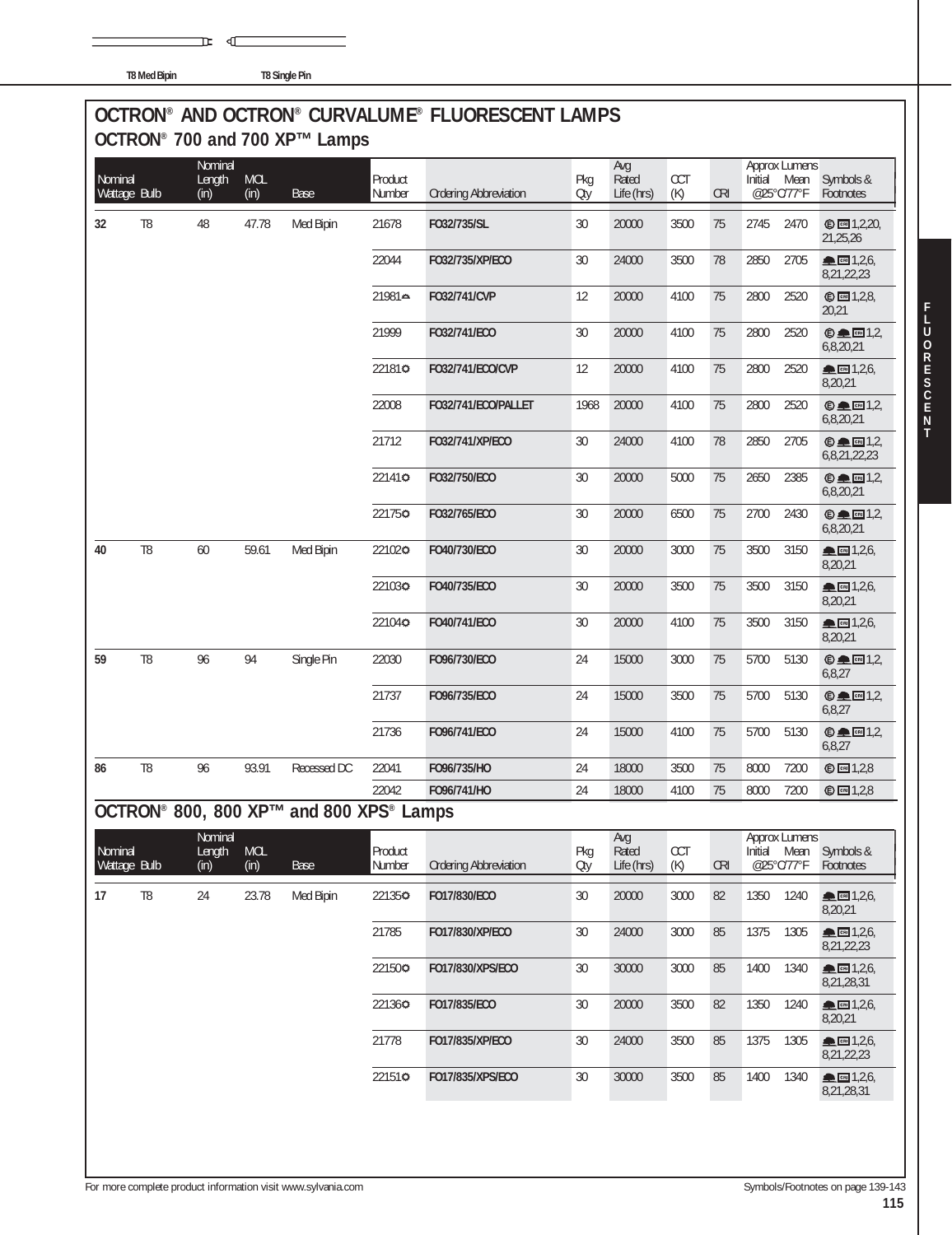**T8 Med Bipin T8 Single Pin**

 $\mathbb F$   $\mathbb C$ 

## **OCTRON® AND OCTRON® CURVALUME® FLUORESCENT LAMPS OCTRON® 700 and 700 XP™ Lamps**

| Nominal<br>Wattage Bulb |                | Nominal<br>Length<br>(in) | <b>MOL</b><br>(in) | <b>Base</b>                             | Product<br>Number        | <b>Ordering Abbreviation</b> | Pkg<br>Oty | Avg<br>Rated<br>Life (hrs) | <b>CCT</b><br>(K) | <b>CRI</b>                       | Initial<br>@25°C/77°F | Approx Lumens<br>Mean | Symbols &<br>Footnotes                                                                                                                                                                                                                                                                                                                                                                                                                    |
|-------------------------|----------------|---------------------------|--------------------|-----------------------------------------|--------------------------|------------------------------|------------|----------------------------|-------------------|----------------------------------|-----------------------|-----------------------|-------------------------------------------------------------------------------------------------------------------------------------------------------------------------------------------------------------------------------------------------------------------------------------------------------------------------------------------------------------------------------------------------------------------------------------------|
| 32                      | T <sub>8</sub> | 48                        | 47.78              | Med Bipin                               | 21678                    | F032/735/SL                  | 30         | 20000                      | 3500              | 75                               | 2745                  | 2470                  | © ∞ 1,2,20,<br>21,25,26                                                                                                                                                                                                                                                                                                                                                                                                                   |
|                         |                |                           |                    |                                         | 22044                    | F032/735/XP/ECO              | 30         | 24000                      | 3500              | 78                               | 2850                  | 2705                  | ▲ 图 1,2,6,<br>8,21,22,23                                                                                                                                                                                                                                                                                                                                                                                                                  |
|                         |                |                           |                    |                                         | 21981≏                   | F032/741/CVP                 | 12         | 20000                      | 4100              | 75                               | 2800                  | 2520                  | © 2,2,8<br>20,21                                                                                                                                                                                                                                                                                                                                                                                                                          |
|                         |                |                           |                    |                                         | 21999                    | F032/741/ECO                 | 30         | 20000                      | 4100              | 75                               | 2800                  | 2520                  | $© □ 1,2,$<br>6,8,20,21                                                                                                                                                                                                                                                                                                                                                                                                                   |
|                         |                |                           |                    |                                         | 221810                   | F032/741/ECO/CVP             | 12         | 20000                      | 4100              | 75                               | 2800                  | 2520                  | ▲ 图 1,2,6,<br>8,20,21                                                                                                                                                                                                                                                                                                                                                                                                                     |
|                         |                |                           |                    |                                         | 22008                    | FO32/741/ECO/PALLET          | 1968       | 20000                      | 4100              | 75                               | 2800                  | 2520                  | $© □ 1,2,$<br>6,8,20,21                                                                                                                                                                                                                                                                                                                                                                                                                   |
|                         |                |                           |                    |                                         | 21712                    | F032/741/XP/ECO              | 30         | 24000                      | 4100              | 78                               | 2850                  | 2705                  | $\oplus \blacksquare$ $\blacksquare$ 1,2,<br>6,8,21,22,23                                                                                                                                                                                                                                                                                                                                                                                 |
|                         |                |                           |                    |                                         | 221410                   | F032/750/ECO                 | 30         | 20000                      | 5000              | 75                               | 2650                  | 2385                  | $© □ 1,2,$<br>6,8,20,21                                                                                                                                                                                                                                                                                                                                                                                                                   |
|                         |                |                           |                    |                                         | 221750                   | F032/765/ECO                 | 30         | 20000                      | 6500              | 75                               | 2700                  | 2430                  | $© □ 1,2,$<br>6,8,20,21                                                                                                                                                                                                                                                                                                                                                                                                                   |
| 40                      | T <sub>8</sub> | 60                        | 59.61              | Med Bipin                               | 221020                   | F040/730/ECO                 | 30         | 20000                      | 3000              | 75                               | 3500                  | 3150                  | $m \cdot 1,2,6$<br>8,20,21                                                                                                                                                                                                                                                                                                                                                                                                                |
|                         |                |                           |                    |                                         | 221030                   | F040/735/ECO                 | 30         | 20000                      | 3500              | 75                               | 3500                  | 3150                  | ▲ 图 1,2,6,<br>8,20,21                                                                                                                                                                                                                                                                                                                                                                                                                     |
|                         |                |                           |                    |                                         | 221040                   | F040/741/ECO                 | 30         | 20000                      | 4100              | 75                               | 3500                  | 3150                  | $m \cdot 1,2,6$<br>8,20,21                                                                                                                                                                                                                                                                                                                                                                                                                |
| 59                      | T <sub>8</sub> | 96                        | 94                 | Single Pin                              | 22030                    | F096/730/ECO                 | 24         | 15000                      | 3000              | 75                               | 5700                  | 5130                  | $© □ 1,2,$<br>6,8,27                                                                                                                                                                                                                                                                                                                                                                                                                      |
|                         |                |                           |                    |                                         | 21737                    | F096/735/ECO                 | 24         | 15000                      | 3500              | 75                               | 5700                  | 5130                  | $②$ $\blacksquare$ $1,2$ ,<br>6,8,27                                                                                                                                                                                                                                                                                                                                                                                                      |
|                         |                |                           |                    |                                         | 21736                    | F096/741/ECO                 | 24         | 15000                      | 4100              | 75                               | 5700                  | 5130                  | $© □ 1,2,$<br>6,8,27                                                                                                                                                                                                                                                                                                                                                                                                                      |
| 86                      | T <sub>8</sub> | 96                        | 93.91              | Recessed DC                             | 22041                    | F096/735/HO                  | 24         | 18000                      | 3500              | 75                               | 8000                  | 7200                  | <b>©</b> 2,8                                                                                                                                                                                                                                                                                                                                                                                                                              |
|                         |                |                           |                    |                                         | 22042                    | F096/741/HO                  | 24         | 18000                      | 4100              | 75                               | 8000                  | 7200                  | © ∞ 1,2,8                                                                                                                                                                                                                                                                                                                                                                                                                                 |
|                         |                |                           |                    | OCTRON® 800, 800 XP™ and 800 XPS® Lamps |                          |                              |            |                            |                   |                                  |                       |                       |                                                                                                                                                                                                                                                                                                                                                                                                                                           |
| Nominal<br>Wattage Bulb |                | Nominal<br>Length<br>(in) | <b>MOL</b><br>(in) | Base                                    | Product<br><b>Number</b> | <b>Ordering Abbreviation</b> | Pkg<br>Oty | Avg<br>Rated<br>Life (hrs) | <b>CCT</b><br>(K) | $\mathsf{C}\mathsf{R}\mathsf{I}$ | @25°C/77°F            | <b>Approx Lumens</b>  | Initial Mean Symbols &<br>Footnotes                                                                                                                                                                                                                                                                                                                                                                                                       |
| 17                      | T <sub>8</sub> | 24                        | 23.78              | Med Bipin                               | 221350                   | F017/830/ECO                 | 30         | 20000                      | 3000              | 82                               | 1350                  | 1240                  | $\blacksquare$ $\blacksquare$ 1,2,6,<br>8,20,21                                                                                                                                                                                                                                                                                                                                                                                           |
|                         |                |                           |                    |                                         | 21785                    | FO17/830/XP/ECO              | 30         | 24000                      | 3000              | 85                               | 1375                  | 1305                  | ▲ 图 1,2,6,<br>8,21,22,23                                                                                                                                                                                                                                                                                                                                                                                                                  |
|                         |                |                           |                    |                                         | 221500                   | F017/830/XPS/ECO             | $30\,$     | 30000                      | 3000              | 85                               | 1400                  | 1340                  | <b>CRI</b> 1,2,6,<br>8,21,28,31                                                                                                                                                                                                                                                                                                                                                                                                           |
|                         |                |                           |                    |                                         | 221360                   | F017/835/ECO                 | 30         | 20000                      | 3500              | 82                               | 1350                  | 1240                  | $R = 1,2,6$<br>8,20,21                                                                                                                                                                                                                                                                                                                                                                                                                    |
|                         |                |                           |                    |                                         | 21778                    | F017/835/XP/ECO              | 30         | 24000                      | 3500              | 85                               | 1375                  | 1305                  | ▲ 图 1,2,6,<br>8,21,22,23                                                                                                                                                                                                                                                                                                                                                                                                                  |
|                         |                |                           |                    |                                         | 221510                   | F017/835/XPS/ECO             | $30\,$     | 30000                      | 3500              | 85                               | 1400                  | 1340                  | $\blacksquare$ $\blacksquare$ $\blacksquare$ $\blacksquare$ $\uparrow$ $\uparrow$ $\uparrow$ $\uparrow$ $\uparrow$ $\uparrow$ $\uparrow$ $\uparrow$ $\uparrow$ $\uparrow$ $\uparrow$ $\uparrow$ $\uparrow$ $\uparrow$ $\uparrow$ $\uparrow$ $\uparrow$ $\uparrow$ $\uparrow$ $\uparrow$ $\uparrow$ $\uparrow$ $\uparrow$ $\uparrow$ $\uparrow$ $\uparrow$ $\uparrow$ $\uparrow$ $\uparrow$ $\uparrow$ $\uparrow$ $\uparrow$<br>8,21,28,31 |
|                         |                |                           |                    |                                         |                          |                              |            |                            |                   |                                  |                       |                       |                                                                                                                                                                                                                                                                                                                                                                                                                                           |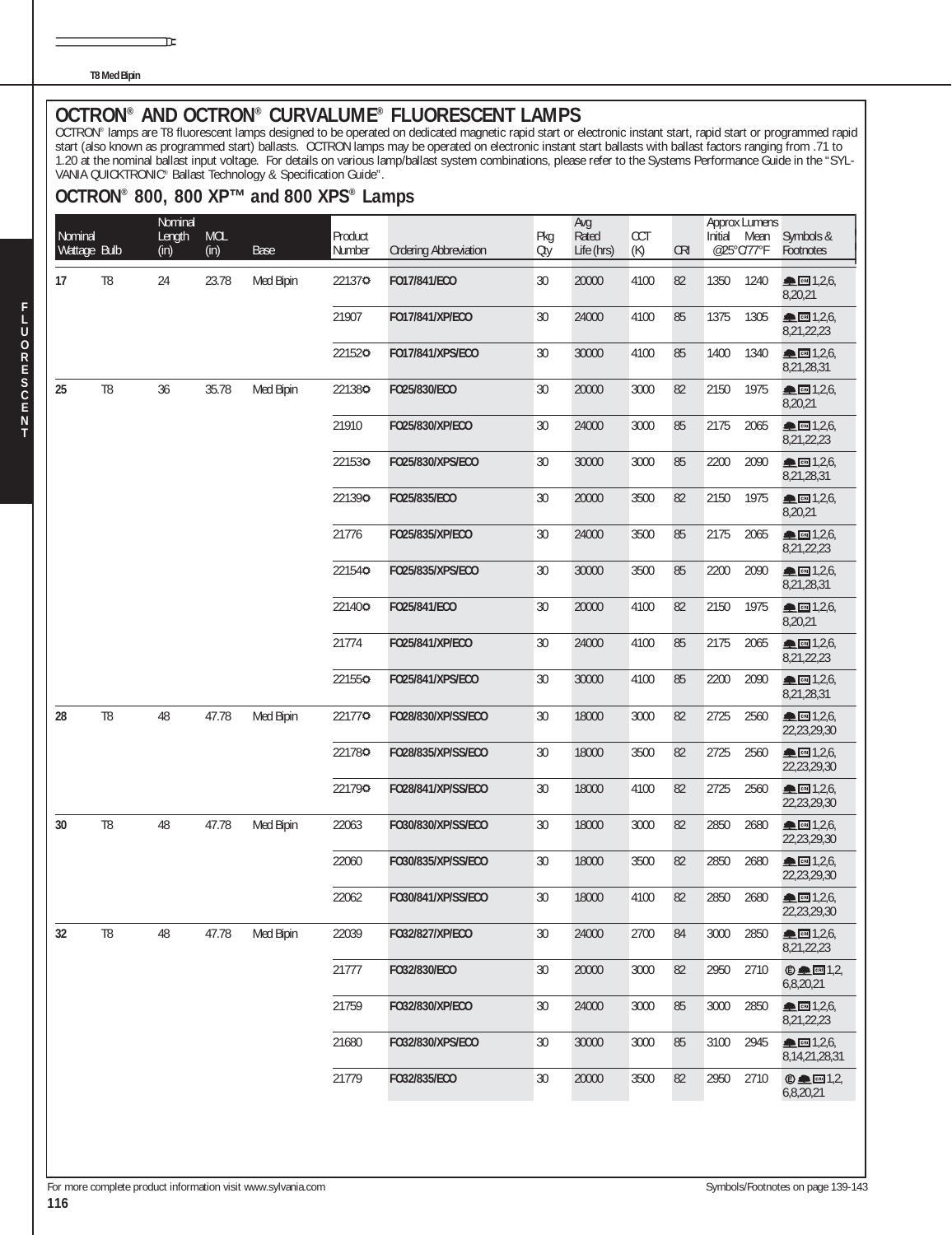**T8 Med Bipin**

īΕ

OCTRON® AND OCTRON® CURVALUME® FLUORESCENT LAMPS<br>OCTRON® lamps are T8 fluorescent lamps designed to be operated on dedicated magnetic rapid start or electronic instant start, rapid start or programmed rapid start (also known as programmed start) ballasts. OCTRON lamps may be operated on electronic instant start ballasts with ballast factors ranging from .71 to 1.20 at the nominal ballast input voltage. For details on various lamp/ballast system combinations, please refer to the Systems Performance Guide in the "SYL-VANIA QUICKTRONIC® Ballast Technology & Specification Guide".

#### **OCTRON® 800, 800 XP™ and 800 XPS® Lamps**

| Nominal      |                | Nominal<br>Length | <b>MOL</b> |           | Product |                              | Pkg    | Avg<br>Rated | CCT  |            | Initial | <b>Approx Lumens</b><br>Mean | Symbols &                                          |
|--------------|----------------|-------------------|------------|-----------|---------|------------------------------|--------|--------------|------|------------|---------|------------------------------|----------------------------------------------------|
| Wattage Bulb |                | (in)              | (in)       | Base      | Number  | <b>Ordering Abbreviation</b> | Oty    | Life (hrs)   | (K)  | <b>CRI</b> |         | @25°C/77°F                   | Footnotes                                          |
| 17           | T <sub>8</sub> | 24                | 23.78      | Med Bipin | 221370  | F017/841/ECO                 | 30     | 20000        | 4100 | 82         | 1350    | 1240                         | <u>• сы</u> 1,2,6,<br>8,20,21                      |
|              |                |                   |            |           | 21907   | F017/841/XP/ECO              | 30     | 24000        | 4100 | 85         | 1375    | 1305                         | ■ 1,2,6,<br>8,21,22,23                             |
|              |                |                   |            |           | 221520  | F017/841/XPS/ECO             | 30     | 30000        | 4100 | 85         | 1400    | 1340                         | $R = 1,2,6$<br>8,21,28,31                          |
| 25           | T <sub>8</sub> | 36                | 35.78      | Med Bipin | 221380  | FO25/830/ECO                 | 30     | 20000        | 3000 | 82         | 2150    | 1975                         | <u>• сы</u> 1,2,6,<br>8,20,21                      |
|              |                |                   |            |           | 21910   | FO25/830/XP/ECO              | 30     | 24000        | 3000 | 85         | 2175    | 2065                         | $\triangle$ Cal $1,2,6$<br>8,21,22,23              |
|              |                |                   |            |           | 221530  | FO25/830/XPS/ECO             | 30     | 30000        | 3000 | 85         | 2200    | 2090                         | CFI 1,2,6,<br>8,21,28,31                           |
|              |                |                   |            |           | 221390  | FO25/835/ECO                 | 30     | 20000        | 3500 | 82         | 2150    | 1975                         | $R_{CH}$ 1,2,6,<br>8,20,21                         |
|              |                |                   |            |           | 21776   | FO25/835/XP/ECO              | 30     | 24000        | 3500 | 85         | 2175    | 2065                         | $\blacksquare$ $\blacksquare$ 1,2,6,<br>8,21,22,23 |
|              |                |                   |            |           | 221540  | FO25/835/XPS/ECO             | 30     | 30000        | 3500 | 85         | 2200    | 2090                         | $R = 1,2,6$<br>8,21,28,31                          |
|              |                |                   |            |           | 221400  | FO25/841/ECO                 | 30     | 20000        | 4100 | 82         | 2150    | 1975                         | $R_{CH}$ 1,2,6,<br>8,20,21                         |
|              |                |                   |            |           | 21774   | FO25/841/XP/ECO              | 30     | 24000        | 4100 | 85         | 2175    | 2065                         | $\triangle$ Cal $1,2,6$<br>8,21,22,23              |
|              |                |                   |            |           | 221550  | FO25/841/XPS/ECO             | 30     | 30000        | 4100 | 85         | 2200    | 2090                         | CRI 1,2,6,<br>8,21,28,31                           |
| 28           | T <sub>8</sub> | 48                | 47.78      | Med Bipin | 221770  | FO28/830/XP/SS/ECO           | 30     | 18000        | 3000 | 82         | 2725    | 2560                         | $R_{CH}$ 1,2,6,<br>22,23,29,30                     |
|              |                |                   |            |           | 221780  | F028/835/XP/SS/ECO           | 30     | 18000        | 3500 | 82         | 2725    | 2560                         | CRI 1,2,6,<br>22,23,29,30                          |
|              |                |                   |            |           | 221790  | FO28/841/XP/SS/ECO           | 30     | 18000        | 4100 | 82         | 2725    | 2560                         | $R = 1,2,6$<br>22,23,29,30                         |
| 30           | T <sub>8</sub> | 48                | 47.78      | Med Bipin | 22063   | F030/830/XP/SS/ECO           | 30     | 18000        | 3000 | 82         | 2850    | 2680                         | <b>▲</b> CBI 1,2,6,<br>22,23,29,30                 |
|              |                |                   |            |           | 22060   | F030/835/XP/SS/ECO           | 30     | 18000        | 3500 | 82         | 2850    | 2680                         | ▲ 图 1,2,6,<br>22,23,29,30                          |
|              |                |                   |            |           | 22062   | F030/841/XP/SS/ECO           | 30     | 18000        | 4100 | 82         | 2850    | 2680                         | ▲ 图 1,2,6<br>22,23,29,30                           |
| 32           | T <sub>8</sub> | 48                | 47.78      | Med Bipin | 22039   | F032/827/XP/ECO              | 30     | 24000        | 2700 | 84         | 3000    | 2850                         | ▲ 图 1,2,6,<br>8,21,22,23                           |
|              |                |                   |            |           | 21777   | FO32/830/ECO                 | 30     | 20000        | 3000 | 82         | 2950    | 2710                         | $© □ 1,2,$<br>6,8,20,21                            |
|              |                |                   |            |           | 21759   | FO32/830/XP/ECO              | 30     | 24000        | 3000 | 85         | 3000    | 2850                         | ▲ 图 1,2,6,<br>8,21,22,23                           |
|              |                |                   |            |           | 21680   | F032/830/XPS/ECO             | 30     | 30000        | 3000 | 85         | 3100    | 2945                         | <u>• сы</u> 1,2,6,<br>8, 14, 21, 28, 31            |
|              |                |                   |            |           | 21779   | F032/835/ECO                 | $30\,$ | 20000        | 3500 | 82         | 2950    | 2710                         | $© □ 1,2,$<br>6,8,20,21                            |

**T**

**F**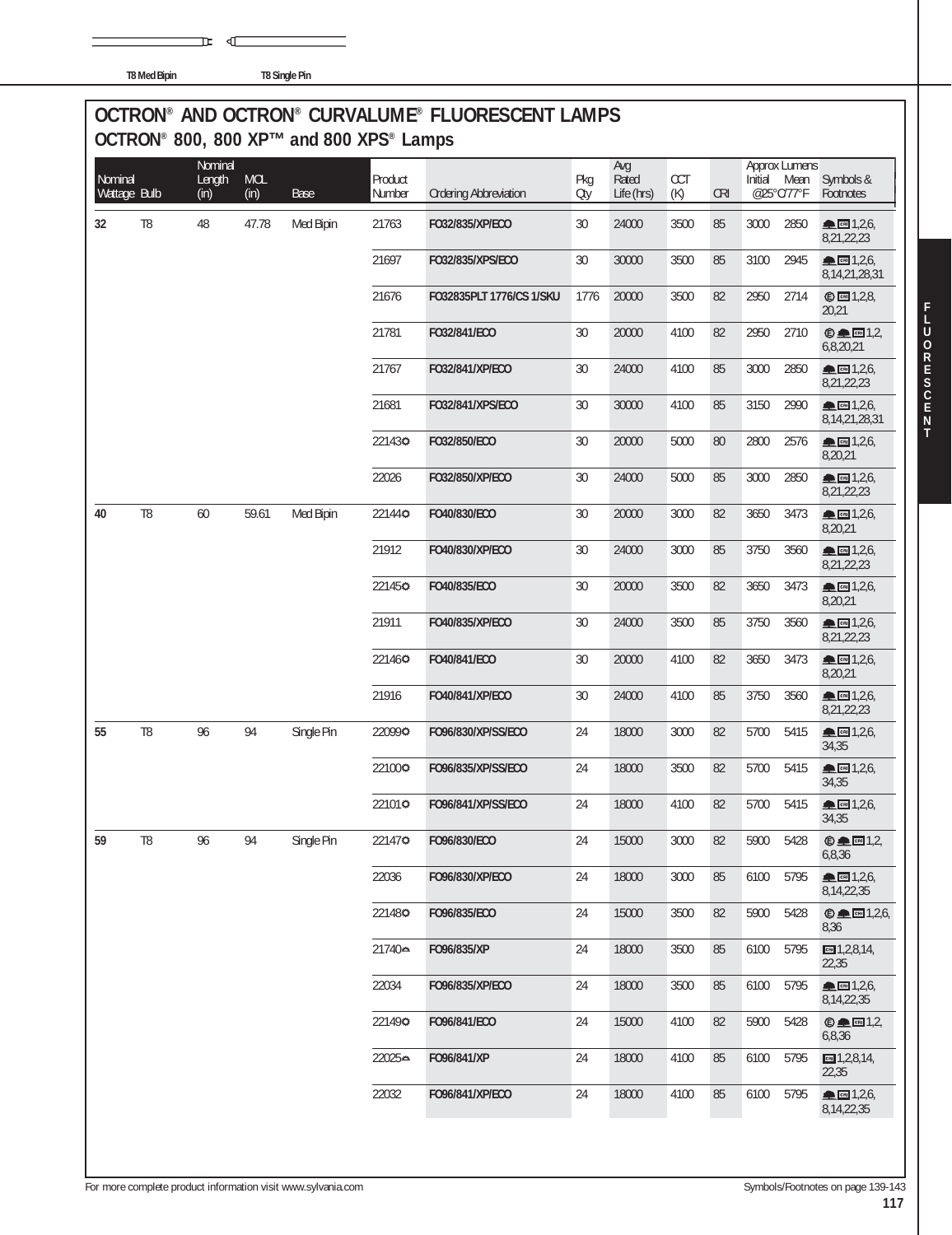|  | <b>T8 Med Bipin</b> |
|--|---------------------|

**T8 Single Pin** 

 $\mathbb{R}$  defined by

## **OCTRON® AND OCTRON® CURVALUME® FLUORESCENT LAMPS OCTRON® 800, 800 XP™ and 800 XPS® Lamps**

| Nominal<br>Wattage Bulb |                | Nominal<br>Length<br>(in) | <b>MOL</b><br>(in) | Base       | Product<br>Number | <b>Ordering Abbreviation</b> | Pkg<br>Oty | Avg<br>Rated<br>Life (hrs) | CCT<br>(K) | <b>CRI</b> | Initial | <b>Approx Lumens</b><br>Mean<br>@25°C/77°F | Symbols &<br>Footnotes                                                                                                                                                                                                                                                                                                                                                                                                                           |
|-------------------------|----------------|---------------------------|--------------------|------------|-------------------|------------------------------|------------|----------------------------|------------|------------|---------|--------------------------------------------|--------------------------------------------------------------------------------------------------------------------------------------------------------------------------------------------------------------------------------------------------------------------------------------------------------------------------------------------------------------------------------------------------------------------------------------------------|
| 32                      | T <sub>8</sub> | 48                        | 47.78              | Med Bipin  | 21763             | F032/835/XP/ECO              | 30         | 24000                      | 3500       | 85         | 3000    | 2850                                       | $\triangle$ Call 1,2,6,<br>8,21,22,23                                                                                                                                                                                                                                                                                                                                                                                                            |
|                         |                |                           |                    |            | 21697             | F032/835/XPS/ECO             | 30         | 30000                      | 3500       | 85         | 3100    | 2945                                       | ▲ ∞ 1,2,6,<br>8, 14, 21, 28, 31                                                                                                                                                                                                                                                                                                                                                                                                                  |
|                         |                |                           |                    |            | 21676             | F032835PLT 1776/CS 1/SKU     | 1776       | 20000                      | 3500       | 82         | 2950    | 2714                                       | © <b>1</b> , 2, 8,<br>20,21                                                                                                                                                                                                                                                                                                                                                                                                                      |
|                         |                |                           |                    |            | 21781             | F032/841/ECO                 | 30         | 20000                      | 4100       | 82         | 2950    | 2710                                       | $© □ [3]$<br>6,8,20,21                                                                                                                                                                                                                                                                                                                                                                                                                           |
|                         |                |                           |                    |            | 21767             | FO32/841/XP/ECO              | $30\,$     | 24000                      | 4100       | 85         | 3000    | 2850                                       | ▲ 图 1,2,6,<br>8,21,22,23                                                                                                                                                                                                                                                                                                                                                                                                                         |
|                         |                |                           |                    |            | 21681             | F032/841/XPS/ECO             | 30         | 30000                      | 4100       | 85         | 3150    | 2990                                       | $\blacksquare$ $\blacksquare$ $\blacksquare$ $\blacksquare$ $\uparrow$ $\uparrow$ $\uparrow$ $\uparrow$ $\uparrow$ $\uparrow$ $\uparrow$ $\uparrow$ $\uparrow$ $\uparrow$ $\uparrow$ $\uparrow$ $\uparrow$ $\uparrow$ $\uparrow$ $\uparrow$ $\uparrow$ $\uparrow$ $\uparrow$ $\uparrow$ $\uparrow$ $\uparrow$ $\uparrow$ $\uparrow$ $\uparrow$ $\uparrow$ $\uparrow$ $\uparrow$ $\uparrow$ $\uparrow$ $\uparrow$ $\uparrow$<br>8, 14, 21, 28, 31 |
|                         |                |                           |                    |            | 221430            | F032/850/ECO                 | 30         | 20000                      | 5000       | 80         | 2800    | 2576                                       | <b>ALCRU</b> 1,2,6,<br>8,20,21                                                                                                                                                                                                                                                                                                                                                                                                                   |
|                         |                |                           |                    |            | 22026             | FO32/850/XP/ECO              | 30         | 24000                      | 5000       | 85         | 3000    | 2850                                       | ▲ 图 1,2,6,<br>8,21,22,23                                                                                                                                                                                                                                                                                                                                                                                                                         |
| 40                      | T <sub>8</sub> | 60                        | 59.61              | Med Bipin  | 221440            | F040/830/ECO                 | 30         | 20000                      | 3000       | 82         | 3650    | 3473                                       | <b>CRI</b> 1,2,6,<br>8,20,21                                                                                                                                                                                                                                                                                                                                                                                                                     |
|                         |                |                           |                    |            | 21912             | FO40/830/XP/ECO              | 30         | 24000                      | 3000       | 85         | 3750    | 3560                                       | ▲ CRI 1,2,6,<br>8,21,22,23                                                                                                                                                                                                                                                                                                                                                                                                                       |
|                         |                |                           |                    |            | 221450            | F040/835/ECO                 | 30         | 20000                      | 3500       | 82         | 3650    | 3473                                       | ▲ 图 1,2,6,<br>8,20,21                                                                                                                                                                                                                                                                                                                                                                                                                            |
|                         |                |                           |                    |            | 21911             | FO40/835/XP/ECO              | 30         | 24000                      | 3500       | 85         | 3750    | 3560                                       | $m \cdot 1,2,6$<br>8,21,22,23                                                                                                                                                                                                                                                                                                                                                                                                                    |
|                         |                |                           |                    |            | 221460            | F040/841/ECO                 | 30         | 20000                      | 4100       | 82         | 3650    | 3473                                       | $m \cdot 1,2,6$<br>8,20,21                                                                                                                                                                                                                                                                                                                                                                                                                       |
|                         |                |                           |                    |            | 21916             | FO40/841/XP/ECO              | 30         | 24000                      | 4100       | 85         | 3750    | 3560                                       | ▲ 图 1,2,6,<br>8,21,22,23                                                                                                                                                                                                                                                                                                                                                                                                                         |
| 55                      | T <sub>8</sub> | 96                        | 94                 | Single Pin | 220990            | F096/830/XP/SS/ECO           | 24         | 18000                      | 3000       | 82         | 5700    | 5415                                       | <b>CRI</b> 1,2,6,<br>34,35                                                                                                                                                                                                                                                                                                                                                                                                                       |
|                         |                |                           |                    |            | 221000            | F096/835/XP/SS/ECO           | 24         | 18000                      | 3500       | 82         | 5700    | 5415                                       | ▲ ∞ 1,2,6<br>34,35                                                                                                                                                                                                                                                                                                                                                                                                                               |
|                         |                |                           |                    |            | 221010            | F096/841/XP/SS/ECO           | 24         | 18000                      | 4100       | 82         | 5700    | 5415                                       | ▲ 图 1,2,6,<br>34,35                                                                                                                                                                                                                                                                                                                                                                                                                              |
| 59                      | T <sub>8</sub> | 96                        | 94                 | Single Pin | 221470            | F096/830/ECO                 | 24         | 15000                      | 3000       | 82         | 5900    | 5428                                       | $© □ 1,2,$<br>6,8,36                                                                                                                                                                                                                                                                                                                                                                                                                             |
|                         |                |                           |                    |            | 22036             | F096/830/XP/ECO              | 24         | 18000                      | 3000       | 85         | 6100    | 5795                                       | $\blacksquare$ $\blacksquare$ 1,2,6,<br>8, 14, 22, 35                                                                                                                                                                                                                                                                                                                                                                                            |
|                         |                |                           |                    |            | 221480            | F096/835/ECO                 | 24         | 15000                      | 3500       | 82         | 5900    | 5428                                       | $\oplus \blacksquare \blacksquare$ 1,2,6,<br>8,36                                                                                                                                                                                                                                                                                                                                                                                                |
|                         |                |                           |                    |            | 21740⇔            | F096/835/XP                  | 24         | 18000                      | 3500       | 85         | 6100    | 5795                                       | $m$ 1,2,8,14,<br>22,35                                                                                                                                                                                                                                                                                                                                                                                                                           |
|                         |                |                           |                    |            | 22034             | F096/835/XP/ECO              | 24         | 18000                      | 3500       | 85         | 6100    | 5795                                       | $\triangle$ $m$ 1,2,6,<br>8, 14, 22, 35                                                                                                                                                                                                                                                                                                                                                                                                          |
|                         |                |                           |                    |            | 221490            | F096/841/ECO                 | 24         | 15000                      | 4100       | 82         | 5900    | 5428                                       | $\bigcirc$ and $1,2$<br>6,8,36                                                                                                                                                                                                                                                                                                                                                                                                                   |
|                         |                |                           |                    |            | 22025⇔            | F096/841/XP                  | 24         | 18000                      | 4100       | 85         | 6100    | 5795                                       | $m$ 1,2,8,14,<br>22,35                                                                                                                                                                                                                                                                                                                                                                                                                           |
|                         |                |                           |                    |            | 22032             | F096/841/XP/ECO              | 24         | 18000                      | 4100       | 85         | 6100    | 5795                                       | $R = 1,2,6$<br>8, 14, 22, 35                                                                                                                                                                                                                                                                                                                                                                                                                     |
|                         |                |                           |                    |            |                   |                              |            |                            |            |            |         |                                            |                                                                                                                                                                                                                                                                                                                                                                                                                                                  |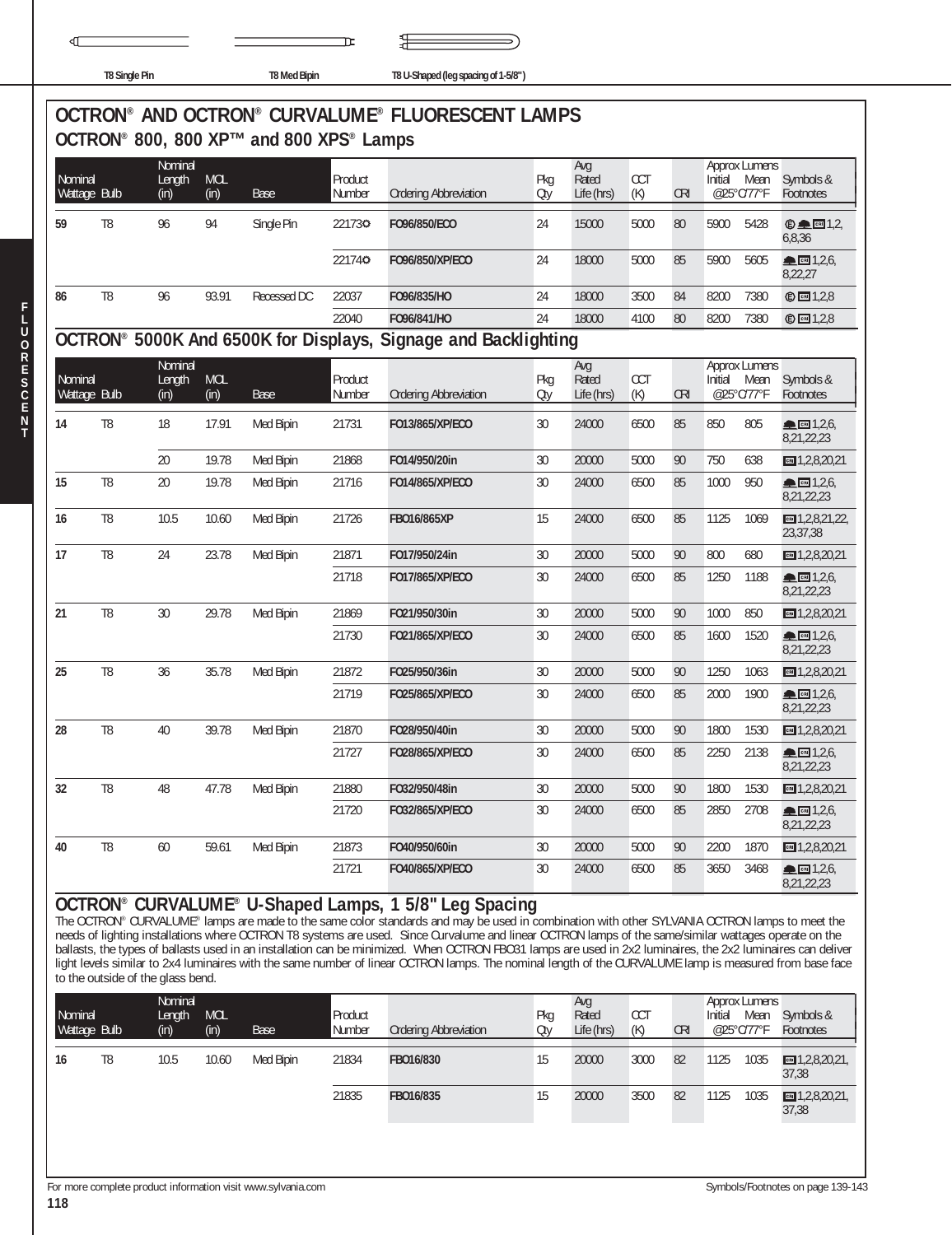| 11<br>II K<br>u |  |
|-----------------|--|

**T8 Single Pin T8 Med Bipin T8 U-Shaped (leg spacing of 1-5/8" )**

# **OCTRON® AND OCTRON® CURVALUME® FLUORESCENT LAMPS OCTRON® 800, 800 XP™ and 800 XPS® Lamps**

| Nominal<br>Wattage Bulb |                | Nominal<br>Length<br>(in) | <b>MOL</b><br>(in) | Base        | Product<br>Number | <b>Ordering Abbreviation</b>                                               | Pkg<br>Oty | Avg<br>Rated<br>Life (hrs) | <b>CCT</b><br>(K) | <b>CRI</b> | Approx Lumens<br>Initial<br>Mean<br>@25°C/77°F | Symbols &<br><b>Footnotes</b>                        |
|-------------------------|----------------|---------------------------|--------------------|-------------|-------------------|----------------------------------------------------------------------------|------------|----------------------------|-------------------|------------|------------------------------------------------|------------------------------------------------------|
| 59                      | T8             | 96                        | 94                 | Single Pin  | 221730            | F096/850/ECO                                                               | 24         | 15000                      | 5000              | 80         | 5900<br>5428                                   | $\odot$ $\blacksquare$ $\blacksquare$ 1.2.<br>6,8,36 |
|                         |                |                           |                    |             | 221740            | F096/850/XP/ECO                                                            | 24         | 18000                      | 5000              | 85         | 5900<br>5605                                   | CB 1,2,6<br>8,22,27                                  |
| 86                      | T <sub>8</sub> | 96                        | 93.91              | Recessed DC | 22037             | F096/835/HO                                                                | 24         | 18000                      | 3500              | 84         | 8200<br>7380                                   | <b>© 图 1.2.8</b>                                     |
|                         |                |                           |                    |             | 22040             | F096/841/HO                                                                | 24         | 18000                      | 4100              | 80         | 8200<br>7380                                   | $©$ $□$ 1,2,8                                        |
|                         |                |                           |                    |             |                   | OCTRON <sup>®</sup> 5000K And 6500K for Displays, Signage and Backlighting |            |                            |                   |            |                                                |                                                      |

#### 41 1 Nominal Avg Approx Lumens<br>141 Mean Symbols & Product Product Product Product Pkg Rated CCT Initial Mean Symbols &<br>141 Wattage Bulb (in) (in) Base Number Ordering Abbreviation Qty Life (hrs) (K) CRI @25°C/77°F Footnote **14** T8 18 17.91 Med Bipin 21731 **FO13/865/XP/ECO** 30 24000 6500 85 850 805 **▲回**1,2,6, 8,21,22,23 20 19.78 Med Bipin 21868 **FO14/950/20in** 30 20000 5000 90 750 638 1,2,8,20,21 **15** T8 20 19.78 Med Bipin 21716 **FO14/865/XP/ECO** 30 24000 6500 85 1000 950 <del>主</del>回1,2,6, 8,21,22,23 **16** T8 10.5 10.60 Med Bipin 21726 **FBO16/865XP** 15 24000 6500 85 1125 1069 1,2,8,21,22, 23,37,38 **17** T8 24 23.78 Med Bipin 21871 **FO17/950/24in** 30 20000 5000 90 800 680 1,2,8,20,21 21718 **FO17/865/XP/ECO** 30 24000 6500 85 1250 1188 1,2,6, 8,21,22,23 **21** T8 30 29.78 Med Bipin 21869 **FO21/950/30in** 30 20000 5000 90 1000 850 1,2,8,20,21 21730 **FO21/865/XP/ECO** 30 24000 6500 85 1600 1520 <del>■</del> **EM** 1,2,6, 8,21,22,23 **25** T8 36 35.78 Med Bipin 21872 **FO25/950/36in** 30 20000 5000 90 1250 1063 1,2,8,20,21 21719 **FO25/865/XP/ECO** 30 24000 6500 85 2000 1900 1,2,6, 8,21,22,23 **28** T8 40 39.78 Med Bipin 21870 **FO28/950/40in** 30 20000 5000 90 1800 1530 1,2,8,20,21 21727 **FO28/865/XP/ECO** 30 24000 6500 85 2250 2138 <del>● 图</del> 1,2,6, 8,21,22,23 **32** T8 48 47.78 Med Bipin 21880 **FO32/950/48in** 30 20000 5000 90 1800 1530 1,2,8,20,21 **21720 FO32/865/XP/ECO** 30 24000 6500 85 2850 2708 12.6 8,21,22,23 **40** T8 60 59.61 Med Bipin 21873 **FO40/950/60in** 30 20000 5000 90 2200 1870 1,2,8,20,21 21721 **FO40/865/XP/ECO** 30 24000 6500 85 3650 3468 <del>■</del>■1,2,6, 8,21,22,23

#### **OCTRON® CURVALUME® U-Shaped Lamps, 1 5/8" Leg Spacing**

The OCTRON® CURVALUME® lamps are made to the same color standards and may be used in combination with other SYLVANIA OCTRON lamps to meet the needs of lighting installations where OCTRON T8 systems are used. Since Curvalume and linear OCTRON lamps of the same/similar wattages operate on the ballasts, the types of ballasts used in an installation can be minimized. When OCTRON FBO31 lamps are used in 2x2 luminaires, the 2x2 luminaires can deliver light levels similar to 2x4 luminaires with the same number of linear OCTRON lamps. The nominal length of the CURVALUME lamp is measured from base face to the outside of the glass bend.

| Nominal<br>Wattage Bulb |    | Nominal<br>Length<br>(in) | <b>MOL</b><br>(in) | Base      | Product<br>Number | <b>Ordering Abbreviation</b> | Pka<br>Oty | Avg<br>Rated<br>Life (hrs) | <b>CCT</b><br>(K) | <b>CRI</b> | Initial<br>@25°C/77°F | Approx Lumens<br>Mean | Symbols &<br><b>Footnotes</b>   |
|-------------------------|----|---------------------------|--------------------|-----------|-------------------|------------------------------|------------|----------------------------|-------------------|------------|-----------------------|-----------------------|---------------------------------|
| 16                      | T8 | 10.5                      | 10.60              | Med Bipin | 21834             | FB016/830                    | 15         | 20000                      | 3000              | 82         | 1125                  | 1035                  | $m = 1,2,8,20,21$<br>37,38      |
|                         |    |                           |                    |           | 21835             | FB016/835                    | 15         | 20000                      | 3500              | 82         | 1125                  | 1035                  | $m = 1, 2, 8, 20, 21,$<br>37,38 |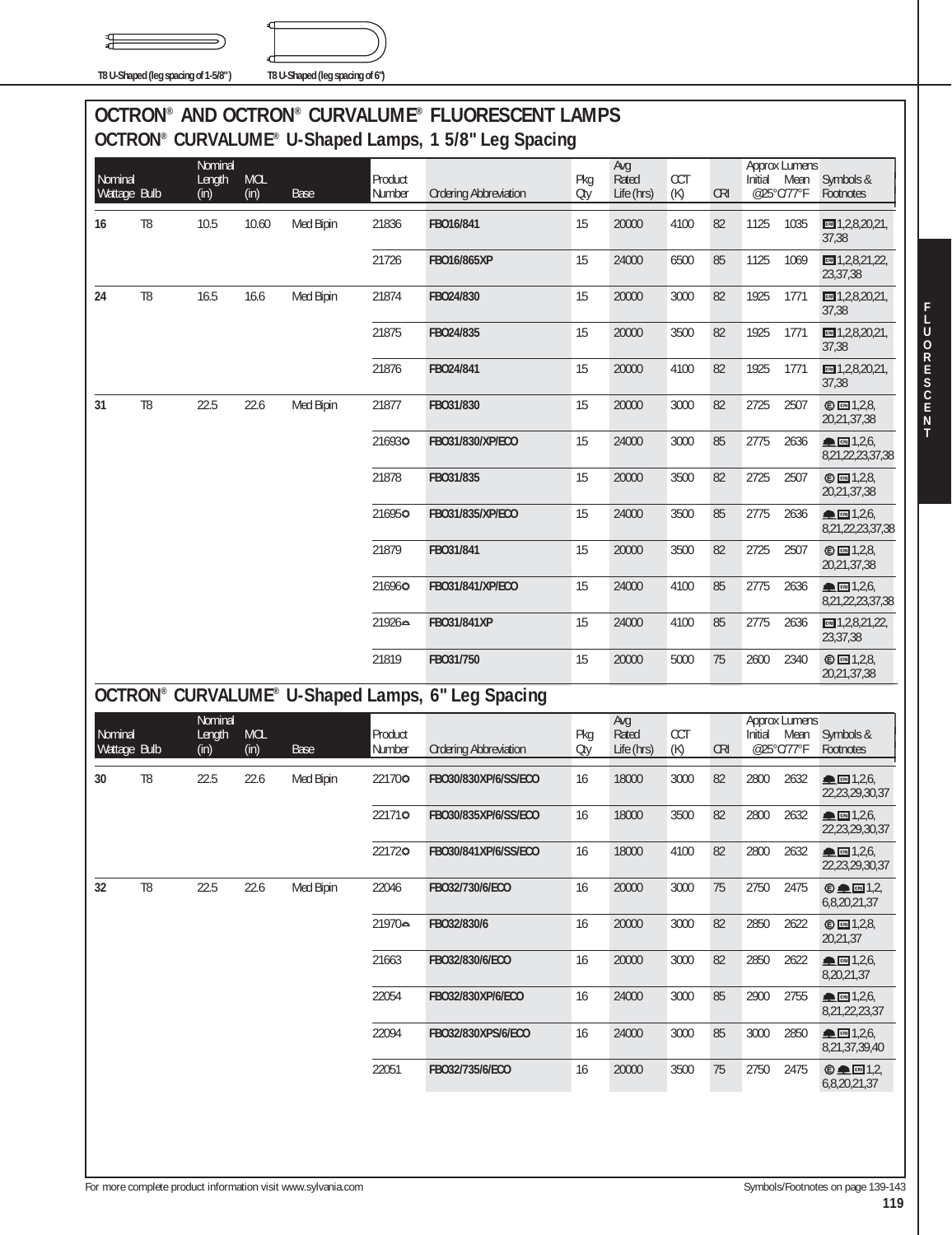舁



**T8 U-Shaped (leg spacing of 1-5/8" ) T8 U-Shaped (leg spacing of 6")**

## **OCTRON® AND OCTRON® CURVALUME® FLUORESCENT LAMPS OCTRON® CURVALUME® U-Shaped Lamps, 1 5/8" Leg Spacing**

| Nominal<br>Wattage Bulb |                | Nominal<br>Length<br>(in) | <b>MOL</b><br>(in) | Base      | Product<br>Number | <b>Ordering Abbreviation</b>                      | Pkg<br>Oty | Avg<br>Rated<br>Life (hrs) | <b>CCT</b><br>(K) | <b>CRI</b> | Initial | <b>Approx Lumens</b><br>Mean<br>@25°C/77°F | Symbols &<br>Footnotes                                        |
|-------------------------|----------------|---------------------------|--------------------|-----------|-------------------|---------------------------------------------------|------------|----------------------------|-------------------|------------|---------|--------------------------------------------|---------------------------------------------------------------|
| 16                      | T <sub>8</sub> | 10.5                      | 10.60              | Med Bipin | 21836             | FB016/841                                         | 15         | 20000                      | 4100              | 82         | 1125    | 1035                                       | $\blacksquare$ 1,2,8,20,21,<br>37,38                          |
|                         |                |                           |                    |           | 21726             | FB016/865XP                                       | 15         | 24000                      | 6500              | 85         | 1125    | 1069                                       | CH 1, 2, 8, 21, 22,<br>23,37,38                               |
| 24                      | T <sub>8</sub> | 16.5                      | 16.6               | Med Bipin | 21874             | FB024/830                                         | 15         | 20000                      | 3000              | 82         | 1925    | 1771                                       | $cm$ 1,2,8,20,21,<br>37,38                                    |
|                         |                |                           |                    |           | 21875             | FB024/835                                         | 15         | 20000                      | 3500              | 82         | 1925    | 1771                                       | $m = 1, 2, 8, 20, 21,$<br>37,38                               |
|                         |                |                           |                    |           | 21876             | FB024/841                                         | 15         | 20000                      | 4100              | 82         | 1925    | 1771                                       | $m = 1, 2, 8, 20, 21,$<br>37,38                               |
| 31                      | T <sub>8</sub> | 22.5                      | 22.6               | Med Bipin | 21877             | FB031/830                                         | 15         | 20000                      | 3000              | 82         | 2725    | 2507                                       | © <b>1</b> , 2, 8,<br>20,21,37,38                             |
|                         |                |                           |                    |           | 216930            | FB031/830/XP/ECO                                  | 15         | 24000                      | 3000              | 85         | 2775    | 2636                                       | $\triangle$ cm 1,2,6,<br>8,21,22,23,37,38                     |
|                         |                |                           |                    |           | 21878             | FB031/835                                         | 15         | 20000                      | 3500              | 82         | 2725    | 2507                                       | © 1,2,8,<br>20,21,37,38                                       |
|                         |                |                           |                    |           | 216950            | FBO31/835/XP/ECO                                  | 15         | 24000                      | 3500              | 85         | 2775    | 2636                                       | ▲ 岡 1,2,6,<br>8,21,22,23,37,38                                |
|                         |                |                           |                    |           | 21879             | FB031/841                                         | 15         | 20000                      | 3500              | 82         | 2725    | 2507                                       | <b>© 21,2,8</b><br>20,21,37,38                                |
|                         |                |                           |                    |           | 216960            | FB031/841/XP/ECO                                  | 15         | 24000                      | 4100              | 85         | 2775    | 2636                                       | ▲ 图 1,2,6,<br>8,21,22,23,37,38                                |
|                         |                |                           |                    |           | 21926⇔            | FB031/841XP                                       | 15         | 24000                      | 4100              | 85         | 2775    | 2636                                       | CRI 1,2,8,21,22,<br>23,37,38                                  |
|                         |                |                           |                    |           | 21819             | FB031/750                                         | 15         | 20000                      | 5000              | 75         | 2600    | 2340                                       | <b>©</b> 2,8<br>20,21,37,38                                   |
|                         |                |                           |                    |           |                   | OCTRON® CURVALUME® U-Shaped Lamps, 6" Leg Spacing |            |                            |                   |            |         |                                            |                                                               |
| Nominal<br>Wattage Bulb |                | Nominal<br>Length<br>(in) | <b>MOL</b><br>(in) | Base      | Product<br>Number | <b>Ordering Abbreviation</b>                      | Pkg<br>Oty | Avg<br>Rated<br>Life (hrs) | CCT<br>(K)        | <b>CRI</b> | Initial | <b>Approx Lumens</b><br>Mean<br>@25°C/77°F | Symbols &<br>Footnotes                                        |
| 30                      | T <sub>8</sub> | 22.5                      | 22.6               | Med Bipin | 221700            | FB030/830XP/6/SS/ECO                              | 16         | 18000                      | 3000              | 82         | 2800    | 2632                                       | 2,6<br>22,23,29,30,37                                         |
|                         |                |                           |                    |           | 221710            | FB030/835XP/6/SS/ECO                              | 16         | 18000                      | 3500              | 82         | 2800    | 2632                                       | ▲ ∞ 1,2,6<br>22,23,29,30,37                                   |
|                         |                |                           |                    |           | 221720            | FB030/841XP/6/SS/ECO                              | 16         | 18000                      | 4100              | 82         | 2800    | 2632                                       | ▲ 图 1,2,6,<br>22, 23, 29, 30, 37                              |
| 32                      | $\mathsf{T}8$  | 22.5                      | 22.6               | Med Bipin | 22046             | FB032/730/6/ECO                                   | 16         | 20000                      | 3000              | 75         | 2750    | 2475                                       | $\bigcirc$ $\blacksquare$ $\blacksquare$ 1,2,<br>6,8,20,21,37 |
|                         |                |                           |                    |           | 21970≏            | FB032/830/6                                       | 16         | 20000                      | 3000              | 82         | 2850    | 2622                                       | © ∞ 1,2,8,<br>20,21,37                                        |
|                         |                |                           |                    |           | 21663             | FBO32/830/6/ECO                                   | 16         | 20000                      | 3000              | 82         | 2850    | 2622                                       | $\blacksquare$ $\blacksquare$ 1,2,6,<br>8,20,21,37            |
|                         |                |                           |                    |           | 22054             | FBO32/830XP/6/ECO                                 | 16         | 24000                      | 3000              | 85         | 2900    | 2755                                       | 2,6<br>8,21,22,23,37                                          |
|                         |                |                           |                    |           | 22094             | FB032/830XPS/6/ECO                                | 16         | 24000                      | 3000              | 85         | 3000    | 2850                                       | $\triangle$ cm 1,2,6,<br>8,21,37,39,40                        |
|                         |                |                           |                    |           | 22051             | FB032/735/6/ECO                                   | 16         | 20000                      | 3500              | 75         | 2750    | 2475                                       | $© □ 1,2,6,8,20,21,37$                                        |
|                         |                |                           |                    |           |                   |                                                   |            |                            |                   |            |         |                                            |                                                               |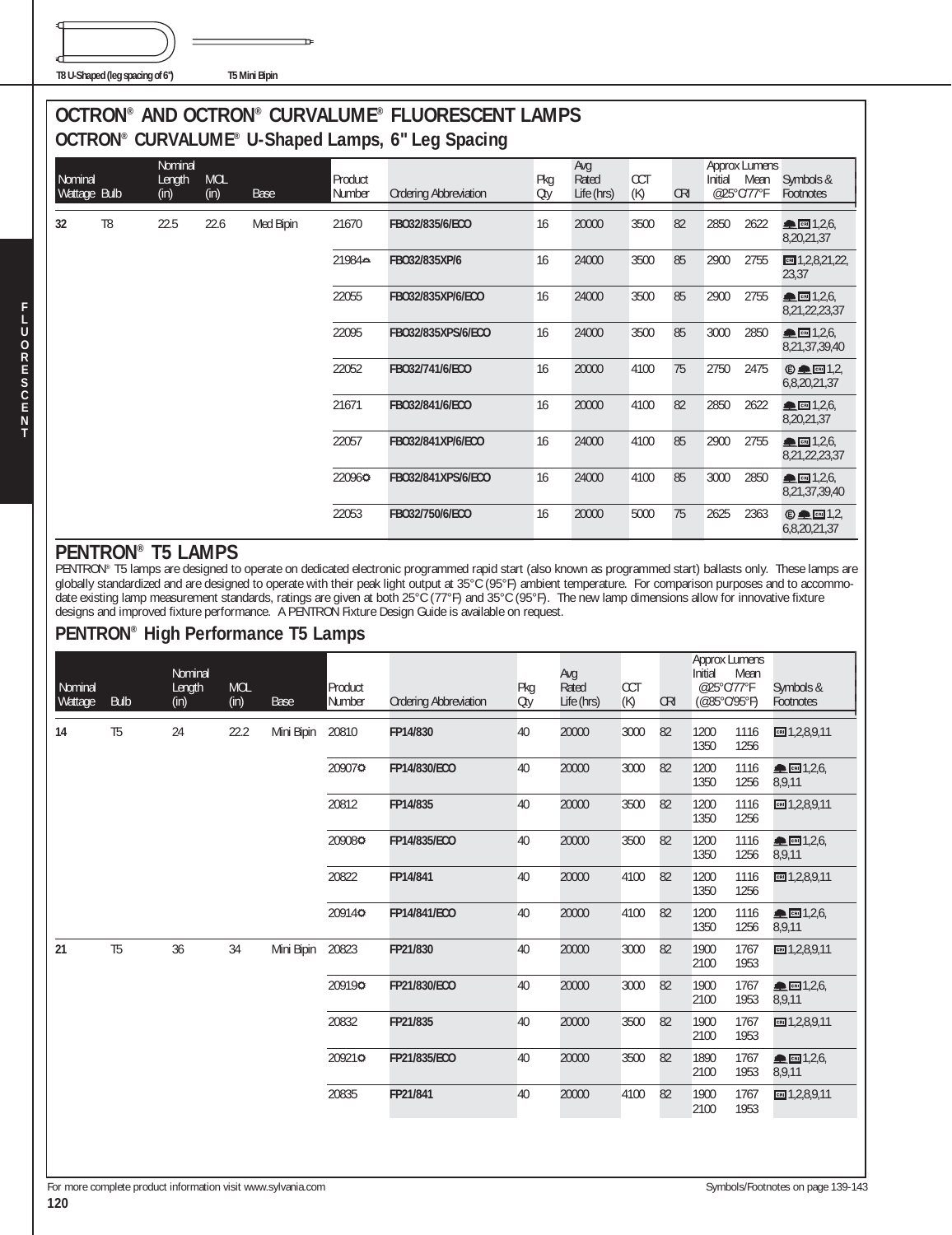**T8 U-Shaped (leg spacing of 6") T5 Mini Bipin**

€

J

**F L U O R E S C E N T**

#### **OCTRON® AND OCTRON® CURVALUME® FLUORESCENT LAMPS OCTRON® CURVALUME® U-Shaped Lamps, 6" Leg Spacing**

|                         |                |                           |                    |           |                   | OCTIVON CONVALONIL O-SHAPED LAHIPS, O LEG SPACING |            |                            |                   |            |                       |                              |                                                       |
|-------------------------|----------------|---------------------------|--------------------|-----------|-------------------|---------------------------------------------------|------------|----------------------------|-------------------|------------|-----------------------|------------------------------|-------------------------------------------------------|
| Nominal<br>Wattage Bulb |                | Nominal<br>Length<br>(in) | <b>MOL</b><br>(in) | Base      | Product<br>Number | <b>Ordering Abbreviation</b>                      | Pkg<br>Oty | Avg<br>Rated<br>Life (hrs) | <b>CCT</b><br>(K) | <b>CRI</b> | Initial<br>@25°C/77°F | <b>Approx Lumens</b><br>Mean | Symbols &<br>Footnotes                                |
| 32                      | T <sub>8</sub> | 22.5                      | 22.6               | Med Bipin | 21670             | FB032/835/6/ECO                                   | 16         | 20000                      | 3500              | 82         | 2850                  | 2622                         | CRI 1,2,6,<br>8,20,21,37                              |
|                         |                |                           |                    |           | 21984≞            | FB032/835XP/6                                     | 16         | 24000                      | 3500              | 85         | 2900                  | 2755                         | $m = 1, 2, 8, 21, 22,$<br>23,37                       |
|                         |                |                           |                    |           | 22055             | FB032/835XP/6/ECO                                 | 16         | 24000                      | 3500              | 85         | 2900                  | 2755                         | $\blacksquare$ $\blacksquare$ 1,2,6,<br>8,21,22,23,37 |
|                         |                |                           |                    |           | 22095             | FB032/835XPS/6/ECO                                | 16         | 24000                      | 3500              | 85         | 3000                  | 2850                         | ▲ 图 1,2,6,<br>8,21,37,39,40                           |
|                         |                |                           |                    |           | 22052             | FB032/741/6/ECO                                   | 16         | 20000                      | 4100              | 75         | 2750                  | 2475                         | $\oplus$ $\blacksquare$ 1,2,<br>6,8,20,21,37          |
|                         |                |                           |                    |           | 21671             | FB032/841/6/ECO                                   | 16         | 20000                      | 4100              | 82         | 2850                  | 2622                         | ▲ 데 1,2,6,<br>8,20,21,37                              |
|                         |                |                           |                    |           | 22057             | FB032/841XP/6/ECO                                 | 16         | 24000                      | 4100              | 85         | 2900                  | 2755                         | ▲ 图 1,2,6,<br>8,21,22,23,37                           |
|                         |                |                           |                    |           | 220960            | FB032/841XPS/6/ECO                                | 16         | 24000                      | 4100              | 85         | 3000                  | 2850                         | $\triangle$ cm 1,2,6,<br>8,21,37,39,40                |
|                         |                |                           |                    |           | 22053             | FB032/750/6/ECO                                   | 16         | 20000                      | 5000              | 75         | 2625                  | 2363                         | $© □ 1,2,$<br>6,8,20,21,37                            |

#### **PENTRON® T5 LAMPS**

PENTRON® T5 lamps are designed to operate on dedicated electronic programmed rapid start (also known as programmed start) ballasts only. These lamps are globally standardized and are designed to operate with their peak light output at 35°C (95°F) ambient temperature. For comparison purposes and to accommodate existing lamp measurement standards, ratings are given at both 25°C (77°F) and 35°C (95°F). The new lamp dimensions allow for innovative fixture designs and improved fixture performance. A PENTRON Fixture Design Guide is available on request.

#### **PENTRON® High Performance T5 Lamps**

| Nominal<br>Wattage | <b>Bulb</b>    | Nominal<br>Length<br>(in) | <b>MOL</b><br>(in) | <b>Base</b> | Product<br>Number | <b>Ordering Abbreviation</b> | Pkg<br>Oty | Avg<br>Rated<br>Life (hrs) | CCT<br>(K) | <b>CRI</b> | <b>Approx Lumens</b><br>Initial<br>@25°C/77°F<br>$(@35^{\circ}C/95^{\circ}F)$ | Mean         | Symbols &<br>Footnotes              |
|--------------------|----------------|---------------------------|--------------------|-------------|-------------------|------------------------------|------------|----------------------------|------------|------------|-------------------------------------------------------------------------------|--------------|-------------------------------------|
| 14                 | T <sub>5</sub> | 24                        | 22.2               | Mini Bipin  | 20810             | FP14/830                     | 40         | 20000                      | 3000       | 82         | 1200<br>1350                                                                  | 1116<br>1256 | $m = 1,2,8,9,11$                    |
|                    |                |                           |                    |             | 209070            | FP14/830/ECO                 | 40         | 20000                      | 3000       | 82         | 1200<br>1350                                                                  | 1116<br>1256 | $R = 1,2,6$<br>8,9,11               |
|                    |                |                           |                    |             | 20812             | FP14/835                     | 40         | 20000                      | 3500       | 82         | 1200<br>1350                                                                  | 1116<br>1256 | $m = 1,2,8,9,11$                    |
|                    |                |                           |                    |             | 209080            | FP14/835/ECO                 | 40         | 20000                      | 3500       | 82         | 1200<br>1350                                                                  | 1116<br>1256 | CRI 1,2,6<br>8,9,11                 |
|                    |                |                           |                    |             | 20822             | FP14/841                     | 40         | 20000                      | 4100       | 82         | 1200<br>1350                                                                  | 1116<br>1256 | $m = 1, 2, 8, 9, 11$                |
|                    |                |                           |                    |             | 20914¢            | FP14/841/ECO                 | 40         | 20000                      | 4100       | 82         | 1200<br>1350                                                                  | 1116<br>1256 | $\blacksquare$ CHI 1,2,6,<br>8,9,11 |
| 21                 | T <sub>5</sub> | 36                        | 34                 | Mini Bipin  | 20823             | FP21/830                     | 40         | 20000                      | 3000       | 82         | 1900<br>2100                                                                  | 1767<br>1953 | $m = 1, 2, 8, 9, 11$                |
|                    |                |                           |                    |             | 209190            | FP21/830/ECO                 | 40         | 20000                      | 3000       | 82         | 1900<br>2100                                                                  | 1767<br>1953 | CRI 1,2,6<br>8,9,11                 |
|                    |                |                           |                    |             | 20832             | FP21/835                     | 40         | 20000                      | 3500       | 82         | 1900<br>2100                                                                  | 1767<br>1953 | $m = 1, 2, 8, 9, 11$                |
|                    |                |                           |                    |             | 209210            | FP21/835/ECO                 | 40         | 20000                      | 3500       | 82         | 1890<br>2100                                                                  | 1767<br>1953 | CRI 1,2,6<br>8,9,11                 |
|                    |                |                           |                    |             | 20835             | FP21/841                     | 40         | 20000                      | 4100       | 82         | 1900<br>2100                                                                  | 1767<br>1953 | $m = 1, 2, 8, 9, 11$                |
|                    |                |                           |                    |             |                   |                              |            |                            |            |            |                                                                               |              |                                     |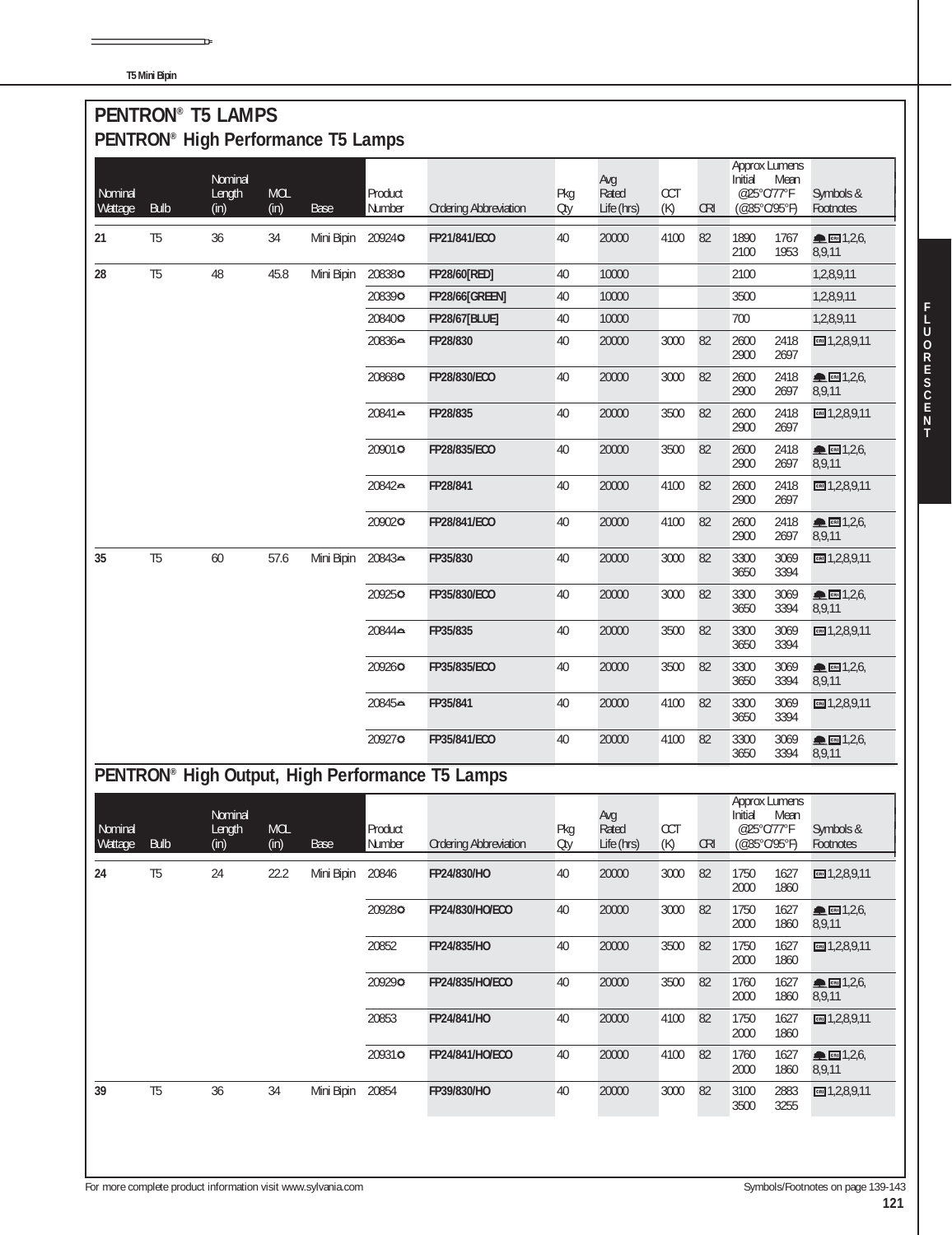**T5 Mini Bipin**

| Nominal<br>Wattage | <b>Bulb</b>    | Nominal<br>Length<br>(in) | MOL<br>(in)        | <b>Base</b> | Product<br>Number | <b>Ordering Abbreviation</b>                    | Pkg<br>Oty | Avg<br>Rated<br>Life (hrs) | CCT<br>(K) | <b>CRI</b> | Initial<br>@25°C/77°F<br>(@35°C/95°F) | Approx Lumens<br>Mean                | Symbols &<br>Footnotes          |
|--------------------|----------------|---------------------------|--------------------|-------------|-------------------|-------------------------------------------------|------------|----------------------------|------------|------------|---------------------------------------|--------------------------------------|---------------------------------|
| 21                 | T <sub>5</sub> | 36                        | 34                 | Mini Bipin  | 209240            | FP21/841/ECO                                    | 40         | 20000                      | 4100       | 82         | 1890<br>2100                          | 1767<br>1953                         | <b>▲</b> CRI 1,2,6,<br>8,9,11   |
| 28                 | T <sub>5</sub> | 48                        | 45.8               | Mini Bipin  | 208380            | FP28/60[RED]                                    | 40         | 10000                      |            |            | 2100                                  |                                      | 1,2,8,9,11                      |
|                    |                |                           |                    |             | 208390            | <b>FP28/66[GREEN]</b>                           | 40         | 10000                      |            |            | 3500                                  |                                      | 1,2,8,9,11                      |
|                    |                |                           |                    |             | 208400            | <b>FP28/67[BLUE]</b>                            | 40         | 10000                      |            |            | 700                                   |                                      | 1,2,8,9,11                      |
|                    |                |                           |                    |             | 20836⇔            | FP28/830                                        | 40         | 20000                      | 3000       | 82         | 2600<br>2900                          | 2418<br>2697                         | CH1,2,8,9,11                    |
|                    |                |                           |                    |             | 208680            | FP28/830/ECO                                    | 40         | 20000                      | 3000       | 82         | 2600<br>2900                          | 2418<br>2697                         | ▲ 图 1,2,6,<br>8,9,11            |
|                    |                |                           |                    |             | 20841⇔            | FP28/835                                        | 40         | 20000                      | 3500       | 82         | 2600<br>2900                          | 2418<br>2697                         | CRI 1,2,8,9,11                  |
|                    |                |                           |                    |             | 20901⇔            | FP28/835/ECO                                    | 40         | 20000                      | 3500       | 82         | 2600<br>2900                          | 2418<br>2697                         | ▲ 대 1,2,6,<br>8,9,11            |
|                    |                |                           |                    |             | 20842⇔            | FP28/841                                        | 40         | 20000                      | 4100       | 82         | 2600<br>2900                          | 2418<br>2697                         | CR 1, 2, 8, 9, 11               |
|                    |                |                           |                    |             | 209020            | FP28/841/ECO                                    | 40         | 20000                      | 4100       | 82         | 2600<br>2900                          | 2418<br>2697                         | ▲ 图 1,2,6<br>8,9,11             |
| 35                 | T <sub>5</sub> | 60                        | 57.6               | Mini Bipin  | 20843≞            | FP35/830                                        | 40         | 20000                      | 3000       | 82         | 3300<br>3650                          | 3069<br>3394                         | $m = 1, 2, 8, 9, 11$            |
|                    |                |                           |                    |             | 209250            | FP35/830/ECO                                    | 40         | 20000                      | 3000       | 82         | 3300<br>3650                          | 3069<br>3394                         | ▲ 图 1,2,6,<br>8,9,11            |
|                    |                |                           |                    |             | 20844⇔            | FP35/835                                        | 40         | 20000                      | 3500       | 82         | 3300<br>3650                          | 3069<br>3394                         | CRI 1,2,8,9,11                  |
|                    |                |                           |                    |             | 209260            | FP35/835/ECO                                    | 40         | 20000                      | 3500       | 82         | 3300<br>3650                          | 3069<br>3394                         | ▲ 图 1,2,6,<br>8,9,11            |
|                    |                |                           |                    |             | 20845⇔            | FP35/841                                        | 40         | 20000                      | 4100       | 82         | 3300<br>3650                          | 3069<br>3394                         | □ 1,2,8,9,11                    |
|                    |                |                           |                    |             | 209270            | FP35/841/ECO                                    | 40         | 20000                      | 4100       | 82         | 3300<br>3650                          | 3069<br>3394                         | ▲ 图 1,2,6,<br>8,9,11            |
|                    |                |                           |                    |             |                   | PENTRON® High Output, High Performance T5 Lamps |            |                            |            |            |                                       |                                      |                                 |
| Nominal<br>Wattage | <b>Bulb</b>    | Nominal<br>Length<br>(in) | <b>MOL</b><br>(in) | Base        | Product<br>Number | <b>Ordering Abbreviation</b>                    | Pkg<br>Oty | Avg<br>Rated<br>Life (hrs) | CCT<br>(K) | <b>CRI</b> | @25°C/77°F<br>(@35°C/95°F)            | <b>Approx Lumens</b><br>Initial Mean | Symbols &<br>Footnotes          |
| 24                 | T <sub>5</sub> | 24                        | 22.2               | Mini Bipin  | 20846             | FP24/830/HO                                     | 40         | 20000                      | 3000       | 82         | 1750<br>2000                          | 1627<br>1860                         | $m$ 1,2,8,9,11                  |
|                    |                |                           |                    |             | 209280            | FP24/830/HO/ECO                                 | 40         | 20000                      | 3000       | 82         | 1750<br>2000                          | 1627<br>1860                         | ▲ 图 1,2,6,<br>8,9,11            |
|                    |                |                           |                    |             | 20852             | FP24/835/HO                                     | 40         | 20000                      | 3500       | 82         | 1750<br>2000                          | 1627<br>1860                         | CH1,2,8,9,11                    |
|                    |                |                           |                    |             | 209290            | FP24/835/HO/ECO                                 | 40         | 20000                      | 3500       | 82         | 1760<br>2000                          | 1627<br>1860                         | $\triangle$ cm 1,2,6,<br>8,9,11 |
|                    |                |                           |                    |             | 20853             | FP24/841/HO                                     | 40         | 20000                      | 4100       | 82         | 1750<br>2000                          | 1627<br>1860                         | CRI 1,2,8,9,11                  |
|                    |                |                           |                    |             | 20931¢            | FP24/841/HO/ECO                                 | 40         | 20000                      | 4100       | 82         | 1760<br>2000                          | 1627<br>1860                         | ▲ 图 1,2,6,<br>8,9,11            |
| 39                 | T <sub>5</sub> | 36                        | 34                 | Mini Bipin  | 20854             | FP39/830/HO                                     | 40         | 20000                      | 3000       | 82         | 3100                                  | 2883                                 | ■1,2,8,9,11                     |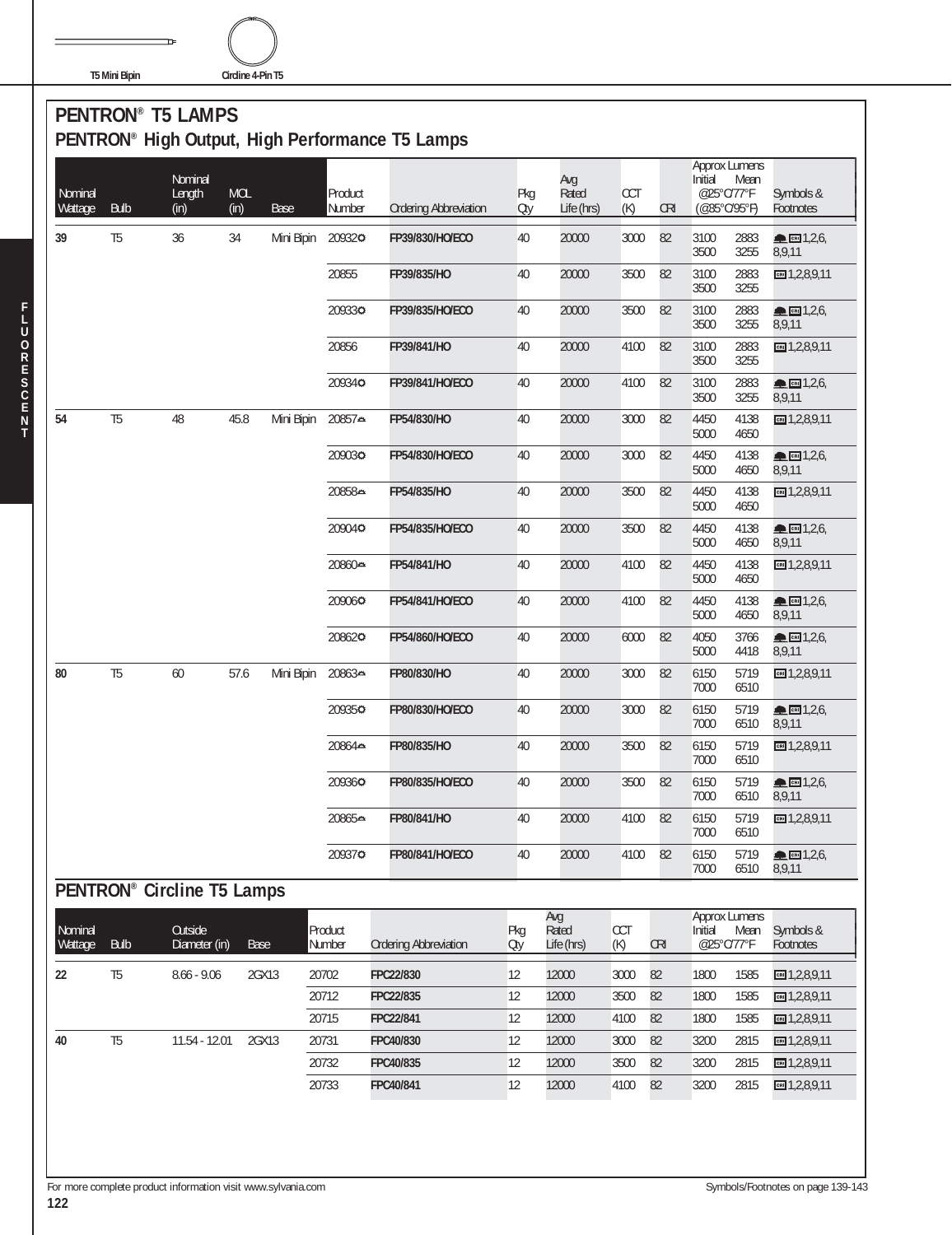**T5 Mini Bipin Circline 4-Pin T5**

**F L U O R E S C E N T**

#### **PENTRON® T5 LAMPS PENTRON® High Output, High Performance T5 Lamps**

| Nominal<br>Wattage | <b>Bulb</b>                       | Nominal<br>Length<br>(in) | <b>MOL</b><br>(in) | Base       | Product<br>Number | <b>Ordering Abbreviation</b> | Pkg<br>Oty | Avg<br>Rated<br>Life (hrs) | CCT<br>(K)        | <b>CRI</b> | <b>Approx Lumens</b><br>Initial<br>@25°C/77°F<br>(@35°C/95°F) | Mean         | Symbols &<br>Footnotes            |
|--------------------|-----------------------------------|---------------------------|--------------------|------------|-------------------|------------------------------|------------|----------------------------|-------------------|------------|---------------------------------------------------------------|--------------|-----------------------------------|
| 39                 | T <sub>5</sub>                    | 36                        | 34                 | Mini Bipin | 209320            | FP39/830/HO/ECO              | 40         | 20000                      | 3000              | 82         | 3100<br>3500                                                  | 2883<br>3255 | $R_{CH}$ 1,2,6,<br>8,9,11         |
|                    |                                   |                           |                    |            | 20855             | FP39/835/HO                  | 40         | 20000                      | 3500              | 82         | 3100<br>3500                                                  | 2883<br>3255 | $m = 1, 2, 8, 9, 11$              |
|                    |                                   |                           |                    |            | 209330            | FP39/835/HO/ECO              | 40         | 20000                      | 3500              | 82         | 3100<br>3500                                                  | 2883<br>3255 | ▲ 图 1,2,6,<br>8,9,11              |
|                    |                                   |                           |                    |            | 20856             | FP39/841/HO                  | 40         | 20000                      | 4100              | 82         | 3100<br>3500                                                  | 2883<br>3255 | $m = 1, 2, 8, 9, 11$              |
|                    |                                   |                           |                    |            | 20934¢            | FP39/841/HO/ECO              | 40         | 20000                      | 4100              | 82         | 3100<br>3500                                                  | 2883<br>3255 | ■ 1,2,6,<br>8,9,11                |
| 54                 | T <sub>5</sub>                    | 48                        | 45.8               | Mini Bipin | 20857≏            | FP54/830/HO                  | 40         | 20000                      | 3000              | 82         | 4450<br>5000                                                  | 4138<br>4650 | ■1,2,8,9,11                       |
|                    |                                   |                           |                    |            | 209030            | FP54/830/HO/ECO              | 40         | 20000                      | 3000              | 82         | 4450<br>5000                                                  | 4138<br>4650 | $\triangle$ call 1,2,6,<br>8,9,11 |
|                    |                                   |                           |                    |            | 20858⇔            | FP54/835/HO                  | 40         | 20000                      | 3500              | 82         | 4450<br>5000                                                  | 4138<br>4650 | $m = 1,2,8,9,11$                  |
|                    |                                   |                           |                    |            | 209040            | FP54/835/HO/ECO              | 40         | 20000                      | 3500              | 82         | 4450<br>5000                                                  | 4138<br>4650 | ▲ 图 1,2,6,<br>8,9,11              |
|                    |                                   |                           |                    |            | 20860⇔            | FP54/841/HO                  | 40         | 20000                      | 4100              | 82         | 4450<br>5000                                                  | 4138<br>4650 | $m = 1, 2, 8, 9, 11$              |
|                    |                                   |                           |                    |            | 209060            | FP54/841/HO/ECO              | 40         | 20000                      | 4100              | 82         | 4450<br>5000                                                  | 4138<br>4650 | CEN 1,2,6,<br>8,9,11              |
|                    |                                   |                           |                    |            | 208620            | FP54/860/HO/ECO              | 40         | 20000                      | 6000              | 82         | 4050<br>5000                                                  | 3766<br>4418 | ● 岡 1,2,6,<br>8,9,11              |
| 80                 | T <sub>5</sub>                    | 60                        | 57.6               | Mini Bipin | 20863≏            | FP80/830/HO                  | 40         | 20000                      | 3000              | 82         | 6150<br>7000                                                  | 5719<br>6510 | $m = 1, 2, 8, 9, 11$              |
|                    |                                   |                           |                    |            | 20935¢            | FP80/830/HO/ECO              | 40         | 20000                      | 3000              | 82         | 6150<br>7000                                                  | 5719<br>6510 | CRI 1,2,6,<br>8,9,11              |
|                    |                                   |                           |                    |            | 20864⇔            | FP80/835/HO                  | 40         | 20000                      | 3500              | 82         | 6150<br>7000                                                  | 5719<br>6510 | ■1,2,8,9,11                       |
|                    |                                   |                           |                    |            | 209360            | FP80/835/HO/ECO              | 40         | 20000                      | 3500              | 82         | 6150<br>7000                                                  | 5719<br>6510 | ▲ ∞ 1,2,6,<br>8,9,11              |
|                    |                                   |                           |                    |            | 20865≞            | FP80/841/HO                  | 40         | 20000                      | 4100              | 82         | 6150<br>7000                                                  | 5719<br>6510 | $\Xi$ 1,2,8,9,11                  |
|                    |                                   |                           |                    |            | 209370            | FP80/841/HO/ECO              | 40         | 20000                      | 4100              | 82         | 6150<br>7000                                                  | 5719<br>6510 | CRI 1,2,6,<br>8,9,11              |
|                    | <b>PENTRON® Circline T5 Lamps</b> |                           |                    |            |                   |                              |            |                            |                   |            |                                                               |              |                                   |
| Nominal<br>Wattage | <b>Bulb</b>                       | Outside<br>Diameter (in)  | <b>Base</b>        |            | Product<br>Number | <b>Ordering Abbreviation</b> | Pkg<br>Oty | Avg<br>Rated<br>Life (hrs) | <b>CCT</b><br>(K) | <b>CRI</b> | <b>Approx Lumens</b><br>Initial<br>@25°C/77°F                 | Mean         | Symbols &<br>Footnotes            |
| 22                 | T <sub>5</sub>                    | $8.66 - 9.06$             | 2GX13              |            | 20702             | FPC22/830                    | 12         | 12000                      | 3000              | 82         | 1800                                                          | 1585         | $m = 1,2,8,9,11$                  |
|                    |                                   |                           |                    |            | 20712             | FPC22/835                    | 12         | 12000                      | 3500              | 82         | 1800                                                          | 1585         | ■1,2,8,9,11                       |
|                    |                                   |                           |                    |            | 20715             | FPC22/841                    | 12         | 12000                      | 4100              | 82         | 1800                                                          | 1585         | $m = 1, 2, 8, 9, 11$              |
| 40                 | T <sub>5</sub>                    | 11.54 - 12.01             | 2GX13              |            | 20731             | FPC40/830                    | 12         | 12000                      | 3000              | 82         | 3200                                                          | 2815         | $m = 1,2,8,9,11$                  |
|                    |                                   |                           |                    |            | 20732             | FPC40/835                    | 12         | 12000                      | 3500              | 82         | 3200                                                          | 2815         | ■1,2,8,9,11                       |
|                    |                                   |                           |                    |            | 20733             | FPC40/841                    | 12         | 12000                      | 4100              | 82         | 3200                                                          | 2815         | $m = 1, 2, 8, 9, 11$              |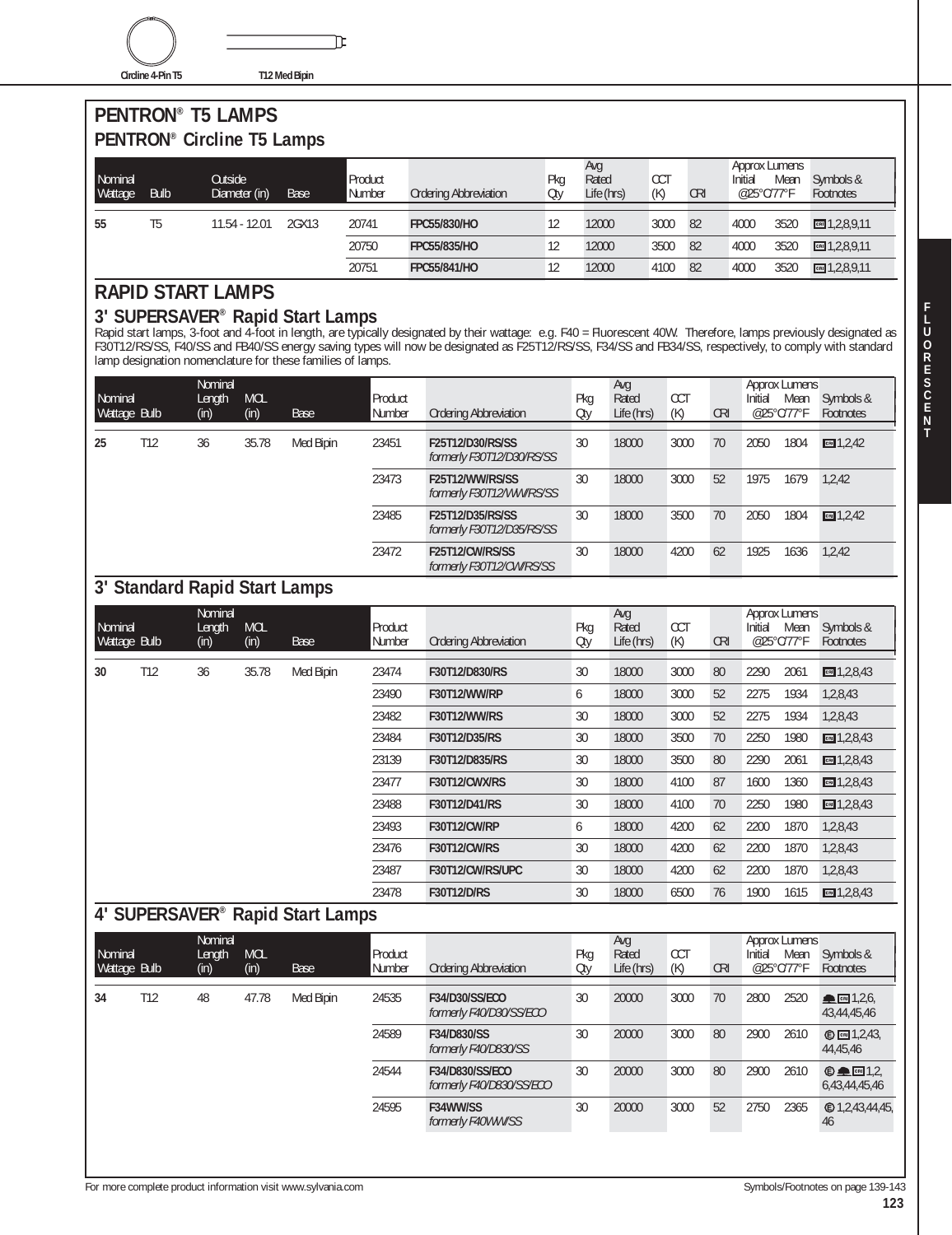**Circline 4-Pin T5 T12 Med Bipin**

℩

#### **PENTRON® T5 LAMPS PENTRON® Circline T5 Lamps**

| Nominal<br>Wattage | <b>Bulb</b> | Outside<br>Diameter (in) | Base  | Product<br>Number | <b>Ordering Abbreviation</b> | Pkg<br>Oty | Avg<br>Rated<br>Life (hrs) | CC<br>(K) | <b>CRI</b> | Approx Lumens<br>Initial<br>@25°C/77°F | Mean | Symbols &<br>Footnotes |
|--------------------|-------------|--------------------------|-------|-------------------|------------------------------|------------|----------------------------|-----------|------------|----------------------------------------|------|------------------------|
| 55                 | T5          | 11.54 - 12.01            | 2GX13 | 20741             | FPC55/830/HO                 |            | 12000                      | 3000      | 82         | 4000                                   | 3520 | cm 1,2,8,9,11          |
|                    |             |                          |       | 20750             | FPC55/835/HO                 |            | 12000                      | 3500      | 82         | 4000                                   | 3520 | CH1,2,8,9,11           |
|                    |             |                          |       | 20751             | <b>FPC55/841/HO</b>          |            | 12000                      | 4100      | 82         | 4000                                   | 3520 | cm 1,2,8,9,11          |

# **RAPID START LAMPS**

#### **3' SUPERSAVER® Rapid Start Lamps**

Rapid start lamps, 3-foot and 4-foot in length, are typically designated by their wattage: e.g. F40 = Fluorescent 40W. Therefore, lamps previously designated as F30T12/RS/SS, F40/SS and FB40/SS energy saving types will now be designated as F25T12/RS/SS, F34/SS and FB34/SS, respectively, to comply with standard lamp designation nomenclature for these families of lamps.

| Nominal<br>Wattage Bulb |     | Nominal<br>Length<br>(in) | <b>MOL</b><br>(in) | Base      | Product<br>Number | <b>Ordering Abbreviation</b>                  | Pka<br>Oty | Avg<br>Rated<br>Life (hrs) | <b>CCT</b><br>(K) | <b>CRI</b> | Approx Lumens<br>Initial<br>@25°C/77°F | Mean | Symbols &<br>Footnotes |
|-------------------------|-----|---------------------------|--------------------|-----------|-------------------|-----------------------------------------------|------------|----------------------------|-------------------|------------|----------------------------------------|------|------------------------|
| 25                      | T12 | 36                        | 35.78              | Med Bipin | 23451             | F25T12/D30/RS/SS<br>formerly F30T12/D30/RS/SS | 30         | 18000                      | 3000              | 70         | 2050                                   | 1804 | $CR = 1,2,42$          |
|                         |     |                           |                    |           | 23473             | F25T12/WW/RS/SS<br>formerly F30T12/WW/RS/SS   | 30         | 18000                      | 3000              | 52         | 1975                                   | 1679 | 1,2,42                 |
|                         |     |                           |                    |           | 23485             | F25T12/D35/RS/SS<br>formerly F30T12/D35/RS/SS | 30         | 18000                      | 3500              | 70         | 2050                                   | 1804 | $cn$ 1.2.42            |
|                         |     |                           |                    |           | 23472             | F25T12/CW/RS/SS<br>formerly F30T12/CW/RS/SS   | 30         | 18000                      | 4200              | 62         | 1925                                   | 1636 | 1,2,42                 |

#### **3' Standard Rapid Start Lamps**

| Nominal<br>Wattage Bulb |     | Nominal<br>Length<br>(in) | <b>MOL</b><br>(in) | Base                                    | Product<br>Number | <b>Ordering Abbreviation</b> | Pkg<br>Oty | Avg<br>Rated<br>Life (hrs) | <b>CCT</b><br>(K) | <b>CRI</b> | Initial | <b>Approx Lumens</b><br>Mean<br>@25°C/77°F | Symbols &<br>Footnotes |
|-------------------------|-----|---------------------------|--------------------|-----------------------------------------|-------------------|------------------------------|------------|----------------------------|-------------------|------------|---------|--------------------------------------------|------------------------|
| 30                      | T12 | 36                        | 35.78              | Med Bipin                               | 23474             | F30T12/D830/RS               | 30         | 18000                      | 3000              | 80         | 2290    | 2061                                       | CH 1,2,8,43            |
|                         |     |                           |                    |                                         | 23490             | F30T12/WW/RP                 | 6          | 18000                      | 3000              | 52         | 2275    | 1934                                       | 1,2,8,43               |
|                         |     |                           |                    |                                         | 23482             | <b>F30T12/WW/RS</b>          | 30         | 18000                      | 3000              | 52         | 2275    | 1934                                       | 1,2,8,43               |
|                         |     |                           |                    |                                         | 23484             | F30T12/D35/RS                | 30         | 18000                      | 3500              | 70         | 2250    | 1980                                       | $m = 1,2,8,43$         |
|                         |     |                           |                    |                                         | 23139             | F30T12/D835/RS               | 30         | 18000                      | 3500              | 80         | 2290    | 2061                                       | cm 1,2,8,43            |
|                         |     |                           |                    |                                         | 23477             | F30T12/CWX/RS                | 30         | 18000                      | 4100              | 87         | 1600    | 1360                                       | cm 1,2,8,43            |
|                         |     |                           |                    |                                         | 23488             | F30T12/D41/RS                | 30         | 18000                      | 4100              | 70         | 2250    | 1980                                       | CH 1, 2, 8, 43         |
|                         |     |                           |                    |                                         | 23493             | <b>F30T12/CW/RP</b>          | 6          | 18000                      | 4200              | 62         | 2200    | 1870                                       | 1,2,8,43               |
|                         |     |                           |                    |                                         | 23476             | <b>F30T12/CW/RS</b>          | 30         | 18000                      | 4200              | 62         | 2200    | 1870                                       | 1,2,8,43               |
|                         |     |                           |                    |                                         | 23487             | F30T12/CW/RS/UPC             | 30         | 18000                      | 4200              | 62         | 2200    | 1870                                       | 1,2,8,43               |
|                         |     |                           |                    | $\overline{A}$ CUBERCAVER® B L CL. 4 L. | 23478             | <b>F30T12/D/RS</b>           | 30         | 18000                      | 6500              | 76         | 1900    | 1615                                       | CH 1, 2, 8, 43         |

## **4' SUPERSAVER® Rapid Start Lamps**

| Nominal<br>Wattage Bulb |     | Nominal<br>Length<br>(in) | <b>MOL</b><br>(in) | Base      | Product<br>Number | <b>Ordering Abbreviation</b>                | Pkg<br>Qty | Avg<br>Rated<br>Life (hrs) | <b>CCT</b><br>(K) | <b>CRI</b> | Initial | <b>Approx Lumens</b><br>Mean<br>@25°C/77°F | Symbols &<br>Footnotes       |
|-------------------------|-----|---------------------------|--------------------|-----------|-------------------|---------------------------------------------|------------|----------------------------|-------------------|------------|---------|--------------------------------------------|------------------------------|
| 34                      | T12 | 48                        | 47.78              | Med Bipin | 24535             | F34/D30/SS/ECO<br>formerly F40/D30/SS/ECO   | 30         | 20000                      | 3000              | 70         | 2800    | 2520                                       | ▲ 图 1,2,6<br>43,44,45,46     |
|                         |     |                           |                    |           | 24589             | F34/D830/SS<br>formerly F40/D830/SS         | 30         | 20000                      | 3000              | 80         | 2900    | 2610                                       | <b>© 31,2,43</b><br>44,45,46 |
|                         |     |                           |                    |           | 24544             | F34/D830/SS/ECO<br>formerly F40/D830/SS/ECO | 30         | 20000                      | 3000              | 80         | 2900    | 2610                                       | $© □ [3]$<br>6,43,44,45,46   |
|                         |     |                           |                    |           | 24595             | F34WW/SS<br>formerly F40WW/SS               | 30         | 20000                      | 3000              | 52         | 2750    | 2365                                       | 46                           |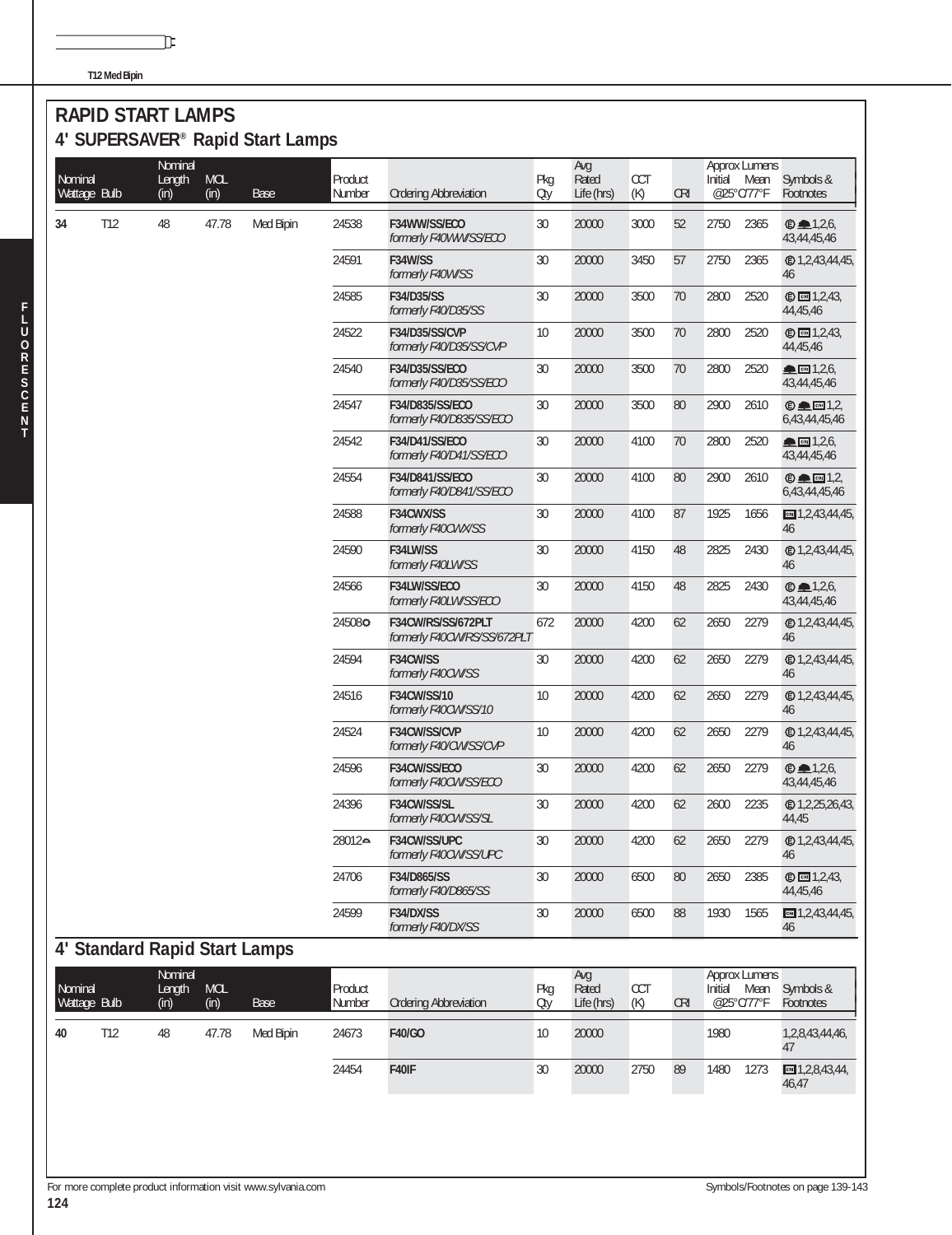**T12 Med Bipin**

#### **RAPID START LAMPS 4' SUPERSAVER® Rapid Start Lamps**

℡

| Nominal<br>Wattage Bulb |     | Nominal<br>Length<br>(in) | <b>MOL</b><br>(in) | 4 JUFLINJAVLIN NAPIU JIAH LAHIPS<br>Base | Product<br>Number | <b>Ordering Abbreviation</b>                      | Pkg<br>Oty | Avg<br>Rated<br>Life (hrs) | CCT<br>(K) | <b>CRI</b> | Initial | Approx Lumens<br>Mean<br>@25°C/77°F | Symbols &<br>Footnotes                                     |
|-------------------------|-----|---------------------------|--------------------|------------------------------------------|-------------------|---------------------------------------------------|------------|----------------------------|------------|------------|---------|-------------------------------------|------------------------------------------------------------|
| 34                      | T12 | 48                        | 47.78              | Med Bipin                                | 24538             | F34WW/SS/ECO<br>formerly F40WW/SS/ECO             | 30         | 20000                      | 3000       | 52         | 2750    | 2365                                | $\bullet$ 1,2,6,<br>43,44,45,46                            |
|                         |     |                           |                    |                                          | 24591             | F34W/SS<br>formerly F40W/SS                       | 30         | 20000                      | 3450       | 57         | 2750    | 2365                                | 46                                                         |
|                         |     |                           |                    |                                          | 24585             | F34/D35/SS<br>formerly F40/D35/SS                 | 30         | 20000                      | 3500       | 70         | 2800    | 2520                                | <b>©</b> 图 1,2,43,<br>44,45,46                             |
|                         |     |                           |                    |                                          | 24522             | F34/D35/SS/CVP<br>formerly F40/D35/SS/CVP         | 10         | 20000                      | 3500       | 70         | 2800    | 2520                                | <b>©</b> 2,43,<br>44,45,46                                 |
|                         |     |                           |                    |                                          | 24540             | F34/D35/SS/ECO<br>formerly F40/D35/SS/ECO         | 30         | 20000                      | 3500       | 70         | 2800    | 2520                                | $\triangle$ Cal $1,2,6$<br>43,44,45,46                     |
|                         |     |                           |                    |                                          | 24547             | F34/D835/SS/ECO<br>formerly F40/D835/SS/ECO       | 30         | 20000                      | 3500       | 80         | 2900    | 2610                                | $\oplus$ $\oplus$ $\boxdot$ 1,2,<br>6,43,44,45,46          |
|                         |     |                           |                    |                                          | 24542             | F34/D41/SS/ECO<br>formerly F40/D41/SS/ECO         | 30         | 20000                      | 4100       | 70         | 2800    | 2520                                | $R = 1,2,6$<br>43,44,45,46                                 |
|                         |     |                           |                    |                                          | 24554             | F34/D841/SS/ECO<br>formerly F40/D841/SS/ECO       | 30         | 20000                      | 4100       | 80         | 2900    | 2610                                | $\oplus \blacksquare$ $\blacksquare$ 1,2,<br>6,43,44,45,46 |
|                         |     |                           |                    |                                          | 24588             | F34CWX/SS<br>formerly F40CWX/SS                   | 30         | 20000                      | 4100       | 87         | 1925    | 1656                                | $m = 1, 2, 43, 44, 45,$<br>46                              |
|                         |     |                           |                    |                                          | 24590             | F34LW/SS<br>formerly F40LW/SS                     | 30         | 20000                      | 4150       | 48         | 2825    | 2430                                | @1,2,43,44,45,<br>46                                       |
|                         |     |                           |                    |                                          | 24566             | F34LW/SS/ECO<br>formerly F40LW/SS/ECO             | 30         | 20000                      | 4150       | 48         | 2825    | 2430                                | $\bullet$ 1,2,6,<br>43,44,45,46                            |
|                         |     |                           |                    |                                          | 245080            | F34CW/RS/SS/672PLT<br>formerly F40CW/RS/SS/672PLT | 672        | 20000                      | 4200       | 62         | 2650    | 2279                                | @1,2,43,44,45,<br>46                                       |
|                         |     |                           |                    |                                          | 24594             | F34CW/SS<br>formerly F40CW/SS                     | 30         | 20000                      | 4200       | 62         | 2650    | 2279                                | @1,2,43,44,45,<br>46                                       |
|                         |     |                           |                    |                                          | 24516             | F34CW/SS/10<br>formerly F40CW/SS/10               | 10         | 20000                      | 4200       | 62         | 2650    | 2279                                | <b><i></i></b> □ 1,2,43,44,45,<br>46                       |
|                         |     |                           |                    |                                          | 24524             | F34CW/SS/CVP<br>formerly F40/CW/SS/CVP            | 10         | 20000                      | 4200       | 62         | 2650    | 2279                                | @1,2,43,44,45,<br>46                                       |
|                         |     |                           |                    |                                          | 24596             | F34CW/SS/ECO<br>formerly F40CW/SS/ECO             | 30         | 20000                      | 4200       | 62         | 2650    | 2279                                | $\oplus$ $\blacksquare$ 1,2,6,<br>43,44,45,46              |
|                         |     |                           |                    |                                          | 24396             | F34CW/SS/SL<br>formerly F40CW/SS/SL               | 30         | 20000                      | 4200       | 62         | 2600    | 2235                                | @1,2,25,26,43,<br>44,45                                    |
|                         |     |                           |                    |                                          | 28012≏            | F34CW/SS/UPC<br>formerly F40CW/SS/UPC             | 30         | 20000                      | 4200       | 62         | 2650    | 2279                                | @1,2,43,44,45,<br>46                                       |
|                         |     |                           |                    |                                          | 24706             | F34/D865/SS<br>formerly F40/D865/SS               | 30         | 20000                      | 6500       | 80         | 2650    | 2385                                | <b>©</b> 2,43<br>44,45,46                                  |
|                         |     |                           |                    |                                          | 24599             | F34/DX/SS<br>formerly F40/DX/SS                   | 30         | 20000                      | 6500       | 88         | 1930    | 1565                                | $m = 1, 2, 43, 44, 45,$<br>46                              |
|                         |     |                           |                    | 4' Standard Rapid Start Lamps            |                   |                                                   |            |                            |            |            |         |                                     |                                                            |
| Nominal<br>Wattage Bulb |     | Nominal<br>Length<br>(in) | <b>MOL</b><br>(in) | Base                                     | Product<br>Number | <b>Ordering Abbreviation</b>                      | Pkg<br>Oty | Avg<br>Rated<br>Life (hrs) | CCT<br>(K) | <b>CRI</b> | Initial | Approx Lumens<br>Mean<br>@25°C/77°F | Symbols &<br>Footnotes                                     |
| 40                      | T12 | 48                        | 47.78              | Med Bipin                                | 24673             | F40/GO                                            | 10         | 20000                      |            |            | 1980    |                                     | 1,2,8,43,44,46,<br>47                                      |
|                         |     |                           |                    |                                          | 24454             | F40IF                                             | 30         | 20000                      | 2750       | 89         | 1480    | 1273                                | $\Box$ 1,2,8,43,44,<br>46,47                               |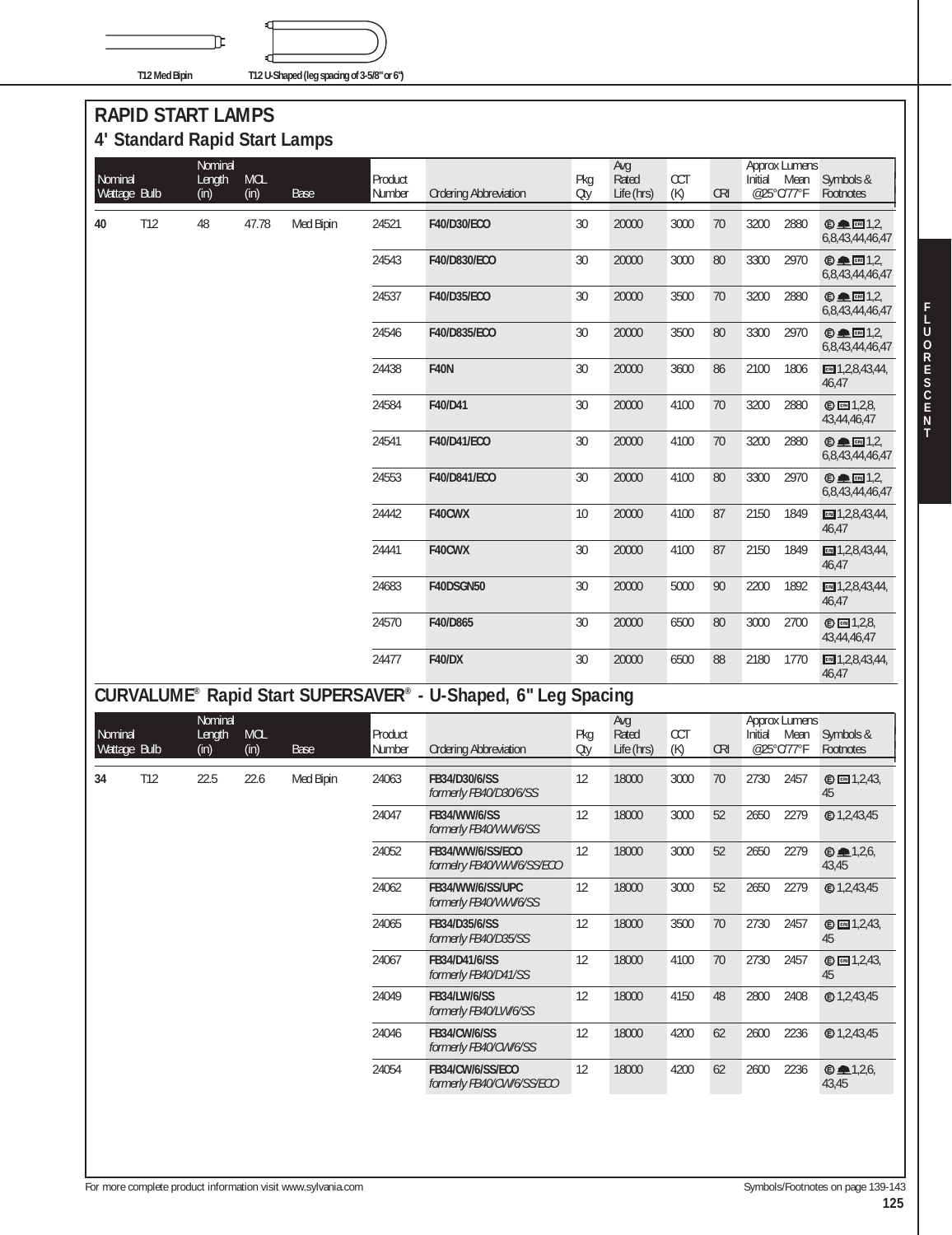**T12 Med Bipin T12 U-Shaped (leg spacing of 3-5/8" or 6")**

## **RAPID START LAMPS 4' Standard Rapid Start Lamps**

℡

| Nominal      |     | Nominal<br>Length | <b>MOL</b> |             | Product |                              | Pkg    | Avg<br>Rated | <b>CCT</b> |            | Initial | <b>Approx Lumens</b><br>Mean | Symbols &                          |
|--------------|-----|-------------------|------------|-------------|---------|------------------------------|--------|--------------|------------|------------|---------|------------------------------|------------------------------------|
| Wattage Bulb |     | (in)              | (in)       | <b>Base</b> | Number  | <b>Ordering Abbreviation</b> | Oty    | Life (hrs)   | (K)        | <b>CRI</b> |         | @25°C/77°F                   | Footnotes                          |
| 40           | T12 | 48                | 47.78      | Med Bipin   | 24521   | F40/D30/ECO                  | 30     | 20000        | 3000       | 70         | 3200    | 2880                         | $© □ [3]$<br>6,8,43,44,46,47       |
|              |     |                   |            |             | 24543   | F40/D830/ECO                 | $30\,$ | 20000        | 3000       | 80         | 3300    | 2970                         | $© □ 1.2.$<br>6,8,43,44,46,47      |
|              |     |                   |            |             | 24537   | F40/D35/ECO                  | 30     | 20000        | 3500       | 70         | 3200    | 2880                         | $© □ □ □ □ □ □$<br>6,8,43,44,46,47 |
|              |     |                   |            |             | 24546   | F40/D835/ECO                 | 30     | 20000        | 3500       | 80         | 3300    | 2970                         | $© □ [3]$<br>6,8,43,44,46,47       |
|              |     |                   |            |             | 24438   | <b>F40N</b>                  | 30     | 20000        | 3600       | 86         | 2100    | 1806                         | $m = 1, 2, 8, 43, 44,$<br>46,47    |
|              |     |                   |            |             | 24584   | F40/D41                      | 30     | 20000        | 4100       | 70         | 3200    | 2880                         | © <b>1.2.8</b><br>43,44,46,47      |
|              |     |                   |            |             | 24541   | F40/D41/ECO                  | 30     | 20000        | 4100       | 70         | 3200    | 2880                         | $© □ 1.2.$<br>6,8,43,44,46,47      |
|              |     |                   |            |             | 24553   | F40/D841/ECO                 | 30     | 20000        | 4100       | 80         | 3300    | 2970                         | $© □ 1,2,$<br>6,8,43,44,46,47      |
|              |     |                   |            |             | 24442   | F40CWX                       | 10     | 20000        | 4100       | 87         | 2150    | 1849                         | $m = 1, 2, 8, 43, 44,$<br>46.47    |
|              |     |                   |            |             | 24441   | F40CWX                       | 30     | 20000        | 4100       | 87         | 2150    | 1849                         | $m = 1, 2, 8, 43, 44,$<br>46,47    |
|              |     |                   |            |             | 24683   | F40DSGN50                    | 30     | 20000        | 5000       | 90         | 2200    | 1892                         | $\Box$ 1,2,8,43,44,<br>46,47       |
|              |     |                   |            |             | 24570   | F40/D865                     | 30     | 20000        | 6500       | 80         | 3000    | 2700                         | © <b>1</b> , 2, 8,<br>43,44,46,47  |
|              |     |                   |            |             | 24477   | <b>F40/DX</b>                | 30     | 20000        | 6500       | 88         | 2180    | 1770                         | $cm$ 1,2,8,43,44,<br>46,47         |

# **CURVALUME® Rapid Start SUPERSAVER® - U-Shaped, 6" Leg Spacing**

| Nominal<br>Wattage Bulb |     | Nominal<br>Length<br>(in) | <b>MOL</b><br>(in) | Base      | Product<br>Number | <b>Ordering Abbreviation</b>                  | Pkg<br>Oty | Avg<br>Rated<br>Life (hrs) | <b>CCT</b><br>(K) | <b>CRI</b> | Initial<br>@25°C/77°F | <b>Approx Lumens</b><br>Mean | Symbols &<br>Footnotes    |
|-------------------------|-----|---------------------------|--------------------|-----------|-------------------|-----------------------------------------------|------------|----------------------------|-------------------|------------|-----------------------|------------------------------|---------------------------|
| 34                      | T12 | 22.5                      | 22.6               | Med Bipin | 24063             | FB34/D30/6/SS<br>formerly FB40/D30/6/SS       | 12         | 18000                      | 3000              | 70         | 2730                  | 2457                         | © <b>1</b> ,2,43,<br>45   |
|                         |     |                           |                    |           | 24047             | FB34/WW/6/SS<br>formerly FB40/WW/6/SS         | 12         | 18000                      | 3000              | 52         | 2650                  | 2279                         | @1,2,43,45                |
|                         |     |                           |                    |           | 24052             | FB34/WW/6/SS/ECO<br>formelry FB40/WW/6/SS/ECO | 12         | 18000                      | 3000              | 52         | 2650                  | 2279                         | $\bullet$ 4.2,6,<br>43.45 |
|                         |     |                           |                    |           | 24062             | FB34/WW/6/SS/UPC<br>formerly FB40/WW/6/SS     | 12         | 18000                      | 3000              | 52         | 2650                  | 2279                         | <b>©1,2,43,45</b>         |
|                         |     |                           |                    |           | 24065             | FB34/D35/6/SS<br>formerly FB40/D35/SS         | 12         | 18000                      | 3500              | 70         | 2730                  | 2457                         | © <b>1</b> ,2,43,<br>45   |
|                         |     |                           |                    |           | 24067             | FB34/D41/6/SS<br>formerly FB40/D41/SS         | 12         | 18000                      | 4100              | 70         | 2730                  | 2457                         | <b>© 2,43</b> ,<br>45     |
|                         |     |                           |                    |           | 24049             | <b>FB34/LW/6/SS</b><br>formerly FB40/LW/6/SS  | 12         | 18000                      | 4150              | 48         | 2800                  | 2408                         | <b>©1,2,43,45</b>         |
|                         |     |                           |                    |           | 24046             | <b>FB34/CW/6/SS</b><br>formerly FB40/CW/6/SS  | 12         | 18000                      | 4200              | 62         | 2600                  | 2236                         |                           |
|                         |     |                           |                    |           | 24054             | FB34/CW/6/SS/ECO<br>formerly FB40/CW/6/SS/ECO | 12         | 18000                      | 4200              | 62         | 2600                  | 2236                         | $\bullet$ 4.2,6,<br>43,45 |
|                         |     |                           |                    |           |                   |                                               |            |                            |                   |            |                       |                              |                           |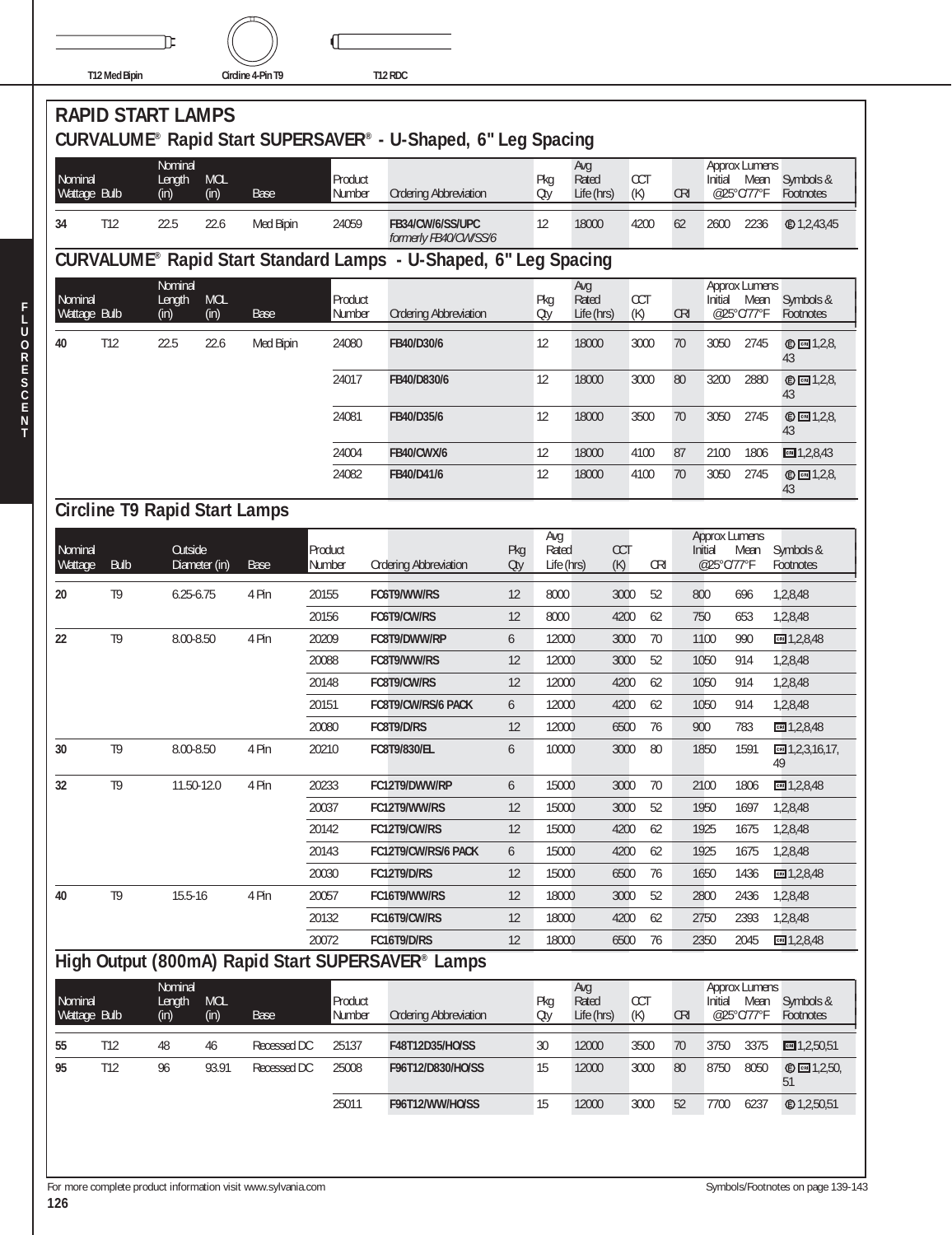

|                         | <b>RAPID START LAMPS</b>             |                           |                    |             |                   | CURVALUME® Rapid Start SUPERSAVER® - U-Shaped, 6" Leg Spacing    |            |                   |                                 |                   |            |                                 |                    |                          |
|-------------------------|--------------------------------------|---------------------------|--------------------|-------------|-------------------|------------------------------------------------------------------|------------|-------------------|---------------------------------|-------------------|------------|---------------------------------|--------------------|--------------------------|
| Nominal<br>Wattage Bulb |                                      | Nominal<br>Length<br>(in) | <b>MOL</b><br>(in) | <b>Base</b> | Product<br>Number | <b>Ordering Abbreviation</b>                                     |            | Pkg<br>Oty        | Avq<br>Rated<br>Life (hrs)      | CCT<br>(K)        | <b>CRI</b> | <b>Approx Lumens</b><br>Initial | Mean<br>@25°C/77°F | Symbols &<br>Footnotes   |
| 34                      | T12                                  | 22.5                      | 22.6               | Med Bipin   | 24059             | FB34/CW/6/SS/UPC<br>formerly FB40/CW/SS/6                        |            | $12 \overline{ }$ | 18000                           | 4200              | 62         | 2600                            | 2236               | <b>©1,2,43,45</b>        |
|                         |                                      |                           |                    |             |                   | CURVALUME® Rapid Start Standard Lamps - U-Shaped, 6" Leg Spacing |            |                   |                                 |                   |            |                                 |                    |                          |
| Nominal<br>Wattage Bulb |                                      | Nominal<br>Length<br>(in) | <b>MOL</b><br>(in) | Base        | Product<br>Number | <b>Ordering Abbreviation</b>                                     |            | Pkg<br>Oty        | Avg<br>Rated<br>Life (hrs)      | <b>CCT</b><br>(K) | <b>CRI</b> | <b>Approx Lumens</b><br>Initial | Mean<br>@25°C/77°F | Symbols &<br>Footnotes   |
| 40                      | T12                                  | 22.5                      | 22.6               | Med Bipin   | 24080             | FB40/D30/6                                                       |            | 12                | 18000                           | 3000              | 70         | 3050                            | 2745               | © <b>□</b> 1,2,8,<br>43  |
|                         |                                      |                           |                    |             | 24017             | FB40/D830/6                                                      |            | 12                | 18000                           | 3000              | 80         | 3200                            | 2880               | © 2,2,8<br>43            |
|                         |                                      |                           |                    |             | 24081             | FB40/D35/6                                                       |            | 12                | 18000                           | 3500              | 70         | 3050                            | 2745               | <b>©</b> 2,8,<br>43      |
|                         |                                      |                           |                    |             | 24004             | <b>FB40/CWX/6</b>                                                |            | 12                | 18000                           | 4100              | 87         | 2100                            | 1806               | $m = 1,2,8,43$           |
|                         |                                      |                           |                    |             | 24082             | FB40/D41/6                                                       |            | 12                | 18000                           | 4100              | 70         | 3050                            | 2745               | $©$ $C = 1,2,8$<br>43    |
|                         | <b>Circline T9 Rapid Start Lamps</b> |                           |                    |             |                   |                                                                  |            |                   |                                 |                   |            |                                 |                    |                          |
|                         |                                      |                           |                    |             |                   |                                                                  |            | Avg               |                                 |                   |            | <b>Approx Lumens</b>            |                    |                          |
| Nominal<br>Wattage      | <b>Bulb</b>                          | <b>Outside</b>            | Diameter (in)      | Base        | Product<br>Number | <b>Ordering Abbreviation</b>                                     | Pkg<br>Oty | Rated             | <b>CCT</b><br>Life (hrs)<br>(K) | <b>CRI</b>        |            | Initial<br>@25°C/77°F           | Mean               | Symbols &<br>Footnotes   |
| 20                      | T <sub>9</sub>                       | $6.25 - 6.75$             |                    | 4 Pin       | 20155             | FC6T9/WW/RS                                                      | 12         | 8000              | 3000                            | 52                |            | 800                             | 696                | 1,2,8,48                 |
|                         |                                      |                           |                    |             | 20156             | FC6T9/CW/RS                                                      | 12         | 8000              | 4200                            | 62                |            | 750                             | 653                | 1,2,8,48                 |
| 22                      | T <sub>9</sub>                       | 8.00-8.50                 |                    | 4 Pin       | 20209             | FC8T9/DWW/RP                                                     | 6          | 12000             | 3000                            | 70                |            | 1100                            | 990                | cm 1,2,8,48              |
|                         |                                      |                           |                    |             | 20088             | FC8T9/WW/RS                                                      | 12         | 12000             | 3000                            | 52                |            | 1050                            | 914                | 1,2,8,48                 |
|                         |                                      |                           |                    |             | 20148             | FC8T9/CW/RS                                                      | 12         | 12000             | 4200                            | 62                |            | 1050                            | 914                | 1,2,8,48                 |
|                         |                                      |                           |                    |             | 20151             | FC8T9/CW/RS/6 PACK                                               | 6          | 12000             | 4200                            | 62                |            | 1050                            | 914                | 1,2,8,48                 |
|                         |                                      |                           |                    |             | 20080             | FC8T9/D/RS                                                       | 12         | 12000             | 6500                            | 76                |            | 900                             | 783                | CF 1, 2, 8, 48           |
| 30                      | T <sub>9</sub>                       | 8.00-8.50                 |                    | 4 Pin       | 20210             | FC8T9/830/EL                                                     | 6          | 10000             | 3000                            | 80                |            | 1850                            | 1591               | $cm$ 1,2,3,16,17,<br>49  |
| 32                      | T <sub>9</sub>                       |                           | 11.50-12.0         | 4 Pin       | 20233             | FC12T9/DWW/RP                                                    | 6          | 15000             | 3000                            | 70                |            | 2100                            | 1806               | cm 1,2,8,48              |
|                         |                                      |                           |                    |             | 20037             | FC12T9/WW/RS                                                     | 12         | 15000             | 3000                            | 52                |            | 1950                            | 1697               | 1,2,8,48                 |
|                         |                                      |                           |                    |             | 20142             | FC12T9/CW/RS                                                     | 12         | 15000             | 4200                            | 62                |            | 1925                            | 1675               | 1,2,8,48                 |
|                         |                                      |                           |                    |             | 20143             | FC12T9/CW/RS/6 PACK                                              | 6          | 15000             | 4200                            | 62                |            | 1925                            | 1675               | 1,2,8,48                 |
|                         |                                      |                           |                    |             | 20030             | FC12T9/D/RS                                                      | 12         | 15000             | 6500                            | 76                |            | 1650                            | 1436               | CRI 1,2,8,48             |
| 40                      | T <sub>9</sub>                       | 15.5-16                   |                    | 4 Pin       | 20057<br>20132    | FC16T9/WW/RS<br>FC16T9/CW/RS                                     | 12<br>12   | 18000<br>18000    | 3000<br>4200                    | 52<br>62          |            | 2800<br>2750                    | 2436<br>2393       | 1,2,8,48<br>1,2,8,48     |
|                         |                                      |                           |                    |             | 20072             | FC16T9/D/RS                                                      | 12         | 18000             | 6500                            | 76                |            | 2350                            | 2045               | cm 1,2,8,48              |
|                         |                                      |                           |                    |             |                   | High Output (800mA) Rapid Start SUPERSAVER® Lamps                |            |                   |                                 |                   |            |                                 |                    |                          |
| Nominal<br>Wattage Bulb |                                      | Nominal<br>Length<br>(in) | <b>MOL</b><br>(in) | Base        | Product<br>Number | <b>Ordering Abbreviation</b>                                     |            | Pkg<br>Oty        | Avg<br>Rated<br>Life (hrs)      | CCT<br>(K)        | <b>CRI</b> | Approx Lumens<br>Initial        | Mean<br>@25°C/77°F | Symbols &<br>Footnotes   |
| 55                      | T12                                  | 48                        | 46                 | Recessed DC | 25137             | F48T12D35/HO/SS                                                  |            | 30                | 12000                           | 3500              | 70         | 3750                            | 3375               | CH 1, 2, 50, 51          |
| 95                      | T12                                  | 96                        | 93.91              | Recessed DC | 25008             | F96T12/D830/HO/SS                                                |            | 15                | 12000                           | 3000              | 80         | 8750                            | 8050               | © <b>□</b> 1,2,50,<br>51 |
|                         |                                      |                           |                    |             | 25011             | F96T12/WW/HO/SS                                                  |            | 15                | 12000                           | 3000              | 52         | 7700                            | 6237               | <b>©</b> 1,2,50,51       |
|                         |                                      |                           |                    |             |                   |                                                                  |            |                   |                                 |                   |            |                                 |                    |                          |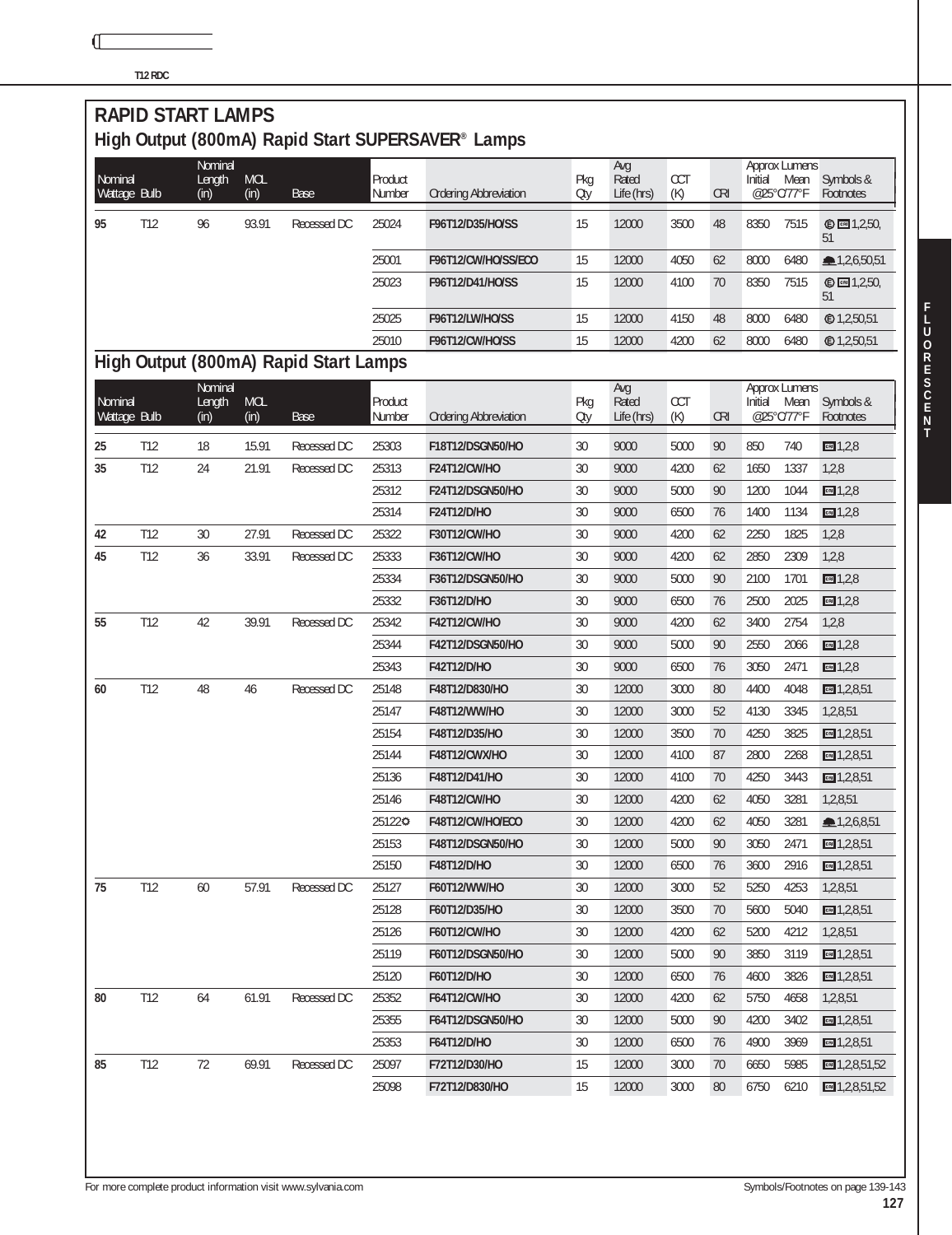**T12 RDC**

|         |              | <b>RAPID START LAMPS</b>  |                    |                                       |                   |                                                   |            |                            |            |            |         |                                            |                            |
|---------|--------------|---------------------------|--------------------|---------------------------------------|-------------------|---------------------------------------------------|------------|----------------------------|------------|------------|---------|--------------------------------------------|----------------------------|
|         |              |                           |                    |                                       |                   | High Output (800mA) Rapid Start SUPERSAVER® Lamps |            |                            |            |            |         |                                            |                            |
| Nominal | Wattage Bulb | Nominal<br>Length<br>(in) | <b>MOL</b><br>(in) | Base                                  | Product<br>Number | <b>Ordering Abbreviation</b>                      | Pkg<br>Oty | Avg<br>Rated<br>Life (hrs) | CCT<br>(K) | <b>CRI</b> | Initial | <b>Approx Lumens</b><br>Mean<br>@25°C/77°F | Symbols &<br>Footnotes     |
| 95      | T12          | 96                        | 93.91              | Recessed DC                           | 25024             | F96T12/D35/HO/SS                                  | 15         | 12000                      | 3500       | 48         | 8350    | 7515                                       | © 2,50<br>51               |
|         |              |                           |                    |                                       | 25001             | F96T12/CW/HO/SS/ECO                               | 15         | 12000                      | 4050       | 62         | 8000    | 6480                                       | 1,2,6,50,51                |
|         |              |                           |                    |                                       | 25023             | F96T12/D41/HO/SS                                  | 15         | 12000                      | 4100       | 70         | 8350    | 7515                                       | $©$ $M$ 1,2,50,<br>51      |
|         |              |                           |                    |                                       | 25025             | F96T12/LW/HO/SS                                   | 15         | 12000                      | 4150       | 48         | 8000    | 6480                                       |                            |
|         |              |                           |                    |                                       | 25010             | <b>F96T12/CW/HO/SS</b>                            | 15         | 12000                      | 4200       | 62         | 8000    | 6480                                       | @1,2,50,51                 |
|         |              |                           |                    | High Output (800mA) Rapid Start Lamps |                   |                                                   |            |                            |            |            |         |                                            |                            |
| Nominal | Wattage Bulb | Nominal<br>Length<br>(in) | <b>MOL</b><br>(in) | Base                                  | Product<br>Number | <b>Ordering Abbreviation</b>                      | Pkg<br>Oty | Avg<br>Rated<br>Life (hrs) | CCT<br>(K) | <b>CRI</b> | Initial | <b>Approx Lumens</b><br>Mean<br>@25°C/77°F | Symbols &<br>Footnotes     |
| 25      | T12          | 18                        | 15.91              | Recessed DC                           | 25303             | F18T12/DSGN50/HO                                  | 30         | 9000                       | 5000       | 90         | 850     | 740                                        | cm 1,2,8                   |
| 35      | T12          | 24                        | 21.91              | Recessed DC                           | 25313             | <b>F24T12/CW/HO</b>                               | 30         | 9000                       | 4200       | 62         | 1650    | 1337                                       | 1,2,8                      |
|         |              |                           |                    |                                       | 25312             | F24T12/DSGN50/HO                                  | 30         | 9000                       | 5000       | 90         | 1200    | 1044                                       | cm 1,2,8                   |
|         |              |                           |                    |                                       | 25314             | F24T12/D/HO                                       | 30         | 9000                       | 6500       | 76         | 1400    | 1134                                       | cm 1,2,8                   |
| 42      | T12          | 30                        | 27.91              | Recessed DC                           | 25322             | F30T12/CW/HO                                      | 30         | 9000                       | 4200       | 62         | 2250    | 1825                                       | 1,2,8                      |
| 45      | T12          | 36                        | 33.91              | Recessed DC                           | 25333             | F36T12/CW/HO                                      | 30         | 9000                       | 4200       | 62         | 2850    | 2309                                       | 1,2,8                      |
|         |              |                           |                    |                                       | 25334             | F36T12/DSGN50/HO                                  | 30         | 9000                       | 5000       | 90         | 2100    | 1701                                       | cm 1,2,8                   |
|         |              |                           |                    |                                       | 25332             | F36T12/D/HO                                       | 30         | 9000                       | 6500       | 76         | 2500    | 2025                                       | cm 1,2,8                   |
| 55      | T12          | 42                        | 39.91              | Recessed DC                           | 25342             | F42T12/CW/HO                                      | 30         | 9000                       | 4200       | 62         | 3400    | 2754                                       | 1,2,8                      |
|         |              |                           |                    |                                       | 25344             | F42T12/DSGN50/HO                                  | 30         | 9000                       | 5000       | 90         | 2550    | 2066                                       | cm 1,2,8                   |
|         |              |                           |                    |                                       | 25343             | F42T12/D/HO                                       | 30         | 9000                       | 6500       | 76         | 3050    | 2471                                       | cm 1,2,8                   |
| 60      | T12          | 48                        | 46                 | Recessed DC                           | 25148             | F48T12/D830/HO                                    | 30         | 12000                      | 3000       | 80         | 4400    | 4048                                       | cm 1,2,8,51                |
|         |              |                           |                    |                                       | 25147             | F48T12/WW/HO                                      | 30         | 12000                      | 3000       | 52         | 4130    | 3345                                       | 1,2,8,51                   |
|         |              |                           |                    |                                       | 25154             | F48T12/D35/HO                                     | 30         | 12000                      | 3500       | 70         | 4250    | 3825                                       | CH 1, 2, 8, 51             |
|         |              |                           |                    |                                       | 25144             | F48T12/CWX/HO                                     | 30         | 12000                      | 4100       | 87         | 2800    | 2268                                       | cm 1,2,8,51                |
|         |              |                           |                    |                                       | 25136             | F48T12/D41/HO                                     | 30         | 12000                      | 4100       | 70         | 4250    | 3443                                       | cm 1,2,8,51                |
|         |              |                           |                    |                                       | 25146             | F48T12/CW/HO                                      | 30         | 12000                      | 4200       | 62         | 4050    | 3281                                       | 1,2,8,51                   |
|         |              |                           |                    |                                       | 251220            | F48T12/CW/HO/ECO                                  | 30         | 12000                      | 4200       | 62         | 4050    | 3281                                       | 1,2,6,8,51                 |
|         |              |                           |                    |                                       | 25153             | F48T12/DSGN50/HO                                  | 30         | 12000                      | 5000       | 90         | 3050    | 2471                                       | $m = 1,2,8,51$             |
|         |              |                           |                    |                                       | 25150             | F48T12/D/HO                                       | 30         | 12000                      | 6500       | 76         | 3600    | 2916                                       | $m = 1,2,8,51$             |
| 75      | T12          | 60                        | 57.91              | Recessed DC                           | 25127             | F60T12/WW/HO                                      | 30         | 12000                      | 3000       | 52         | 5250    | 4253                                       | 1,2,8,51                   |
|         |              |                           |                    |                                       | 25128             | F60T12/D35/HO                                     | 30         | 12000                      | 3500       | 70         | 5600    | 5040                                       | $m = 1,2,8,51$             |
|         |              |                           |                    |                                       | 25126             | F60T12/CW/HO                                      | 30         | 12000                      | 4200       | 62         | 5200    | 4212                                       | 1,2,8,51                   |
|         |              |                           |                    |                                       | 25119             | F60T12/DSGN50/HO                                  | 30         | 12000                      | 5000       | 90         | 3850    | 3119                                       | $m$ 1,2,8,51               |
|         |              |                           |                    |                                       | 25120             | F60T12/D/HO                                       | 30         | 12000                      | 6500       | 76         | 4600    | 3826                                       | cm 1,2,8,51                |
| 80      | T12          | 64                        | 61.91              | Recessed DC                           | 25352             | <b>F64T12/CW/HO</b>                               | 30         | 12000                      | 4200       | 62         | 5750    | 4658                                       | 1,2,8,51                   |
|         |              |                           |                    |                                       | 25355             | F64T12/DSGN50/HO                                  | 30         | 12000                      | 5000       | 90         | 4200    | 3402                                       | $m$ 1,2,8,51               |
|         |              |                           |                    |                                       | 25353             | F64T12/D/HO                                       | 30         | 12000                      | 6500       | 76         | 4900    | 3969                                       | cm 1,2,8,51                |
| 85      | T12          | 72                        | 69.91              | Recessed DC                           | 25097             | F72T12/D30/HO                                     | 15         | 12000                      | 3000       | 70         | 6650    | 5985                                       | $\blacksquare$ 1,2,8,51,52 |
|         |              |                           |                    |                                       | 25098             | F72T12/D830/HO                                    | 15         | 12000                      | 3000       | 80         | 6750    | 6210                                       | $\blacksquare$ 1,2,8,51,52 |

**N T**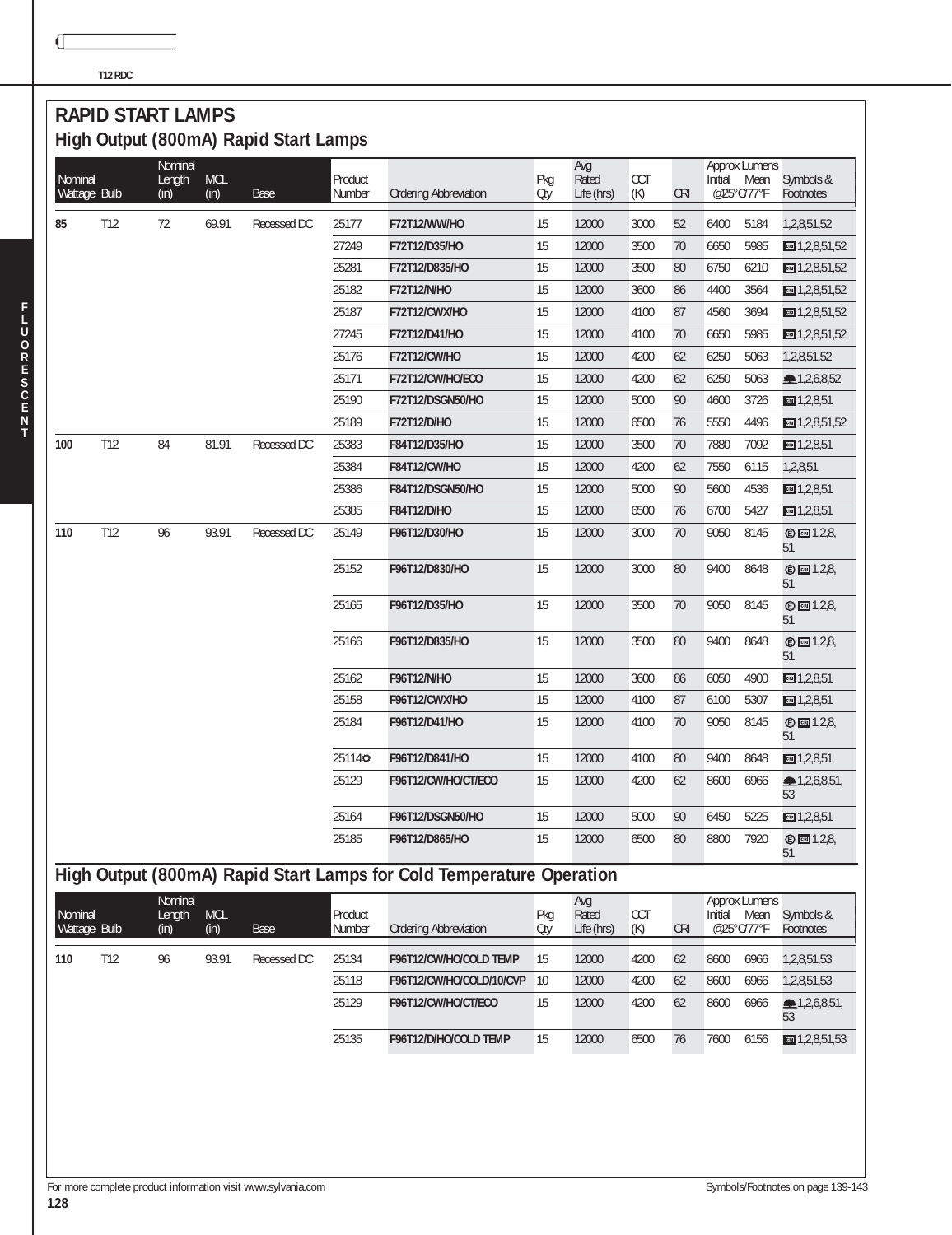**T12 RDC**

 $\mathbb{C}$ 

#### **RAPID START LAMPS High Output (800mA) Rapid Start Lamps**

| Nominal<br>Wattage Bulb |              | Nominal<br>Length<br>(in) | <b>MOL</b><br>(in)       | <b>Base</b> | Product<br>Number | <b>Ordering Abbreviation</b>                                         | Pkg<br>Oty | Avg<br>Rated<br>Life (hrs) | CCT<br>(K)        | <b>CRI</b> | Initial | Approx Lumens<br>Mean<br>@25°C/77°F                | Symbols &<br>Footnotes    |
|-------------------------|--------------|---------------------------|--------------------------|-------------|-------------------|----------------------------------------------------------------------|------------|----------------------------|-------------------|------------|---------|----------------------------------------------------|---------------------------|
| 85                      | T12          | 72                        | 69.91                    | Recessed DC | 25177             | F72T12/WW/HO                                                         | 15         | 12000                      | 3000              | 52         | 6400    | 5184                                               | 1,2,8,51,52               |
|                         |              |                           |                          |             | 27249             | F72T12/D35/HO                                                        | 15         | 12000                      | 3500              | 70         | 6650    | 5985                                               | $m = 1, 2, 8, 51, 52$     |
|                         |              |                           |                          |             | 25281             | F72T12/D835/HO                                                       | 15         | 12000                      | 3500              | 80         | 6750    | 6210                                               | $m = 1,2,8,51,52$         |
|                         |              |                           |                          |             | 25182             | F72T12/N/HO                                                          | 15         | 12000                      | 3600              | 86         | 4400    | 3564                                               | $m = 1,2,8,51,52$         |
|                         |              |                           |                          |             | 25187             | F72T12/CWX/HO                                                        | 15         | 12000                      | 4100              | 87         | 4560    | 3694                                               | $\boxed{cm}$ 1,2,8,51,52  |
|                         |              |                           |                          |             | 27245             | F72T12/D41/HO                                                        | 15         | 12000                      | 4100              | 70         | 6650    | 5985                                               | $m = 1,2,8,51,52$         |
|                         |              |                           |                          |             | 25176             | F72T12/CW/HO                                                         | 15         | 12000                      | 4200              | 62         | 6250    | 5063                                               | 1,2,8,51,52               |
|                         |              |                           |                          |             | 25171             | F72T12/CW/HO/ECO                                                     | 15         | 12000                      | 4200              | 62         | 6250    | 5063                                               | 2,6,8,52                  |
|                         |              |                           |                          |             | 25190             | F72T12/DSGN50/HO                                                     | 15         | 12000                      | 5000              | 90         | 4600    | 3726                                               | cm 1,2,8,51               |
|                         |              |                           |                          |             | 25189             | F72T12/D/HO                                                          | 15         | 12000                      | 6500              | 76         | 5550    | 4496                                               | $m = 1,2,8,51,52$         |
| 100                     | T12          | 84                        | 81.91                    | Recessed DC | 25383             | F84T12/D35/HO                                                        | 15         | 12000                      | 3500              | 70         | 7880    | 7092                                               | $m = 1,2,8,51$            |
|                         |              |                           |                          |             | 25384             | F84T12/CW/HO                                                         | 15         | 12000                      | 4200              | 62         | 7550    | 6115                                               | 1,2,8,51                  |
|                         |              |                           |                          |             | 25386             | F84T12/DSGN50/HO                                                     | 15         | 12000                      | 5000              | 90         | 5600    | 4536                                               | $m = 1,2,8,51$            |
|                         |              |                           |                          |             | 25385             | F84T12/D/HO                                                          | 15         | 12000                      | 6500              | 76         | 6700    | 5427                                               | $m = 1,2,8,51$            |
| 110                     | T12          | 96                        | 93.91                    | Recessed DC | 25149             | F96T12/D30/HO                                                        | 15         | 12000                      | 3000              | 70         | 9050    | 8145                                               | © <b>□</b> 1,2,8,<br>51   |
|                         |              |                           |                          |             | 25152             | F96T12/D830/HO                                                       | 15         | 12000                      | 3000              | 80         | 9400    | 8648                                               | <b>©</b> 2,8,<br>51       |
|                         |              |                           |                          |             | 25165             | F96T12/D35/HO                                                        | 15         | 12000                      | 3500              | 70         | 9050    | 8145                                               | $©$ $□$ 1,2,8,<br>51      |
|                         |              |                           |                          |             | 25166             | F96T12/D835/HO                                                       | 15         | 12000                      | 3500              | 80         | 9400    | 8648                                               | © <b>□</b> 1,2,8,<br>51   |
|                         |              |                           |                          |             | 25162             | F96T12/N/HO                                                          | 15         | 12000                      | 3600              | 86         | 6050    | 4900                                               | $m = 1,2,8,51$            |
|                         |              |                           |                          |             | 25158             | F96T12/CWX/HO                                                        | 15         | 12000                      | 4100              | 87         | 6100    | 5307                                               | $m = 1,2,8,51$            |
|                         |              |                           |                          |             | 25184             | F96T12/D41/HO                                                        | 15         | 12000                      | 4100              | 70         | 9050    | 8145                                               | $© \n  \Box 1,2,8,$<br>51 |
|                         |              |                           |                          |             | 251140            | F96T12/D841/HO                                                       | 15         | 12000                      | 4100              | 80         | 9400    | 8648                                               | cm 1,2,8,51               |
|                         |              |                           |                          |             | 25129             | F96T12/CW/HO/CT/ECO                                                  | 15         | 12000                      | 4200              | 62         | 8600    | 6966                                               | 1,2,6,8,51<br>53          |
|                         |              |                           |                          |             | 25164             | F96T12/DSGN50/HO                                                     | 15         | 12000                      | 5000              | 90         | 6450    | 5225                                               | cm 1,2,8,51               |
|                         |              |                           |                          |             | 25185             | F96T12/D865/HO                                                       | 15         | 12000                      | 6500              | 80         | 8800    | 7920                                               | © <b>2</b> 1,2,8,<br>51   |
|                         |              |                           |                          |             |                   | High Output (800mA) Rapid Start Lamps for Cold Temperature Operation |            |                            |                   |            |         |                                                    |                           |
| Nominal                 | Wattage Bulb | Nominal<br>Length<br>(in) | $\textsf{MOL}{}$<br>(in) | Base        | Product<br>Number | <b>Ordering Abbreviation</b>                                         | Pkg<br>Oty | Avg<br>Rated<br>Life (hrs) | <b>CCT</b><br>(K) | <b>CRI</b> |         | <b>Approx Lumens</b><br>Initial Mean<br>@25°C/77°F | Symbols &<br>Footnotes    |
| 110                     | T12          | 96                        | 93.91                    | Recessed DC | 25134             | F96T12/CW/HO/COLD TEMP                                               | 15         | 12000                      | 4200              | 62         | 8600    | 6966                                               | 1,2,8,51,53               |
|                         |              |                           |                          |             | 25118             | F96T12/CW/HO/COLD/10/CVP                                             | 10         | 12000                      | 4200              | 62         | 8600    | 6966                                               | 1,2,8,51,53               |
|                         |              |                           |                          |             | 25129             | F96T12/CW/HO/CT/ECO                                                  | 15         | 12000                      | 4200              | 62         | 8600    | 6966                                               | 2,6,8,51<br>53            |
|                         |              |                           |                          |             | 25135             | F96T12/D/HO/COLD TEMP                                                | 15         | 12000                      | 6500              | 76         | 7600    | 6156                                               | $m = 1,2,8,51,53$         |
|                         |              |                           |                          |             |                   |                                                                      |            |                            |                   |            |         |                                                    |                           |

**F**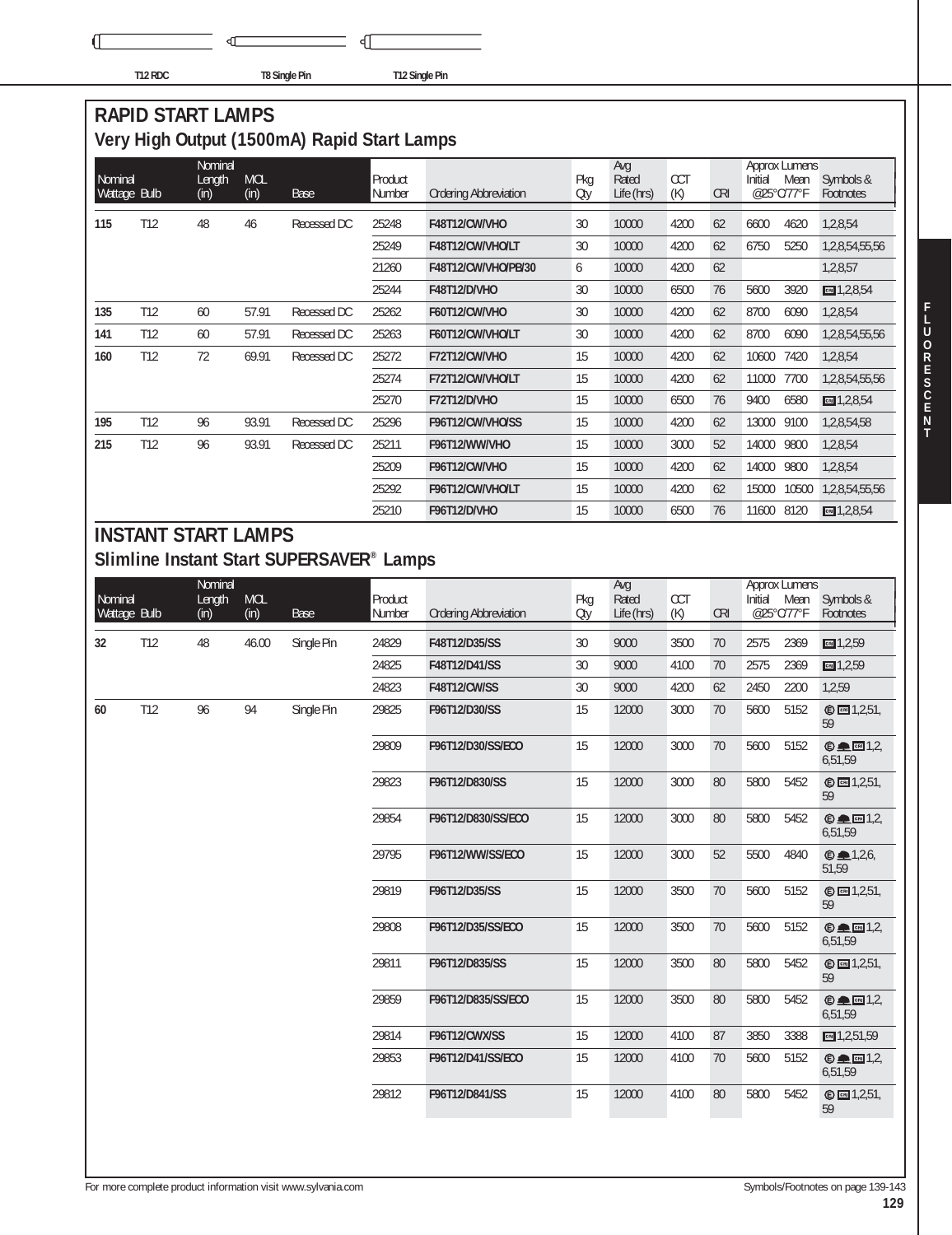٩ſ

√ T12 RDC **T8 Single Pin** T12 Single Pin

## **RAPID START LAMPS Very High Output (1500mA) Rapid Start Lamps**

| Nominal<br>Wattage Bulb |                 | Nominal<br>Length<br>(in) | <b>MOL</b><br>(in) | Base        | Product<br>Number | <b>Ordering Abbreviation</b> | Pkg<br>Oty | Avg<br>Rated<br>Life (hrs) | <b>CCT</b><br>(K) | <b>CRI</b> | Initial<br>@25°C/77°F | Approx Lumens<br>Mean | Symbols &<br>Footnotes |
|-------------------------|-----------------|---------------------------|--------------------|-------------|-------------------|------------------------------|------------|----------------------------|-------------------|------------|-----------------------|-----------------------|------------------------|
| 115                     | T <sub>12</sub> | 48                        | 46                 | Recessed DC | 25248             | F48T12/CW/VHO                | 30         | 10000                      | 4200              | 62         | 6600                  | 4620                  | 1,2,8,54               |
|                         |                 |                           |                    |             | 25249             | F48T12/CW/VHO/LT             | 30         | 10000                      | 4200              | 62         | 6750                  | 5250                  | 1,2,8,54,55,56         |
|                         |                 |                           |                    |             | 21260             | F48T12/CW/VHO/PB/30          | 6          | 10000                      | 4200              | 62         |                       |                       | 1,2,8,57               |
|                         |                 |                           |                    |             | 25244             | F48T12/D/VHO                 | 30         | 10000                      | 6500              | 76         | 5600                  | 3920                  | $m = 1,2,8,54$         |
| 135                     | T12             | 60                        | 57.91              | Recessed DC | 25262             | F60T12/CW/VHO                | 30         | 10000                      | 4200              | 62         | 8700                  | 6090                  | 1,2,8,54               |
| 141                     | T <sub>12</sub> | 60                        | 57.91              | Recessed DC | 25263             | F60T12/CW/VHO/LT             | 30         | 10000                      | 4200              | 62         | 8700                  | 6090                  | 1,2,8,54,55,56         |
| 160                     | T12             | 72                        | 69.91              | Recessed DC | 25272             | F72T12/CW/VHO                | 15         | 10000                      | 4200              | 62         | 10600                 | 7420                  | 1,2,8,54               |
|                         |                 |                           |                    |             | 25274             | F72T12/CW/VHO/LT             | 15         | 10000                      | 4200              | 62         | 11000                 | 7700                  | 1,2,8,54,55,56         |
|                         |                 |                           |                    |             | 25270             | <b>F72T12/D/VHO</b>          | 15         | 10000                      | 6500              | 76         | 9400                  | 6580                  | $m = 1,2,8,54$         |
| 195                     | T <sub>12</sub> | 96                        | 93.91              | Recessed DC | 25296             | F96T12/CW/VHO/SS             | 15         | 10000                      | 4200              | 62         | 13000                 | 9100                  | 1,2,8,54,58            |
| 215                     | T12             | 96                        | 93.91              | Recessed DC | 25211             | F96T12/WW/VHO                | 15         | 10000                      | 3000              | 52         | 14000                 | 9800                  | 1,2,8,54               |
|                         |                 |                           |                    |             | 25209             | F96T12/CW/VHO                | 15         | 10000                      | 4200              | 62         | 14000                 | 9800                  | 1,2,8,54               |
|                         |                 |                           |                    |             | 25292             | F96T12/CW/VHO/LT             | 15         | 10000                      | 4200              | 62         | 15000                 | 10500                 | 1,2,8,54,55,56         |
|                         |                 |                           |                    |             | 25210             | F96T12/D/VHO                 | 15         | 10000                      | 6500              | 76         | 11600                 | 8120                  | $\Box$ 1,2,8,54        |

#### **INSTANT START LAMPS Slimline Instant Start SUPERSAVER® Lamps**

|              |     | Nominal |            |            |         |                              |     | Avg        |            |            |         | <b>Approx Lumens</b> |                                             |
|--------------|-----|---------|------------|------------|---------|------------------------------|-----|------------|------------|------------|---------|----------------------|---------------------------------------------|
| Nominal      |     | Length  | <b>MOL</b> |            | Product |                              | Pkg | Rated      | <b>CCT</b> |            | Initial | Mean<br>@25°C/77°F   | Symbols &                                   |
| Wattage Bulb |     | (in)    | (in)       | Base       | Number  | <b>Ordering Abbreviation</b> | Oty | Life (hrs) | (K)        | <b>CRI</b> |         |                      | Footnotes                                   |
| 32           | T12 | 48      | 46.00      | Single Pin | 24829   | F48T12/D35/SS                | 30  | 9000       | 3500       | 70         | 2575    | 2369                 | CH 1, 2, 59                                 |
|              |     |         |            |            | 24825   | F48T12/D41/SS                | 30  | 9000       | 4100       | 70         | 2575    | 2369                 | cm 1,2,59                                   |
|              |     |         |            |            | 24823   | <b>F48T12/CW/SS</b>          | 30  | 9000       | 4200       | 62         | 2450    | 2200                 | 1,2,59                                      |
| 60           | T12 | 96      | 94         | Single Pin | 29825   | F96T12/D30/SS                | 15  | 12000      | 3000       | 70         | 5600    | 5152                 | © 1,2,51,<br>59                             |
|              |     |         |            |            | 29809   | F96T12/D30/SS/ECO            | 15  | 12000      | 3000       | 70         | 5600    | 5152                 | $© □ 1.2$<br>6,51,59                        |
|              |     |         |            |            | 29823   | F96T12/D830/SS               | 15  | 12000      | 3000       | 80         | 5800    | 5452                 | © <b>3</b> 1,2,51,<br>59                    |
|              |     |         |            |            | 29854   | F96T12/D830/SS/ECO           | 15  | 12000      | 3000       | 80         | 5800    | 5452                 | $© □ [3]$<br>6,51,59                        |
|              |     |         |            |            | 29795   | F96T12/WW/SS/ECO             | 15  | 12000      | 3000       | 52         | 5500    | 4840                 | $\mathbf{0}$ $\blacksquare$ 1,2,6,<br>51,59 |
|              |     |         |            |            | 29819   | F96T12/D35/SS                | 15  | 12000      | 3500       | 70         | 5600    | 5152                 | © <b>3</b> 1,2,51,<br>59                    |
|              |     |         |            |            | 29808   | F96T12/D35/SS/ECO            | 15  | 12000      | 3500       | 70         | 5600    | 5152                 | $© □ [3]$<br>6,51,59                        |
|              |     |         |            |            | 29811   | F96T12/D835/SS               | 15  | 12000      | 3500       | 80         | 5800    | 5452                 | © $[3]$ 1,2,51,<br>59                       |
|              |     |         |            |            | 29859   | F96T12/D835/SS/ECO           | 15  | 12000      | 3500       | 80         | 5800    | 5452                 | $© □ 1.26,51,59$                            |
|              |     |         |            |            | 29814   | F96T12/CWX/SS                | 15  | 12000      | 4100       | 87         | 3850    | 3388                 | CH1,2,51,59                                 |
|              |     |         |            |            | 29853   | F96T12/D41/SS/ECO            | 15  | 12000      | 4100       | 70         | 5600    | 5152                 | $© □ □ □ □ □$<br>6,51,59                    |
|              |     |         |            |            | 29812   | F96T12/D841/SS               | 15  | 12000      | 4100       | 80         | 5800    | 5452                 | © <b>1</b> , 2, 51,<br>59                   |
|              |     |         |            |            |         |                              |     |            |            |            |         |                      |                                             |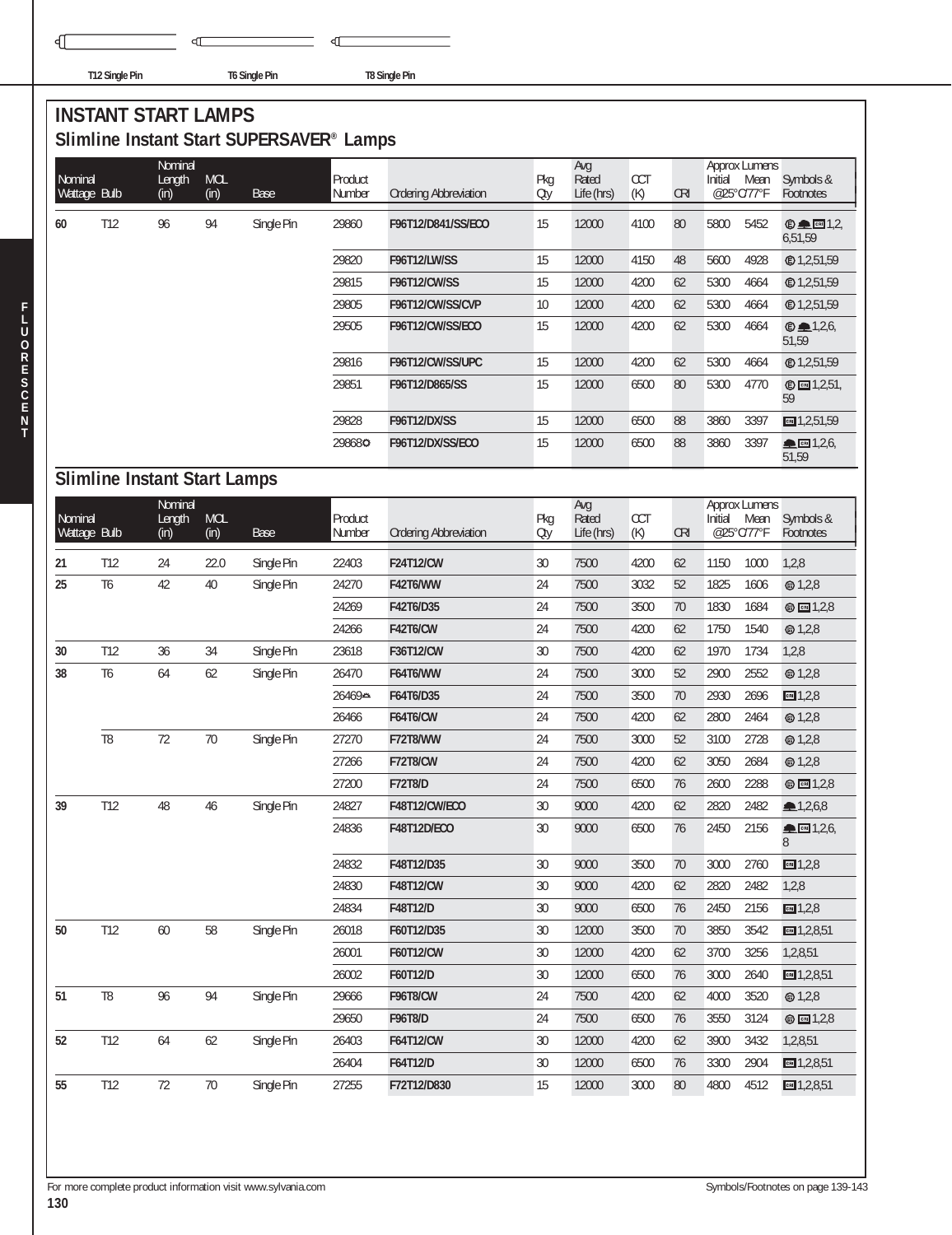€

**T12 Single Pin T6 Single Pin T8 Single Pin**

 $\overline{\mathbb{C}}$ 

## **INSTANT START LAMPS Slimline Instant Start SUPERSAVER® Lamps**

Þ

|                         |                |                                     |                    | ommine motant otart our ERSAVER Eamps |                    |                              |            |                            |                   |            |         |                                            |                          |
|-------------------------|----------------|-------------------------------------|--------------------|---------------------------------------|--------------------|------------------------------|------------|----------------------------|-------------------|------------|---------|--------------------------------------------|--------------------------|
| Nominal                 |                | Nominal                             |                    |                                       |                    |                              |            | Avg<br>Rated               |                   |            |         | <b>Approx Lumens</b>                       |                          |
| Wattage Bulb            |                | Length<br>(in)                      | <b>MOL</b><br>(in) | <b>Base</b>                           | Product<br>Number  | <b>Ordering Abbreviation</b> | Pkg<br>Oty | Life (hrs)                 | <b>CCT</b><br>(K) | <b>CRI</b> | Initial | Mean<br>@25°C/77°F                         | Symbols &<br>Footnotes   |
| 60                      | T12            | 96                                  | 94                 | Single Pin                            | 29860              | F96T12/D841/SS/ECO           | 15         | 12000                      | 4100              | 80         | 5800    | 5452                                       | $© □ 1,2,$<br>6,51,59    |
|                         |                |                                     |                    |                                       | 29820              | <b>F96T12/LW/SS</b>          | 15         | 12000                      | 4150              | 48         | 5600    | 4928                                       |                          |
|                         |                |                                     |                    |                                       | 29815              | <b>F96T12/CW/SS</b>          | 15         | 12000                      | 4200              | 62         | 5300    | 4664                                       | <b>©1,2,51,59</b>        |
|                         |                |                                     |                    |                                       | 29805              | F96T12/CW/SS/CVP             | $10$       | 12000                      | 4200              | 62         | 5300    | 4664                                       |                          |
|                         |                |                                     |                    |                                       | 29505              | F96T12/CW/SS/ECO             | 15         | 12000                      | 4200              | 62         | 5300    | 4664                                       | @41,2,6<br>51,59         |
|                         |                |                                     |                    |                                       | 29816              | F96T12/CW/SS/UPC             | 15         | 12000                      | 4200              | 62         | 5300    | 4664                                       |                          |
|                         |                |                                     |                    |                                       | 29851              | F96T12/D865/SS               | 15         | 12000                      | 6500              | 80         | 5300    | 4770                                       | © <b>□</b> 1,2,51,<br>59 |
|                         |                |                                     |                    |                                       | 29828              | F96T12/DX/SS                 | 15         | 12000                      | 6500              | 88         | 3860    | 3397                                       | $m = 1,2,51,59$          |
|                         |                |                                     |                    |                                       | 298680             | F96T12/DX/SS/ECO             | 15         | 12000                      | 6500              | 88         | 3860    | 3397                                       | ▲ 图 1,2,6,<br>51,59      |
|                         |                | <b>Slimline Instant Start Lamps</b> |                    |                                       |                    |                              |            |                            |                   |            |         |                                            |                          |
| Nominal<br>Wattage Bulb |                | Nominal<br>Length<br>(in)           | <b>MOL</b><br>(in) | <b>Base</b>                           | Product<br>Number  | <b>Ordering Abbreviation</b> | Pkg<br>Oty | Avg<br>Rated<br>Life (hrs) | CCT<br>(K)        | <b>CRI</b> | Initial | <b>Approx Lumens</b><br>Mean<br>@25°C/77°F | Symbols &<br>Footnotes   |
| 21                      | T12            | 24                                  | 22.0               | Single Pin                            | 22403              | <b>F24T12/CW</b>             | 30         | 7500                       | 4200              | 62         | 1150    | 1000                                       | 1,2,8                    |
| 25                      | T <sub>6</sub> | 42                                  | 40                 | Single Pin                            | 24270              | <b>F42T6/WW</b>              | 24         | 7500                       | 3032              | 52         | 1825    | 1606                                       | @1,2,8                   |
|                         |                |                                     |                    |                                       | 24269              | F42T6/D35                    | 24         | 7500                       | 3500              | 70         | 1830    | 1684                                       | <b>◎ ⊡</b> 1,2,8         |
|                         |                |                                     |                    |                                       | 24266              | <b>F42T6/CW</b>              | 24         | 7500                       | 4200              | 62         | 1750    | 1540                                       | <b>@1,2,8</b>            |
| 30                      | T12            | 36                                  | 34                 | Single Pin                            | 23618              | F36T12/CW                    | 30         | 7500                       | 4200              | 62         | 1970    | 1734                                       | 1,2,8                    |
| 38                      | T <sub>6</sub> | 64                                  | 62                 | Single Pin                            | 26470              | <b>F64T6/WW</b>              | 24         | 7500                       | 3000              | 52         | 2900    | 2552                                       | <b>◎ 1,2,8</b>           |
|                         |                |                                     |                    |                                       | 26469 <del>A</del> | F64T6/D35                    | 24         | 7500                       | 3500              | 70         | 2930    | 2696                                       | cm 1,2,8                 |
|                         |                |                                     |                    |                                       | 26466              | <b>F64T6/CW</b>              | 24         | 7500                       | 4200              | 62         | 2800    | 2464                                       | @1,2,8                   |
|                         | T <sub>8</sub> | 72                                  | 70                 | Single Pin                            | 27270              | <b>F72T8/WW</b>              | 24         | 7500                       | 3000              | 52         | 3100    | 2728                                       | @1,2,8                   |
|                         |                |                                     |                    |                                       | 27266              | F72T8/CW                     | 24         | 7500                       | 4200              | 62         | 3050    | 2684                                       | @1,2,8                   |
|                         |                |                                     |                    |                                       | 27200              | <b>F72T8/D</b>               | 24         | 7500                       | 6500              | 76         | 2600    | 2288                                       | <b>◎ ⊡</b> 1,2,8         |
| 39                      | T12            | 48                                  | 46                 | Single Pin                            | 24827              | F48T12/CW/ECO                | $30\,$     | 9000                       | 4200              | 62         | 2820    | 2482                                       | 1,2,6,8                  |
|                         |                |                                     |                    |                                       | 24836              | <b>F48T12D/ECO</b>           | 30         | 9000                       | 6500              | 76         | 2450    | 2156                                       | CRI 1,2,6,<br>8          |
|                         |                |                                     |                    |                                       | 24832              | F48T12/D35                   | 30         | 9000                       | 3500              | 70         | 3000    | 2760                                       | $m = 1,2,8$              |
|                         |                |                                     |                    |                                       | 24830              | F48T12/CW                    | $30\,$     | 9000                       | 4200              | 62         | 2820    | 2482                                       | 1,2,8                    |
|                         |                |                                     |                    |                                       | 24834              | F48T12/D                     | 30         | 9000                       | 6500              | 76         | 2450    | 2156                                       | $m = 1,2,8$              |
| 50                      | T12            | $60\,$                              | 58                 | Single Pin                            | 26018              | F60T12/D35                   | 30         | 12000                      | 3500              | 70         | 3850    | 3542                                       | $m = 1,2,8,51$           |
|                         |                |                                     |                    |                                       | 26001              | F60T12/CW                    | 30         | 12000                      | 4200              | 62         | 3700    | 3256                                       | 1,2,8,51                 |
|                         |                |                                     |                    |                                       | 26002              | F60T12/D                     | 30         | 12000                      | 6500              | 76         | 3000    | 2640                                       | $m = 1,2,8,51$           |
| 51                      | T <sub>8</sub> | 96                                  | 94                 | Single Pin                            | 29666              | <b>F96T8/CW</b>              | 24         | 7500                       | 4200              | 62         | 4000    | 3520                                       | <b>@</b> 1,2,8           |
|                         |                |                                     |                    |                                       | 29650              | F96T8/D                      | 24         | 7500                       | 6500              | 76         | 3550    | 3124                                       | ◎ 图 1,2,8                |
| 52                      | T12            | 64                                  | 62                 | Single Pin                            | 26403              | F64T12/CW                    | 30         | 12000                      | 4200              | 62         | 3900    | 3432                                       | 1,2,8,51                 |
|                         |                |                                     |                    |                                       | 26404              | F64T12/D                     | 30         | 12000                      | 6500              | 76         | 3300    | 2904                                       | $m = 1,2,8,51$           |
| 55                      | T12            | $72\,$                              | $70\,$             | Single Pin                            | 27255              | F72T12/D830                  | 15         | 12000                      | 3000              | 80         | 4800    | 4512                                       | $m = 1,2,8,51$           |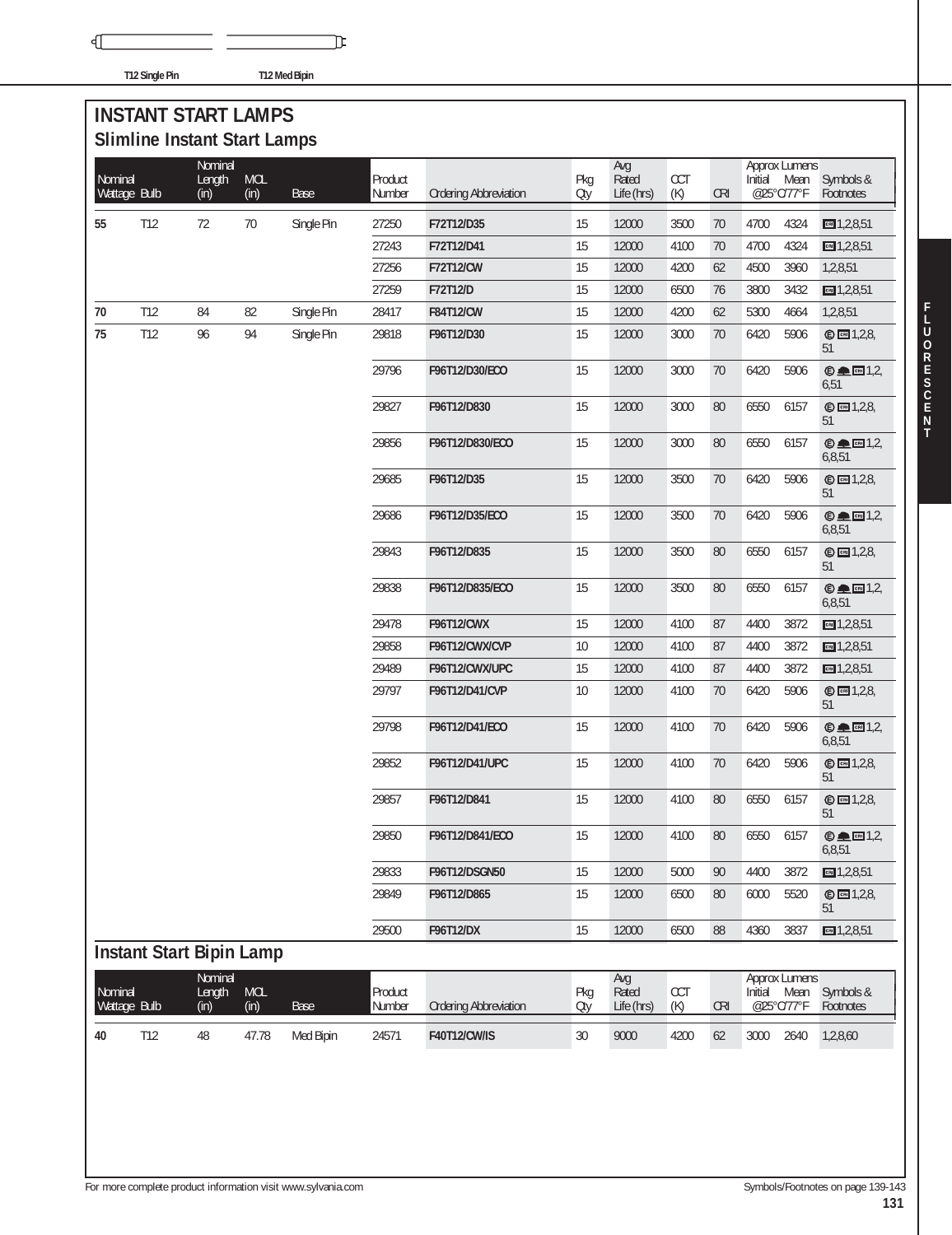√

**T12 Single Pin T12 Med Bipin**

℡

## **INSTANT START LAMPS Slimline Instant Start Lamps**

|                         |                                 | Nominal        |                    |             |                   |                              |            | Avg                 |                   |            |         | Approx Lumens      |                          |
|-------------------------|---------------------------------|----------------|--------------------|-------------|-------------------|------------------------------|------------|---------------------|-------------------|------------|---------|--------------------|--------------------------|
| Nominal                 | Wattage Bulb                    | Length<br>(in) | <b>MOL</b><br>(in) | <b>Base</b> | Product<br>Number | <b>Ordering Abbreviation</b> | Pkg<br>Oty | Rated<br>Life (hrs) | <b>CCT</b><br>(K) | <b>CRI</b> | Initial | Mean<br>@25°C/77°F | Symbols &<br>Footnotes   |
|                         |                                 |                |                    |             |                   |                              |            |                     |                   |            |         |                    |                          |
| 55                      | T12                             | 72             | 70                 | Single Pin  | 27250             | F72T12/D35                   | 15         | 12000               | 3500              | 70         | 4700    | 4324               | cm 1,2,8,51              |
|                         |                                 |                |                    |             | 27243             | F72T12/D41                   | 15         | 12000               | 4100              | 70         | 4700    | 4324               | $m = 1,2,8,51$           |
|                         |                                 |                |                    |             | 27256             | F72T12/CW                    | 15         | 12000               | 4200              | 62         | 4500    | 3960               | 1,2,8,51                 |
|                         |                                 |                |                    |             | 27259             | F72T12/D                     | 15         | 12000               | 6500              | 76         | 3800    | 3432               | cm 1,2,8,51              |
| 70                      | T12                             | 84             | 82                 | Single Pin  | 28417             | <b>F84T12/CW</b>             | 15         | 12000               | 4200              | 62         | 5300    | 4664               | 1,2,8,51                 |
| 75                      | T12                             | 96             | 94                 | Single Pin  | 29818             | F96T12/D30                   | 15         | 12000               | 3000              | 70         | 6420    | 5906               | © 2,2,8<br>51            |
|                         |                                 |                |                    |             | 29796             | F96T12/D30/ECO               | 15         | 12000               | 3000              | 70         | 6420    | 5906               | $© □ 1,2,$<br>6,51       |
|                         |                                 |                |                    |             | 29827             | F96T12/D830                  | 15         | 12000               | 3000              | 80         | 6550    | 6157               | $©$ $□$ 1,2,8,<br>51     |
|                         |                                 |                |                    |             | 29856             | F96T12/D830/ECO              | 15         | 12000               | 3000              | 80         | 6550    | 6157               | $© □ [3]$<br>6,8,51      |
|                         |                                 |                |                    |             | 29685             | F96T12/D35                   | 15         | 12000               | 3500              | 70         | 6420    | 5906               | © 2,2,8<br>51            |
|                         |                                 |                |                    |             | 29686             | F96T12/D35/ECO               | 15         | 12000               | 3500              | 70         | 6420    | 5906               | $© □ 1,2,6,8,51$         |
|                         |                                 |                |                    |             | 29843             | F96T12/D835                  | 15         | 12000               | 3500              | 80         | 6550    | 6157               | © <b>1</b> , 2, 8,<br>51 |
|                         |                                 |                |                    |             | 29838             | F96T12/D835/ECO              | 15         | 12000               | 3500              | 80         | 6550    | 6157               | $© □ 1,2,$<br>6,8,51     |
|                         |                                 |                |                    |             | 29478             | <b>F96T12/CWX</b>            | 15         | 12000               | 4100              | 87         | 4400    | 3872               | cm 1,2,8,51              |
|                         |                                 |                |                    |             | 29858             | F96T12/CWX/CVP               | $10$       | 12000               | 4100              | 87         | 4400    | 3872               | cm 1,2,8,51              |
|                         |                                 |                |                    |             | 29489             | F96T12/CWX/UPC               | 15         | 12000               | 4100              | 87         | 4400    | 3872               | cm 1,2,8,51              |
|                         |                                 |                |                    |             | 29797             | F96T12/D41/CVP               | 10         | 12000               | 4100              | 70         | 6420    | 5906               | © <b>1</b> , 2, 8,<br>51 |
|                         |                                 |                |                    |             | 29798             | F96T12/D41/ECO               | 15         | 12000               | 4100              | 70         | 6420    | 5906               | $© □ 1,2,$<br>6,8,51     |
|                         |                                 |                |                    |             | 29852             | F96T12/D41/UPC               | 15         | 12000               | 4100              | 70         | 6420    | 5906               | © 2,2,8<br>51            |
|                         |                                 |                |                    |             | 29857             | F96T12/D841                  | 15         | 12000               | 4100              | 80         | 6550    | 6157               | © <b>1</b> ,2,8,<br>51   |
|                         |                                 |                |                    |             | 29850             | F96T12/D841/ECO              | 15         | 12000               | 4100              | 80         | 6550    | 6157               | $© □ 1,2,$<br>6,8,51     |
|                         |                                 |                |                    |             | 29833             | F96T12/DSGN50                | 15         | 12000               | 5000              | 90         | 4400    | 3872               | cm 1,2,8,51              |
|                         |                                 |                |                    |             | 29849             | F96T12/D865                  | 15         | 12000               | 6500              | 80         | 6000    | 5520               | <b>© 21,2,8</b><br>51    |
|                         |                                 |                |                    |             | 29500             | F96T12/DX                    | 15         | 12000               | 6500              | 88         | 4360    | 3837               | CRI 1,2,8,51             |
|                         | <b>Instant Start Bipin Lamp</b> |                |                    |             |                   |                              |            |                     |                   |            |         |                    |                          |
|                         |                                 | Nominal        |                    |             |                   |                              |            | Avg                 |                   |            |         | Approx Lumens      |                          |
| Nominal<br>Wattage Bulb |                                 | Length<br>(in) | <b>MOL</b><br>(in) | <b>Base</b> | Product<br>Number | <b>Ordering Abbreviation</b> | Pkg<br>Oty | Rated<br>Life (hrs) | CCT<br>(K)        | <b>CRI</b> | Initial | Mean<br>@25°C/77°F | Symbols &<br>Footnotes   |
| 40                      | T12                             | 48             | 47.78              | Med Bipin   | 24571             | F40T12/CW/IS                 | 30         | 9000                | 4200              | 62         | 3000    | 2640               | 1,2,8,60                 |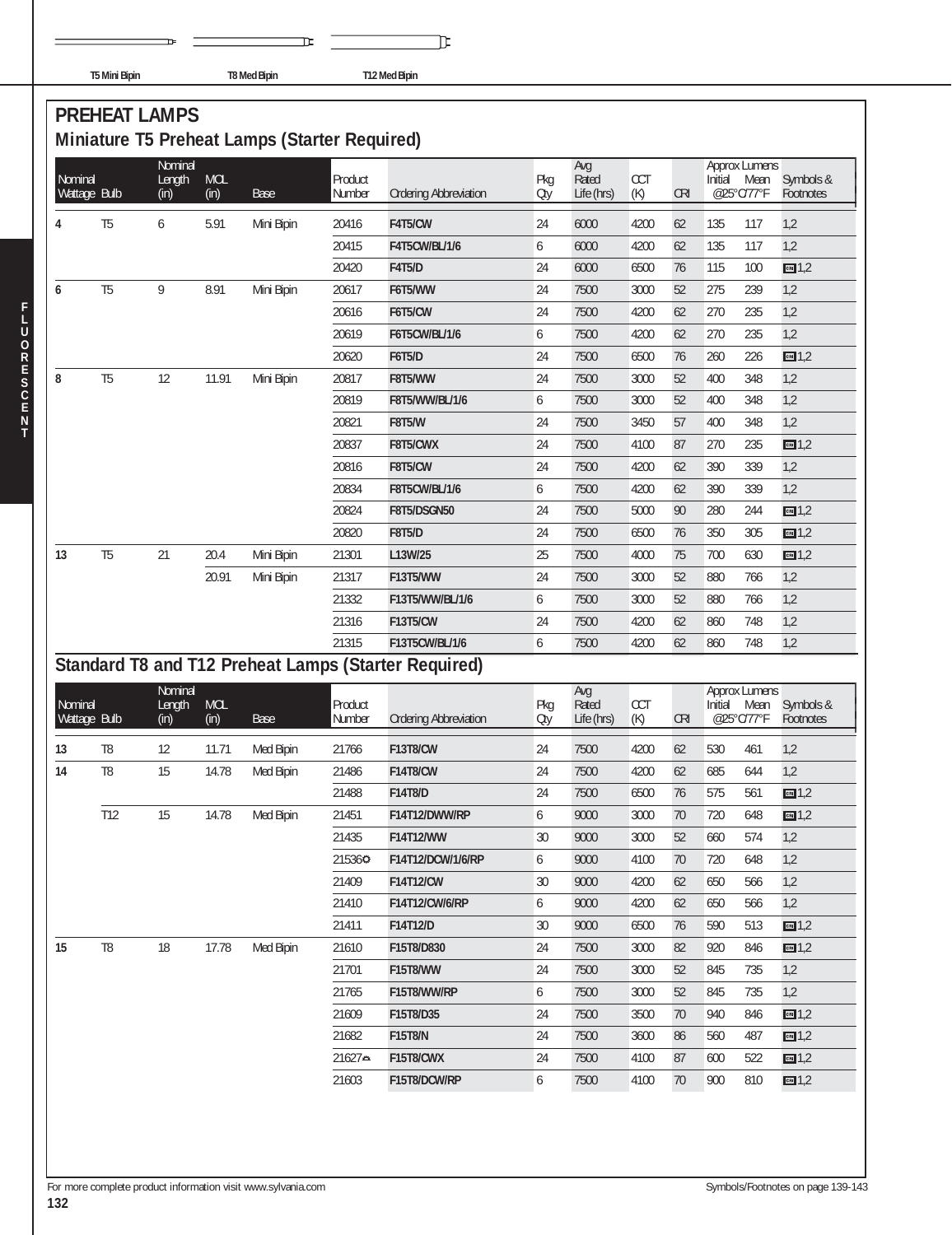|  | T5 Mini Rinin |
|--|---------------|

℡

**T5 Mini Bipin T8 Med Bipin T12 Med Bipin**

π

# **PREHEAT LAMPS**

# **Miniature T5 Preheat Lamps (Starter Required)**

| Nominal<br>Wattage Bulb |                | Nominal<br>Length<br>(in) | <b>MOL</b><br>(in) | Base       | Product<br>Number | <b>Ordering Abbreviation</b>                         | Pkg<br>Oty | Avg<br>Rated<br>Life (hrs) | <b>CCT</b><br>(K) | <b>CRI</b> | <b>Approx Lumens</b><br>Initial<br>@25°C/77°F | Mean | Symbols &<br>Footnotes |
|-------------------------|----------------|---------------------------|--------------------|------------|-------------------|------------------------------------------------------|------------|----------------------------|-------------------|------------|-----------------------------------------------|------|------------------------|
| 4                       | T5             | 6                         | 5.91               | Mini Bipin | 20416             | F4T5/CW                                              | 24         | 6000                       | 4200              | 62         | 135                                           | 117  | 1,2                    |
|                         |                |                           |                    |            | 20415             | <b>F4T5CW/BL/1/6</b>                                 | 6          | 6000                       | 4200              | 62         | 135                                           | 117  | 1,2                    |
|                         |                |                           |                    |            | 20420             | <b>F4T5/D</b>                                        | 24         | 6000                       | 6500              | 76         | 115                                           | 100  | cm 1,2                 |
| 6                       | T <sub>5</sub> | 9                         | 8.91               | Mini Bipin | 20617             | F6T5/WW                                              | 24         | 7500                       | 3000              | 52         | 275                                           | 239  | 1,2                    |
|                         |                |                           |                    |            | 20616             | F6T5/CW                                              | 24         | 7500                       | 4200              | 62         | 270                                           | 235  | 1,2                    |
|                         |                |                           |                    |            | 20619             | F6T5CW/BL/1/6                                        | 6          | 7500                       | 4200              | 62         | 270                                           | 235  | 1,2                    |
|                         |                |                           |                    |            | 20620             | <b>F6T5/D</b>                                        | 24         | 7500                       | 6500              | 76         | 260                                           | 226  | cm1,2                  |
| 8                       | T <sub>5</sub> | 12                        | 11.91              | Mini Bipin | 20817             | F8T5/WW                                              | 24         | 7500                       | 3000              | 52         | 400                                           | 348  | 1,2                    |
|                         |                |                           |                    |            | 20819             | F8T5/WW/BL/1/6                                       | 6          | 7500                       | 3000              | 52         | 400                                           | 348  | 1,2                    |
|                         |                |                           |                    |            | 20821             | <b>F8T5/W</b>                                        | 24         | 7500                       | 3450              | 57         | 400                                           | 348  | 1,2                    |
|                         |                |                           |                    |            | 20837             | F8T5/CWX                                             | 24         | 7500                       | 4100              | 87         | 270                                           | 235  | cm1,2                  |
|                         |                |                           |                    |            | 20816             | <b>F8T5/CW</b>                                       | 24         | 7500                       | 4200              | 62         | 390                                           | 339  | 1,2                    |
|                         |                |                           |                    |            | 20834             | <b>F8T5CW/BL/1/6</b>                                 | 6          | 7500                       | 4200              | 62         | 390                                           | 339  | 1,2                    |
|                         |                |                           |                    |            | 20824             | <b>F8T5/DSGN50</b>                                   | 24         | 7500                       | 5000              | 90         | 280                                           | 244  | cm1,2                  |
|                         |                |                           |                    |            | 20820             | <b>F8T5/D</b>                                        | 24         | 7500                       | 6500              | 76         | 350                                           | 305  | CR1,2                  |
| 13                      | T <sub>5</sub> | 21                        | 20.4               | Mini Bipin | 21301             | L13W/25                                              | 25         | 7500                       | 4000              | 75         | 700                                           | 630  | cm1,2                  |
|                         |                |                           | 20.91              | Mini Bipin | 21317             | F13T5/WW                                             | 24         | 7500                       | 3000              | 52         | 880                                           | 766  | 1,2                    |
|                         |                |                           |                    |            | 21332             | F13T5/WW/BL/1/6                                      | 6          | 7500                       | 3000              | 52         | 880                                           | 766  | 1,2                    |
|                         |                |                           |                    |            | 21316             | <b>F13T5/CW</b>                                      | 24         | 7500                       | 4200              | 62         | 860                                           | 748  | 1,2                    |
|                         |                |                           |                    |            | 21315             | F13T5CW/BL/1/6                                       | 6          | 7500                       | 4200              | 62         | 860                                           | 748  | 1,2                    |
|                         |                |                           |                    |            |                   | Standard T8 and T12 Preheat Lamps (Starter Required) |            |                            |                   |            |                                               |      |                        |
| Nominal<br>Wattage Bulb |                | Nominal<br>Length<br>(in) | <b>MOL</b><br>(in) | Base       | Product<br>Number | <b>Ordering Abbreviation</b>                         | Pkg<br>Oty | Avg<br>Rated<br>Life (hrs) | <b>CCT</b><br>(K) | <b>CRI</b> | <b>Approx Lumens</b><br>Initial<br>@25°C/77°F | Mean | Symbols &<br>Footnotes |
| 13                      | T <sub>8</sub> | 12                        | 11.71              | Med Bipin  | 21766             | <b>F13T8/CW</b>                                      | 24         | 7500                       | 4200              | 62         | 530                                           | 461  | 1,2                    |
| 14                      | T <sub>8</sub> | 15                        | 14.78              | Med Bipin  | 21486             | <b>F14T8/CW</b>                                      | 24         | 7500                       | 4200              | 62         | 685                                           | 644  | 1,2                    |
|                         |                |                           |                    |            | 21488             | F14T8/D                                              | 24         | 7500                       | 6500              | 76         | 575                                           | 561  | cm 1,2                 |
|                         | T12            | 15                        | 14.78              | Med Bipin  | 21451             | F14T12/DWW/RP                                        | 6          | 9000                       | 3000              | 70         | 720                                           | 648  | cm1,2                  |
|                         |                |                           |                    |            | 21435             | F14T12/WW                                            | 30         | 9000                       | 3000              | 52         | 660                                           | 574  | 1,2                    |
|                         |                |                           |                    |            | 215360            | F14T12/DCW/1/6/RP                                    | 6          | 9000                       | 4100              | $70\,$     | 720                                           | 648  | 1,2                    |
|                         |                |                           |                    |            | 21409             | <b>F14T12/CW</b>                                     | 30         | 9000                       | 4200              | 62         | 650                                           | 566  | 1,2                    |
|                         |                |                           |                    |            | 21410             | F14T12/CW/6/RP                                       | 6          | 9000                       | 4200              | 62         | 650                                           | 566  | 1,2                    |
|                         |                |                           |                    |            | 21411             | F14T12/D                                             | 30         | 9000                       | 6500              | 76         | 590                                           | 513  | cm1,2                  |
| 15                      | T <sub>8</sub> | 18                        | 17.78              | Med Bipin  | 21610             | F15T8/D830                                           | 24         | 7500                       | 3000              | 82         | 920                                           | 846  | cm 1,2                 |
|                         |                |                           |                    |            | 21701             | <b>F15T8/WW</b>                                      | 24         | 7500                       | 3000              | 52         | 845                                           | 735  | 1,2                    |
|                         |                |                           |                    |            | 21765             | F15T8/WW/RP                                          | 6          | 7500                       | 3000              | 52         | 845                                           | 735  | 1,2                    |
|                         |                |                           |                    |            | 21609             | F15T8/D35                                            | 24         | 7500                       | 3500              | 70         | 940                                           | 846  | cm 1,2                 |
|                         |                |                           |                    |            | 21682             | <b>F15T8/N</b>                                       | 24         | 7500                       | 3600              | 86         | 560                                           | 487  | cm1,2                  |
|                         |                |                           |                    |            | 21627≏            | F15T8/CWX                                            | 24         | 7500                       | 4100              | 87         | 600                                           | 522  | cm 1,2                 |
|                         |                |                           |                    |            | 21603             | F15T8/DCW/RP                                         | 6          | 7500                       | 4100              | 70         | 900                                           | 810  | cm 1,2                 |

**T**

**F L**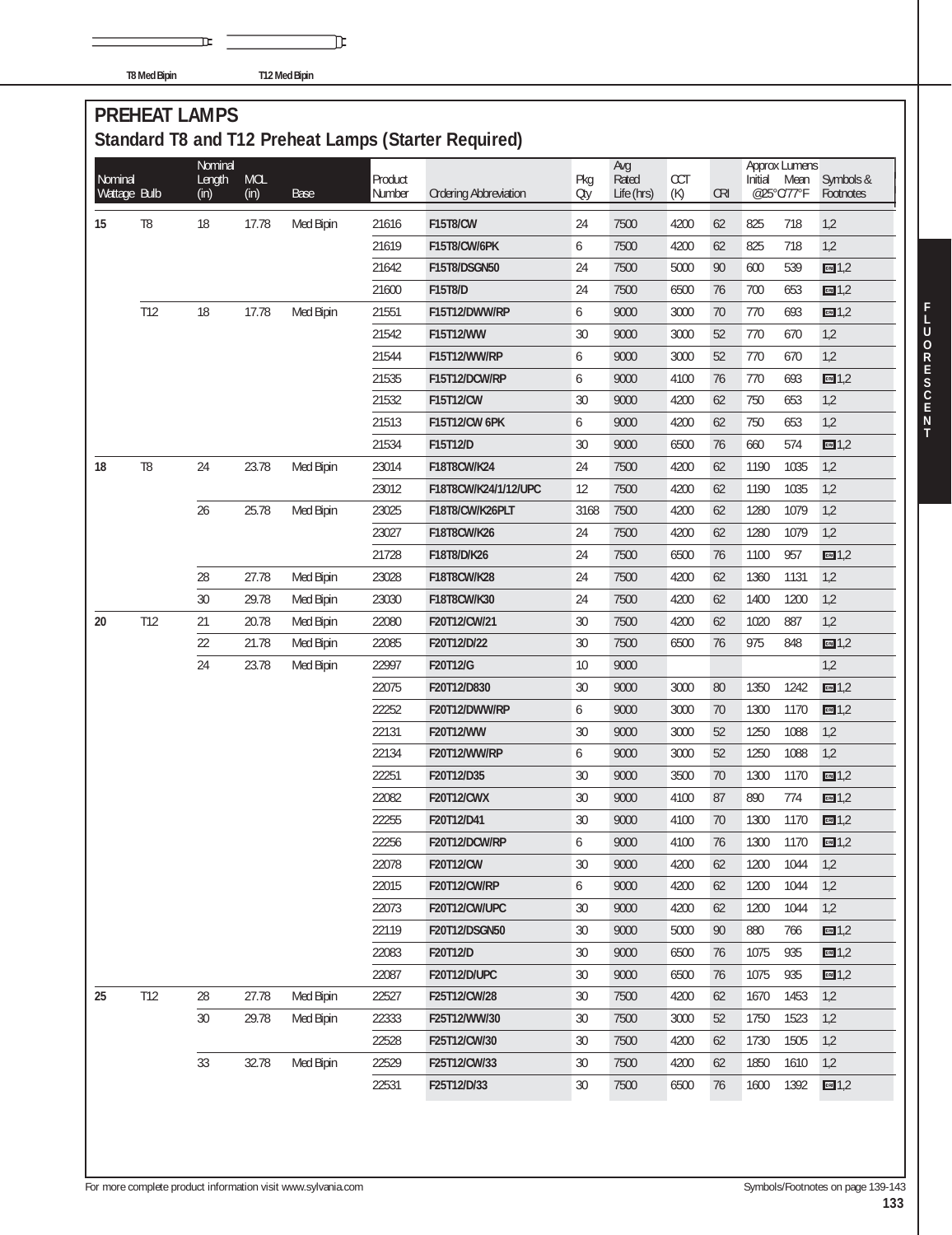**T8 Med Bipin T12 Med Bipin**

## **PREHEAT LAMPS Standard T8 and T12 Preheat Lamps (Starter Required)**

℡

| Nominal<br>Wattage Bulb |                | Nominal<br>Length<br>(in) | <b>MOL</b><br>(in) | <b>Base</b> | Product<br>Number | <b>Ordering Abbreviation</b> | Pkg<br>Oty | Avg<br>Rated<br>Life (hrs) | CCT<br>(K) | <b>CRI</b> | Initial | <b>Approx Lumens</b><br>Mean<br>@25°C/77°F | Symbols &<br>Footnotes |
|-------------------------|----------------|---------------------------|--------------------|-------------|-------------------|------------------------------|------------|----------------------------|------------|------------|---------|--------------------------------------------|------------------------|
| 15                      | T <sub>8</sub> | 18                        | 17.78              | Med Bipin   | 21616             | <b>F15T8/CW</b>              | 24         | 7500                       | 4200       | 62         | 825     | 718                                        | 1,2                    |
|                         |                |                           |                    |             | 21619             | F15T8/CW/6PK                 | 6          | 7500                       | 4200       | 62         | 825     | 718                                        | 1,2                    |
|                         |                |                           |                    |             | 21642             | F15T8/DSGN50                 | 24         | 7500                       | 5000       | 90         | 600     | 539                                        | cn1,2                  |
|                         |                |                           |                    |             | 21600             | F15T8/D                      | 24         | 7500                       | 6500       | 76         | 700     | 653                                        | cn1,2                  |
|                         | T12            | 18                        | 17.78              | Med Bipin   | 21551             | F15T12/DWW/RP                | 6          | 9000                       | 3000       | 70         | 770     | 693                                        | cn1,2                  |
|                         |                |                           |                    |             | 21542             | F15T12/WW                    | 30         | 9000                       | 3000       | 52         | 770     | 670                                        | 1,2                    |
|                         |                |                           |                    |             | 21544             | F15T12/WW/RP                 | 6          | 9000                       | 3000       | 52         | 770     | 670                                        | 1,2                    |
|                         |                |                           |                    |             | 21535             | F15T12/DCW/RP                | 6          | 9000                       | 4100       | 76         | 770     | 693                                        | cn1,2                  |
|                         |                |                           |                    |             | 21532             | F15T12/CW                    | 30         | 9000                       | 4200       | 62         | 750     | 653                                        | 1,2                    |
|                         |                |                           |                    |             | 21513             | F15T12/CW 6PK                | 6          | 9000                       | 4200       | 62         | 750     | 653                                        | 1,2                    |
|                         |                |                           |                    |             | 21534             | F15T12/D                     | 30         | 9000                       | 6500       | 76         | 660     | 574                                        | cm1,2                  |
| 18                      | T <sub>8</sub> | 24                        | 23.78              | Med Bipin   | 23014             | F18T8CW/K24                  | 24         | 7500                       | 4200       | 62         | 1190    | 1035                                       | 1,2                    |
|                         |                |                           |                    |             | 23012             | F18T8CW/K24/1/12/UPC         | 12         | 7500                       | 4200       | 62         | 1190    | 1035                                       | 1,2                    |
|                         |                | 26                        | 25.78              | Med Bipin   | 23025             | F18T8/CW/K26PLT              | 3168       | 7500                       | 4200       | 62         | 1280    | 1079                                       | 1,2                    |
|                         |                |                           |                    |             | 23027             | F18T8CW/K26                  | 24         | 7500                       | 4200       | 62         | 1280    | 1079                                       | 1,2                    |
|                         |                |                           |                    |             | 21728             | F18T8/D/K26                  | 24         | 7500                       | 6500       | 76         | 1100    | 957                                        | cn1,2                  |
|                         |                | 28                        | 27.78              | Med Bipin   | 23028             | F18T8CW/K28                  | 24         | 7500                       | 4200       | 62         | 1360    | 1131                                       | 1,2                    |
|                         |                | 30                        | 29.78              | Med Bipin   | 23030             | F18T8CW/K30                  | 24         | 7500                       | 4200       | 62         | 1400    | 1200                                       | 1,2                    |
| 20                      | T12            | 21                        | 20.78              | Med Bipin   | 22080             | F20T12/CW/21                 | 30         | 7500                       | 4200       | 62         | 1020    | 887                                        | 1,2                    |
|                         |                | 22                        | 21.78              | Med Bipin   | 22085             | F20T12/D/22                  | 30         | 7500                       | 6500       | 76         | 975     | 848                                        | cn1,2                  |
|                         |                | 24                        | 23.78              | Med Bipin   | 22997             | F20T12/G                     | 10         | 9000                       |            |            |         |                                            | 1,2                    |
|                         |                |                           |                    |             | 22075             | F20T12/D830                  | 30         | 9000                       | 3000       | 80         | 1350    | 1242                                       | cm 1,2                 |
|                         |                |                           |                    |             | 22252             | F20T12/DWW/RP                | 6          | 9000                       | 3000       | 70         | 1300    | 1170                                       | cm1,2                  |
|                         |                |                           |                    |             | 22131             | F20T12/WW                    | 30         | 9000                       | 3000       | 52         | 1250    | 1088                                       | 1,2                    |
|                         |                |                           |                    |             | 22134             | F20T12/WW/RP                 | 6          | 9000                       | 3000       | 52         | 1250    | 1088                                       | 1,2                    |
|                         |                |                           |                    |             | 22251             | F20T12/D35                   | 30         | 9000                       | 3500       | 70         | 1300    | 1170                                       | cm1,2                  |
|                         |                |                           |                    |             | 22082             | <b>F20T12/CWX</b>            | 30         | 9000                       | 4100       | 87         | 890     | 774                                        | cn1,2                  |
|                         |                |                           |                    |             | 22255             | F20T12/D41                   | 30         | 9000                       | 4100       | 70         | 1300    | 1170                                       | cm1,2                  |
|                         |                |                           |                    |             | 22256             | F20T12/DCW/RP                | 6          | 9000                       | 4100       | 76         | 1300    | 1170                                       | cm1,2                  |
|                         |                |                           |                    |             | 22078             | F20T12/CW                    | $30\,$     | 9000                       | 4200       | 62         | 1200    | 1044                                       | 1,2                    |
|                         |                |                           |                    |             | 22015             | F20T12/CW/RP                 | 6          | 9000                       | 4200       | 62         | 1200    | 1044                                       | 1,2                    |
|                         |                |                           |                    |             | 22073             | F20T12/CW/UPC                | 30         | 9000                       | 4200       | 62         | 1200    | 1044                                       | 1,2                    |
|                         |                |                           |                    |             | 22119             | F20T12/DSGN50                | 30         | 9000                       | 5000       | 90         | 880     | 766                                        | cn1,2                  |
|                         |                |                           |                    |             | 22083             | F20T12/D                     | 30         | 9000                       | 6500       | 76         | 1075    | 935                                        | cn1,2                  |
|                         |                |                           |                    |             | 22087             | <b>F20T12/D/UPC</b>          | 30         | 9000                       | 6500       | 76         | 1075    | 935                                        | cm1,2                  |
| 25                      | T12            | 28                        | 27.78              | Med Bipin   | 22527             | F25T12/CW/28                 | 30         | 7500                       | 4200       | 62         | 1670    | 1453                                       | 1,2                    |
|                         |                | 30                        | 29.78              | Med Bipin   | 22333             | F25T12/WW/30                 | 30         | 7500                       | 3000       | 52         | 1750    | 1523                                       | 1,2                    |
|                         |                |                           |                    |             | 22528             | F25T12/CW/30                 | 30         | 7500                       | 4200       | 62         | 1730    | 1505                                       | 1,2                    |
|                         |                | 33                        | 32.78              | Med Bipin   | 22529             | F25T12/CW/33                 | 30         | 7500                       | 4200       | 62         | 1850    | 1610                                       | 1,2                    |
|                         |                |                           |                    |             | 22531             | F25T12/D/33                  | 30         | 7500                       | 6500       | 76         | 1600    | 1392                                       | cn1,2                  |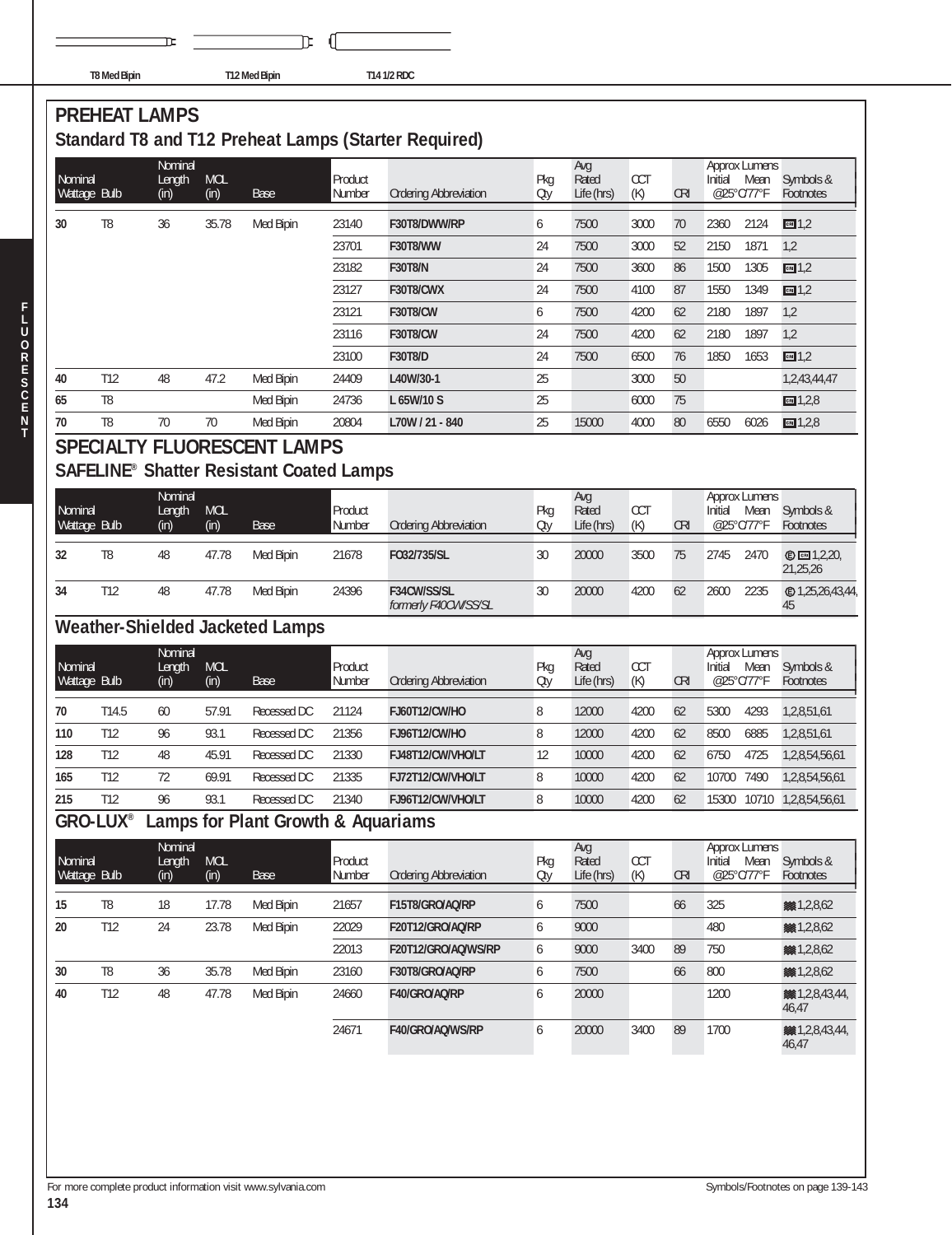|  | TO 8 8 - - 1 D : -- :-- |  |  |
|--|-------------------------|--|--|

 $\mathbf{r}$ 

**T8 Med Bipin T12 Med Bipin T14 1/2 RDC**

℡ f.

#### **PREHEAT LAMPS Standard T8 and T12 Preheat Lamps (Starter Required)**

|                         |                | Nominal           |                    |                                                            |                   |                                     |            | Avg                 |                   |            | <b>Approx Lumens</b>                    |                                |
|-------------------------|----------------|-------------------|--------------------|------------------------------------------------------------|-------------------|-------------------------------------|------------|---------------------|-------------------|------------|-----------------------------------------|--------------------------------|
| Nominal<br>Wattage Bulb |                | Length<br>(in)    | <b>MOL</b><br>(in) | <b>Base</b>                                                | Product<br>Number | <b>Ordering Abbreviation</b>        | Pkg<br>Oty | Rated<br>Life (hrs) | CCT<br>(K)        | <b>CRI</b> | Initial<br>Mean<br>@25°C/77°F           | Symbols &<br>Footnotes         |
| 30                      | T8             | 36                | 35.78              | Med Bipin                                                  | 23140             | F30T8/DWW/RP                        | 6          | 7500                | 3000              | 70         | 2360<br>2124                            | cm1,2                          |
|                         |                |                   |                    |                                                            | 23701             | F30T8/WW                            | 24         | 7500                | 3000              | 52         | 2150<br>1871                            | 1,2                            |
|                         |                |                   |                    |                                                            | 23182             | <b>F30T8/N</b>                      | 24         | 7500                | 3600              | 86         | 1500<br>1305                            | cm 1,2                         |
|                         |                |                   |                    |                                                            | 23127             | F30T8/CWX                           | 24         | 7500                | 4100              | 87         | 1550<br>1349                            | cm 1,2                         |
|                         |                |                   |                    |                                                            | 23121             | <b>F30T8/CW</b>                     | 6          | 7500                | 4200              | 62         | 2180<br>1897                            | 1,2                            |
|                         |                |                   |                    |                                                            | 23116             | <b>F30T8/CW</b>                     | 24         | 7500                | 4200              | 62         | 2180<br>1897                            | 1,2                            |
|                         |                |                   |                    |                                                            | 23100             | <b>F30T8/D</b>                      | 24         | 7500                | 6500              | 76         | 1850<br>1653                            | cm1,2                          |
| 40                      | T12            | 48                | 47.2               | Med Bipin                                                  | 24409             | L40W/30-1                           | 25         |                     | 3000              | $50\,$     |                                         | 1,2,43,44,47                   |
| 65                      | T <sub>8</sub> |                   |                    | Med Bipin                                                  | 24736             | L 65W/10 S                          | 25         |                     | 6000              | 75         |                                         | $m = 1,2,8$                    |
| 70                      | T8             | 70                | 70                 | Med Bipin                                                  | 20804             | L70W / 21 - 840                     | 25         | 15000               | 4000              | 80         | 6026<br>6550                            | $m = 1,2,8$                    |
|                         |                |                   |                    | <b>SPECIALTY FLUORESCENT LAMPS</b>                         |                   |                                     |            |                     |                   |            |                                         |                                |
|                         |                |                   |                    | <b>SAFELINE<sup>®</sup> Shatter Resistant Coated Lamps</b> |                   |                                     |            |                     |                   |            |                                         |                                |
| Nominal                 |                | Nominal<br>Length | <b>MOL</b>         |                                                            | Product           |                                     | Pkg        | Avg<br>Rated        | <b>CCT</b>        |            | <b>Approx Lumens</b><br>Initial<br>Mean | Symbols &                      |
| Wattage Bulb            |                | (in)              | (in)               | <b>Base</b>                                                | Number            | <b>Ordering Abbreviation</b>        | Oty        | Life (hrs)          | (K)               | <b>CRI</b> | @25°C/77°F                              | Footnotes                      |
| 32                      | T <sub>8</sub> | 48                | 47.78              | Med Bipin                                                  | 21678             | F032/735/SL                         | 30         | 20000               | 3500              | 75         | 2745<br>2470                            | <b>©</b> ∞ 1,2,20,<br>21,25,26 |
| 34                      | T12            | 48                | 47.78              | Med Bipin                                                  | 24396             | F34CW/SS/SL<br>formerly F40CW/SS/SL | 30         | 20000               | 4200              | 62         | 2235<br>2600                            | 45                             |
|                         |                |                   |                    | <b>Weather-Shielded Jacketed Lamps</b>                     |                   |                                     |            |                     |                   |            |                                         |                                |
|                         |                | Nominal           |                    |                                                            |                   |                                     |            | Avg                 |                   |            | <b>Approx Lumens</b>                    |                                |
| Nominal<br>Wattage Bulb |                | Length<br>(in)    | <b>MOL</b><br>(in) | <b>Base</b>                                                | Product<br>Number | <b>Ordering Abbreviation</b>        | Pkg<br>Oty | Rated<br>Life (hrs) | <b>CCT</b><br>(K) | <b>CRI</b> | Initial<br>Mean<br>@25°C/77°F           | Symbols &<br>Footnotes         |
| 70                      | T14.5          | 60                | 57.91              | Recessed DC                                                | 21124             | FJ60T12/CW/HO                       | 8          | 12000               | 4200              | 62         | 5300<br>4293                            | 1,2,8,51,61                    |
| 110                     | T12            | 96                | 93.1               | Recessed DC                                                | 21356             | <b>FJ96T12/CW/HO</b>                | 8          | 12000               | 4200              | 62         | 8500<br>6885                            | 1,2,8,51,61                    |
| 128                     | T12            | 48                | 45.91              | Recessed DC                                                | 21330             | FJ48T12/CW/VHO/LT                   | 12         | 10000               | 4200              | 62         | 6750<br>4725                            | 1,2,8,54,56,61                 |
| 165                     | T12            | 72                | 69.91              | Recessed DC                                                | 21335             | FJ72T12/CW/VHO/LT                   | 8          | 10000               | 4200              | 62         | 7490<br>10700                           | 1,2,8,54,56,61                 |
| 215                     | T12            | 96                | 93.1               | Recessed DC                                                | 21340             | FJ96T12/CW/VHO/LT                   | 8          | 10000               | 4200              | 62         | 15300<br>10710                          | 1,2,8,54,56,61                 |
| <b>GRO-LUX®</b>         |                |                   |                    | amps for Plant Growth & Aquariams                          |                   |                                     |            |                     |                   |            |                                         |                                |
| Nominal                 |                | Nominal<br>Length | <b>MOL</b>         |                                                            | Product           |                                     | Pkg        | Avg<br>Rated        | CCT               |            | <b>Approx Lumens</b><br>Initial<br>Mean | Symbols &                      |
| Wattage Bulb            |                | (in)              | (in)               | Base                                                       | Number            | <b>Ordering Abbreviation</b>        | Oty        | Life (hrs)          | (K)               | <b>CRI</b> | @25°C/77°F                              | Footnotes                      |
| 15                      | T8             | 18                | 17.78              | Med Bipin                                                  | 21657             | F15T8/GRO/AQ/RP                     | 6          | 7500                |                   | 66         | 325                                     | ※ 1,2,8,62                     |
| 20                      | T12            | 24                | 23.78              | Med Bipin                                                  | 22029             | F20T12/GRO/AQ/RP                    | 6          | 9000                |                   |            | 480                                     | ※ 1,2,8,62                     |
|                         |                |                   |                    |                                                            | 22013             | F20T12/GRO/AQ/WS/RP                 | 6          | 9000                | 3400              | 89         | 750                                     | 8 1, 2, 8, 62                  |
| 30                      | T <sub>8</sub> | 36                | 35.78              | Med Bipin                                                  | 23160             | F30T8/GRO/AQ/RP                     | 6          | 7500                |                   | 66         | 800                                     | ※ 1,2,8,62                     |
| 40                      | T12            | 48                | 47.78              | Med Bipin                                                  | 24660             | F40/GRO/AQ/RP                       | 6          | 20000               |                   |            | 1200                                    | 881, 2, 8, 43, 44,<br>46,47    |

Perfect 1400 120000 13400 F400 GRO/AQ/WS/RP 6 20000 3400 89 1700

**F L U O R E S C E N T**

**1,2,8,43,44,44**<br>46,47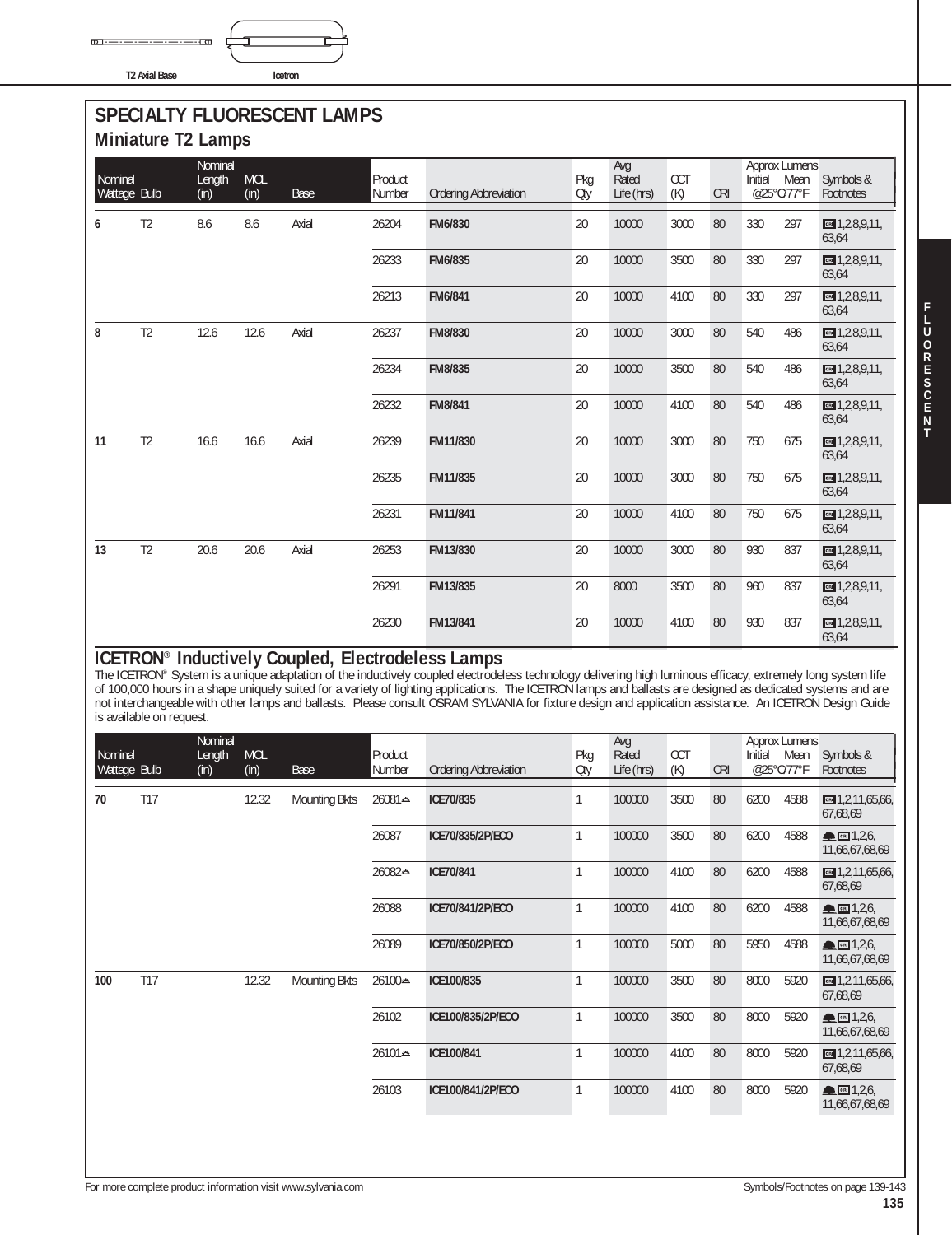$D1 =$ **T2 Axial Base Icetron**

#### **SPECIALTY FLUORESCENT LAMPS Miniature T2 Lamps**

|                         |                | Nominal        |                    |             |                   |                              |            | Avg                 |                   |            |                       | <b>Approx Lumens</b> |                                     |
|-------------------------|----------------|----------------|--------------------|-------------|-------------------|------------------------------|------------|---------------------|-------------------|------------|-----------------------|----------------------|-------------------------------------|
| Nominal<br>Wattage Bulb |                | Length<br>(in) | <b>MOL</b><br>(in) | <b>Base</b> | Product<br>Number | <b>Ordering Abbreviation</b> | Pkg<br>Oty | Rated<br>Life (hrs) | <b>CCT</b><br>(K) | <b>CRI</b> | Initial<br>@25°C/77°F | Mean                 | Symbols &<br>Footnotes              |
| 6                       | T <sub>2</sub> | 8.6            | 8.6                | Axial       | 26204             | FM6/830                      | 20         | 10000               | 3000              | 80         | 330                   | 297                  | $cm$ 1,2,8,9,11,<br>63,64           |
|                         |                |                |                    |             | 26233             | FM6/835                      | 20         | 10000               | 3500              | 80         | 330                   | 297                  | $m = 1, 2, 8, 9, 11,$<br>63,64      |
|                         |                |                |                    |             | 26213             | FM6/841                      | 20         | 10000               | 4100              | 80         | 330                   | 297                  | $m = 1, 2, 8, 9, 11,$<br>63,64      |
| 8                       | T <sub>2</sub> | 12.6           | 12.6               | Axial       | 26237             | FM8/830                      | 20         | 10000               | 3000              | 80         | 540                   | 486                  | $m = 1, 2, 8, 9, 11,$<br>63,64      |
|                         |                |                |                    |             | 26234             | FM8/835                      | 20         | 10000               | 3500              | 80         | 540                   | 486                  | $m = 1, 2, 8, 9, 11,$<br>63,64      |
|                         |                |                |                    |             | 26232             | <b>FM8/841</b>               | 20         | 10000               | 4100              | 80         | 540                   | 486                  | $m = 1, 2, 8, 9, 11,$<br>63,64      |
| 11                      | T <sub>2</sub> | 16.6           | 16.6               | Axial       | 26239             | FM11/830                     | 20         | 10000               | 3000              | 80         | 750                   | 675                  | $\blacksquare$ 1,2,8,9,11,<br>63,64 |
|                         |                |                |                    |             | 26235             | FM11/835                     | 20         | 10000               | 3000              | 80         | 750                   | 675                  | CB 1, 2, 8, 9, 11,<br>63,64         |
|                         |                |                |                    |             | 26231             | FM11/841                     | 20         | 10000               | 4100              | 80         | 750                   | 675                  | $m = 1, 2, 8, 9, 11,$<br>63,64      |
| 13                      | T <sub>2</sub> | 20.6           | 20.6               | Axial       | 26253             | FM13/830                     | 20         | 10000               | 3000              | 80         | 930                   | 837                  | cm 1,2,8,9,11,<br>63,64             |
|                         |                |                |                    |             | 26291             | FM13/835                     | 20         | 8000                | 3500              | 80         | 960                   | 837                  | $m = 1, 2, 8, 9, 11,$<br>63,64      |
|                         |                |                |                    |             | 26230             | FM13/841                     | 20         | 10000               | 4100              | 80         | 930                   | 837                  | $m = 1, 2, 8, 9, 11,$<br>63,64      |

#### **ICETRON® Inductively Coupled, Electrodeless Lamps**

The ICETRON® System is a unique adaptation of the inductively coupled electrodeless technology delivering high luminous efficacy, extremely long system life of 100,000 hours in a shape uniquely suited for a variety of lighting applications. The ICETRON lamps and ballasts are designed as dedicated systems and are not interchangeable with other lamps and ballasts. Please consult OSRAM SYLVANIA for fixture design and application assistance. An ICETRON Design Guide is available on request.

| Nominal<br>Wattage Bulb |     | Nominal<br>Length<br>(in) | <b>MOL</b><br>(in) | <b>Base</b>          | Product<br>Number | <b>Ordering Abbreviation</b> | Pkg<br>Oty | Avg<br>Rated<br>Life (hrs) | <b>CCT</b><br>(K) | <b>CRI</b> | Initial | <b>Approx Lumens</b><br>Mean<br>@25°C/77°F | Symbols &<br>Footnotes                 |
|-------------------------|-----|---------------------------|--------------------|----------------------|-------------------|------------------------------|------------|----------------------------|-------------------|------------|---------|--------------------------------------------|----------------------------------------|
| 70                      | T17 |                           | 12.32              | <b>Mounting Bkts</b> | 26081⇔            | ICE70/835                    | 1          | 100000                     | 3500              | 80         | 6200    | 4588                                       | $\text{cm}$ 1,2,11,65,66,<br>67.68.69  |
|                         |     |                           |                    |                      | 26087             | ICE70/835/2P/ECO             | 1          | 100000                     | 3500              | 80         | 6200    | 4588                                       | ▲ 图 1,2,6<br>11,66,67,68,69            |
|                         |     |                           |                    |                      | 26082⇔            | ICE70/841                    | 1          | 100000                     | 4100              | 80         | 6200    | 4588                                       | $\boxed{cm}$ 1,2,11,65,66,<br>67,68,69 |
|                         |     |                           |                    |                      | 26088             | ICE70/841/2P/ECO             | 1          | 100000                     | 4100              | 80         | 6200    | 4588                                       | ▲ 图 1,2,6,<br>11,66,67,68,69           |
|                         |     |                           |                    |                      | 26089             | ICE70/850/2P/ECO             | 1          | 100000                     | 5000              | 80         | 5950    | 4588                                       | $m \ln 1,2,6$<br>11,66,67,68,69        |
| 100                     | T17 |                           | 12.32              | <b>Mounting Bkts</b> | 26100⇔            | ICE100/835                   | 1          | 100000                     | 3500              | 80         | 8000    | 5920                                       | $\boxed{cm}$ 1,2,11,65,66,<br>67,68,69 |
|                         |     |                           |                    |                      | 26102             | ICE100/835/2P/ECO            | 1          | 100000                     | 3500              | 80         | 8000    | 5920                                       | ▲ 图 1,2,6,<br>11,66,67,68,69           |
|                         |     |                           |                    |                      | 26101≏            | ICE100/841                   | 1          | 100000                     | 4100              | 80         | 8000    | 5920                                       | CRI $1,2,11,65,66$<br>67,68,69         |
|                         |     |                           |                    |                      | 26103             | ICE100/841/2P/ECO            | 1          | 100000                     | 4100              | 80         | 8000    | 5920                                       | <b>ALCRIT</b> 1,2,6,<br>11,66,67,68,69 |
|                         |     |                           |                    |                      |                   |                              |            |                            |                   |            |         |                                            |                                        |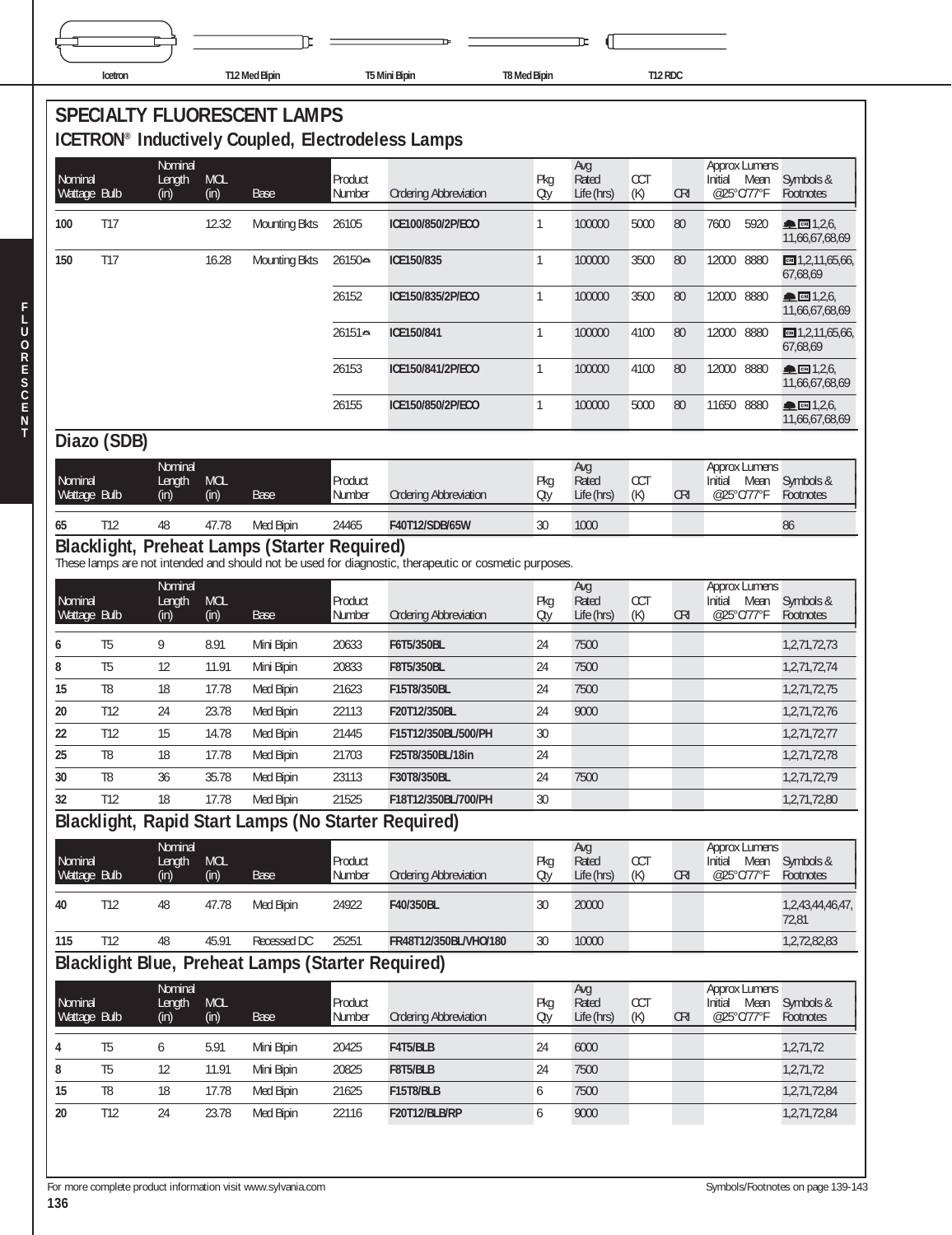| Icetron | T12 Med Bipin | T5 Mini Bipin | <b>T8 Med Bipin</b> | T12 RDC |  |
|---------|---------------|---------------|---------------------|---------|--|
|         |               |               |                     |         |  |

|                         |                |                           |                    | <b>SPECIALTY FLUORESCENT LAMPS</b><br><b>ICETRON<sup>®</sup></b> Inductively Coupled, Electrodeless Lamps |                   |                                                                                                       |              |                            |                   |            |                                                       |                                |
|-------------------------|----------------|---------------------------|--------------------|-----------------------------------------------------------------------------------------------------------|-------------------|-------------------------------------------------------------------------------------------------------|--------------|----------------------------|-------------------|------------|-------------------------------------------------------|--------------------------------|
| Nominal<br>Wattage Bulb |                | Nominal<br>Length<br>(in) | <b>MOL</b><br>(in) | Base                                                                                                      | Product<br>Number | <b>Ordering Abbreviation</b>                                                                          | Pkg<br>Oty   | Avg<br>Rated<br>Life (hrs) | <b>CCT</b><br>(K) | <b>CRI</b> | <b>Approx Lumens</b><br>Initial<br>Mean<br>@25°C/77°F | Symbols &<br>Footnotes         |
| 100                     | <b>T17</b>     |                           | 12.32              | <b>Mounting Bkts</b>                                                                                      | 26105             | ICE100/850/2P/ECO                                                                                     | 1            | 100000                     | 5000              | 80         | 7600<br>5920                                          | CRI 1,2,6<br>11,66,67,68,69    |
| 150                     | <b>T17</b>     |                           | 16.28              | <b>Mounting Bkts</b>                                                                                      | 26150⇔            | ICE150/835                                                                                            | 1            | 100000                     | 3500              | 80         | 12000<br>8880                                         | $m = 1,2,11,65,66$<br>67,68,69 |
|                         |                |                           |                    |                                                                                                           | 26152             | ICE150/835/2P/ECO                                                                                     | $\mathbf{1}$ | 100000                     | 3500              | 80         | 12000<br>8880                                         | CRI 1,2,6<br>11,66,67,68,69    |
|                         |                |                           |                    |                                                                                                           | 26151≏            | ICE150/841                                                                                            | $\mathbf{1}$ | 100000                     | 4100              | 80         | 12000 8880                                            | $m$ 1,2,11,65,66,<br>67,68,69  |
|                         |                |                           |                    |                                                                                                           | 26153             | ICE150/841/2P/ECO                                                                                     | $\mathbf{1}$ | 100000                     | 4100              | 80         | 12000 8880                                            | CRI 1,2,6<br>11,66,67,68,69    |
|                         |                |                           |                    |                                                                                                           | 26155             | ICE150/850/2P/ECO                                                                                     | $\mathbf{1}$ | 100000                     | 5000              | 80         | 11650 8880                                            | CRI 1,2,6<br>11,66,67,68,69    |
|                         | Diazo (SDB)    |                           |                    |                                                                                                           |                   |                                                                                                       |              |                            |                   |            |                                                       |                                |
| Nominal<br>Wattage Bulb |                | Nominal<br>Length<br>(in) | <b>MOL</b><br>(in) | Base                                                                                                      | Product<br>Number | <b>Ordering Abbreviation</b>                                                                          | Pkg<br>Oty   | Avg<br>Rated<br>Life (hrs) | <b>CCT</b><br>(K) | <b>CRI</b> | <b>Approx Lumens</b><br>Initial<br>Mean<br>@25°C/77°F | Symbols &<br>Footnotes         |
| 65                      | T12            | 48                        | 47.78              | Med Bipin                                                                                                 | 24465             | F40T12/SDB/65W                                                                                        | 30           | 1000                       |                   |            |                                                       | 86                             |
|                         |                |                           |                    | Blacklight, Preheat Lamps (Starter Required)                                                              |                   | These lamps are not intended and should not be used for diagnostic, therapeutic or cosmetic purposes. |              |                            |                   |            |                                                       |                                |
| Nominal<br>Wattage Bulb |                | Nominal<br>Length<br>(in) | <b>MOL</b><br>(in) | Base                                                                                                      | Product<br>Number | <b>Ordering Abbreviation</b>                                                                          | Pkg<br>Oty   | Avg<br>Rated<br>Life (hrs) | <b>CCT</b><br>(K) | <b>CRI</b> | <b>Approx Lumens</b><br>Mean<br>Initial<br>@25°C/77°F | Symbols &<br>Footnotes         |
| 6                       | T <sub>5</sub> | 9                         | 8.91               | Mini Bipin                                                                                                | 20633             | F6T5/350BL                                                                                            | 24           | 7500                       |                   |            |                                                       | 1,2,71,72,73                   |
| 8                       | T <sub>5</sub> | 12                        | 11.91              | Mini Bipin                                                                                                | 20833             | F8T5/350BL                                                                                            | 24           | 7500                       |                   |            |                                                       | 1,2,71,72,74                   |
| 15                      | T8             | 18                        | 17.78              | Med Bipin                                                                                                 | 21623             | F15T8/350BL                                                                                           | 24           | 7500                       |                   |            |                                                       | 1,2,71,72,75                   |
| 20                      | T12            | 24                        | 23.78              | Med Bipin                                                                                                 | 22113             | F20T12/350BL                                                                                          | 24           | 9000                       |                   |            |                                                       | 1,2,71,72,76                   |
| 22                      | T12            | 15                        | 14.78              | Med Bipin                                                                                                 | 21445             | F15T12/350BL/500/PH                                                                                   | 30           |                            |                   |            |                                                       | 1,2,71,72,77                   |
| 25                      | T8             | 18                        | 17.78              | Med Bipin                                                                                                 | 21703             | F25T8/350BL/18in                                                                                      | 24           |                            |                   |            |                                                       | 1,2,71,72,78                   |
| 30                      | T <sub>8</sub> | 36                        | 35.78              | Med Bipin                                                                                                 | 23113             | F30T8/350BL                                                                                           | 24           | 7500                       |                   |            |                                                       | 1,2,71,72,79                   |
| 32                      | T12            | 18                        | 17.78              | Med Bipin                                                                                                 | 21525             | F18T12/350BL/700/PH                                                                                   | 30           |                            |                   |            |                                                       | 1,2,71,72,80                   |
|                         |                |                           |                    | Blacklight, Rapid Start Lamps (No Starter Required)                                                       |                   |                                                                                                       |              |                            |                   |            |                                                       |                                |
| Nominal<br>Wattage Bulb |                | Nominal<br>Length<br>(in) | <b>MOL</b><br>(in) | Base                                                                                                      | Product<br>Number | <b>Ordering Abbreviation</b>                                                                          | Pkg<br>Oty   | Avg<br>Rated<br>Life (hrs) | <b>CCT</b><br>(K) | <b>CRI</b> | Approx Lumens<br>Initial Mean<br>@25°C/77°F           | Symbols &<br>Footnotes         |
| 40                      | T12            | 48                        | 47.78              | Med Bipin                                                                                                 | 24922             | F40/350BL                                                                                             | 30           | 20000                      |                   |            |                                                       | 1,2,43,44,46,47,<br>72,81      |
| 115                     | T12            | 48                        | 45.91              | Recessed DC                                                                                               | 25251             | FR48T12/350BL/VHO/180                                                                                 | 30           | 10000                      |                   |            |                                                       | 1,2,72,82,83                   |
|                         |                |                           |                    | <b>Blacklight Blue, Preheat Lamps (Starter Required)</b>                                                  |                   |                                                                                                       |              |                            |                   |            |                                                       |                                |
| Nominal<br>Wattage Bulb |                | Nominal<br>Length<br>(in) | MOL<br>(in)        | Base                                                                                                      | Product<br>Number | <b>Ordering Abbreviation</b>                                                                          | Pkg<br>Qty   | Avg<br>Rated<br>Life (hrs) | <b>CCT</b><br>(K) | <b>CRI</b> | <b>Approx Lumens</b><br>Initial Mean<br>@25°C/77°F    | Symbols &<br>Footnotes         |
| 4                       | T <sub>5</sub> | 6                         | 5.91               | Mini Bipin                                                                                                | 20425             | F4T5/BLB                                                                                              | 24           | 6000                       |                   |            |                                                       | 1,2,71,72                      |
| 8                       | T <sub>5</sub> | 12                        | 11.91              | Mini Bipin                                                                                                | 20825             | F8T5/BLB                                                                                              | 24           | 7500                       |                   |            |                                                       | 1,2,71,72                      |
| 15                      | T8             | 18                        | 17.78              | Med Bipin                                                                                                 | 21625             | F15T8/BLB                                                                                             | 6            | 7500                       |                   |            |                                                       | 1,2,71,72,84                   |
| 20                      | T12            | 24                        | 23.78              | Med Bipin                                                                                                 | 22116             | F20T12/BLB/RP                                                                                         | 6            | 9000                       |                   |            |                                                       | 1,2,71,72,84                   |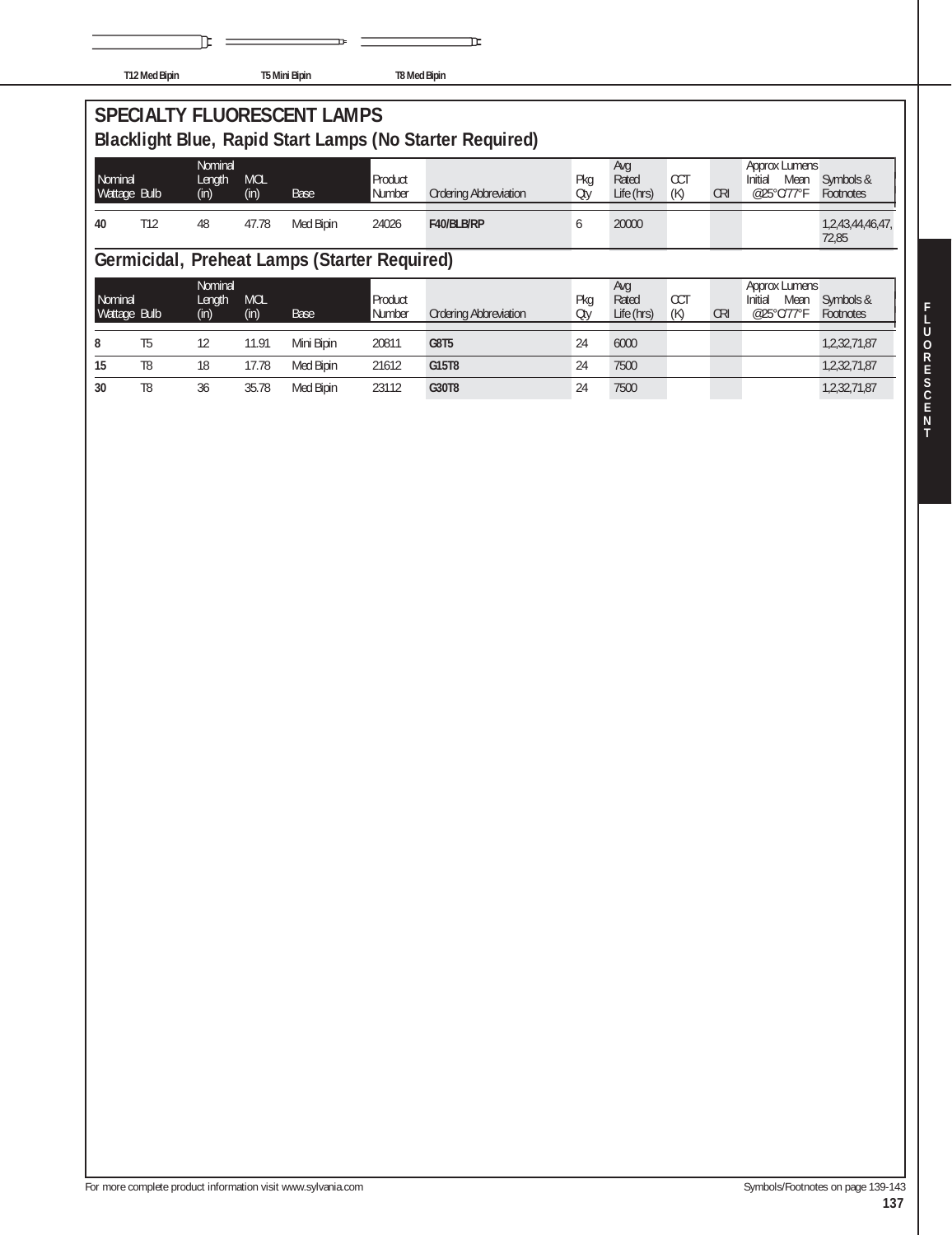|  | T12 Med Bipin |
|--|---------------|

℡

 $\overline{a}$ 

**T12 Med Bipin T5 Mini Bipin T8 Med Bipin**

**SPECIALTY FLUORESCENT LAMPS Blacklight Blue, Rapid Start Lamps (No Starter Required)**

| Nominal<br>Wattage Bulb |     | Nominal<br>Length<br>(in) | <b>MOL</b><br>(in) | Base      | Product<br>Number | <b>Ordering Abbreviation</b> | Pka<br>Oty | Avq<br>Rated<br>Life (hrs) | CC <sub>1</sub><br>(K) | <b>CRI</b> | Approx Lumens<br>Initial<br>Mean<br>@25°C/77°F | Symbols &<br>Footnotes    |
|-------------------------|-----|---------------------------|--------------------|-----------|-------------------|------------------------------|------------|----------------------------|------------------------|------------|------------------------------------------------|---------------------------|
| 40                      | T12 | 48                        | 47.78              | Med Bipin | 24026             | F40/BLB/RP                   |            | 20000                      |                        |            |                                                | 1,2,43,44,46,47,<br>72,85 |

īΕ

# **Germicidal, Preheat Lamps (Starter Required)**

| Nominal<br>Wattage Bulb |    | Nominal<br>Length<br>(in) | <b>MOL</b><br>(in) | Base       | Product<br>Number | <b>Ordering Abbreviation</b> | Pka<br>Oty | Avg<br>Rated<br>Life (hrs) | <b>CCT</b><br>(K) | <b>CRI</b> | Approx Lumens<br>Initial<br>Mean<br>@25°C/77°F | Symbols &<br>Footnotes |
|-------------------------|----|---------------------------|--------------------|------------|-------------------|------------------------------|------------|----------------------------|-------------------|------------|------------------------------------------------|------------------------|
| 8                       | T5 | 12                        | 1.91               | Mini Bipin | 20811             | G8T5                         | 24         | 6000                       |                   |            |                                                | 1,2,32,71,87           |
| 15                      | T8 | 18                        | 7.78               | Med Bipin  | 21612             | G15T8                        | 24         | 7500                       |                   |            |                                                | 1,2,32,71,87           |
| 30                      | T8 | 36                        | 35.78              | Med Bipin  | 23112             | G30T8                        | 24         | 7500                       |                   |            |                                                | 1,2,32,71,87           |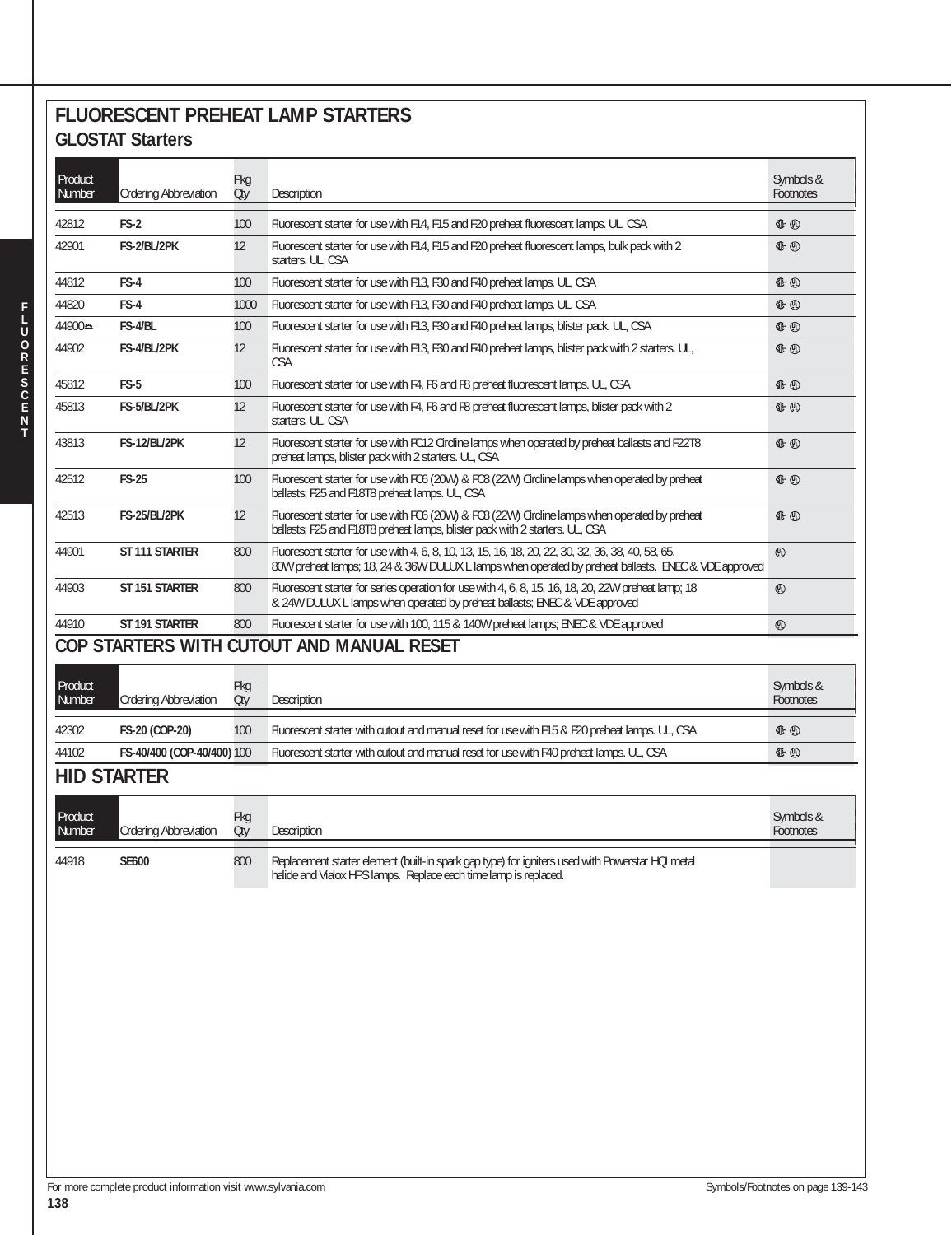#### **FLUORESCENT PREHEAT LAMP STARTERS GLOSTAT Starters**

| 42812<br>42901    | <b>Ordering Abbreviation</b> | Pkg<br>Qty | Description                                                                                                                                                                                               | Symbols &<br>Footnotes |
|-------------------|------------------------------|------------|-----------------------------------------------------------------------------------------------------------------------------------------------------------------------------------------------------------|------------------------|
|                   | $FS-2$                       | 100        | Fluorescent starter for use with F14, F15 and F20 preheat fluorescent lamps. UL, CSA                                                                                                                      | ⊕ ⊕                    |
|                   | FS-2/BL/2PK                  | 12         | Fluorescent starter for use with F14, F15 and F20 preheat fluorescent lamps, bulk pack with 2<br>starters. UL, CSA                                                                                        | G+ ①                   |
| 44812             | FS-4                         | 100        | Fluorescent starter for use with F13, F30 and F40 preheat lamps. UL, CSA                                                                                                                                  | ⊕ ⊕                    |
| 44820             | FS-4                         | 1000       | Fluorescent starter for use with F13, F30 and F40 preheat lamps. UL, CSA                                                                                                                                  | ⊕ ⊕                    |
| 44900±            | FS-4/BL                      | 100        | Fluorescent starter for use with F13, F30 and F40 preheat lamps, blister pack. UL, CSA                                                                                                                    | ⊕ ⊕                    |
| 44902             | FS-4/BL/2PK                  | 12         | Fluorescent starter for use with F13, F30 and F40 preheat lamps, blister pack with 2 starters. UL,<br><b>CSA</b>                                                                                          | E ⊕                    |
| 45812             | FS-5                         | 100        | Fluorescent starter for use with F4, F6 and F8 preheat fluorescent lamps. UL, CSA                                                                                                                         | ⊕ ⊕                    |
| 45813             | FS-5/BL/2PK                  | 12         | Fluorescent starter for use with F4, F6 and F8 preheat fluorescent lamps, blister pack with 2<br>starters. UL, CSA                                                                                        | G+ ①                   |
| 43813             | <b>FS-12/BL/2PK</b>          | 12         | Fluorescent starter for use with FC12 Circline lamps when operated by preheat ballasts and F22T8<br>preheat lamps, blister pack with 2 starters. UL, CSA                                                  | ⊕ ⊕                    |
| 42512             | <b>FS-25</b>                 | 100        | Fluorescent starter for use with FC6 (20W) & FC8 (22W) Circline lamps when operated by preheat<br>ballasts; F25 and F18T8 preheat lamps. UL, CSA                                                          | ⊕ ⊕                    |
| 42513             | FS-25/BL/2PK                 | 12         | Fluorescent starter for use with FC6 (20W) & FC8 (22W) Circline lamps when operated by preheat<br>ballasts; F25 and F18T8 preheat lamps, blister pack with 2 starters. UL, CSA                            | G+ ①                   |
| 44901             | ST 111 STARTER               | 800        | Fluorescent starter for use with 4, 6, 8, 10, 13, 15, 16, 18, 20, 22, 30, 32, 36, 38, 40, 58, 65,<br>80W preheat lamps; 18, 24 & 36W DULUX L lamps when operated by preheat ballasts. ENEC & VDE approved | $^{\circledR}$         |
| 44903             | ST 151 STARTER               | 800        | Fluorescent starter for series operation for use with 4, 6, 8, 15, 16, 18, 20, 22W preheat lamp; 18<br>& 24W DULUX L lamps when operated by preheat ballasts; ENEC & VDE approved                         | ⊕                      |
| 44910             | ST 191 STARTER               | 800        | Fluorescent starter for use with 100, 115 & 140W preheat lamps; ENEC & VDE approved                                                                                                                       | $^{\circledR}$         |
|                   |                              |            | COP STARTERS WITH CUTOUT AND MANUAL RESET                                                                                                                                                                 |                        |
| Product<br>Number | <b>Ordering Abbreviation</b> | Pkg<br>Qty | Description                                                                                                                                                                                               | Symbols &<br>Footnotes |
| 42302             | FS-20 (COP-20)               | 100        | Fluorescent starter with cutout and manual reset for use with F15 & F20 preheat lamps. UL, CSA                                                                                                            | ⊕ ⊕                    |
| 44102             | FS-40/400 (COP-40/400) 100   |            | Fluorescent starter with cutout and manual reset for use with F40 preheat lamps. UL, CSA                                                                                                                  | G+ ①                   |
|                   | <b>HID STARTER</b>           |            |                                                                                                                                                                                                           |                        |
|                   |                              |            |                                                                                                                                                                                                           |                        |
| Product<br>Number | <b>Ordering Abbreviation</b> | Pkg<br>Qty | Description                                                                                                                                                                                               | Symbols &<br>Footnotes |
| 44918             | <b>SE600</b>                 | 800        | Replacement starter element (built-in spark gap type) for igniters used with Powerstar HQI metal<br>halide and Vialox HPS lamps. Replace each time lamp is replaced.                                      |                        |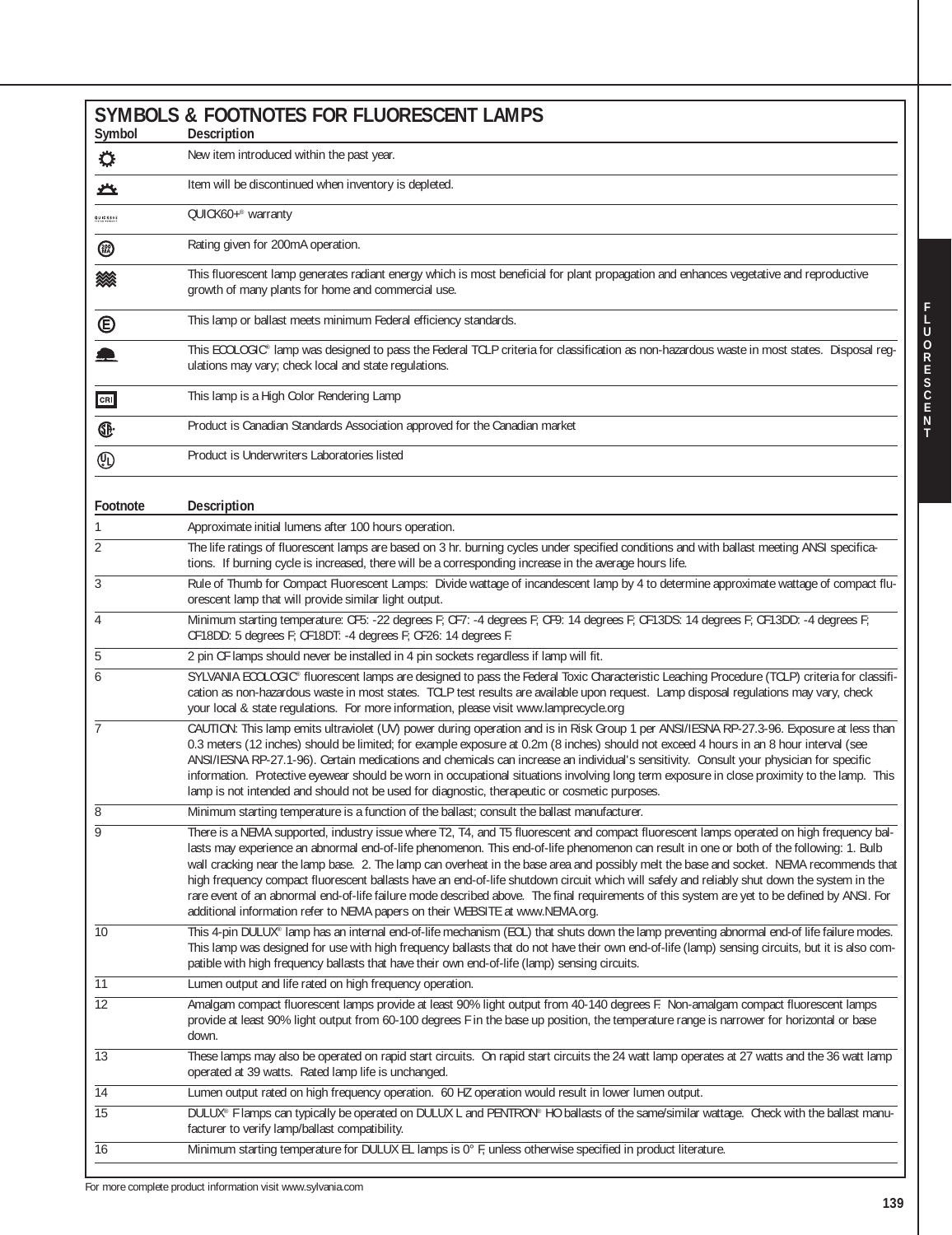| Symbol                         | <b>SYMBOLS &amp; FOOTNOTES FOR FLUORESCENT LAMPS</b><br>Description                                                                                                                                                                                                                                                                                                                                                                                                                                                                                                                                                                                                                                                                                                                                             |
|--------------------------------|-----------------------------------------------------------------------------------------------------------------------------------------------------------------------------------------------------------------------------------------------------------------------------------------------------------------------------------------------------------------------------------------------------------------------------------------------------------------------------------------------------------------------------------------------------------------------------------------------------------------------------------------------------------------------------------------------------------------------------------------------------------------------------------------------------------------|
| $\ddot{\mathrm{Q}}$            | New item introduced within the past year.                                                                                                                                                                                                                                                                                                                                                                                                                                                                                                                                                                                                                                                                                                                                                                       |
| 亼                              | Item will be discontinued when inventory is depleted.                                                                                                                                                                                                                                                                                                                                                                                                                                                                                                                                                                                                                                                                                                                                                           |
| QUICK60F                       | QUICK60+® warranty                                                                                                                                                                                                                                                                                                                                                                                                                                                                                                                                                                                                                                                                                                                                                                                              |
| <b>®</b>                       | Rating given for 200mA operation.                                                                                                                                                                                                                                                                                                                                                                                                                                                                                                                                                                                                                                                                                                                                                                               |
| 燚                              | This fluorescent lamp generates radiant energy which is most beneficial for plant propagation and enhances vegetative and reproductive<br>growth of many plants for home and commercial use.                                                                                                                                                                                                                                                                                                                                                                                                                                                                                                                                                                                                                    |
| $\circledast$                  | This lamp or ballast meets minimum Federal efficiency standards.                                                                                                                                                                                                                                                                                                                                                                                                                                                                                                                                                                                                                                                                                                                                                |
| $\blacksquare$                 | This ECOLOGIC® lamp was designed to pass the Federal TCLP criteria for classification as non-hazardous waste in most states. Disposal reg-<br>ulations may vary; check local and state regulations.                                                                                                                                                                                                                                                                                                                                                                                                                                                                                                                                                                                                             |
| CRI                            | This lamp is a High Color Rendering Lamp                                                                                                                                                                                                                                                                                                                                                                                                                                                                                                                                                                                                                                                                                                                                                                        |
| Œ                              | Product is Canadian Standards Association approved for the Canadian market                                                                                                                                                                                                                                                                                                                                                                                                                                                                                                                                                                                                                                                                                                                                      |
| $\textcircled{\scriptsize{1}}$ | Product is Underwriters Laboratories listed                                                                                                                                                                                                                                                                                                                                                                                                                                                                                                                                                                                                                                                                                                                                                                     |
| Footnote                       | Description                                                                                                                                                                                                                                                                                                                                                                                                                                                                                                                                                                                                                                                                                                                                                                                                     |
| 1                              | Approximate initial lumens after 100 hours operation.                                                                                                                                                                                                                                                                                                                                                                                                                                                                                                                                                                                                                                                                                                                                                           |
| $\overline{2}$                 | The life ratings of fluorescent lamps are based on 3 hr. burning cycles under specified conditions and with ballast meeting ANSI specifica-<br>tions. If burning cycle is increased, there will be a corresponding increase in the average hours life.                                                                                                                                                                                                                                                                                                                                                                                                                                                                                                                                                          |
| 3                              | Rule of Thumb for Compact Fluorescent Lamps: Divide wattage of incandescent lamp by 4 to determine approximate wattage of compact flu-<br>orescent lamp that will provide similar light output.                                                                                                                                                                                                                                                                                                                                                                                                                                                                                                                                                                                                                 |
| 4                              | Minimum starting temperature: CF5: -22 degrees F; CF7: -4 degrees F; CF9: 14 degrees F; CF13DS: 14 degrees F; CF13DD: -4 degrees F;<br>CF18DD: 5 degrees F; CF18DT: -4 degrees F; CF26: 14 degrees F.                                                                                                                                                                                                                                                                                                                                                                                                                                                                                                                                                                                                           |
| 5                              | 2 pin CF lamps should never be installed in 4 pin sockets regardless if lamp will fit.                                                                                                                                                                                                                                                                                                                                                                                                                                                                                                                                                                                                                                                                                                                          |
| 6                              | SYLVANIA ECOLOGIC® fluorescent lamps are designed to pass the Federal Toxic Characteristic Leaching Procedure (TCLP) criteria for classifi-<br>cation as non-hazardous waste in most states. TCLP test results are available upon request. Lamp disposal regulations may vary, check<br>your local & state regulations. For more information, please visit www.lamprecycle.org                                                                                                                                                                                                                                                                                                                                                                                                                                  |
| $\overline{7}$                 | CAUTION: This lamp emits ultraviolet (UV) power during operation and is in Risk Group 1 per ANSI/IESNA RP-27.3-96. Exposure at less than<br>0.3 meters (12 inches) should be limited; for example exposure at 0.2m (8 inches) should not exceed 4 hours in an 8 hour interval (see<br>ANSI/IESNA RP-27.1-96). Certain medications and chemicals can increase an individual's sensitivity. Consult your physician for specific<br>information. Protective eyewear should be worn in occupational situations involving long term exposure in close proximity to the lamp. This<br>lamp is not intended and should not be used for diagnostic, therapeutic or cosmetic purposes.                                                                                                                                   |
| 8                              | Minimum starting temperature is a function of the ballast; consult the ballast manufacturer.                                                                                                                                                                                                                                                                                                                                                                                                                                                                                                                                                                                                                                                                                                                    |
| $\overline{9}$                 | There is a NEMA supported, industry issue where T2, T4, and T5 fluorescent and compact fluorescent lamps operated on high frequency bal-<br>lasts may experience an abnormal end-of-life phenomenon. This end-of-life phenomenon can result in one or both of the following: 1. Bulb<br>wall cracking near the lamp base. 2. The lamp can overheat in the base area and possibly melt the base and socket. NEMA recommends that<br>high frequency compact fluorescent ballasts have an end-of-life shutdown circuit which will safely and reliably shut down the system in the<br>rare event of an abnormal end-of-life failure mode described above. The final requirements of this system are yet to be defined by ANSI. For<br>additional information refer to NEMA papers on their WEBSITE at www.NEMA.org. |
| $\overline{10}$                | This 4-pin DULUX® lamp has an internal end-of-life mechanism (EOL) that shuts down the lamp preventing abnormal end-of life failure modes.<br>This lamp was designed for use with high frequency ballasts that do not have their own end-of-life (lamp) sensing circuits, but it is also com-<br>patible with high frequency ballasts that have their own end-of-life (lamp) sensing circuits.                                                                                                                                                                                                                                                                                                                                                                                                                  |
| $\overline{11}$                | Lumen output and life rated on high frequency operation.                                                                                                                                                                                                                                                                                                                                                                                                                                                                                                                                                                                                                                                                                                                                                        |
| $\overline{12}$                | Amalgam compact fluorescent lamps provide at least 90% light output from 40-140 degrees F. Non-amalgam compact fluorescent lamps<br>provide at least 90% light output from 60-100 degrees F in the base up position, the temperature range is narrower for horizontal or base<br>down.                                                                                                                                                                                                                                                                                                                                                                                                                                                                                                                          |
| $\overline{13}$                | These lamps may also be operated on rapid start circuits. On rapid start circuits the 24 watt lamp operates at 27 watts and the 36 watt lamp<br>operated at 39 watts. Rated lamp life is unchanged.                                                                                                                                                                                                                                                                                                                                                                                                                                                                                                                                                                                                             |
| $\overline{14}$                | Lumen output rated on high frequency operation. 60 HZ operation would result in lower lumen output.                                                                                                                                                                                                                                                                                                                                                                                                                                                                                                                                                                                                                                                                                                             |
| $\overline{15}$                | DULUX® F lamps can typically be operated on DULUX L and PENTRON® HO ballasts of the same/similar wattage. Check with the ballast manu-<br>facturer to verify lamp/ballast compatibility.                                                                                                                                                                                                                                                                                                                                                                                                                                                                                                                                                                                                                        |
| $\overline{16}$                | Minimum starting temperature for DULUX EL lamps is 0° F, unless otherwise specified in product literature.                                                                                                                                                                                                                                                                                                                                                                                                                                                                                                                                                                                                                                                                                                      |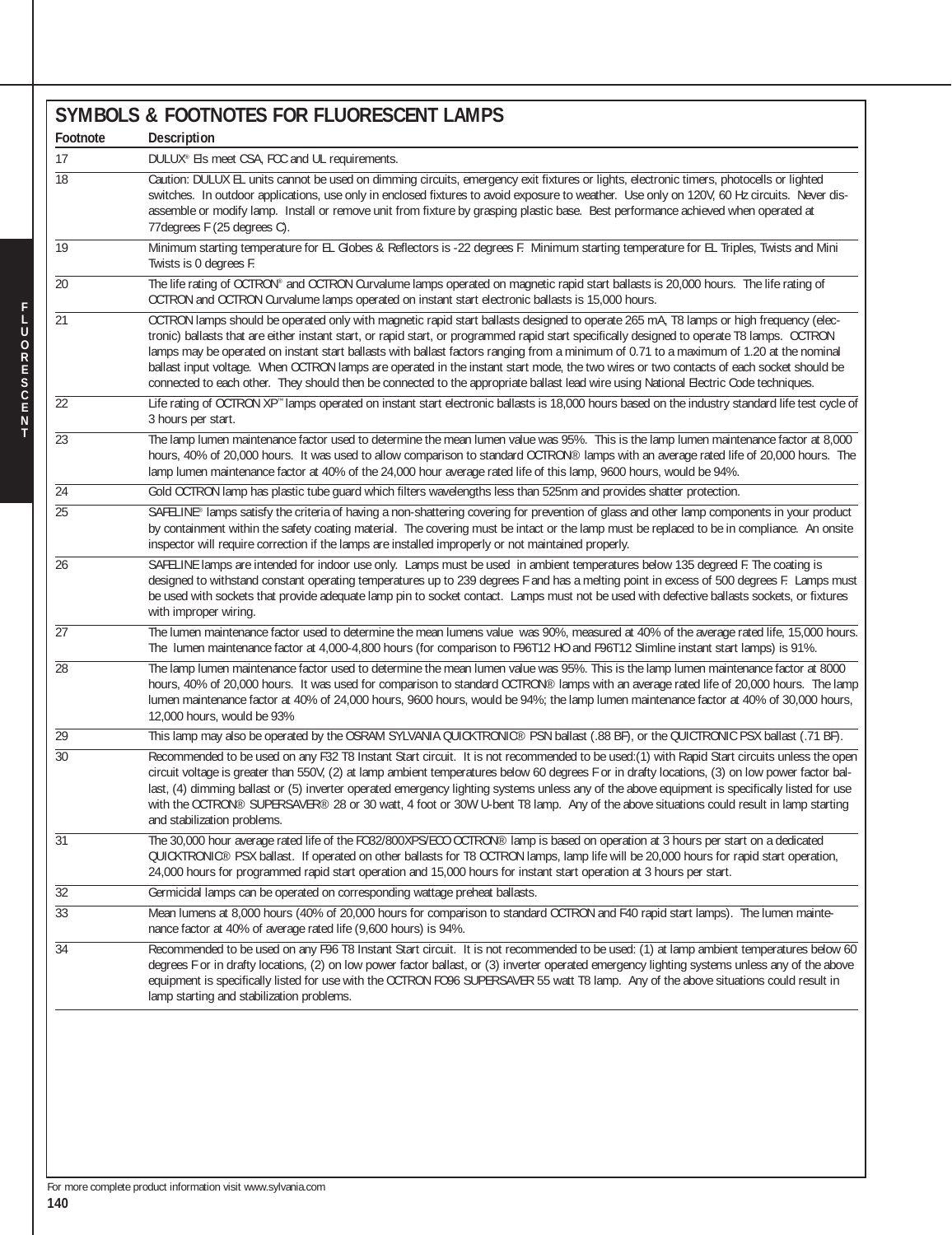|                 | SYMBOLS & FOOTNOTES FOR FLUORESCENT LAMPS                                                                                                                                                                                                                                                                                                                                                                                                                                                                                                                                                                                                                                                                          |
|-----------------|--------------------------------------------------------------------------------------------------------------------------------------------------------------------------------------------------------------------------------------------------------------------------------------------------------------------------------------------------------------------------------------------------------------------------------------------------------------------------------------------------------------------------------------------------------------------------------------------------------------------------------------------------------------------------------------------------------------------|
| Footnote        | Description                                                                                                                                                                                                                                                                                                                                                                                                                                                                                                                                                                                                                                                                                                        |
| 17              | DULUX® Els meet CSA, FCC and UL requirements.                                                                                                                                                                                                                                                                                                                                                                                                                                                                                                                                                                                                                                                                      |
| $\overline{18}$ | Caution: DULUX EL units cannot be used on dimming circuits, emergency exit fixtures or lights, electronic timers, photocells or lighted<br>switches. In outdoor applications, use only in enclosed fixtures to avoid exposure to weather. Use only on 120V, 60 Hz circuits. Never dis-<br>assemble or modify lamp. Install or remove unit from fixture by grasping plastic base. Best performance achieved when operated at<br>77 degrees F (25 degrees C).                                                                                                                                                                                                                                                        |
| 19              | Minimum starting temperature for EL Globes & Reflectors is -22 degrees F. Minimum starting temperature for EL Triples, Twists and Mini<br>Twists is 0 degrees F.                                                                                                                                                                                                                                                                                                                                                                                                                                                                                                                                                   |
| $\overline{20}$ | The life rating of OCTRON® and OCTRON Curvalume lamps operated on magnetic rapid start ballasts is 20,000 hours. The life rating of<br>OCTRON and OCTRON Curvalume lamps operated on instant start electronic ballasts is 15,000 hours.                                                                                                                                                                                                                                                                                                                                                                                                                                                                            |
| 21              | OCTRON lamps should be operated only with magnetic rapid start ballasts designed to operate 265 mA, T8 lamps or high frequency (elec-<br>tronic) ballasts that are either instant start, or rapid start, or programmed rapid start specifically designed to operate T8 lamps. OCTRON<br>lamps may be operated on instant start ballasts with ballast factors ranging from a minimum of 0.71 to a maximum of 1.20 at the nominal<br>ballast input voltage. When OCTRON lamps are operated in the instant start mode, the two wires or two contacts of each socket should be<br>connected to each other. They should then be connected to the appropriate ballast lead wire using National Electric Code techniques. |
| 22              | Life rating of OCTRON XP" lamps operated on instant start electronic ballasts is 18,000 hours based on the industry standard life test cycle of<br>3 hours per start.                                                                                                                                                                                                                                                                                                                                                                                                                                                                                                                                              |
| $\overline{23}$ | The lamp lumen maintenance factor used to determine the mean lumen value was 95%. This is the lamp lumen maintenance factor at 8,000<br>hours, 40% of 20,000 hours. It was used to allow comparison to standard OCTRON® lamps with an average rated life of 20,000 hours. The<br>lamp lumen maintenance factor at 40% of the 24,000 hour average rated life of this lamp, 9600 hours, would be 94%.                                                                                                                                                                                                                                                                                                                |
| 24              | Gold OCTRON lamp has plastic tube guard which filters wavelengths less than 525nm and provides shatter protection.                                                                                                                                                                                                                                                                                                                                                                                                                                                                                                                                                                                                 |
| $\overline{25}$ | SAFELINE® lamps satisfy the criteria of having a non-shattering covering for prevention of glass and other lamp components in your product<br>by containment within the safety coating material. The covering must be intact or the lamp must be replaced to be in compliance. An onsite<br>inspector will require correction if the lamps are installed improperly or not maintained properly.                                                                                                                                                                                                                                                                                                                    |
| 26              | SAFELINE lamps are intended for indoor use only. Lamps must be used in ambient temperatures below 135 degreed F. The coating is<br>designed to withstand constant operating temperatures up to 239 degrees F and has a melting point in excess of 500 degrees F. Lamps must<br>be used with sockets that provide adequate lamp pin to socket contact. Lamps must not be used with defective ballasts sockets, or fixtures<br>with improper wiring.                                                                                                                                                                                                                                                                 |
| $\overline{27}$ | The lumen maintenance factor used to determine the mean lumens value was 90%, measured at 40% of the average rated life, 15,000 hours.<br>The lumen maintenance factor at 4,000-4,800 hours (for comparison to F96T12 HO and F96T12 Slimline instant start lamps) is 91%.                                                                                                                                                                                                                                                                                                                                                                                                                                          |
| 28              | The lamp lumen maintenance factor used to determine the mean lumen value was 95%. This is the lamp lumen maintenance factor at 8000<br>hours, 40% of 20,000 hours. It was used for comparison to standard OCTRON® lamps with an average rated life of 20,000 hours. The lamp<br>lumen maintenance factor at 40% of 24,000 hours, 9600 hours, would be 94%; the lamp lumen maintenance factor at 40% of 30,000 hours,<br>12,000 hours, would be 93%                                                                                                                                                                                                                                                                 |
| 29              | This lamp may also be operated by the OSRAM SYLVANIA QUICKTRONIC® PSN ballast (.88 BF), or the QUICTRONIC PSX ballast (.71 BF).                                                                                                                                                                                                                                                                                                                                                                                                                                                                                                                                                                                    |
| $\overline{30}$ | Recommended to be used on any F32 T8 Instant Start circuit. It is not recommended to be used: (1) with Rapid Start circuits unless the open<br>circuit voltage is greater than 550V, (2) at lamp ambient temperatures below 60 degrees F or in drafty locations, (3) on low power factor bal-<br>last, (4) dimming ballast or (5) inverter operated emergency lighting systems unless any of the above equipment is specifically listed for use<br>with the OCTRON® SUPERSAVER® 28 or 30 watt, 4 foot or 30W U-bent T8 lamp. Any of the above situations could result in lamp starting<br>and stabilization problems.                                                                                              |
| 31              | The 30,000 hour average rated life of the FO32/800XPS/ECO OCTRON® lamp is based on operation at 3 hours per start on a dedicated<br>QUICKTRONIC® PSX ballast. If operated on other ballasts for T8 OCTRON lamps, lamp life will be 20,000 hours for rapid start operation,<br>24,000 hours for programmed rapid start operation and 15,000 hours for instant start operation at 3 hours per start.                                                                                                                                                                                                                                                                                                                 |
| $\overline{32}$ | Germicidal lamps can be operated on corresponding wattage preheat ballasts.                                                                                                                                                                                                                                                                                                                                                                                                                                                                                                                                                                                                                                        |
| $\overline{33}$ | Mean lumens at 8,000 hours (40% of 20,000 hours for comparison to standard OCTRON and F40 rapid start lamps). The lumen mainte-<br>nance factor at 40% of average rated life (9,600 hours) is 94%.                                                                                                                                                                                                                                                                                                                                                                                                                                                                                                                 |
| $\overline{34}$ | Recommended to be used on any F96 T8 Instant Start circuit. It is not recommended to be used: (1) at lamp ambient temperatures below 60<br>degrees F or in drafty locations, (2) on low power factor ballast, or (3) inverter operated emergency lighting systems unless any of the above<br>equipment is specifically listed for use with the OCTRON FO96 SUPERSAVER 55 watt T8 lamp. Any of the above situations could result in<br>lamp starting and stabilization problems.                                                                                                                                                                                                                                    |
|                 |                                                                                                                                                                                                                                                                                                                                                                                                                                                                                                                                                                                                                                                                                                                    |

**E N T**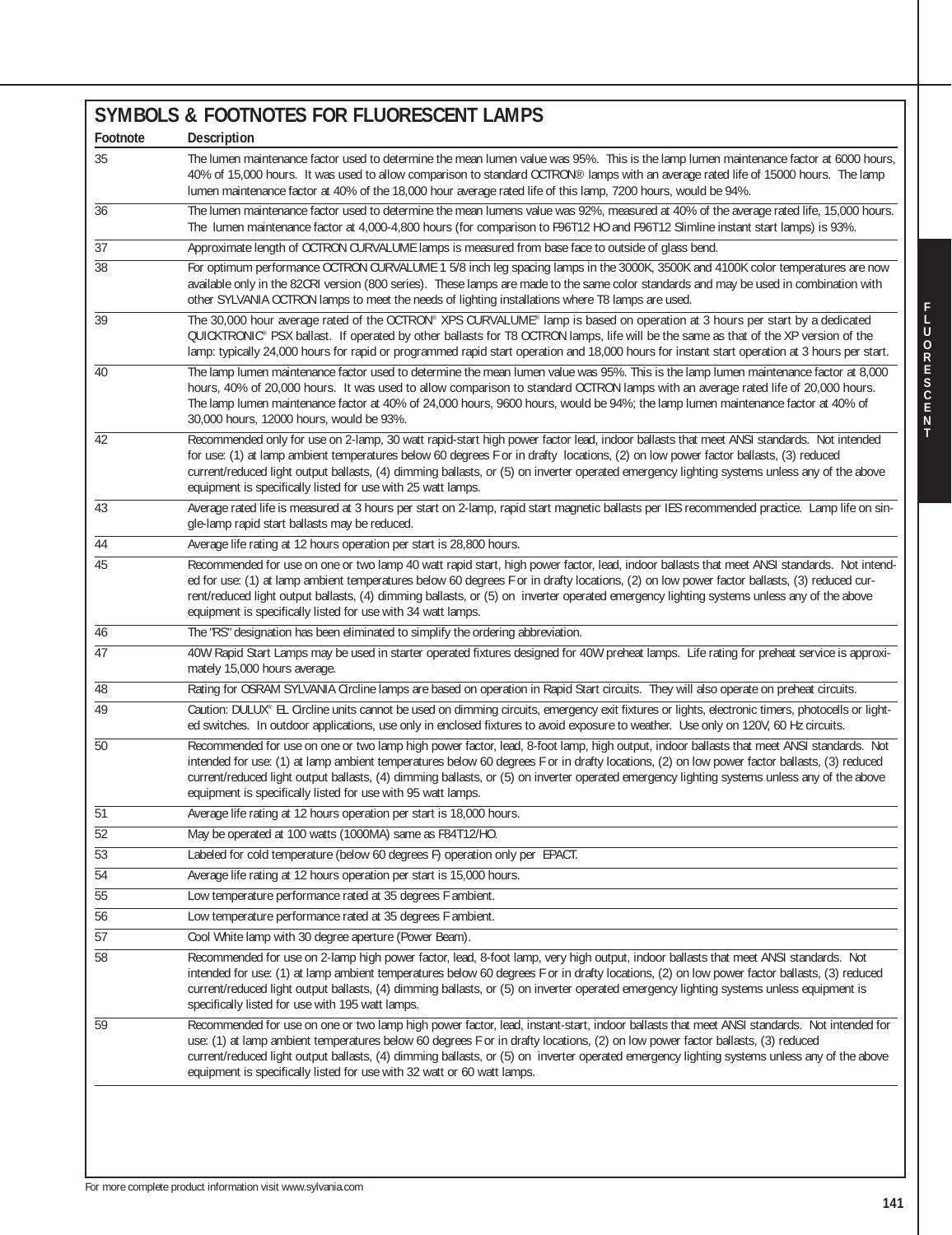| 5%. This is the lamp lumen maintenance factor at 6000 hours,<br>lamps with an average rated life of 15000 hours. The lamp<br>lamp, 7200 hours, would be 94%.                                  |                   |
|-----------------------------------------------------------------------------------------------------------------------------------------------------------------------------------------------|-------------------|
| 2%, measured at 40% of the average rated life, 15,000 hours.<br>2 HO and F96T12 Slimline instant start lamps) is 93%.                                                                         |                   |
| ce to outside of glass bend.                                                                                                                                                                  |                   |
| in the 3000K, 3500K and 4100K color temperatures are now<br>same color standards and may be used in combination with<br>re T8 lamps are used.                                                 |                   |
| based on operation at 3 hours per start by a dedicated<br>nps, life will be the same as that of the XP version of the<br>118,000 hours for instant start operation at 3 hours per start.      |                   |
| vas 95%. This is the lamp lumen maintenance factor at 8,000<br>CTRON lamps with an average rated life of 20,000 hours.<br>Id be 94%; the lamp lumen maintenance factor at 40% of              | <b>FLUORESCEN</b> |
| ad, indoor ballasts that meet ANSI standards. Not intended<br>itions, (2) on low power factor ballasts, (3) reduced<br>perated emergency lighting systems unless any of the above             |                   |
| etic ballasts per IES recommended practice. Lamp life on sin-                                                                                                                                 |                   |
| or, lead, indoor ballasts that meet ANSI standards. Not intend-<br>ocations, (2) on low power factor ballasts, (3) reduced cur-<br>rated emergency lighting systems unless any of the above   |                   |
| 40W preheat lamps. Life rating for preheat service is approxi-                                                                                                                                |                   |
| tart circuits. They will also operate on preheat circuits.                                                                                                                                    |                   |
| ncy exit fixtures or lights, electronic timers, photocells or light-<br>bosure to weather. Use only on 120V, 60 Hz circuits.                                                                  |                   |
| o, high output, indoor ballasts that meet ANSI standards. Not<br>rafty locations, (2) on low power factor ballasts, (3) reduced<br>perated emergency lighting systems unless any of the above |                   |
|                                                                                                                                                                                               |                   |
|                                                                                                                                                                                               |                   |
|                                                                                                                                                                                               |                   |
|                                                                                                                                                                                               |                   |
|                                                                                                                                                                                               |                   |

| Footnote        | <b>Description</b>                                                                                                                                                                                                                                                                                                                                                                                                                                                                                    |
|-----------------|-------------------------------------------------------------------------------------------------------------------------------------------------------------------------------------------------------------------------------------------------------------------------------------------------------------------------------------------------------------------------------------------------------------------------------------------------------------------------------------------------------|
| 35              | The lumen maintenance factor used to determine the mean lumen value was 95%. This is the lamp lumen maintenance factor at 6000 hours,<br>40% of 15,000 hours. It was used to allow comparison to standard OCTRON® lamps with an average rated life of 15000 hours. The lamp<br>lumen maintenance factor at 40% of the 18,000 hour average rated life of this lamp, 7200 hours, would be 94%.                                                                                                          |
| 36              | The lumen maintenance factor used to determine the mean lumens value was 92%, measured at 40% of the average rated life, 15,000 hours.<br>The lumen maintenance factor at 4,000-4,800 hours (for comparison to F96T12 HO and F96T12 Slimline instant start lamps) is 93%.                                                                                                                                                                                                                             |
| $\overline{37}$ | Approximate length of OCTRON CURVALUME lamps is measured from base face to outside of glass bend.                                                                                                                                                                                                                                                                                                                                                                                                     |
| 38              | For optimum performance OCTRON CURVALUME 1 5/8 inch leg spacing lamps in the 3000K, 3500K and 4100K color temperatures are now<br>available only in the 82CRI version (800 series). These lamps are made to the same color standards and may be used in combination with<br>other SYLVANIA OCTRON lamps to meet the needs of lighting installations where T8 lamps are used.                                                                                                                          |
| 39              | The 30,000 hour average rated of the OCTRON® XPS CURVALUME® lamp is based on operation at 3 hours per start by a dedicated<br>QUICKTRONIC® PSX ballast. If operated by other ballasts for T8 OCTRON lamps, life will be the same as that of the XP version of the<br>lamp: typically 24,000 hours for rapid or programmed rapid start operation and 18,000 hours for instant start operation at 3 hours per start.                                                                                    |
| 40              | The lamp lumen maintenance factor used to determine the mean lumen value was 95%. This is the lamp lumen maintenance factor at 8,000<br>hours, 40% of 20,000 hours. It was used to allow comparison to standard OCTRON lamps with an average rated life of 20,000 hours.<br>The lamp lumen maintenance factor at 40% of 24,000 hours, 9600 hours, would be 94%; the lamp lumen maintenance factor at 40% of<br>30,000 hours, 12000 hours, would be 93%.                                               |
| 42              | Recommended only for use on 2-lamp, 30 watt rapid-start high power factor lead, indoor ballasts that meet ANSI standards. Not intended<br>for use: (1) at lamp ambient temperatures below 60 degrees F or in drafty locations, (2) on low power factor ballasts, (3) reduced<br>current/reduced light output ballasts, (4) dimming ballasts, or (5) on inverter operated emergency lighting systems unless any of the above<br>equipment is specifically listed for use with 25 watt lamps.           |
| 43              | Average rated life is measured at 3 hours per start on 2-lamp, rapid start magnetic ballasts per IES recommended practice. Lamp life on sin-<br>gle-lamp rapid start ballasts may be reduced.                                                                                                                                                                                                                                                                                                         |
| 44              | Average life rating at 12 hours operation per start is 28,800 hours.                                                                                                                                                                                                                                                                                                                                                                                                                                  |
| $\overline{45}$ | Recommended for use on one or two lamp 40 watt rapid start, high power factor, lead, indoor ballasts that meet ANSI standards. Not intend-<br>ed for use: (1) at lamp ambient temperatures below 60 degrees F or in drafty locations, (2) on low power factor ballasts, (3) reduced cur-<br>rent/reduced light output ballasts, (4) dimming ballasts, or (5) on inverter operated emergency lighting systems unless any of the above<br>equipment is specifically listed for use with 34 watt lamps.  |
| 46              | The "RS" designation has been eliminated to simplify the ordering abbreviation.                                                                                                                                                                                                                                                                                                                                                                                                                       |
| $\overline{47}$ | 40W Rapid Start Lamps may be used in starter operated fixtures designed for 40W preheat lamps. Life rating for preheat service is approxi-<br>mately 15,000 hours average.                                                                                                                                                                                                                                                                                                                            |
| 48              | Rating for OSRAM SYLVANIA Circline lamps are based on operation in Rapid Start circuits. They will also operate on preheat circuits.                                                                                                                                                                                                                                                                                                                                                                  |
| $\overline{49}$ | Caution: DULUX® EL Circline units cannot be used on dimming circuits, emergency exit fixtures or lights, electronic timers, photocells or light-<br>ed switches. In outdoor applications, use only in enclosed fixtures to avoid exposure to weather. Use only on 120V, 60 Hz circuits.                                                                                                                                                                                                               |
| 50              | Recommended for use on one or two lamp high power factor, lead, 8-foot lamp, high output, indoor ballasts that meet ANSI standards. Not<br>intended for use: (1) at lamp ambient temperatures below 60 degrees F or in drafty locations, (2) on low power factor ballasts, (3) reduced<br>current/reduced light output ballasts, (4) dimming ballasts, or (5) on inverter operated emergency lighting systems unless any of the above<br>equipment is specifically listed for use with 95 watt lamps. |
| 51              | Average life rating at 12 hours operation per start is 18,000 hours.                                                                                                                                                                                                                                                                                                                                                                                                                                  |
| $\overline{52}$ | May be operated at 100 watts (1000MA) same as F84T12/HO.                                                                                                                                                                                                                                                                                                                                                                                                                                              |
| $\overline{53}$ | Labeled for cold temperature (below 60 degrees F) operation only per EPACT.                                                                                                                                                                                                                                                                                                                                                                                                                           |
| $\overline{54}$ | Average life rating at 12 hours operation per start is 15,000 hours.                                                                                                                                                                                                                                                                                                                                                                                                                                  |
| 55              | Low temperature performance rated at 35 degrees F ambient.                                                                                                                                                                                                                                                                                                                                                                                                                                            |
| $\overline{56}$ | Low temperature performance rated at 35 degrees F ambient.                                                                                                                                                                                                                                                                                                                                                                                                                                            |
| $\overline{57}$ | Cool White lamp with 30 degree aperture (Power Beam).                                                                                                                                                                                                                                                                                                                                                                                                                                                 |
| $\overline{58}$ | Recommended for use on 2-lamp high power factor, lead, 8-foot lamp, very high output, indoor ballasts that meet ANSI standards. Not<br>intended for use: (1) at lamp ambient temperatures below 60 degrees F or in drafty locations, (2) on low power factor ballasts, (3) reduced<br>current/reduced light output ballasts, (4) dimming ballasts, or (5) on inverter operated emergency lighting systems unless equipment is<br>specifically listed for use with 195 watt lamps.                     |
| 59              | Recommended for use on one or two lamp high power factor, lead, instant-start, indoor ballasts that meet ANSI standards. Not intended for<br>use: (1) at lamp ambient temperatures below 60 degrees F or in drafty locations, (2) on low power factor ballasts, (3) reduced<br>current/reduced light output ballasts, (4) dimming ballasts, or (5) on inverter operated emergency lighting systems unless any of the above<br>equipment is specifically listed for use with 32 watt or 60 watt lamps. |
|                 |                                                                                                                                                                                                                                                                                                                                                                                                                                                                                                       |

**SYMBOLS & FOOTNOTES FOR FLUORESCENT LAMPS**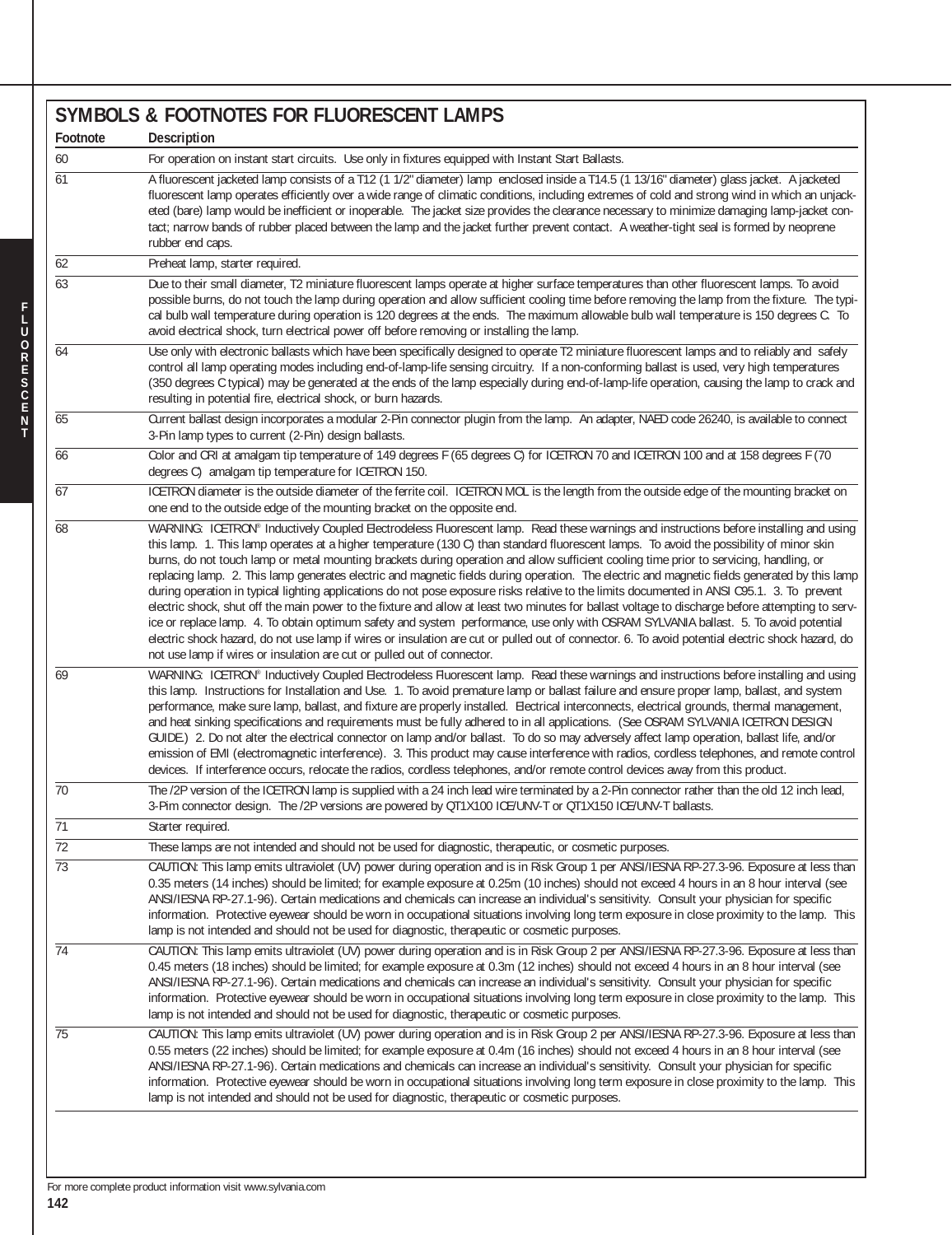|                 | <b>SYMBOLS &amp; FOOTNOTES FOR FLUORESCENT LAMPS</b>                                                                                                                                                                                                                                                                                                                                                                                                                                                                                                                                                                                                                                                                                                                                                                                                                                                                                                                                                                                                                                                                                                                                                                                                       |
|-----------------|------------------------------------------------------------------------------------------------------------------------------------------------------------------------------------------------------------------------------------------------------------------------------------------------------------------------------------------------------------------------------------------------------------------------------------------------------------------------------------------------------------------------------------------------------------------------------------------------------------------------------------------------------------------------------------------------------------------------------------------------------------------------------------------------------------------------------------------------------------------------------------------------------------------------------------------------------------------------------------------------------------------------------------------------------------------------------------------------------------------------------------------------------------------------------------------------------------------------------------------------------------|
| Footnote        | Description                                                                                                                                                                                                                                                                                                                                                                                                                                                                                                                                                                                                                                                                                                                                                                                                                                                                                                                                                                                                                                                                                                                                                                                                                                                |
| 60              | For operation on instant start circuits. Use only in fixtures equipped with Instant Start Ballasts.                                                                                                                                                                                                                                                                                                                                                                                                                                                                                                                                                                                                                                                                                                                                                                                                                                                                                                                                                                                                                                                                                                                                                        |
| 61              | A fluorescent jacketed lamp consists of a T12 (1 1/2" diameter) lamp enclosed inside a T14.5 (1 13/16" diameter) glass jacket. A jacketed<br>fluorescent lamp operates efficiently over a wide range of climatic conditions, including extremes of cold and strong wind in which an unjack-<br>eted (bare) lamp would be inefficient or inoperable. The jacket size provides the clearance necessary to minimize damaging lamp-jacket con-<br>tact; narrow bands of rubber placed between the lamp and the jacket further prevent contact. A weather-tight seal is formed by neoprene<br>rubber end caps.                                                                                                                                                                                                                                                                                                                                                                                                                                                                                                                                                                                                                                                  |
| 62              | Preheat lamp, starter required.                                                                                                                                                                                                                                                                                                                                                                                                                                                                                                                                                                                                                                                                                                                                                                                                                                                                                                                                                                                                                                                                                                                                                                                                                            |
| 63              | Due to their small diameter, T2 miniature fluorescent lamps operate at higher surface temperatures than other fluorescent lamps. To avoid<br>possible burns, do not touch the lamp during operation and allow sufficient cooling time before removing the lamp from the fixture. The typi-<br>cal bulb wall temperature during operation is 120 degrees at the ends. The maximum allowable bulb wall temperature is 150 degrees C. To<br>avoid electrical shock, turn electrical power off before removing or installing the lamp.                                                                                                                                                                                                                                                                                                                                                                                                                                                                                                                                                                                                                                                                                                                         |
| 64              | Use only with electronic ballasts which have been specifically designed to operate T2 miniature fluorescent lamps and to reliably and safely<br>control all lamp operating modes including end-of-lamp-life sensing circuitry. If a non-conforming ballast is used, very high temperatures<br>(350 degrees C typical) may be generated at the ends of the lamp especially during end-of-lamp-life operation, causing the lamp to crack and<br>resulting in potential fire, electrical shock, or burn hazards.                                                                                                                                                                                                                                                                                                                                                                                                                                                                                                                                                                                                                                                                                                                                              |
| 65              | Current ballast design incorporates a modular 2-Pin connector plugin from the lamp. An adapter, NAED code 26240, is available to connect<br>3-Pin lamp types to current (2-Pin) design ballasts.                                                                                                                                                                                                                                                                                                                                                                                                                                                                                                                                                                                                                                                                                                                                                                                                                                                                                                                                                                                                                                                           |
| 66              | Color and CRI at amalgam tip temperature of 149 degrees F (65 degrees C) for ICETRON 70 and ICETRON 100 and at 158 degrees F (70<br>degrees C) amalgam tip temperature for ICETRON 150.                                                                                                                                                                                                                                                                                                                                                                                                                                                                                                                                                                                                                                                                                                                                                                                                                                                                                                                                                                                                                                                                    |
| 67              | ICETRON diameter is the outside diameter of the ferrite coil. ICETRON MOL is the length from the outside edge of the mounting bracket on<br>one end to the outside edge of the mounting bracket on the opposite end.                                                                                                                                                                                                                                                                                                                                                                                                                                                                                                                                                                                                                                                                                                                                                                                                                                                                                                                                                                                                                                       |
| 68              | WARNING: ICETRON® Inductively Coupled Electrodeless Fluorescent lamp. Read these warnings and instructions before installing and using<br>this lamp. 1. This lamp operates at a higher temperature (130 C) than standard fluorescent lamps. To avoid the possibility of minor skin<br>burns, do not touch lamp or metal mounting brackets during operation and allow sufficient cooling time prior to servicing, handling, or<br>replacing lamp. 2. This lamp generates electric and magnetic fields during operation. The electric and magnetic fields generated by this lamp<br>during operation in typical lighting applications do not pose exposure risks relative to the limits documented in ANSI C95.1. 3. To prevent<br>electric shock, shut off the main power to the fixture and allow at least two minutes for ballast voltage to discharge before attempting to serv-<br>ice or replace lamp. 4. To obtain optimum safety and system performance, use only with OSRAM SYLVANIA ballast. 5. To avoid potential<br>electric shock hazard, do not use lamp if wires or insulation are cut or pulled out of connector. 6. To avoid potential electric shock hazard, do<br>not use lamp if wires or insulation are cut or pulled out of connector. |
| 69              | WARNING: ICETRON® Inductively Coupled Electrodeless Fluorescent lamp. Read these warnings and instructions before installing and using<br>this lamp. Instructions for Installation and Use. 1. To avoid premature lamp or ballast failure and ensure proper lamp, ballast, and system<br>performance, make sure lamp, ballast, and fixture are properly installed. Electrical interconnects, electrical grounds, thermal management,<br>and heat sinking specifications and requirements must be fully adhered to in all applications. (See OSRAM SYLVANIA ICETRON DESIGN<br>GUIDE.) 2. Do not alter the electrical connector on lamp and/or ballast. To do so may adversely affect lamp operation, ballast life, and/or<br>emission of EMI (electromagnetic interference). 3. This product may cause interference with radios, cordless telephones, and remote control<br>devices. If interference occurs, relocate the radios, cordless telephones, and/or remote control devices away from this product.                                                                                                                                                                                                                                                |
| $\overline{70}$ | The /2P version of the ICETRON lamp is supplied with a 24 inch lead wire terminated by a 2-Pin connector rather than the old 12 inch lead,<br>3-Pim connector design. The /2P versions are powered by QT1X100 ICE/UNV-T or QT1X150 ICE/UNV-T ballasts.                                                                                                                                                                                                                                                                                                                                                                                                                                                                                                                                                                                                                                                                                                                                                                                                                                                                                                                                                                                                     |
| $\overline{71}$ | Starter required.                                                                                                                                                                                                                                                                                                                                                                                                                                                                                                                                                                                                                                                                                                                                                                                                                                                                                                                                                                                                                                                                                                                                                                                                                                          |
| $\overline{72}$ | These lamps are not intended and should not be used for diagnostic, therapeutic, or cosmetic purposes.                                                                                                                                                                                                                                                                                                                                                                                                                                                                                                                                                                                                                                                                                                                                                                                                                                                                                                                                                                                                                                                                                                                                                     |
| $\overline{73}$ | CAUTION: This lamp emits ultraviolet (UV) power during operation and is in Risk Group 1 per ANSI/IESNA RP-27.3-96. Exposure at less than<br>0.35 meters (14 inches) should be limited; for example exposure at 0.25m (10 inches) should not exceed 4 hours in an 8 hour interval (see<br>ANSI/IESNA RP-27.1-96). Certain medications and chemicals can increase an individual's sensitivity. Consult your physician for specific<br>information. Protective eyewear should be worn in occupational situations involving long term exposure in close proximity to the lamp. This<br>lamp is not intended and should not be used for diagnostic, therapeutic or cosmetic purposes.                                                                                                                                                                                                                                                                                                                                                                                                                                                                                                                                                                           |
| $\overline{74}$ | CAUTION: This lamp emits ultraviolet (UV) power during operation and is in Risk Group 2 per ANSI/IESNA RP-27.3-96. Exposure at less than<br>0.45 meters (18 inches) should be limited; for example exposure at 0.3m (12 inches) should not exceed 4 hours in an 8 hour interval (see<br>ANSI/IESNA RP-27.1-96). Certain medications and chemicals can increase an individual's sensitivity. Consult your physician for specific<br>information. Protective eyewear should be worn in occupational situations involving long term exposure in close proximity to the lamp. This<br>lamp is not intended and should not be used for diagnostic, therapeutic or cosmetic purposes.                                                                                                                                                                                                                                                                                                                                                                                                                                                                                                                                                                            |
| 75              | CAUTION: This lamp emits ultraviolet (UV) power during operation and is in Risk Group 2 per ANSI/IESNA RP-27.3-96. Exposure at less than<br>0.55 meters (22 inches) should be limited; for example exposure at 0.4m (16 inches) should not exceed 4 hours in an 8 hour interval (see<br>ANSI/IESNA RP-27.1-96). Certain medications and chemicals can increase an individual's sensitivity. Consult your physician for specific<br>information. Protective eyewear should be worn in occupational situations involving long term exposure in close proximity to the lamp. This<br>lamp is not intended and should not be used for diagnostic, therapeutic or cosmetic purposes.                                                                                                                                                                                                                                                                                                                                                                                                                                                                                                                                                                            |
|                 |                                                                                                                                                                                                                                                                                                                                                                                                                                                                                                                                                                                                                                                                                                                                                                                                                                                                                                                                                                                                                                                                                                                                                                                                                                                            |

**N T**